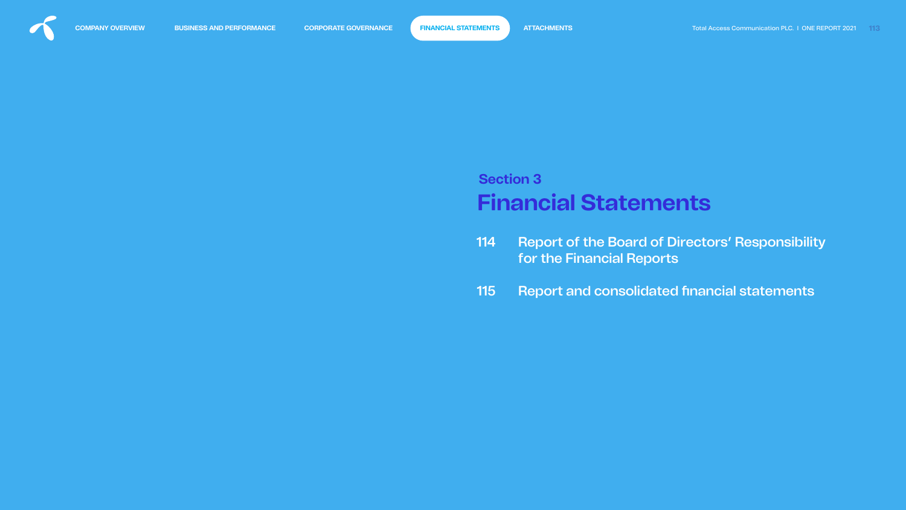<span id="page-0-0"></span>

# **Financial Statements Section 3**

- [Report of the Board of Directors' Responsibility](#page-1-0)  for the Financial Reports 114
- Report and consolidated financial statements 115

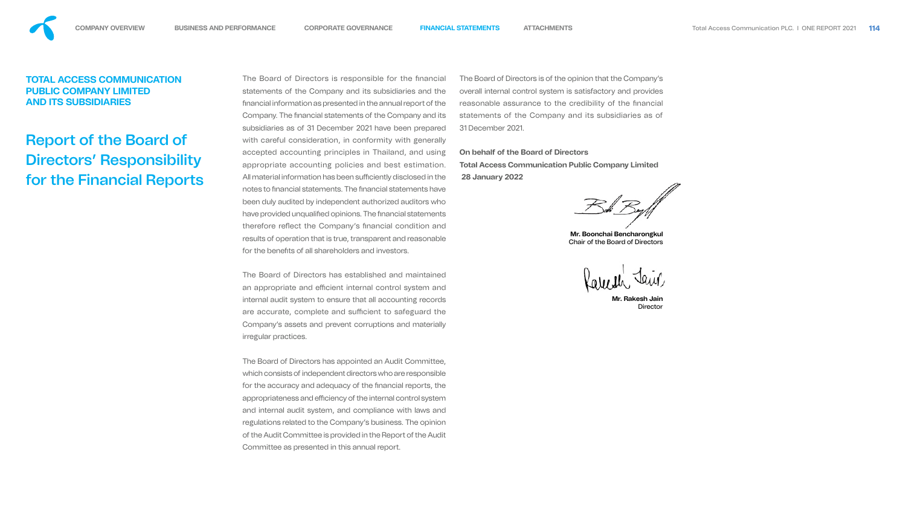The Board of Directors is responsible for the financial statements of the Company and its subsidiaries and the nancial information as presented in the annual report of the Company. The financial statements of the Company and its subsidiaries as of 31 December 2021 have been prepared with careful consideration, in conformity with generally accepted accounting principles in Thailand, and using appropriate accounting policies and best estimation. All material information has been sufficiently disclosed in the notes to financial statements. The financial statements have been duly audited by independent authorized auditors who have provided unqualified opinions. The financial statements therefore reflect the Company's financial condition and results of operation that is true, transparent and reasonable for the benefits of all shareholders and investors. The Board of Directors is of the opinion that the Company's overall internal control system is satisfactory and provides reasonable assurance to the credibility of the financial statements of the Company and its subsidiaries as of 31 December 2021. **On behalf of the Board of Directors Total Access Communication Public Company Limited 28 January 2022 Mr. Boonchai Bencharongkul** Chair of the Board of Directors

**Mr. Rakesh Jain Director** 



The Board of Directors has established and maintained an appropriate and efficient internal control system and internal audit system to ensure that all accounting records are accurate, complete and sufficient to safeguard the Company's assets and prevent corruptions and materially irregular practices.

The Board of Directors has appointed an Audit Committee, which consists of independent directors who are responsible for the accuracy and adequacy of the financial reports, the appropriateness and efficiency of the internal control system and internal audit system, and compliance with laws and regulations related to the Company's business. The opinion of the Audit Committee is provided in the Report of the Audit Committee as presented in this annual report.

# <span id="page-1-0"></span>**TOTAL ACCESS COMMUNICATION PUBLIC COMPANY LIMITED AND ITS SUBSIDIARIES**

# Report of the Board of Directors' Responsibility for the Financial Reports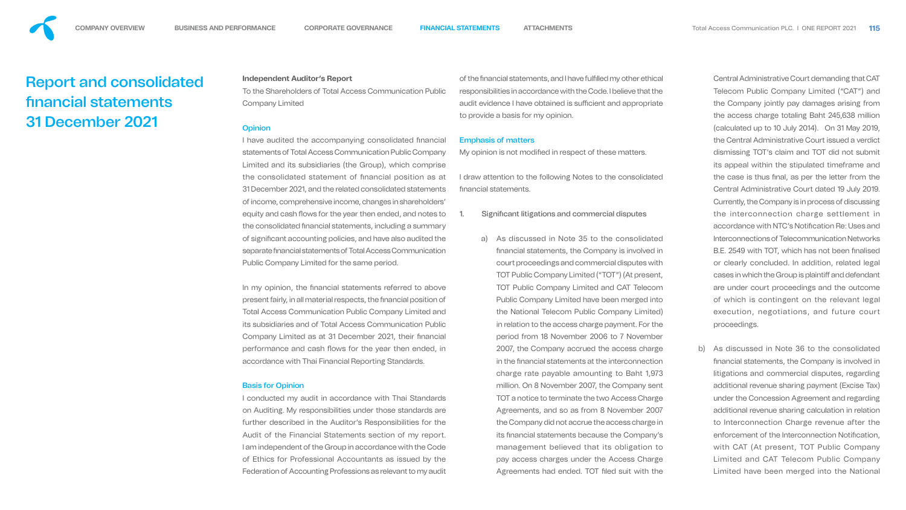<span id="page-2-0"></span>**COMPANY OVERVIEW BUSINESS AND PERFORMANCE CORPORATE GOVERNANCE [FINANCIAL STATEMENTS](#page-0-0) ATTACHMENTS** Total Access Communication PLC. I ONE REPORT 2021 **115**

#### **Independent Auditor's Report**

In my opinion, the financial statements referred to above present fairly, in all material respects, the financial position of Total Access Communication Public Company Limited and its subsidiaries and of Total Access Communication Public Company Limited as at 31 December 2021, their financial performance and cash flows for the year then ended, in accordance with Thai Financial Reporting Standards.

To the Shareholders of Total Access Communication Public Company Limited of the financial statements, and I have fulfilled my other ethical responsibilities in accordance with the Code. I believe that the audit evidence I have obtained is sufficient and appropriate to provide a basis for my opinion.

#### **Opinion**

I have audited the accompanying consolidated financial statements of Total Access Communication Public Company Limited and its subsidiaries (the Group), which comprise the consolidated statement of financial position as at 31 December 2021, and the related consolidated statements of income, comprehensive income, changes in shareholders' equity and cash flows for the year then ended, and notes to the consolidated financial statements, including a summary of significant accounting policies, and have also audited the separate financial statements of Total Access Communication Public Company Limited for the same period. Emphasis of matters My opinion is not modified in respect of these matters. I draw attention to the following Notes to the consolidated nancial statements. Significant litigations and commercial disputes

- 
- a) As discussed in Note 35 to the consolidated nancial statements, the Company is involved in court proceedings and commercial disputes with TOT Public Company Limited ("TOT") (At present, TOT Public Company Limited and CAT Telecom Public Company Limited have been merged into the National Telecom Public Company Limited) in relation to the access charge payment. For the period from 18 November 2006 to 7 November 2007, the Company accrued the access charge in the financial statements at the interconnection charge rate payable amounting to Baht 1,973 million. On 8 November 2007, the Company sent TOT a notice to terminate the two Access Charge Agreements, and so as from 8 November 2007 the Company did not accrue the access charge in its financial statements because the Company's management believed that its obligation to pay access charges under the Access Charge Agreements had ended. TOT filed suit with the

#### Basis for Opinion

I conducted my audit in accordance with Thai Standards on Auditing. My responsibilities under those standards are further described in the Auditor's Responsibilities for the Audit of the Financial Statements section of my report. I am independent of the Group in accordance with the Code of Ethics for Professional Accountants as issued by the Federation of Accounting Professions as relevant to my audit

Central Administrative Court demanding that CAT Telecom Public Company Limited ("CAT") and the Company jointly pay damages arising from the access charge totaling Baht 245,638 million (calculated up to 10 July 2014). On 31 May 2019, the Central Administrative Court issued a verdict dismissing TOT's claim and TOT did not submit its appeal within the stipulated timeframe and the case is thus final, as per the letter from the Central Administrative Court dated 19 July 2019. Currently, the Company is in process of discussing the interconnection charge settlement in accordance with NTC's Notification Re: Uses and Interconnections of Telecommunication Networks B.E. 2549 with TOT, which has not been finalised or clearly concluded. In addition, related legal cases in which the Group is plaintiff and defendant are under court proceedings and the outcome of which is contingent on the relevant legal execution, negotiations, and future court proceedings.

b) As discussed in Note 36 to the consolidated nancial statements, the Company is involved in litigations and commercial disputes, regarding additional revenue sharing payment (Excise Tax) under the Concession Agreement and regarding additional revenue sharing calculation in relation to Interconnection Charge revenue after the enforcement of the Interconnection Notification, with CAT (At present, TOT Public Company Limited and CAT Telecom Public Company Limited have been merged into the National

# Report and consolidated nancial statements 31 December 2021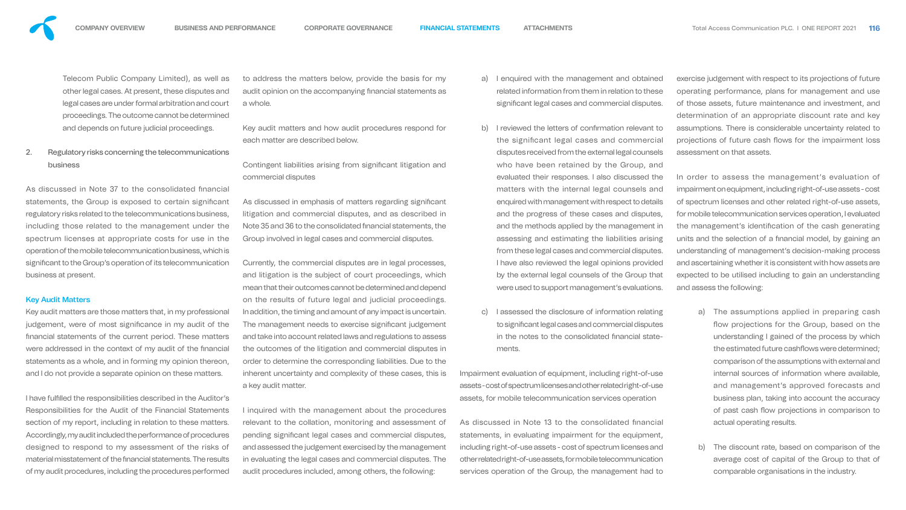

Telecom Public Company Limited), as well as other legal cases. At present, these disputes and legal cases are under formal arbitration and court proceedings. The outcome cannot be determined and depends on future judicial proceedings.

## 2. Regulatory risks concerning the telecommunications business

As discussed in Note 37 to the consolidated financial statements, the Group is exposed to certain significant regulatory risks related to the telecommunications business, including those related to the management under the spectrum licenses at appropriate costs for use in the operation of the mobile telecommunication business, which is significant to the Group's operation of its telecommunication business at present.

#### **Key Audit Matters**

I have fulfilled the responsibilities described in the Auditor's Responsibilities for the Audit of the Financial Statements section of my report, including in relation to these matters. Accordingly, my audit included the performance of procedures designed to respond to my assessment of the risks of material misstatement of the financial statements. The results of my audit procedures, including the procedures performed Contingent liabilities arising from significant litigation and commercial disputes

Key audit matters are those matters that, in my professional judgement, were of most significance in my audit of the nancial statements of the current period. These matters were addressed in the context of my audit of the financial statements as a whole, and in forming my opinion thereon, and I do not provide a separate opinion on these matters.

As discussed in emphasis of matters regarding significant litigation and commercial disputes, and as described in Note 35 and 36 to the consolidated financial statements, the Group involved in legal cases and commercial disputes.

to address the matters below, provide the basis for my audit opinion on the accompanying financial statements as a whole.

Key audit matters and how audit procedures respond for each matter are described below.

Currently, the commercial disputes are in legal processes, and litigation is the subject of court proceedings, which mean that their outcomes cannot be determined and depend on the results of future legal and judicial proceedings. In addition, the timing and amount of any impact is uncertain. The management needs to exercise significant judgement and take into account related laws and regulations to assess the outcomes of the litigation and commercial disputes in order to determine the corresponding liabilities. Due to the inherent uncertainty and complexity of these cases, this is a key audit matter.

I inquired with the management about the procedures relevant to the collation, monitoring and assessment of pending significant legal cases and commercial disputes, and assessed the judgement exercised by the management in evaluating the legal cases and commercial disputes. The audit procedures included, among others, the following: As discussed in Note 13 to the consolidated financial statements, in evaluating impairment for the equipment, including right-of-use assets - cost of spectrum licenses and other related right-of-use assets, for mobile telecommunication services operation of the Group, the management had to

- a) I enquired with the management and obtained related information from them in relation to these significant legal cases and commercial disputes.
	- b) I reviewed the letters of confirmation relevant to the significant legal cases and commercial disputes received from the external legal counsels who have been retained by the Group, and evaluated their responses. I also discussed the matters with the internal legal counsels and enquired with management with respect to details and the progress of these cases and disputes, and the methods applied by the management in assessing and estimating the liabilities arising from these legal cases and commercial disputes. I have also reviewed the legal opinions provided by the external legal counsels of the Group that were used to support management's evaluations.
		- c) I assessed the disclosure of information relating to signicant legal cases and commercial disputes in the notes to the consolidated financial statements.
- Impairment evaluation of equipment, including right-of-use assets - cost of spectrum licenses and other related right-of-use assets, for mobile telecommunication services operation

exercise judgement with respect to its projections of future operating performance, plans for management and use of those assets, future maintenance and investment, and determination of an appropriate discount rate and key assumptions. There is considerable uncertainty related to projections of future cash flows for the impairment loss assessment on that assets.

In order to assess the management's evaluation of impairment on equipment, including right-of-use assets - cost of spectrum licenses and other related right-of-use assets, for mobile telecommunication services operation, I evaluated the management's identification of the cash generating units and the selection of a financial model, by gaining an understanding of management's decision-making process and ascertaining whether it is consistent with how assets are expected to be utilised including to gain an understanding and assess the following:

- a) The assumptions applied in preparing cash flow projections for the Group, based on the understanding I gained of the process by which the estimated future cashflows were determined; comparison of the assumptions with external and internal sources of information where available, and management's approved forecasts and business plan, taking into account the accuracy of past cash flow projections in comparison to actual operating results.
- b) The discount rate, based on comparison of the average cost of capital of the Group to that of comparable organisations in the industry.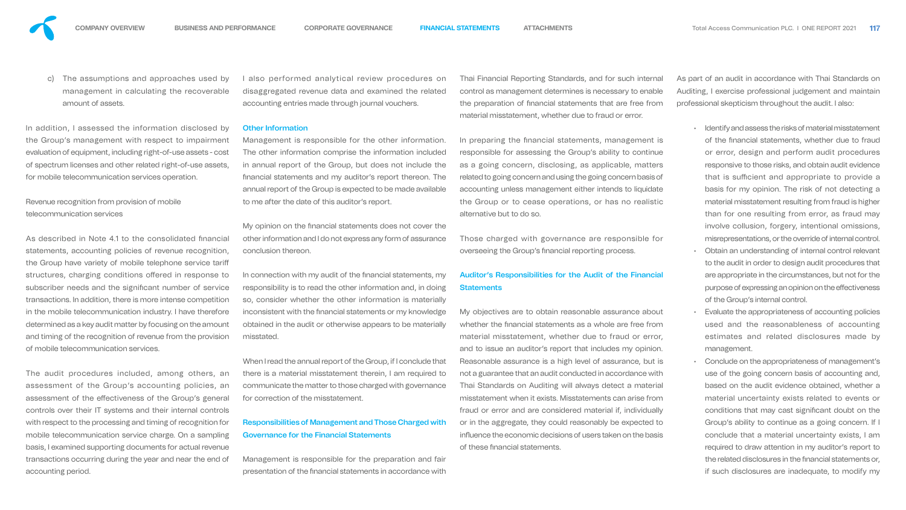The assumptions and approaches used by management in calculating the recoverable amount of assets.

In addition, I assessed the information disclosed by the Group's management with respect to impairment evaluation of equipment, including right-of-use assets - cost of spectrum licenses and other related right-of-use assets, for mobile telecommunication services operation.

Revenue recognition from provision of mobile telecommunication services

As described in Note 4.1 to the consolidated financial statements, accounting policies of revenue recognition, the Group have variety of mobile telephone service tari structures, charging conditions offered in response to subscriber needs and the significant number of service transactions. In addition, there is more intense competition in the mobile telecommunication industry. I have therefore determined as a key audit matter by focusing on the amount and timing of the recognition of revenue from the provision of mobile telecommunication services.

In connection with my audit of the financial statements, my responsibility is to read the other information and, in doing so, consider whether the other information is materially

inconsistent with the financial statements or my knowledge obtained in the audit or otherwise appears to be materially misstated. When I read the annual report of the Group, if I conclude that there is a material misstatement therein, I am required to communicate the matter to those charged with governance for correction of the misstatement. Responsibilities of Management and Those Charged with Governance for the Financial Statements My objectives are to obtain reasonable assurance about whether the financial statements as a whole are free from material misstatement, whether due to fraud or error, and to issue an auditor's report that includes my opinion. Reasonable assurance is a high level of assurance, but is not a guarantee that an audit conducted in accordance with Thai Standards on Auditing will always detect a material misstatement when it exists. Misstatements can arise from fraud or error and are considered material if, individually or in the aggregate, they could reasonably be expected to influence the economic decisions of users taken on the basis of these financial statements.

The audit procedures included, among others, an assessment of the Group's accounting policies, an assessment of the effectiveness of the Group's general controls over their IT systems and their internal controls with respect to the processing and timing of recognition for mobile telecommunication service charge. On a sampling basis, I examined supporting documents for actual revenue transactions occurring during the year and near the end of accounting period.

Management is responsible for the preparation and fair presentation of the financial statements in accordance with

#### Other Information

# Auditor's Responsibilities for the Audit of the Financial **Statements**

I also performed analytical review procedures on disaggregated revenue data and examined the related accounting entries made through journal vouchers. Thai Financial Reporting Standards, and for such internal control as management determines is necessary to enable the preparation of financial statements that are free from material misstatement, whether due to fraud or error.

Management is responsible for the other information. The other information comprise the information included in annual report of the Group, but does not include the nancial statements and my auditor's report thereon. The annual report of the Group is expected to be made available to me after the date of this auditor's report. In preparing the financial statements, management is responsible for assessing the Group's ability to continue as a going concern, disclosing, as applicable, matters related to going concern and using the going concern basis of accounting unless management either intends to liquidate the Group or to cease operations, or has no realistic alternative but to do so.

My opinion on the financial statements does not cover the other information and I do not express any form of assurance conclusion thereon. Those charged with governance are responsible for overseeing the Group's financial reporting process.

As part of an audit in accordance with Thai Standards on Auditing, I exercise professional judgement and maintain professional skepticism throughout the audit. I also:

- Identify and assess the risks of material misstatement of the financial statements, whether due to fraud or error, design and perform audit procedures responsive to those risks, and obtain audit evidence that is sufficient and appropriate to provide a basis for my opinion. The risk of not detecting a material misstatement resulting from fraud is higher than for one resulting from error, as fraud may involve collusion, forgery, intentional omissions, misrepresentations, or the override of internal control.
- Obtain an understanding of internal control relevant to the audit in order to design audit procedures that are appropriate in the circumstances, but not for the purpose of expressing an opinion on the effectiveness of the Group's internal control.
- Evaluate the appropriateness of accounting policies used and the reasonableness of accounting estimates and related disclosures made by management.
- Conclude on the appropriateness of management's use of the going concern basis of accounting and, based on the audit evidence obtained, whether a material uncertainty exists related to events or conditions that may cast significant doubt on the Group's ability to continue as a going concern. If I conclude that a material uncertainty exists, I am required to draw attention in my auditor's report to the related disclosures in the financial statements or, if such disclosures are inadequate, to modify my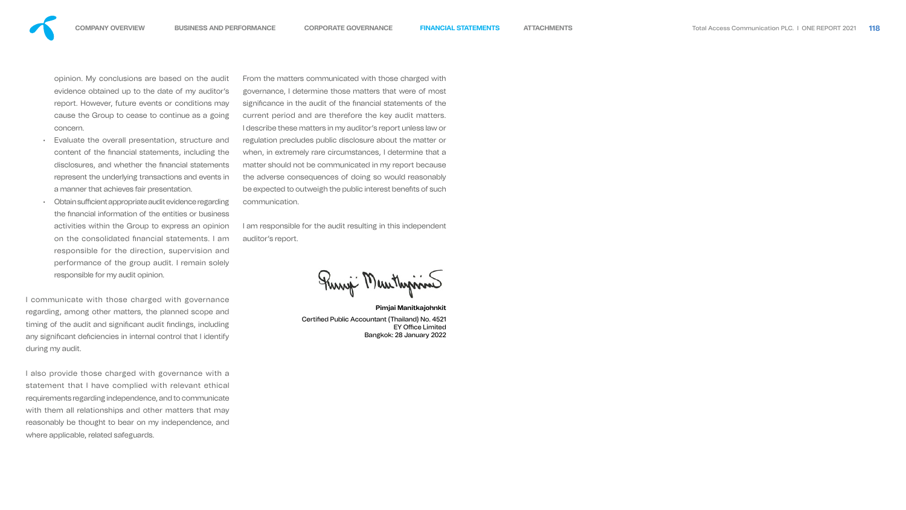- 
- 
- 
- 
- 
- 
- 
- 
- 
- 







opinion. My conclusions are based on the audit evidence obtained up to the date of my auditor's report. However, future events or conditions may cause the Group to cease to continue as a going concern.

- Evaluate the overall presentation, structure and content of the financial statements, including the disclosures, and whether the financial statements represent the underlying transactions and events in a manner that achieves fair presentation.
- Obtain sufficient appropriate audit evidence regarding the financial information of the entities or business activities within the Group to express an opinion on the consolidated financial statements. I am responsible for the direction, supervision and performance of the group audit. I remain solely responsible for my audit opinion.

I also provide those charged with governance with a statement that I have complied with relevant ethical requirements regarding independence, and to communicate with them all relationships and other matters that may reasonably be thought to bear on my independence, and where applicable, related safeguards.

I communicate with those charged with governance regarding, among other matters, the planned scope and timing of the audit and significant audit findings, including any significant deficiencies in internal control that I identify during my audit.

From the matters communicated with those charged with governance, I determine those matters that were of most significance in the audit of the financial statements of the current period and are therefore the key audit matters. I describe these matters in my auditor's report unless law or regulation precludes public disclosure about the matter or when, in extremely rare circumstances, I determine that a matter should not be communicated in my report because the adverse consequences of doing so would reasonably be expected to outweigh the public interest benefits of such communication.

I am responsible for the audit resulting in this independent auditor's report.

Turny Meuthyrine

**Pimjai Manitkajohnkit** Certified Public Accountant (Thailand) No. 4521 **EY Office Limited** Bangkok: 28 January 2022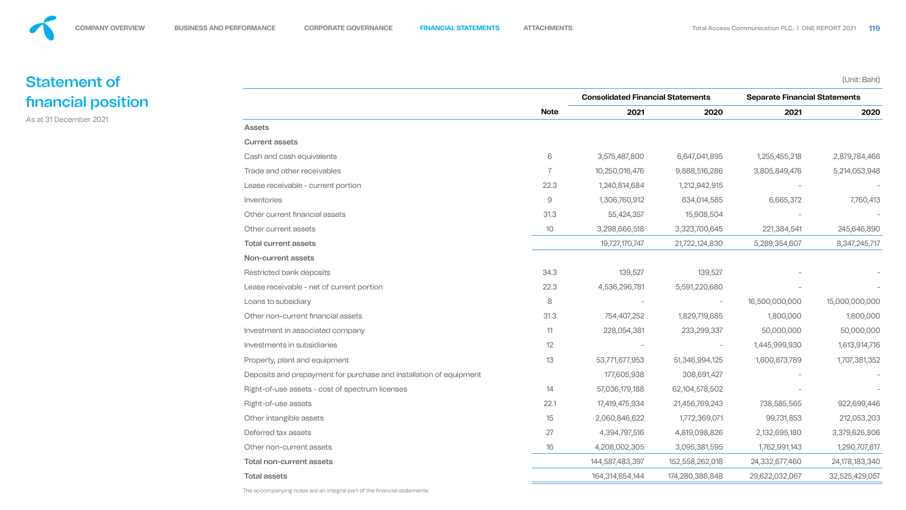# Statement of nancial position

As at 31 December 2021





#### Assets

#### Current assets

The accompanying notes are an integral part of the financial statements.

|                                                                    |                 | <b>Consolidated Financial Statements</b> |                 | <b>Separate Financial Statements</b> |                |
|--------------------------------------------------------------------|-----------------|------------------------------------------|-----------------|--------------------------------------|----------------|
|                                                                    | <b>Note</b>     | 2021                                     | 2020            | 2021                                 | 2020           |
| <b>Assets</b>                                                      |                 |                                          |                 |                                      |                |
| <b>Current assets</b>                                              |                 |                                          |                 |                                      |                |
| Cash and cash equivalents                                          | 6               | 3,575,487,800                            | 6,647,041,895   | 1,255,455,218                        | 2,879,784,466  |
| Trade and other receivables                                        |                 | 10,250,016,476                           | 9,888,516,286   | 3,805,849,476                        | 5,214,053,948  |
| Lease receivable - current portion                                 | 22.3            | 1,240,814,684                            | 1,212,942,915   |                                      |                |
| Inventories                                                        | $\overline{9}$  | 1,306,760,912                            | 634,014,585     | 6,665,372                            | 7,760,413      |
| Other current financial assets                                     | 31.3            | 55,424,357                               | 15,908,504      |                                      |                |
| Other current assets                                               | 10 <sup>°</sup> | 3,298,666,518                            | 3,323,700,645   | 221,384,541                          | 245,646,890    |
| <b>Total current assets</b>                                        |                 | 19,727,170,747                           | 21,722,124,830  | 5,289,354,607                        | 8,347,245,717  |
| Non-current assets                                                 |                 |                                          |                 |                                      |                |
| Restricted bank deposits                                           | 34.3            | 139,527                                  | 139,527         |                                      |                |
| Lease receivable - net of current portion                          | 22.3            | 4,536,296,781                            | 5,591,220,680   |                                      |                |
| Loans to subsidiary                                                | 8               |                                          |                 | 16,500,000,000                       | 15,000,000,000 |
| Other non-current financial assets                                 | 31.3            | 754,407,252                              | 1,829,719,685   | 1,800,000                            | 1,800,000      |
| Investment in associated company                                   | 11              | 228,054,381                              | 233,299,337     | 50,000,000                           | 50,000,000     |
| Investments in subsidiaries                                        | 12              |                                          |                 | 1,445,999,930                        | 1,613,914,716  |
| Property, plant and equipment                                      | 13              | 53,771,677,953                           | 51,346,994,125  | 1,600,873,789                        | 1,707,381,352  |
| Deposits and prepayment for purchase and installation of equipment |                 | 177,605,938                              | 308,691,427     |                                      |                |
| Right-of-use assets - cost of spectrum licenses                    | 14              | 57,036,179,188                           | 62,104,578,502  |                                      |                |
| Right-of-use assets                                                | 22.1            | 17,419,475,934                           | 21,456,769,243  | 738,585,565                          | 922,699,446    |
| Other intangible assets                                            | 15              | 2,060,846,622                            | 1,772,369,071   | 99,731,853                           | 212,053,203    |
| Deferred tax assets                                                | 27              | 4,394,797,516                            | 4,819,098,826   | 2,132,695,180                        | 3,379,626,806  |
| Other non-current assets                                           | 16              | 4,208,002,305                            | 3,095,381,595   | 1,762,991,143                        | 1,290,707,817  |
| <b>Total non-current assets</b>                                    |                 | 144,587,483,397                          | 152,558,262,018 | 24,332,677,460                       | 24,178,183,340 |
| <b>Total assets</b>                                                |                 | 164,314,654,144                          | 174,280,386,848 | 29,622,032,067                       | 32,525,429,057 |

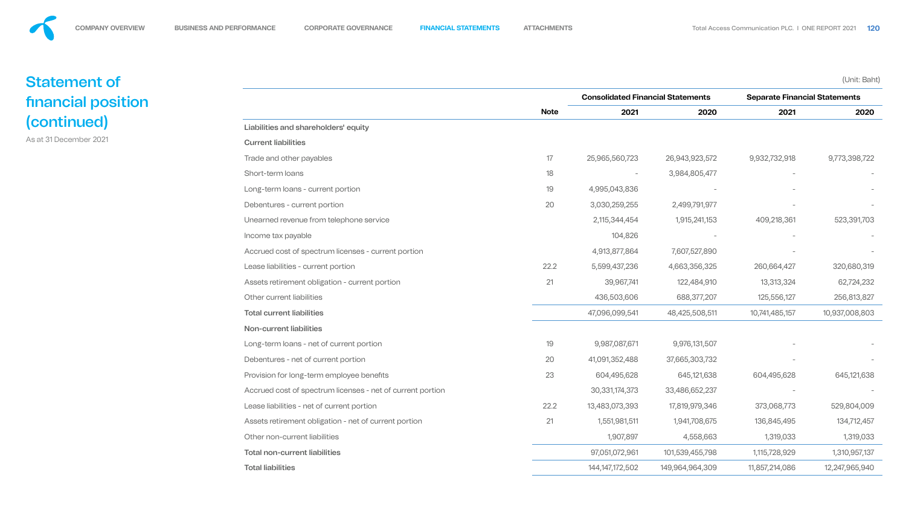# Statement of nancial position (continued)

As at 31 December 2021



|                                                            |             | <b>Consolidated Financial Statements</b> |                 | <b>Separate Financial Statements</b> |                |  |
|------------------------------------------------------------|-------------|------------------------------------------|-----------------|--------------------------------------|----------------|--|
|                                                            | <b>Note</b> | 2021                                     | 2020            | 2021                                 | 2020           |  |
| Liabilities and shareholders' equity                       |             |                                          |                 |                                      |                |  |
| <b>Current liabilities</b>                                 |             |                                          |                 |                                      |                |  |
| Trade and other payables                                   | 17          | 25,965,560,723                           | 26,943,923,572  | 9,932,732,918                        | 9,773,398,722  |  |
| Short-term loans                                           | 18          | $\overline{\phantom{m}}$                 | 3,984,805,477   |                                      |                |  |
| Long-term loans - current portion                          | 19          | 4,995,043,836                            |                 |                                      |                |  |
| Debentures - current portion                               | 20          | 3,030,259,255                            | 2,499,791,977   |                                      |                |  |
| Unearned revenue from telephone service                    |             | 2,115,344,454                            | 1,915,241,153   | 409,218,361                          | 523,391,703    |  |
| Income tax payable                                         |             | 104,826                                  |                 |                                      |                |  |
| Accrued cost of spectrum licenses - current portion        |             | 4,913,877,864                            | 7,607,527,890   |                                      |                |  |
| Lease liabilities - current portion                        | 22.2        | 5,599,437,236                            | 4,663,356,325   | 260,664,427                          | 320,680,319    |  |
| Assets retirement obligation - current portion             | 21          | 39,967,741                               | 122,484,910     | 13,313,324                           | 62,724,232     |  |
| Other current liabilities                                  |             | 436,503,606                              | 688,377,207     | 125,556,127                          | 256,813,827    |  |
| <b>Total current liabilities</b>                           |             | 47,096,099,541                           | 48,425,508,511  | 10,741,485,157                       | 10,937,008,803 |  |
| Non-current liabilities                                    |             |                                          |                 |                                      |                |  |
| Long-term loans - net of current portion                   | 19          | 9,987,087,671                            | 9,976,131,507   |                                      |                |  |
| Debentures - net of current portion                        | 20          | 41,091,352,488                           | 37,665,303,732  |                                      |                |  |
| Provision for long-term employee benefits                  | 23          | 604,495,628                              | 645,121,638     | 604,495,628                          | 645,121,638    |  |
| Accrued cost of spectrum licenses - net of current portion |             | 30,331,174,373                           | 33,486,652,237  |                                      |                |  |
| Lease liabilities - net of current portion                 | 22.2        | 13,483,073,393                           | 17,819,979,346  | 373,068,773                          | 529,804,009    |  |
| Assets retirement obligation - net of current portion      | 21          | 1,551,981,511                            | 1,941,708,675   | 136,845,495                          | 134,712,457    |  |
| Other non-current liabilities                              |             | 1,907,897                                | 4,558,663       | 1,319,033                            | 1,319,033      |  |
| <b>Total non-current liabilities</b>                       |             | 97,051,072,961                           | 101,539,455,798 | 1,115,728,929                        | 1,310,957,137  |  |
| <b>Total liabilities</b>                                   |             | 144, 147, 172, 502                       | 149,964,964,309 | 11,857,214,086                       | 12,247,965,940 |  |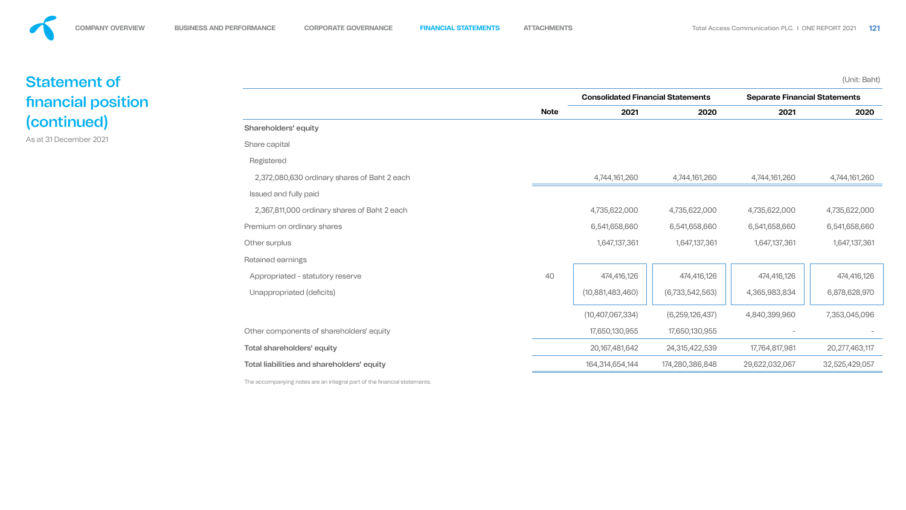

# Statement of nancial position (continued)

As at 31 December 2021





### Shareholders' equity

|                                              |             |                  | <b>Consolidated Financial Statements</b> |                | <b>Separate Financial Statements</b> |
|----------------------------------------------|-------------|------------------|------------------------------------------|----------------|--------------------------------------|
|                                              | <b>Note</b> | 2021             | 2020                                     | 2021           | 2020                                 |
| <b>Shareholders' equity</b>                  |             |                  |                                          |                |                                      |
| Share capital                                |             |                  |                                          |                |                                      |
| Registered                                   |             |                  |                                          |                |                                      |
| 2,372,080,630 ordinary shares of Baht 2 each |             | 4,744,161,260    | 4,744,161,260                            | 4,744,161,260  | 4,744,161,260                        |
| <b>Issued and fully paid</b>                 |             |                  |                                          |                |                                      |
| 2,367,811,000 ordinary shares of Baht 2 each |             | 4,735,622,000    | 4,735,622,000                            | 4,735,622,000  | 4,735,622,000                        |
| Premium on ordinary shares                   |             | 6,541,658,660    | 6,541,658,660                            | 6,541,658,660  | 6,541,658,660                        |
| Other surplus                                |             | 1,647,137,361    | 1,647,137,361                            | 1,647,137,361  | 1,647,137,361                        |
| <b>Retained earnings</b>                     |             |                  |                                          |                |                                      |
| Appropriated - statutory reserve             | 40          | 474,416,126      | 474,416,126                              | 474,416,126    | 474,416,126                          |
| Unappropriated (deficits)                    |             | (10,881,483,460) | (6, 733, 542, 563)                       | 4,365,983,834  | 6,878,628,970                        |
|                                              |             | (10,407,067,334) | (6,259,126,437)                          | 4,840,399,960  | 7,353,045,096                        |
| Other components of shareholders' equity     |             | 17,650,130,955   | 17,650,130,955                           |                |                                      |
| <b>Total shareholders' equity</b>            |             | 20,167,481,642   | 24,315,422,539                           | 17,764,817,981 | 20, 277, 463, 117                    |
| Total liabilities and shareholders' equity   |             | 164,314,654,144  | 174,280,386,848                          | 29,622,032,067 | 32,525,429,057                       |
|                                              |             |                  |                                          |                |                                      |



The accompanying notes are an integral part of the financial statements.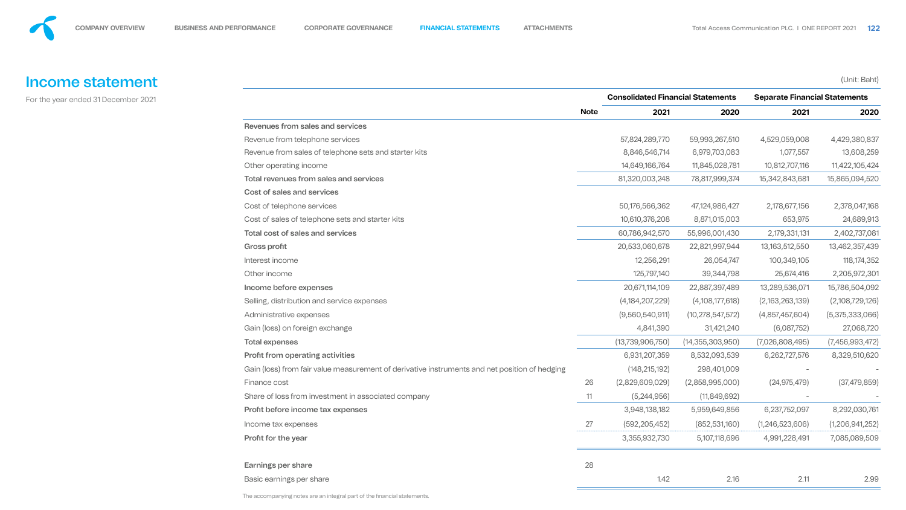

# Income statement

For the year ended 31 December 2021



# Revenues from sales and services

|                                                                                               |             | <b>Consolidated Financial Statements</b> |                     | <b>Separate Financial Statements</b> |                 |
|-----------------------------------------------------------------------------------------------|-------------|------------------------------------------|---------------------|--------------------------------------|-----------------|
|                                                                                               | <b>Note</b> | 2021                                     | 2020                | 2021                                 | 2020            |
| Revenues from sales and services                                                              |             |                                          |                     |                                      |                 |
| Revenue from telephone services                                                               |             | 57,824,289,770                           | 59,993,267,510      | 4,529,059,008                        | 4,429,380,837   |
| Revenue from sales of telephone sets and starter kits                                         |             | 8,846,546,714                            | 6,979,703,083       | 1,077,557                            | 13,608,259      |
| Other operating income                                                                        |             | 14,649,166,764                           | 11,845,028,781      | 10,812,707,116                       | 11,422,105,424  |
| <b>Total revenues from sales and services</b>                                                 |             | 81,320,003,248                           | 78,817,999,374      | 15,342,843,681                       | 15,865,094,520  |
| Cost of sales and services                                                                    |             |                                          |                     |                                      |                 |
| Cost of telephone services                                                                    |             | 50,176,566,362                           | 47,124,986,427      | 2,178,677,156                        | 2,378,047,168   |
| Cost of sales of telephone sets and starter kits                                              |             | 10,610,376,208                           | 8,871,015,003       | 653,975                              | 24,689,913      |
| <b>Total cost of sales and services</b>                                                       |             | 60,786,942,570                           | 55,996,001,430      | 2,179,331,131                        | 2,402,737,081   |
| <b>Gross profit</b>                                                                           |             | 20,533,060,678                           | 22,821,997,944      | 13, 163, 512, 550                    | 13,462,357,439  |
| Interest income                                                                               |             | 12,256,291                               | 26,054,747          | 100,349,105                          | 118, 174, 352   |
| Other income                                                                                  |             | 125,797,140                              | 39,344,798          | 25,674,416                           | 2,205,972,301   |
| Income before expenses                                                                        |             | 20,671,114,109                           | 22,887,397,489      | 13,289,536,071                       | 15,786,504,092  |
| Selling, distribution and service expenses                                                    |             | (4, 184, 207, 229)                       | (4,108,177,618)     | (2,163,263,139)                      | (2,108,729,126) |
| Administrative expenses                                                                       |             | (9,560,540,911)                          | (10, 278, 547, 572) | (4,857,457,604)                      | (5,375,333,066) |
| Gain (loss) on foreign exchange                                                               |             | 4,841,390                                | 31,421,240          | (6,087,752)                          | 27,068,720      |
| <b>Total expenses</b>                                                                         |             | (13, 739, 906, 750)                      | (14, 355, 303, 950) | (7,026,808,495)                      | (7,456,993,472) |
| Profit from operating activities                                                              |             | 6,931,207,359                            | 8,532,093,539       | 6,262,727,576                        | 8,329,510,620   |
| Gain (loss) from fair value measurement of derivative instruments and net position of hedging |             | (148, 215, 192)                          | 298,401,009         |                                      |                 |
| Finance cost                                                                                  | 26          | (2,829,609,029)                          | (2,858,995,000)     | (24, 975, 479)                       | (37, 479, 859)  |
| Share of loss from investment in associated company                                           | 11          | (5,244,956)                              | (11, 849, 692)      |                                      |                 |
| Profit before income tax expenses                                                             |             | 3,948,138,182                            | 5,959,649,856       | 6,237,752,097                        | 8,292,030,761   |
| Income tax expenses                                                                           | 27          | (592, 205, 452)                          | (852, 531, 160)     | (1,246,523,606)                      | (1,206,941,252) |
| Profit for the year                                                                           |             | 3,355,932,730                            | 5,107,118,696       | 4,991,228,491                        | 7,085,089,509   |
| <b>Earnings per share</b>                                                                     | 28          |                                          |                     |                                      |                 |
| Basic earnings per share                                                                      |             | 1.42                                     | 2.16                | 2.11                                 | 2.99            |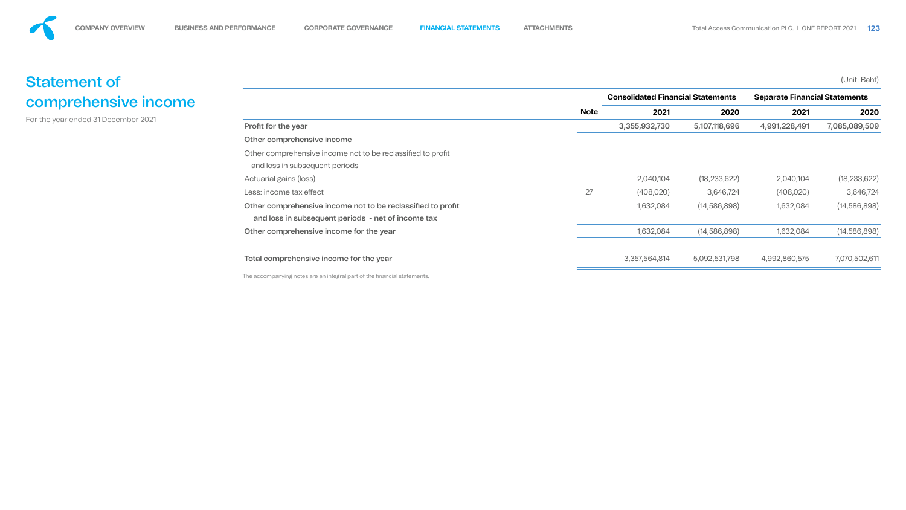# Statement of comprehensive income

For the year ended 31 December 2021



### Other comprehensive income

The accompanying notes are an integral part of the financial statements.

|                                                             |             | <b>Consolidated Financial Statements</b> |                | <b>Separate Financial Statements</b> |                |  |
|-------------------------------------------------------------|-------------|------------------------------------------|----------------|--------------------------------------|----------------|--|
|                                                             | <b>Note</b> | 2021                                     | 2020           | 2021                                 | 2020           |  |
| Profit for the year                                         |             | 3,355,932,730                            | 5,107,118,696  | 4,991,228,491                        | 7,085,089,509  |  |
| Other comprehensive income                                  |             |                                          |                |                                      |                |  |
| Other comprehensive income not to be reclassified to profit |             |                                          |                |                                      |                |  |
| and loss in subsequent periods                              |             |                                          |                |                                      |                |  |
| Actuarial gains (loss)                                      |             | 2,040,104                                | (18, 233, 622) | 2,040,104                            | (18, 233, 622) |  |
| Less: income tax effect                                     | 27          | (408, 020)                               | 3,646,724      | (408, 020)                           | 3,646,724      |  |
| Other comprehensive income not to be reclassified to profit |             | 1,632,084                                | (14,586,898)   | 1,632,084                            | (14, 586, 898) |  |
| and loss in subsequent periods - net of income tax          |             |                                          |                |                                      |                |  |
| Other comprehensive income for the year                     |             | 1,632,084                                | (14,586,898)   | 1,632,084                            | (14, 586, 898) |  |
|                                                             |             |                                          |                |                                      |                |  |
| Total comprehensive income for the year                     |             | 3,357,564,814                            | 5,092,531,798  | 4,992,860,575                        | 7,070,502,611  |  |
|                                                             |             |                                          |                |                                      |                |  |



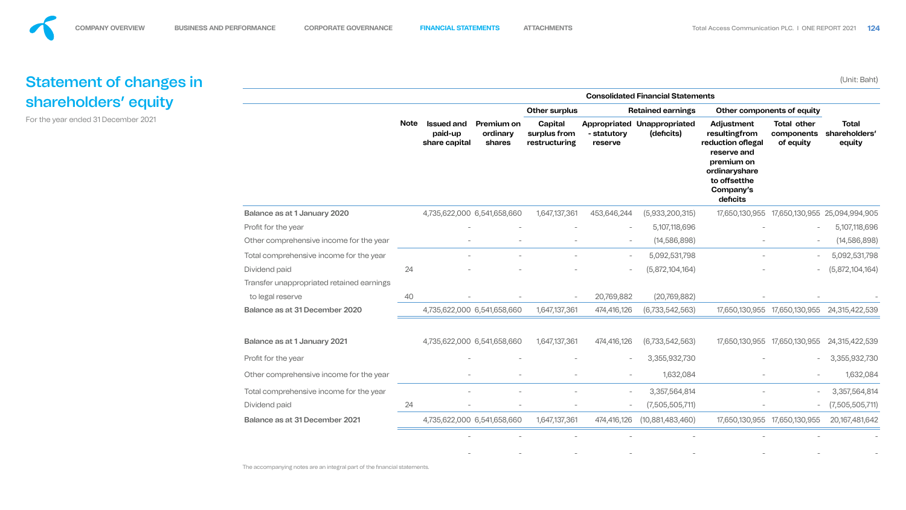







| <b>Balance as at 1 January 2020</b>       |    | 4 |
|-------------------------------------------|----|---|
| Profit for the year                       |    |   |
| Other comprehensive income for the year   |    |   |
| Total comprehensive income for the year   |    |   |
| Dividend paid                             | 24 |   |
| Transfer unappropriated retained earnings |    |   |
| to legal reserve                          | 40 |   |
| Balance as at 31 December 2020            |    | 4 |
|                                           |    |   |
| <b>Balance as at 1 January 2021</b>       |    | 4 |
| Profit for the year                       |    |   |
| Other comprehensive income for the year   |    |   |
| Total comprehensive income for the year   |    |   |
| Dividend paid                             | 24 |   |
| <b>Balance as at 31 December 2021</b>     |    | 4 |
|                                           |    |   |

The accompanying notes are an integral part of the financial statements.

|                                                               | <b>Consolidated Financial Statements</b> |                                 |                                               |                                         |                                          |                          |                                                  |                                                                                                                                          |                                               |                                         |
|---------------------------------------------------------------|------------------------------------------|---------------------------------|-----------------------------------------------|-----------------------------------------|------------------------------------------|--------------------------|--------------------------------------------------|------------------------------------------------------------------------------------------------------------------------------------------|-----------------------------------------------|-----------------------------------------|
|                                                               |                                          |                                 |                                               | <b>Other surplus</b>                    |                                          | <b>Retained earnings</b> |                                                  | Other components of equity                                                                                                               |                                               |                                         |
|                                                               | <b>Note</b>                              |                                 | <b>Issued and</b><br>paid-up<br>share capital | <b>Premium on</b><br>ordinary<br>shares | Capital<br>surplus from<br>restructuring | - statutory<br>reserve   | <b>Appropriated Unappropriated</b><br>(deficits) | Adjustment<br>resultingfrom<br>reduction of legal<br>reserve and<br>premium on<br>ordinaryshare<br>to offsetthe<br>Company's<br>deficits | <b>Total other</b><br>components<br>of equity | <b>Total</b><br>shareholders'<br>equity |
| <b>Balance as at 1 January 2020</b>                           |                                          |                                 | 4,735,622,000 6,541,658,660                   | 1,647,137,361                           | 453,646,244                              | (5,933,200,315)          | 17,650,130,955                                   | 17,650,130,955                                                                                                                           | 25,094,994,905                                |                                         |
| Profit for the year                                           |                                          |                                 |                                               |                                         | $\overline{\phantom{a}}$                 | 5,107,118,696            |                                                  | $\hspace{0.1mm}-\hspace{0.1mm}$                                                                                                          | 5,107,118,696                                 |                                         |
| Other comprehensive income for the year                       |                                          | $\overline{\phantom{a}}$        | $\overline{\phantom{m}}$                      | $\overline{\phantom{0}}$                | $\overline{\phantom{a}}$                 | (14, 586, 898)           | $\overline{\phantom{m}}$                         | $\overline{\phantom{a}}$                                                                                                                 | (14, 586, 898)                                |                                         |
| Total comprehensive income for the year                       |                                          |                                 |                                               |                                         | $\sim$                                   | 5,092,531,798            |                                                  | $\overline{\phantom{0}}$                                                                                                                 | 5,092,531,798                                 |                                         |
| Dividend paid                                                 | 24                                       | $\hspace{0.1mm}-\hspace{0.1mm}$ | $\hspace{0.1mm}-\hspace{0.1mm}$               | $\overline{\phantom{0}}$                | $\overline{\phantom{a}}$                 | (5,872,104,164)          |                                                  | $\hspace{0.1mm}-\hspace{0.1mm}$                                                                                                          | (5,872,104,164)                               |                                         |
| Transfer unappropriated retained earnings<br>to legal reserve | 40                                       |                                 |                                               | $\overline{\phantom{0}}$                | 20,769,882                               | (20, 769, 882)           |                                                  |                                                                                                                                          |                                               |                                         |
| Balance as at 31 December 2020                                |                                          | 4,735,622,000 6,541,658,660     |                                               | 1,647,137,361                           | 474,416,126                              | (6, 733, 542, 563)       | 17,650,130,955                                   | 17,650,130,955                                                                                                                           | 24,315,422,539                                |                                         |
| <b>Balance as at 1 January 2021</b>                           |                                          | 4,735,622,000 6,541,658,660     |                                               | 1,647,137,361                           | 474,416,126                              | (6, 733, 542, 563)       |                                                  | 17,650,130,955 17,650,130,955                                                                                                            | 24,315,422,539                                |                                         |
| Profit for the year                                           |                                          |                                 |                                               |                                         | $\overline{\phantom{m}}$                 | 3,355,932,730            |                                                  | $\overline{\phantom{a}}$                                                                                                                 | 3,355,932,730                                 |                                         |
| Other comprehensive income for the year                       |                                          |                                 |                                               |                                         | $\overline{\phantom{a}}$                 | 1,632,084                |                                                  |                                                                                                                                          | 1,632,084                                     |                                         |
| Total comprehensive income for the year                       |                                          |                                 |                                               |                                         | $ \,$                                    | 3,357,564,814            |                                                  |                                                                                                                                          | 3,357,564,814                                 |                                         |
| Dividend paid                                                 | 24                                       |                                 |                                               |                                         | $\overline{\phantom{a}}$                 | (7,505,505,711)          |                                                  | $\overline{\phantom{a}}$                                                                                                                 | (7,505,505,711)                               |                                         |
| <b>Balance as at 31 December 2021</b>                         |                                          | 4,735,622,000 6,541,658,660     |                                               | 1,647,137,361                           | 474,416,126                              | (10,881,483,460)         | 17,650,130,955                                   | 17,650,130,955                                                                                                                           | 20,167,481,642                                |                                         |
|                                                               |                                          |                                 |                                               |                                         |                                          |                          |                                                  |                                                                                                                                          |                                               |                                         |
|                                                               |                                          |                                 |                                               |                                         |                                          |                          |                                                  |                                                                                                                                          |                                               |                                         |



# Statement of changes in shareholders' equity

For the year ended 31 December 2021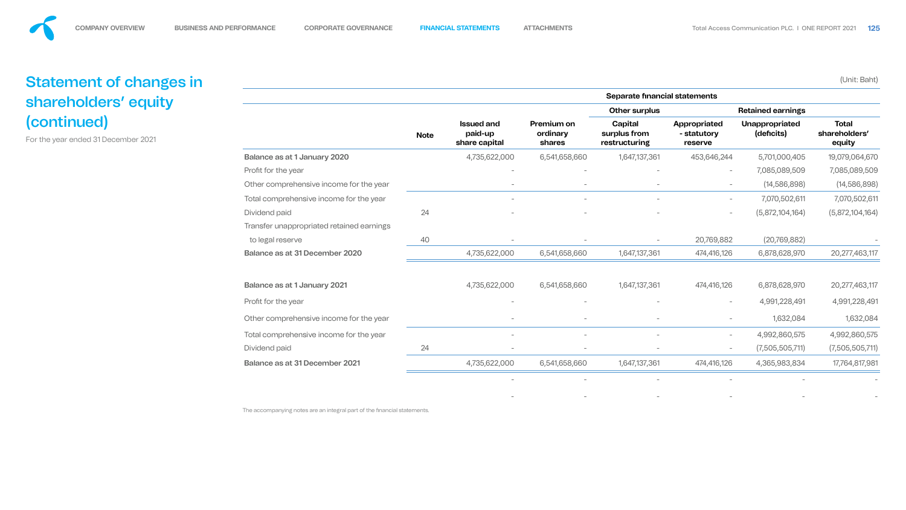

| <b>Balance as at 1 January 2020</b>       |                 |
|-------------------------------------------|-----------------|
| Profit for the year                       |                 |
| Other comprehensive income for the year   |                 |
| Total comprehensive income for the year   |                 |
| Dividend paid                             | 24              |
| Transfer unappropriated retained earnings |                 |
| to legal reserve                          | $\mathcal{A}$ ( |
| Balance as at 31 December 2020            |                 |
|                                           |                 |
| <b>Balance as at 1 January 2021</b>       |                 |
| Profit for the year                       |                 |
| Other comprehensive income for the year   |                 |
| Total comprehensive income for the year   |                 |
| Dividend paid                             | 24              |
| Balance as at 31 December 2021            |                 |
|                                           |                 |

The accompanying notes are an integral part of the financial statements.

|                                           |             |                                               |                                         | Separate financial statements            |                                        |                                     |                                         |
|-------------------------------------------|-------------|-----------------------------------------------|-----------------------------------------|------------------------------------------|----------------------------------------|-------------------------------------|-----------------------------------------|
|                                           |             |                                               |                                         | <b>Other surplus</b>                     |                                        | <b>Retained earnings</b>            |                                         |
|                                           | <b>Note</b> | <b>Issued and</b><br>paid-up<br>share capital | Premium on<br>ordinary<br><b>shares</b> | Capital<br>surplus from<br>restructuring | Appropriated<br>- statutory<br>reserve | <b>Unappropriated</b><br>(deficits) | <b>Total</b><br>shareholders'<br>equity |
| Balance as at 1 January 2020              |             | 4,735,622,000                                 | 6,541,658,660                           | 1,647,137,361                            | 453,646,244                            | 5,701,000,405                       | 19,079,064,670                          |
| Profit for the year                       |             |                                               |                                         |                                          | $\overline{\phantom{0}}$               | 7,085,089,509                       | 7,085,089,509                           |
| Other comprehensive income for the year   |             |                                               |                                         |                                          | $\sim$                                 | (14, 586, 898)                      | (14, 586, 898)                          |
| Total comprehensive income for the year   |             |                                               |                                         |                                          | $\sim$                                 | 7,070,502,611                       | 7,070,502,611                           |
| Dividend paid                             | 24          |                                               | $\overline{\phantom{a}}$                | $\overline{\phantom{a}}$                 | $\overline{\phantom{m}}$               | (5,872,104,164)                     | (5,872,104,164)                         |
| Transfer unappropriated retained earnings |             |                                               |                                         |                                          |                                        |                                     |                                         |
| to legal reserve                          | 40          | $\qquad \qquad -$                             |                                         |                                          | 20,769,882                             | (20, 769, 882)                      |                                         |
| Balance as at 31 December 2020            |             | 4,735,622,000                                 | 6,541,658,660                           | 1,647,137,361                            | 474,416,126                            | 6,878,628,970                       | 20,277,463,117                          |
| Balance as at 1 January 2021              |             | 4,735,622,000                                 | 6,541,658,660                           | 1,647,137,361                            | 474,416,126                            | 6,878,628,970                       | 20, 277, 463, 117                       |
| Profit for the year                       |             | $\overline{\phantom{m}}$                      |                                         |                                          | $\overline{\phantom{m}}$               | 4,991,228,491                       | 4,991,228,491                           |
| Other comprehensive income for the year   |             | $\overline{\phantom{m}}$                      |                                         |                                          | $\overline{\phantom{m}}$               | 1,632,084                           | 1,632,084                               |
| Total comprehensive income for the year   |             | $\overline{\phantom{m}}$                      | $\overline{\phantom{a}}$                | $\overline{\phantom{a}}$                 | $\overline{\phantom{m}}$               | 4,992,860,575                       | 4,992,860,575                           |
| Dividend paid                             | 24          | $\overline{\phantom{m}}$                      |                                         |                                          | $\overline{\phantom{a}}$               | (7,505,505,711)                     | (7,505,505,711)                         |
| <b>Balance as at 31 December 2021</b>     |             | 4,735,622,000                                 | 6,541,658,660                           | 1,647,137,361                            | 474,416,126                            | 4,365,983,834                       | 17,764,817,981                          |
|                                           |             |                                               |                                         |                                          |                                        |                                     |                                         |

- - - - - -



# Statement of changes in shareholders' equity (continued)

For the year ended 31 December 2021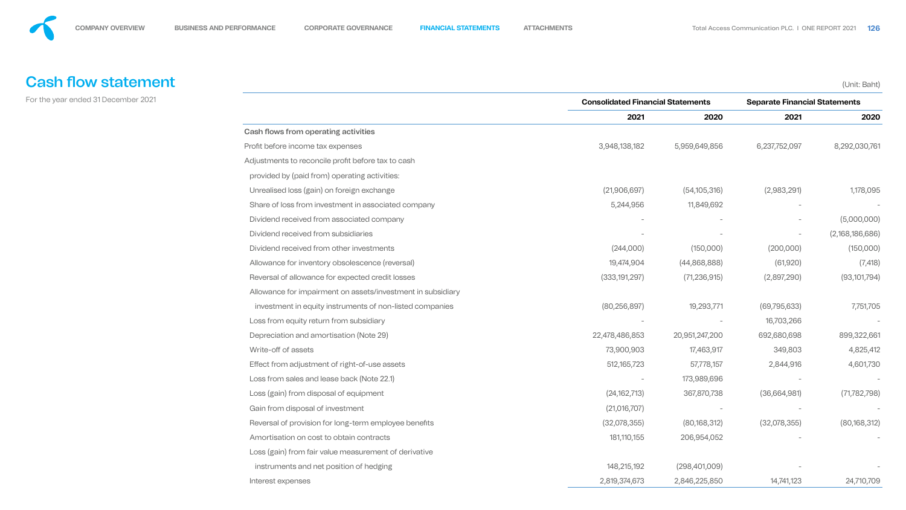

# **Cash flow statement**

For the year ended 31 December 2021

#### Cash flows from operating activities





|                                                             |                 | <b>Consolidated Financial Statements</b> |                          | <b>Separate Financial Statements</b> |  |
|-------------------------------------------------------------|-----------------|------------------------------------------|--------------------------|--------------------------------------|--|
|                                                             | 2021            | 2020                                     | 2021                     | 2020                                 |  |
| Cash flows from operating activities                        |                 |                                          |                          |                                      |  |
| Profit before income tax expenses                           | 3,948,138,182   | 5,959,649,856                            | 6,237,752,097            | 8,292,030,761                        |  |
| Adjustments to reconcile profit before tax to cash          |                 |                                          |                          |                                      |  |
| provided by (paid from) operating activities:               |                 |                                          |                          |                                      |  |
| Unrealised loss (gain) on foreign exchange                  | (21,906,697)    | (54, 105, 316)                           | (2,983,291)              | 1,178,095                            |  |
| Share of loss from investment in associated company         | 5,244,956       | 11,849,692                               |                          |                                      |  |
| Dividend received from associated company                   |                 |                                          | $\overline{\phantom{m}}$ | (5,000,000)                          |  |
| Dividend received from subsidiaries                         |                 |                                          |                          | (2,168,186,686)                      |  |
| Dividend received from other investments                    | (244,000)       | (150,000)                                | (200,000)                | (150,000)                            |  |
| Allowance for inventory obsolescence (reversal)             | 19,474,904      | (44,868,888)                             | (61, 920)                | (7, 418)                             |  |
| Reversal of allowance for expected credit losses            | (333, 191, 297) | (71, 236, 915)                           | (2,897,290)              | (93, 101, 794)                       |  |
| Allowance for impairment on assets/investment in subsidiary |                 |                                          |                          |                                      |  |
| investment in equity instruments of non-listed companies    | (80, 256, 897)  | 19,293,771                               | (69, 795, 633)           | 7,751,705                            |  |
| Loss from equity return from subsidiary                     |                 |                                          | 16,703,266               |                                      |  |
| Depreciation and amortisation (Note 29)                     | 22,478,486,853  | 20,951,247,200                           | 692,680,698              | 899,322,661                          |  |
| Write-off of assets                                         | 73,900,903      | 17,463,917                               | 349,803                  | 4,825,412                            |  |
| Effect from adjustment of right-of-use assets               | 512, 165, 723   | 57,778,157                               | 2,844,916                | 4,601,730                            |  |
| Loss from sales and lease back (Note 22.1)                  |                 | 173,989,696                              |                          |                                      |  |
| Loss (gain) from disposal of equipment                      | (24, 162, 713)  | 367,870,738                              | (36,664,981)             | (71, 782, 798)                       |  |
| Gain from disposal of investment                            | (21,016,707)    |                                          |                          |                                      |  |
| Reversal of provision for long-term employee benefits       | (32,078,355)    | (80, 168, 312)                           | (32,078,355)             | (80, 168, 312)                       |  |
| Amortisation on cost to obtain contracts                    | 181,110,155     | 206,954,052                              |                          |                                      |  |
| Loss (gain) from fair value measurement of derivative       |                 |                                          |                          |                                      |  |
| instruments and net position of hedging                     | 148,215,192     | (298, 401, 009)                          |                          |                                      |  |
| Interest expenses                                           | 2,819,374,673   | 2,846,225,850                            | 14,741,123               | 24,710,709                           |  |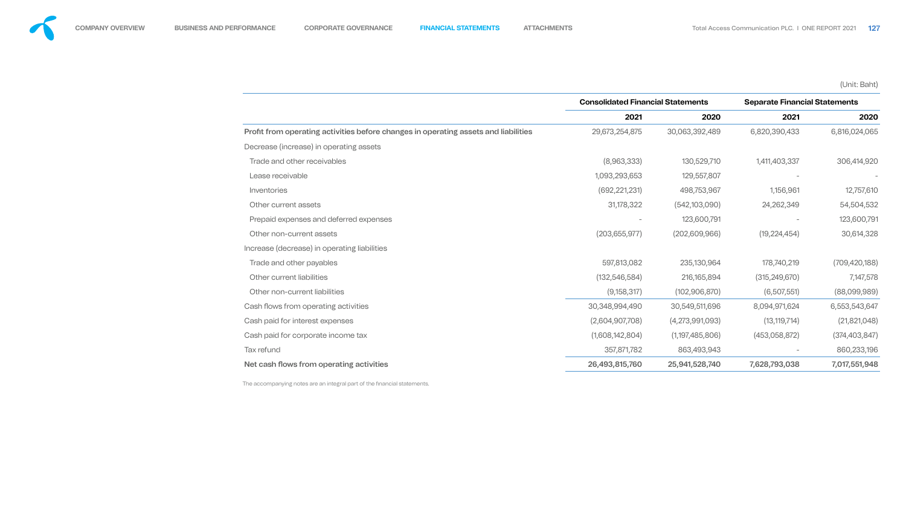

|                                                                                     | <b>Consolidated Financial Statements</b> |                 | <b>Separate Financial Statements</b> |                 |
|-------------------------------------------------------------------------------------|------------------------------------------|-----------------|--------------------------------------|-----------------|
|                                                                                     | 2021                                     | 2020            | 2021                                 | 2020            |
| Profit from operating activities before changes in operating assets and liabilities | 29,673,254,875                           | 30,063,392,489  | 6,820,390,433                        | 6,816,024,065   |
| Decrease (increase) in operating assets                                             |                                          |                 |                                      |                 |
| Trade and other receivables                                                         | (8,963,333)                              | 130,529,710     | 1,411,403,337                        | 306,414,920     |
| Lease receivable                                                                    | 1,093,293,653                            | 129,557,807     |                                      |                 |
| Inventories                                                                         | (692, 221, 231)                          | 498,753,967     | 1,156,961                            | 12,757,610      |
| Other current assets                                                                | 31,178,322                               | (542, 103, 090) | 24,262,349                           | 54,504,532      |
| Prepaid expenses and deferred expenses                                              |                                          | 123,600,791     |                                      | 123,600,791     |
| Other non-current assets                                                            | (203, 655, 977)                          | (202,609,966)   | (19, 224, 454)                       | 30,614,328      |
| Increase (decrease) in operating liabilities                                        |                                          |                 |                                      |                 |
| Trade and other payables                                                            | 597,813,082                              | 235,130,964     | 178,740,219                          | (709, 420, 188) |
| Other current liabilities                                                           | (132, 546, 584)                          | 216, 165, 894   | (315, 249, 670)                      | 7,147,578       |
| Other non-current liabilities                                                       | (9, 158, 317)                            | (102, 906, 870) | (6,507,551)                          | (88,099,989)    |
| Cash flows from operating activities                                                | 30,348,994,490                           | 30,549,511,696  | 8,094,971,624                        | 6,553,543,647   |
| Cash paid for interest expenses                                                     | (2,604,907,708)                          | (4,273,991,093) | (13, 119, 714)                       | (21,821,048)    |
| Cash paid for corporate income tax                                                  | (1,608,142,804)                          | (1,197,485,806) | (453,058,872)                        | (374, 403, 847) |
| Tax refund                                                                          | 357,871,782                              | 863,493,943     |                                      | 860,233,196     |
| Net cash flows from operating activities                                            | 26,493,815,760                           | 25,941,528,740  | 7,628,793,038                        | 7,017,551,948   |
|                                                                                     |                                          |                 |                                      |                 |



- 
- 
- 
- 
- 
- 
- Increase (decrease) in operating liabilities

- 
- 
- 

The accompanying notes are an integral part of the financial statements.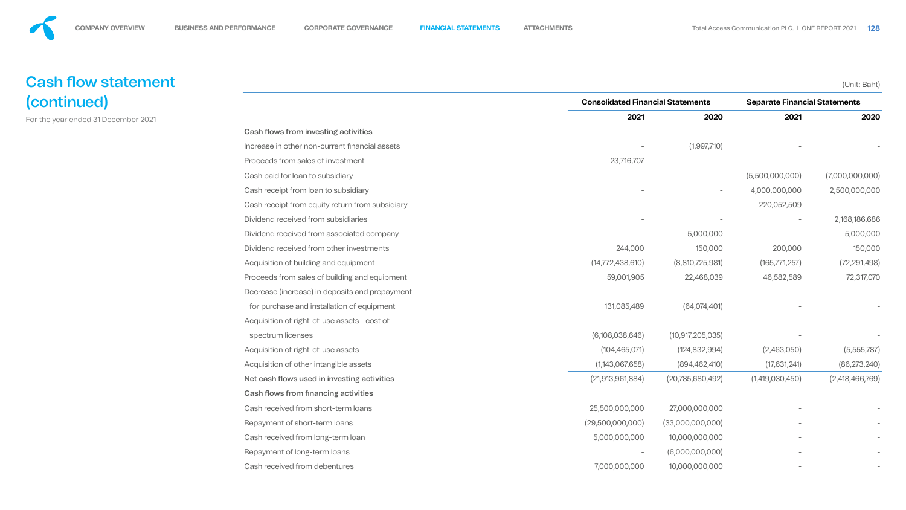# **Cash flow statement** (continued)

For the year ended 31 December 2021

### Cash flows from investing activities



$$
\frac{1}{2} \left( \frac{1}{2} \right) = \frac{1}{2} \left( \frac{1}{2} \right) = \frac{1}{2}
$$

|                                                 | <b>Consolidated Financial Statements</b> |                          | <b>Separate Financial Statements</b> |                 |
|-------------------------------------------------|------------------------------------------|--------------------------|--------------------------------------|-----------------|
|                                                 | 2021                                     | 2020                     | 2021                                 | 2020            |
| <b>Cash flows from investing activities</b>     |                                          |                          |                                      |                 |
| Increase in other non-current financial assets  |                                          | (1,997,710)              |                                      |                 |
| Proceeds from sales of investment               | 23,716,707                               |                          | $\overline{\phantom{a}}$             |                 |
| Cash paid for loan to subsidiary                |                                          | $\overline{\phantom{0}}$ | (5,500,000,000)                      | (7,000,000,000) |
| Cash receipt from loan to subsidiary            |                                          | $\overline{\phantom{0}}$ | 4,000,000,000                        | 2,500,000,000   |
| Cash receipt from equity return from subsidiary |                                          |                          | 220,052,509                          |                 |
| Dividend received from subsidiaries             |                                          |                          |                                      | 2,168,186,686   |
| Dividend received from associated company       |                                          | 5,000,000                |                                      | 5,000,000       |
| Dividend received from other investments        | 244,000                                  | 150,000                  | 200,000                              | 150,000         |
| Acquisition of building and equipment           | (14, 772, 438, 610)                      | (8,810,725,981)          | (165, 771, 257)                      | (72, 291, 498)  |
| Proceeds from sales of building and equipment   | 59,001,905                               | 22,468,039               | 46,582,589                           | 72,317,070      |
| Decrease (increase) in deposits and prepayment  |                                          |                          |                                      |                 |
| for purchase and installation of equipment      | 131,085,489                              | (64, 074, 401)           |                                      |                 |
| Acquisition of right-of-use assets - cost of    |                                          |                          |                                      |                 |
| spectrum licenses                               | (6,108,038,646)                          | (10, 917, 205, 035)      |                                      |                 |
| Acquisition of right-of-use assets              | (104, 465, 071)                          | (124, 832, 994)          | (2,463,050)                          | (5,555,787)     |
| Acquisition of other intangible assets          | (1,143,067,658)                          | (894, 462, 410)          | (17,631,241)                         | (86, 273, 240)  |
| Net cash flows used in investing activities     | (21, 913, 961, 884)                      | (20, 785, 680, 492)      | (1,419,030,450)                      | (2,418,466,769) |
| <b>Cash flows from financing activities</b>     |                                          |                          |                                      |                 |
| Cash received from short-term loans             | 25,500,000,000                           | 27,000,000,000           |                                      |                 |
| Repayment of short-term loans                   | (29,500,000,000)                         | (33,000,000,000)         |                                      |                 |
| Cash received from long-term loan               | 5,000,000,000                            | 10,000,000,000           |                                      |                 |
| Repayment of long-term loans                    | $\overline{\phantom{a}}$                 | (6,000,000,000)          |                                      |                 |
| Cash received from debentures                   | 7,000,000,000                            | 10,000,000,000           |                                      |                 |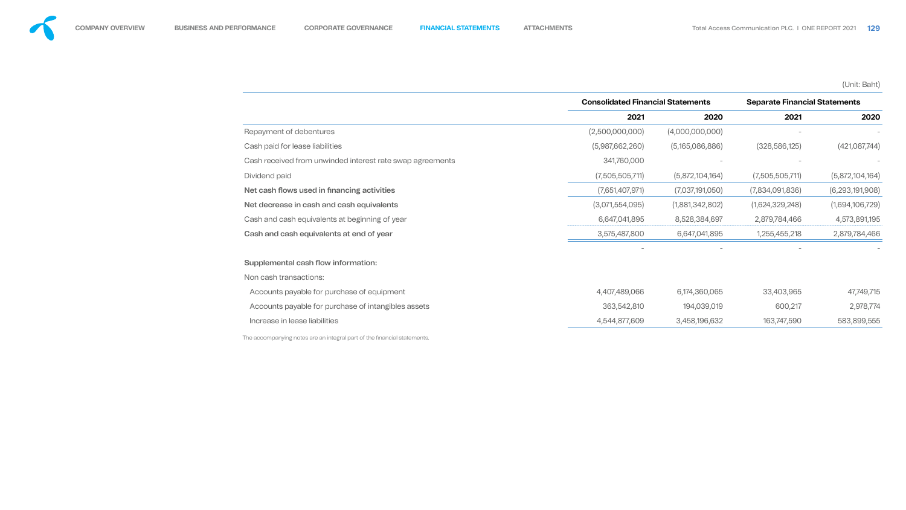### Supplemental cash flow information:





|                                                           | <b>Consolidated Financial Statements</b> |                 | <b>Separate Financial Statements</b> |                 |
|-----------------------------------------------------------|------------------------------------------|-----------------|--------------------------------------|-----------------|
|                                                           | 2021                                     | 2020            | 2021                                 | 2020            |
| Repayment of debentures                                   | (2,500,000,000)                          | (4,000,000,000) |                                      |                 |
| Cash paid for lease liabilities                           | (5,987,662,260)                          | (5,165,086,886) | (328, 586, 125)                      | (421,087,744)   |
| Cash received from unwinded interest rate swap agreements | 341,760,000                              |                 |                                      |                 |
| Dividend paid                                             | (7,505,505,711)                          | (5,872,104,164) | (7,505,505,711)                      | (5,872,104,164) |
| Net cash flows used in financing activities               | (7,651,407,971)                          | (7,037,191,050) | (7,834,091,836)                      | (6,293,191,908) |
| Net decrease in cash and cash equivalents                 | (3,071,554,095)                          | (1,881,342,802) | (1,624,329,248)                      | (1,694,106,729) |
| Cash and cash equivalents at beginning of year            | 6,647,041,895                            | 8,528,384,697   | 2,879,784,466                        | 4,573,891,195   |
| Cash and cash equivalents at end of year                  | 3,575,487,800                            | 6,647,041,895   | 1,255,455,218                        | 2,879,784,466   |
|                                                           |                                          |                 |                                      |                 |
| Supplemental cash flow information:                       |                                          |                 |                                      |                 |
| Non cash transactions:                                    |                                          |                 |                                      |                 |
| Accounts payable for purchase of equipment                | 4,407,489,066                            | 6,174,360,065   | 33,403,965                           | 47,749,715      |
| Accounts payable for purchase of intangibles assets       | 363,542,810                              | 194,039,019     | 600,217                              | 2,978,774       |
| Increase in lease liabilities                             | 4,544,877,609                            | 3,458,196,632   | 163,747,590                          | 583,899,555     |
|                                                           |                                          |                 |                                      |                 |



The accompanying notes are an integral part of the financial statements.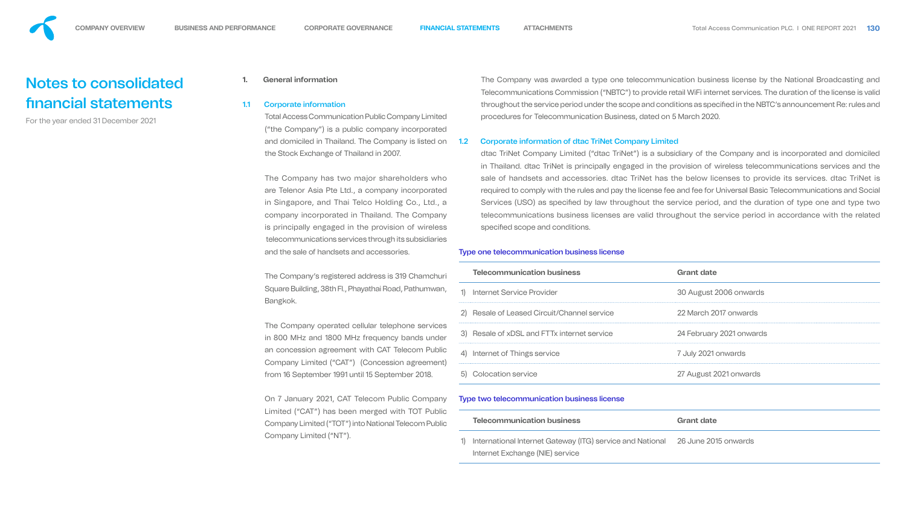# Notes to consolidated nancial statements

For the year ended 31 December 2021

#### **1. General information**

#### 1.1 Corporate information

Total Access Communication Public Company Limited ("the Company") is a public company incorporated and domiciled in Thailand. The Company is listed on the Stock Exchange of Thailand in 2007.

The Company's registered address is 319 Chame Square Building, 38th Fl., Phayathai Road, Pathum Bangkok.

The Company operated cellular telephone ser in 800 MHz and 1800 MHz frequency bands u an concession agreement with CAT Telecom Pu Company Limited ("CAT") (Concession agreent) from 16 September 1991 until 15 September 2018.

The Company has two major shareholders who are Telenor Asia Pte Ltd., a company incorporated in Singapore, and Thai Telco Holding Co., Ltd., a company incorporated in Thailand. The Company is principally engaged in the provision of wireless telecommunications services through its subsidiaries and the sale of handsets and accessories.

On 7 January 2021, CAT Telecom Public Company Limited ("CAT") has been merged with TOT Pu Company Limited ("TOT") into National Telecom Public Company Limited ("NT").

dtac TriNet Company Limited ("dtac TriNet") is a subsidiary of the Company and is incorporated and domiciled in Thailand. dtac TriNet is principally engaged in the provision of wireless telecommunications services and the sale of handsets and accessories. dtac TriNet has the below licenses to provide its services. dtac TriNet is required to comply with the rules and pay the license fee and fee for Universal Basic Telecommunications and Social Services (USO) as specified by law throughout the service period, and the duration of type one and type two telecommunications business licenses are valid throughout the service period in accordance with the related specified scope and conditions.

The Company was awarded a type one telecommunication business license by the National Broadcasting and Telecommunications Commission ("NBTC") to provide retail WiFi internet services. The duration of the license is valid throughout the service period under the scope and conditions as specified in the NBTC's announcement Re: rules and procedures for Telecommunication Business, dated on 5 March 2020.

#### 1.2 Corporate information of dtac TriNet Company Limited

#### Type one telecommunication business license

|    | <b>Telecommunication business</b>                         | <b>Grant date</b>        |
|----|-----------------------------------------------------------|--------------------------|
|    | <b>Internet Service Provider</b>                          | 30 August 2006 onwards   |
| 2) | <b>Resale of Leased Circuit/Channel service</b>           | 22 March 2017 onwards    |
| 3) | Resale of xDSL and FTTx internet service                  | 24 February 2021 onwards |
| 4) | Internet of Things service                                | 7 July 2021 onwards      |
| 5) | <b>Colocation service</b>                                 | 27 August 2021 onwards   |
|    | <b>Type two telecommunication business license</b>        |                          |
|    | <b>Telecommunication business</b>                         | <b>Grant date</b>        |
| 1) | International Internet Gateway (ITG) service and National | 26 June 2015 onwards     |







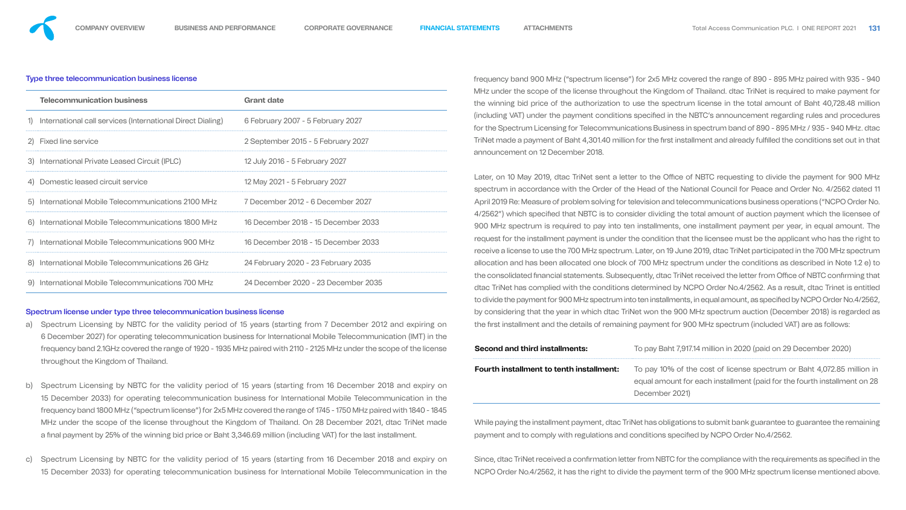#### Type three telecommunication business license

|    | <b>Telecommunication business</b>                          | <b>Grant date</b>                   |
|----|------------------------------------------------------------|-------------------------------------|
| 1) | International call services (International Direct Dialing) | 6 February 2007 - 5 February 2027   |
|    | 2) Fixed line service                                      | 2 September 2015 - 5 February 2027  |
|    | 3) International Private Leased Circuit (IPLC)             | 12 July 2016 - 5 February 2027      |
|    | 4) Domestic leased circuit service                         | 12 May 2021 - 5 February 2027       |
| 5) | International Mobile Telecommunications 2100 MHz           | 7 December 2012 - 6 December 2027   |
| 6) | International Mobile Telecommunications 1800 MHz           | 16 December 2018 - 15 December 2033 |
| 7) | International Mobile Telecommunications 900 MHz            | 16 December 2018 - 15 December 2033 |
|    | 8) International Mobile Telecommunications 26 GHz          | 24 February 2020 - 23 February 2035 |
| 9) | International Mobile Telecommunications 700 MHz            | 24 December 2020 - 23 December 2035 |

#### Spectrum license under type three telecommunication business license

- a) Spectrum Licensing by NBTC for the validity period of 15 years (starting from 7 December 2012 and expiring on 6 December 2027) for operating telecommunication business for International Mobile Telecommunication (IMT) in the frequency band 2.1GHz covered the range of 1920 - 1935 MHz paired with 2110 - 2125 MHz under the scope of the license throughout the Kingdom of Thailand.
- b) Spectrum Licensing by NBTC for the validity period of 15 years (starting from 16 December 2018 and expiry on 15 December 2033) for operating telecommunication business for International Mobile Telecommunication in the frequency band 1800 MHz ("spectrum license") for 2x5 MHz covered the range of 1745 - 1750 MHz paired with 1840 - 1845 MHz under the scope of the license throughout the Kingdom of Thailand. On 28 December 2021, dtac TriNet made a final payment by 25% of the winning bid price or Baht 3,346.69 million (including VAT) for the last installment.
- Spectrum Licensing by NBTC for the validity period of 15 years (starting from 16 December 2018 and expiry on 15 December 2033) for operating telecommunication business for International Mobile Telecommunication in the

While paying the installment payment, dtac TriNet has obligations to submit bank guarantee to guarantee the remaining payment and to comply with regulations and conditions specified by NCPO Order No.4/2562.

frequency band 900 MHz ("spectrum license") for 2x5 MHz covered the range of 890 - 895 MHz paired with 935 - 940 MHz under the scope of the license throughout the Kingdom of Thailand. dtac TriNet is required to make payment for the winning bid price of the authorization to use the spectrum license in the total amount of Baht 40,728.48 million (including VAT) under the payment conditions specified in the NBTC's announcement regarding rules and procedures for the Spectrum Licensing for Telecommunications Business in spectrum band of 890 - 895 MHz / 935 - 940 MHz. dtac TriNet made a payment of Baht 4,301.40 million for the first installment and already fulfilled the conditions set out in that announcement on 12 December 2018.

Later, on 10 May 2019, dtac TriNet sent a letter to the Office of NBTC requesting to divide the payment for 900 MHz spectrum in accordance with the Order of the Head of the National Council for Peace and Order No. 4/2562 dated 11 April 2019 Re: Measure of problem solving for television and telecommunications business operations ("NCPO Order No. 4/2562") which specified that NBTC is to consider dividing the total amount of auction payment which the licensee of 900 MHz spectrum is required to pay into ten installments, one installment payment per year, in equal amount. The request for the installment payment is under the condition that the licensee must be the applicant who has the right to receive a license to use the 700 MHz spectrum. Later, on 19 June 2019, dtac TriNet participated in the 700 MHz spectrum allocation and has been allocated one block of 700 MHz spectrum under the conditions as described in Note 1.2 e) to the consolidated financial statements. Subsequently, dtac TriNet received the letter from Office of NBTC confirming that dtac TriNet has complied with the conditions determined by NCPO Order No.4/2562. As a result, dtac Trinet is entitled to divide the payment for 900 MHz spectrum into ten installments, in equal amount, as specified by NCPO Order No.4/2562, by considering that the year in which dtac TriNet won the 900 MHz spectrum auction (December 2018) is regarded as the first installment and the details of remaining payment for 900 MHz spectrum (included VAT) are as follows:

Since, dtac TriNet received a confirmation letter from NBTC for the compliance with the requirements as specified in the NCPO Order No.4/2562, it has the right to divide the payment term of the 900 MHz spectrum license mentioned above.

| <b>Second and third installments:</b>    | To pay Baht 7,917.14 million in 2020 (paid on 29 December 2020)          |
|------------------------------------------|--------------------------------------------------------------------------|
| Fourth installment to tenth installment: | To pay 10% of the cost of license spectrum or Baht 4,072.85 million in   |
|                                          | equal amount for each installment (paid for the fourth installment on 28 |
|                                          | December 2021)                                                           |
|                                          |                                                                          |

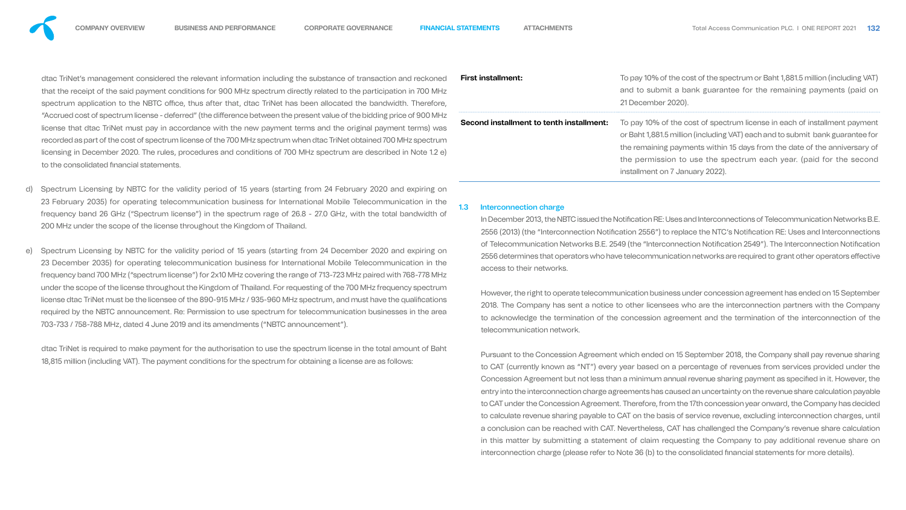dtac TriNet's management considered the relevant information including the substance of transaction and reck that the receipt of the said payment conditions for 900 MHz spectrum directly related to the participation in 700 MHz spectrum application to the NBTC office, thus after that, dtac TriNet has been allocated the bandwidth. There "Accrued cost of spectrum license - deferred" (the difference between the present value of the bidding price of 900 license that dtac TriNet must pay in accordance with the new payment terms and the original payment terms) recorded as part of the cost of spectrum license of the 700 MHz spectrum when dtac TriNet obtained 700 MHz spectrum licensing in December 2020. The rules, procedures and conditions of 700 MHz spectrum are described in Note to the consolidated financial statements.

- Spectrum Licensing by NBTC for the validity period of 15 years (starting from 24 February 2020 and expiring on 23 February 2035) for operating telecommunication business for International Mobile Telecommunication in the frequency band 26 GHz ("Spectrum license") in the spectrum rage of 26.8 - 27.0 GHz, with the total bandwidth of 200 MHz under the scope of the license throughout the Kingdom of Thailand.
- e) Spectrum Licensing by NBTC for the validity period of 15 years (starting from 24 December 2020 and expiring on 23 December 2035) for operating telecommunication business for International Mobile Telecommunication in the frequency band 700 MHz ("spectrum license") for 2x10 MHz covering the range of 713-723 MHz paired with 768-778 MHz under the scope of the license throughout the Kingdom of Thailand. For requesting of the 700 MHz frequency spectrum license dtac TriNet must be the licensee of the 890-915 MHz / 935-960 MHz spectrum, and must have the qualifications required by the NBTC announcement. Re: Permission to use spectrum for telecommunication businesses in the area 703-733 / 758-788 MHz, dated 4 June 2019 and its amendments ("NBTC announcement").

In December 2013, the NBTC issued the Notification RE: Uses and Interconnections of Telecommunication Networks B.E. 2556 (2013) (the "Interconnection Notification 2556") to replace the NTC's Notification RE: Uses and Interconnections of Telecommunication Networks B.E. 2549 (the "Interconnection Notification 2549"). The Interconnection Notification 2556 determines that operators who have telecommunication networks are required to grant other operators effective access to their networks.

Pursuant to the Concession Agreement which ended on 15 September 2018, the Company shall pay revenue sharing to CAT (currently known as "NT") every year based on a percentage of revenues from services provided under the Concession Agreement but not less than a minimum annual revenue sharing payment as specified in it. However, the entry into the interconnection charge agreements has caused an uncertainty on the revenue share calculation payable to CAT under the Concession Agreement. Therefore, from the 17th concession year onward, the Company has decided to calculate revenue sharing payable to CAT on the basis of service revenue, excluding interconnection charges, until a conclusion can be reached with CAT. Nevertheless, CAT has challenged the Company's revenue share calculation in this matter by submitting a statement of claim requesting the Company to pay additional revenue share on interconnection charge (please refer to Note 36 (b) to the consolidated financial statements for more details).

dtac TriNet is required to make payment for the authorisation to use the spectrum license in the total amount of Baht 18,815 million (including VAT). The payment conditions for the spectrum for obtaining a license are as follows:



| soned<br>MHz<br>efore,           | <b>First installment:</b>                | To pay 10% of the cost of the spectrum or Baht 1,881.5 million (including VAT)<br>and to submit a bank guarantee for the remaining payments (paid on<br>21 December 2020).                                                                                                                                                                       |
|----------------------------------|------------------------------------------|--------------------------------------------------------------------------------------------------------------------------------------------------------------------------------------------------------------------------------------------------------------------------------------------------------------------------------------------------|
| DMHz<br>) was<br>ctrum<br>1.2 e) | Second installment to tenth installment: | To pay 10% of the cost of spectrum license in each of installment payment<br>or Baht 1,881.5 million (including VAT) each and to submit bank guarantee for<br>the remaining payments within 15 days from the date of the anniversary of<br>the permission to use the spectrum each year. (paid for the second<br>installment on 7 January 2022). |



#### 1.3 Interconnection charge

However, the right to operate telecommunication business under concession agreement has ended on 15 September 2018. The Company has sent a notice to other licensees who are the interconnection partners with the Company to acknowledge the termination of the concession agreement and the termination of the interconnection of the telecommunication network.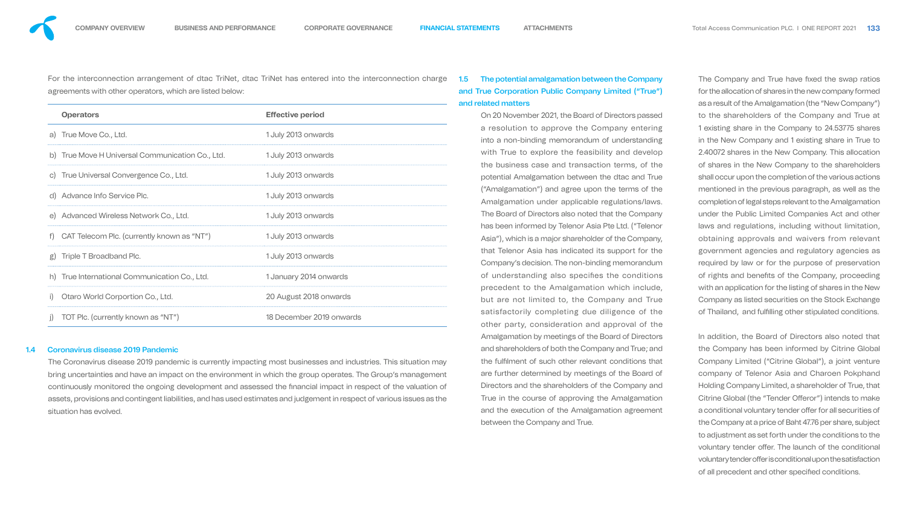For the interconnection arrangement of dtac TriNet, dtac TriNet has entered into the interconnection charge agreements with other operators, which are listed below:

|              | <b>Operators</b>                              | <b>Effective period</b>  |
|--------------|-----------------------------------------------|--------------------------|
|              | a) True Move Co., Ltd.                        | 1 July 2013 onwards      |
| $\mathsf{D}$ | True Move H Universal Communication Co., Ltd. | 1 July 2013 onwards      |
|              | c) True Universal Convergence Co., Ltd.       | 1 July 2013 onwards      |
|              | d) Advance Info Service Plc.                  | 1 July 2013 onwards      |
|              | e) Advanced Wireless Network Co., Ltd.        | 1 July 2013 onwards      |
| f)           | CAT Telecom Plc. (currently known as "NT")    | 1 July 2013 onwards      |
|              | g) Triple T Broadband Plc.                    | 1 July 2013 onwards      |
| h)           | True International Communication Co., Ltd.    | 1 January 2014 onwards   |
|              | Otaro World Corportion Co., Ltd.              | 20 August 2018 onwards   |
|              | TOT Plc. (currently known as "NT")            | 18 December 2019 onwards |

#### 1.4 Coronavirus disease 2019 Pandemic

The Coronavirus disease 2019 pandemic is currently impacting most businesses and industries. This situation may bring uncertainties and have an impact on the environment in which the group operates. The Group's management continuously monitored the ongoing development and assessed the financial impact in respect of the valuation of assets, provisions and contingent liabilities, and has used estimates and judgement in respect of various issues as the situation has evolved.

# 1.5 The potential amalgamation between the Company and True Corporation Public Company Limited ("True") and related matters

In addition, the Board of Directors also noted that the Company has been informed by Citrine Global Company Limited ("Citrine Global"), a joint venture company of Telenor Asia and Charoen Pokphand Holding Company Limited, a shareholder of True, that Citrine Global (the "Tender Offeror") intends to make a conditional voluntary tender offer for all securities of the Company at a price of Baht 47.76 per share, subject to adjustment as set forth under the conditions to the voluntary tender offer. The launch of the conditional voluntary tender offer is conditional upon the satisfaction of all precedent and other specified conditions.

On 20 November 2021, the Board of Directors passed a resolution to approve the Company entering into a non-binding memorandum of understanding with True to explore the feasibility and develop the business case and transaction terms, of the potential Amalgamation between the dtac and True ("Amalgamation") and agree upon the terms of the Amalgamation under applicable regulations/laws. The Board of Directors also noted that the Company has been informed by Telenor Asia Pte Ltd. ("Telenor Asia"), which is a major shareholder of the Company, that Telenor Asia has indicated its support for the Company's decision. The non-binding memorandum of understanding also specifies the conditions precedent to the Amalgamation which include, but are not limited to, the Company and True satisfactorily completing due diligence of the other party, consideration and approval of the Amalgamation by meetings of the Board of Directors and shareholders of both the Company and True; and the fullment of such other relevant conditions that are further determined by meetings of the Board of Directors and the shareholders of the Company and True in the course of approving the Amalgamation and the execution of the Amalgamation agreement between the Company and True.

The Company and True have fixed the swap ratios for the allocation of shares in the new company formed as a result of the Amalgamation (the "New Company") to the shareholders of the Company and True at 1 existing share in the Company to 24.53775 shares in the New Company and 1 existing share in True to 2.40072 shares in the New Company. This allocation of shares in the New Company to the shareholders shall occur upon the completion of the various actions mentioned in the previous paragraph, as well as the completion of legal steps relevant to the Amalgamation under the Public Limited Companies Act and other laws and regulations, including without limitation, obtaining approvals and waivers from relevant government agencies and regulatory agencies as required by law or for the purpose of preservation of rights and benefits of the Company, proceeding with an application for the listing of shares in the New Company as listed securities on the Stock Exchange of Thailand, and fulfilling other stipulated conditions.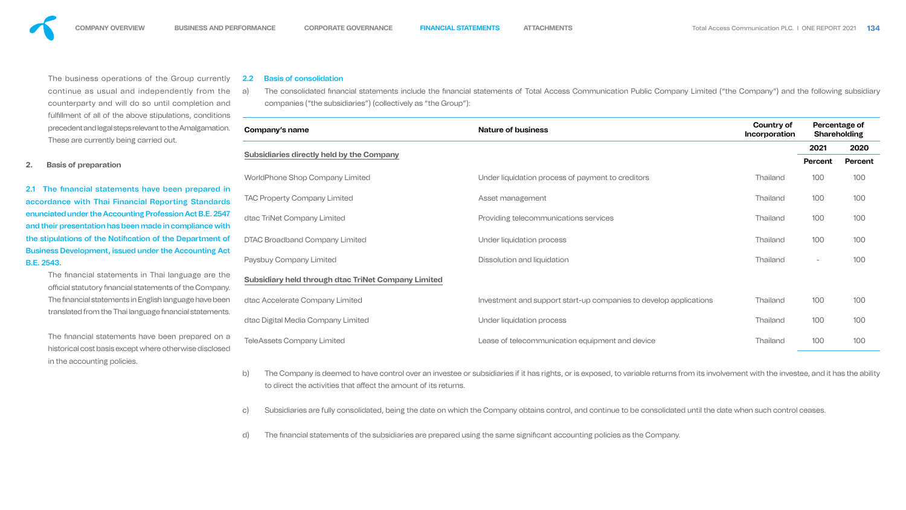a) The consolidated financial statements include the financial statements of Total Access Communication Public Company Limited ("the Company") and the following subsidiary



The business operations of the Group currently continue as usual and independently from the counterparty and will do so until completion and fulfillment of all of the above stipulations, conditions precedent and legal steps relevant to the Amalgamation. These are currently being carried out.

2.1 The financial statements have been prepared in accordance with Thai Financial Reporting Standards enunciated under the Accounting Profession Act B.E. 2547 and their presentation has been made in compliance with the stipulations of the Notification of the Department of Business Development, issued under the Accounting Act B.E. 2543.

> The financial statements in Thai language are the official statutory financial statements of the Company. The financial statements in English language have been translated from the Thai language financial statements.

#### **2. Basis of preparation**

The financial statements have been prepared on a historical cost basis except where otherwise disclosed in the accounting policies.

#### 2.2 Basis of consolidation

companies ("the subsidiaries") (collectively as "the Group"):



#### **Subsidiaries directly held by the Company**

- to direct the activities that affect the amount of its returns.
- 
- 

| Company's name                                             | <b>Nature of business</b>                                         | <b>Country of</b><br>Incorporation | Percentage of<br><b>Shareholding</b> |             |
|------------------------------------------------------------|-------------------------------------------------------------------|------------------------------------|--------------------------------------|-------------|
|                                                            |                                                                   |                                    | 2021                                 | <b>2020</b> |
| <b>Subsidiaries directly held by the Company</b>           |                                                                   |                                    | Percent                              | Perce       |
| <b>WorldPhone Shop Company Limited</b>                     | Under liquidation process of payment to creditors                 | Thailand                           | 100                                  | 100         |
| <b>TAC Property Company Limited</b>                        | Asset management                                                  | Thailand                           | 100                                  | 100         |
| dtac TriNet Company Limited                                | Providing telecommunications services                             | Thailand                           | 100                                  | 100         |
| <b>DTAC Broadband Company Limited</b>                      | Under liquidation process                                         | Thailand                           | 100                                  | 100         |
| <b>Paysbuy Company Limited</b>                             | Dissolution and liquidation                                       | <b>Thailand</b>                    |                                      | 100         |
| <b>Subsidiary held through dtac TriNet Company Limited</b> |                                                                   |                                    |                                      |             |
| dtac Accelerate Company Limited                            | Investment and support start-up companies to develop applications | <b>Thailand</b>                    | 100                                  | 100         |
| dtac Digital Media Company Limited                         | Under liquidation process                                         | Thailand                           | 100                                  | 100         |
| <b>TeleAssets Company Limited</b>                          | Lease of telecommunication equipment and device                   | <b>Thailand</b>                    | 100                                  | 100         |

b) The Company is deemed to have control over an investee or subsidiaries if it has rights, or is exposed, to variable returns from its involvement with the investee, and it has the ability

Subsidiaries are fully consolidated, being the date on which the Company obtains control, and continue to be consolidated until the date when such control ceases.

d) The financial statements of the subsidiaries are prepared using the same significant accounting policies as the Company.



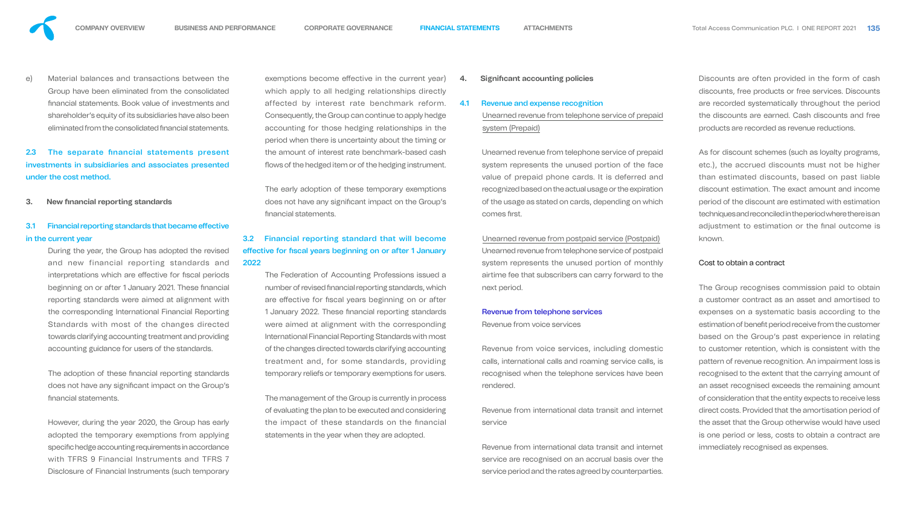

e) Material balances and transactions between the Group have been eliminated from the consolidated nancial statements. Book value of investments and shareholder's equity of its subsidiaries have also been eliminated from the consolidated financial statements.

# 2.3 The separate financial statements present investments in subsidiaries and associates presented under the cost method.

## 3.1 Financial reporting standards that became effective in the current year

**3. New financial reporting standards** 

During the year, the Group has adopted the revised and new financial reporting standards and interpretations which are effective for fiscal periods beginning on or after 1 January 2021. These financial reporting standards were aimed at alignment with the corresponding International Financial Reporting Standards with most of the changes directed towards clarifying accounting treatment and providing accounting guidance for users of the standards.

The adoption of these financial reporting standards does not have any significant impact on the Group's financial statements.

However, during the year 2020, the Group has early adopted the temporary exemptions from applying specific hedge accounting requirements in accordance with TFRS 9 Financial Instruments and TFRS 7 Disclosure of Financial Instruments (such temporary

exemptions become effective in the current year) which apply to all hedging relationships directly affected by interest rate benchmark reform. Consequently, the Group can continue to apply hedge accounting for those hedging relationships in the period when there is uncertainty about the timing or the amount of interest rate benchmark-based cash flows of the hedged item or of the hedging instrument.

Unearned revenue from telephone service of prepaid system represents the unused portion of the face value of prepaid phone cards. It is deferred and recognized based on the actual usage or the expiration of the usage as stated on cards, depending on which comes first.

The early adoption of these temporary exemptions does not have any significant impact on the Group's nancial statements.

# 3.2 Financial reporting standard that will become effective for fiscal years beginning on or after 1 January 2022

The Federation of Accounting Professions issued a number of revised financial reporting standards, which are effective for fiscal years beginning on or after 1 January 2022. These financial reporting standards were aimed at alignment with the corresponding International Financial Reporting Standards with most of the changes directed towards clarifying accounting treatment and, for some standards, providing temporary reliefs or temporary exemptions for users.

The management of the Group is currently in process of evaluating the plan to be executed and considering the impact of these standards on the financial statements in the year when they are adopted.

### **4. Significant accounting policies**

#### 4.1 Revenue and expense recognition

Unearned revenue from telephone service of prepaid system (Prepaid)

Unearned revenue from postpaid service (Postpaid) Unearned revenue from telephone service of postpaid system represents the unused portion of monthly airtime fee that subscribers can carry forward to the next period.

#### Revenue from telephone services

Revenue from voice services

Revenue from voice services, including domestic calls, international calls and roaming service calls, is recognised when the telephone services have been rendered.

Revenue from international data transit and internet service

Revenue from international data transit and internet service are recognised on an accrual basis over the service period and the rates agreed by counterparties.

Discounts are often provided in the form of cash discounts, free products or free services. Discounts are recorded systematically throughout the period the discounts are earned. Cash discounts and free products are recorded as revenue reductions.

As for discount schemes (such as loyalty programs, etc.), the accrued discounts must not be higher than estimated discounts, based on past liable discount estimation. The exact amount and income period of the discount are estimated with estimation techniques and reconciled in the period where there is an adjustment to estimation or the final outcome is known.

#### Cost to obtain a contract

The Group recognises commission paid to obtain a customer contract as an asset and amortised to expenses on a systematic basis according to the estimation of benefit period receive from the customer based on the Group's past experience in relating to customer retention, which is consistent with the pattern of revenue recognition. An impairment loss is recognised to the extent that the carrying amount of an asset recognised exceeds the remaining amount of consideration that the entity expects to receive less direct costs. Provided that the amortisation period of the asset that the Group otherwise would have used is one period or less, costs to obtain a contract are immediately recognised as expenses.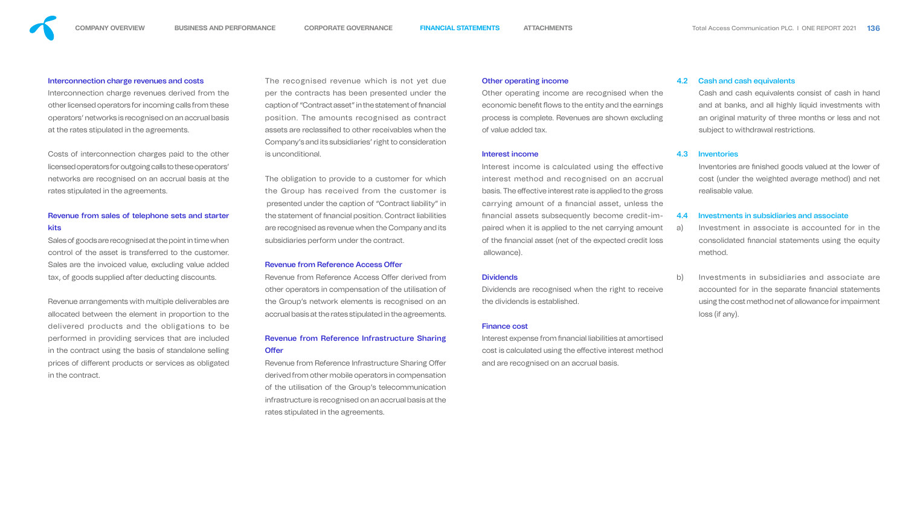

#### Interconnection charge revenues and costs

Interconnection charge revenues derived from the other licensed operators for incoming calls from these operators' networks is recognised on an accrual basis at the rates stipulated in the agreements.

Costs of interconnection charges paid to the other licensed operators for outgoing calls to these operators' networks are recognised on an accrual basis at the rates stipulated in the agreements.

## Revenue from sales of telephone sets and starter kits

Sales of goods are recognised at the point in time when control of the asset is transferred to the customer. Sales are the invoiced value, excluding value added tax, of goods supplied after deducting discounts.

Revenue arrangements with multiple deliverables are allocated between the element in proportion to the delivered products and the obligations to be performed in providing services that are included in the contract using the basis of standalone selling prices of different products or services as obligated in the contract.

Revenue from Reference Access Offer derived from other operators in compensation of the utilisation of the Group's network elements is recognised on an accrual basis at the rates stipulated in the agreements.

## Revenue from Reference Infrastructure Sharing Offer

Revenue from Reference Infrastructure Sharing Offer derived from other mobile operators in compensation of the utilisation of the Group's telecommunication infrastructure is recognised on an accrual basis at the rates stipulated in the agreements.

The recognised revenue which is not yet due per the contracts has been presented under the caption of "Contract asset" in the statement of nancial position. The amounts recognised as contract assets are reclassified to other receivables when the Company's and its subsidiaries' right to consideration is unconditional.

> Interest income is calculated using the effective interest method and recognised on an accrual basis. The effective interest rate is applied to the gross carrying amount of a financial asset, unless the nancial assets subsequently become credit-impaired when it is applied to the net carrying amount of the nancial asset (net of the expected credit loss allowance).

#### **Dividends**

Interest expense from financial liabilities at amortised cost is calculated using the effective interest method and are recognised on an accrual basis.

The obligation to provide to a customer for which the Group has received from the customer is presented under the caption of "Contract liability" in the statement of financial position. Contract liabilities are recognised as revenue when the Company and its subsidiaries perform under the contract.

#### Revenue from Reference Access Offer

Inventories are finished goods valued at the lower of cost (under the weighted average method) and net realisable value.

## Other operating income

Other operating income are recognised when the economic benefit flows to the entity and the earnings process is complete. Revenues are shown excluding of value added tax.

#### Interest income

Dividends are recognised when the right to receive the dividends is established.

#### Finance cost

### 4.2 Cash and cash equivalents

Cash and cash equivalents consist of cash in hand and at banks, and all highly liquid investments with an original maturity of three months or less and not subject to withdrawal restrictions.

#### 4.3 Inventories

#### 4.4 Investments in subsidiaries and associate

- a) Investment in associate is accounted for in the consolidated financial statements using the equity method.
- b) Investments in subsidiaries and associate are accounted for in the separate financial statements using the cost method net of allowance for impairment loss (if any).







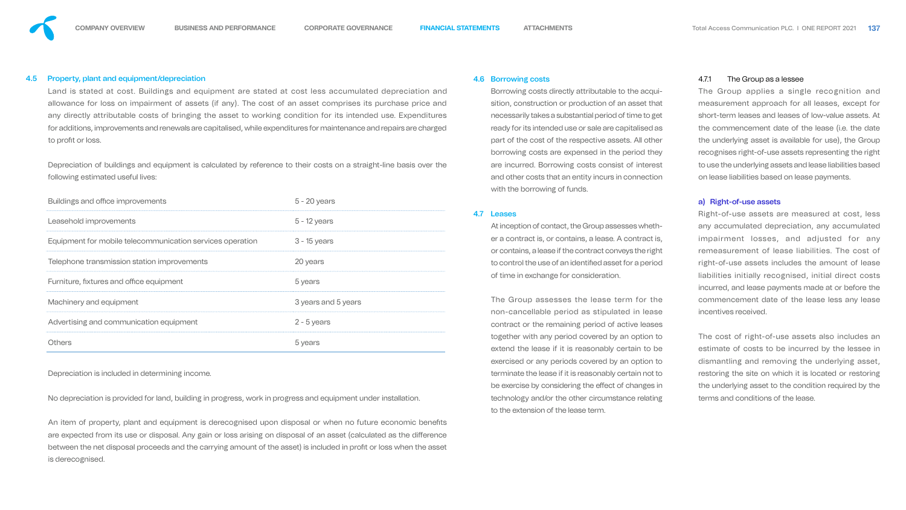Land is stated at cost. Buildings and equipment are stated at cost less accumulated depreciation and allowance for loss on impairment of assets (if any). The cost of an asset comprises its purchase price and any directly attributable costs of bringing the asset to working condition for its intended use. Expenditures for additions, improvements and renewals are capitalised, while expenditures for maintenance and repairs are charged to profit or loss.

#### 4.5 Property, plant and equipment/depreciation

Depreciation of buildings and equipment is calculated by reference to their costs on a straight-line basis over the following estimated useful lives:

An item of property, plant and equipment is derecognised upon disposal or when no future economic benefits are expected from its use or disposal. Any gain or loss arising on disposal of an asset (calculated as the difference between the net disposal proceeds and the carrying amount of the asset) is included in profit or loss when the asset is derecognised.

| ()thers                                                   | 5 years             |
|-----------------------------------------------------------|---------------------|
| Advertising and communication equipment                   | $2 - 5$ years       |
| Machinery and equipment                                   | 3 years and 5 years |
| Furniture, fixtures and office equipment                  | 5 years             |
| Telephone transmission station improvements               | 20 years            |
| Equipment for mobile telecommunication services operation | 3 - 15 years        |
| Leasehold improvements                                    | $5 - 12$ years      |
| Buildings and office improvements                         | $5 - 20$ years      |

Depreciation is included in determining income.

No depreciation is provided for land, building in progress, work in progress and equipment under installation.

#### 4.6 Borrowing costs

Borrowing costs directly attributable to the acquisition, construction or production of an asset that necessarily takes a substantial period of time to get ready for its intended use or sale are capitalised as part of the cost of the respective assets. All other borrowing costs are expensed in the period they are incurred. Borrowing costs consist of interest and other costs that an entity incurs in connection with the borrowing of funds.

#### 4.7 Leases

At inception of contact, the Group assesses whether a contract is, or contains, a lease. A contract is, or contains, a lease if the contract conveys the right to control the use of an identified asset for a period of time in exchange for consideration.

The Group assesses the lease term for the non-cancellable period as stipulated in lease contract or the remaining period of active leases together with any period covered by an option to extend the lease if it is reasonably certain to be exercised or any periods covered by an option to terminate the lease if it is reasonably certain not to be exercise by considering the effect of changes in technology and/or the other circumstance relating to the extension of the lease term.

#### 4.7.1 The Group as a lessee

The Group applies a single recognition and measurement approach for all leases, except for short-term leases and leases of low-value assets. At the commencement date of the lease (i.e. the date the underlying asset is available for use), the Group recognises right-of-use assets representing the right to use the underlying assets and lease liabilities based on lease liabilities based on lease payments.

#### a) Right-of-use assets

Right-of-use assets are measured at cost, less any accumulated depreciation, any accumulated impairment losses, and adjusted for any remeasurement of lease liabilities. The cost of right-of-use assets includes the amount of lease liabilities initially recognised, initial direct costs incurred, and lease payments made at or before the commencement date of the lease less any lease incentives received.

The cost of right-of-use assets also includes an estimate of costs to be incurred by the lessee in dismantling and removing the underlying asset, restoring the site on which it is located or restoring the underlying asset to the condition required by the terms and conditions of the lease.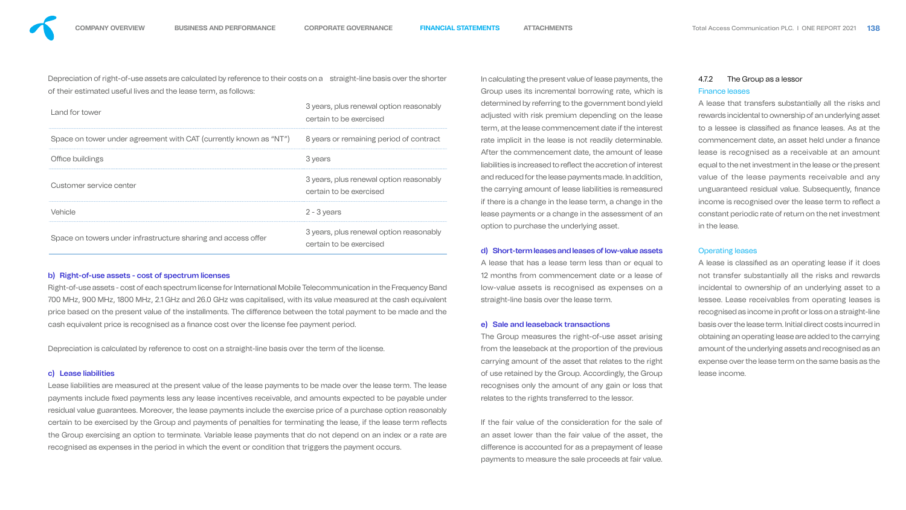Depreciation of right-of-use assets are calculated by reference to their costs on a straight-line basis over the shorter of their estimated useful lives and the lease term, as follows:

Right-of-use assets - cost of each spectrum license for International Mobile Telecommunication in the Frequency Band 700 MHz, 900 MHz, 1800 MHz, 2.1 GHz and 26.0 GHz was capitalised, with its value measured at the cash equivalent price based on the present value of the installments. The difference between the total payment to be made and the cash equivalent price is recognised as a finance cost over the license fee payment period.

| Land for tower                                                    | 3 years, plus renewal option reasonably<br>certain to be exercised |
|-------------------------------------------------------------------|--------------------------------------------------------------------|
| Space on tower under agreement with CAT (currently known as "NT") | 8 years or remaining period of contract                            |
| Office buildings                                                  | 3 years                                                            |
| Customer service center                                           | 3 years, plus renewal option reasonably<br>certain to be exercised |
| Vehicle                                                           | $2 - 3$ years                                                      |
| Space on towers under infrastructure sharing and access offer     | 3 years, plus renewal option reasonably<br>certain to be exercised |

#### b) Right-of-use assets - cost of spectrum licenses

Depreciation is calculated by reference to cost on a straight-line basis over the term of the license.

### c) Lease liabilities

Lease liabilities are measured at the present value of the lease payments to be made over the lease term. The lease payments include fixed payments less any lease incentives receivable, and amounts expected to be payable under residual value guarantees. Moreover, the lease payments include the exercise price of a purchase option reasonably certain to be exercised by the Group and payments of penalties for terminating the lease, if the lease term reflects the Group exercising an option to terminate. Variable lease payments that do not depend on an index or a rate are recognised as expenses in the period in which the event or condition that triggers the payment occurs.

A lease is classified as an operating lease if it does not transfer substantially all the risks and rewards incidental to ownership of an underlying asset to a lessee. Lease receivables from operating leases is recognised as income in profit or loss on a straight-line basis over the lease term. Initial direct costs incurred in obtaining an operating lease are added to the carrying amount of the underlying assets and recognised as an expense over the lease term on the same basis as the lease income.

In calculating the present value of lease payments, the Group uses its incremental borrowing rate, which is determined by referring to the government bond yield adjusted with risk premium depending on the lease term, at the lease commencement date if the interest rate implicit in the lease is not readily determinable. After the commencement date, the amount of lease liabilities is increased to reflect the accretion of interest and reduced for the lease payments made. In addition, the carrying amount of lease liabilities is remeasured if there is a change in the lease term, a change in the lease payments or a change in the assessment of an option to purchase the underlying asset.

#### d) Short-term leases and leases of low-value assets

A lease that has a lease term less than or equal to 12 months from commencement date or a lease of low-value assets is recognised as expenses on a straight-line basis over the lease term.

#### e) Sale and leaseback transactions

The Group measures the right-of-use asset arising from the leaseback at the proportion of the previous carrying amount of the asset that relates to the right of use retained by the Group. Accordingly, the Group recognises only the amount of any gain or loss that relates to the rights transferred to the lessor.

If the fair value of the consideration for the sale of an asset lower than the fair value of the asset, the difference is accounted for as a prepayment of lease payments to measure the sale proceeds at fair value.

### 4.7.2 The Group as a lessor Finance leases

A lease that transfers substantially all the risks and rewards incidental to ownership of an underlying asset to a lessee is classified as finance leases. As at the commencement date, an asset held under a finance lease is recognised as a receivable at an amount equal to the net investment in the lease or the present value of the lease payments receivable and any unguaranteed residual value. Subsequently, finance income is recognised over the lease term to reflect a constant periodic rate of return on the net investment in the lease.

#### Operating leases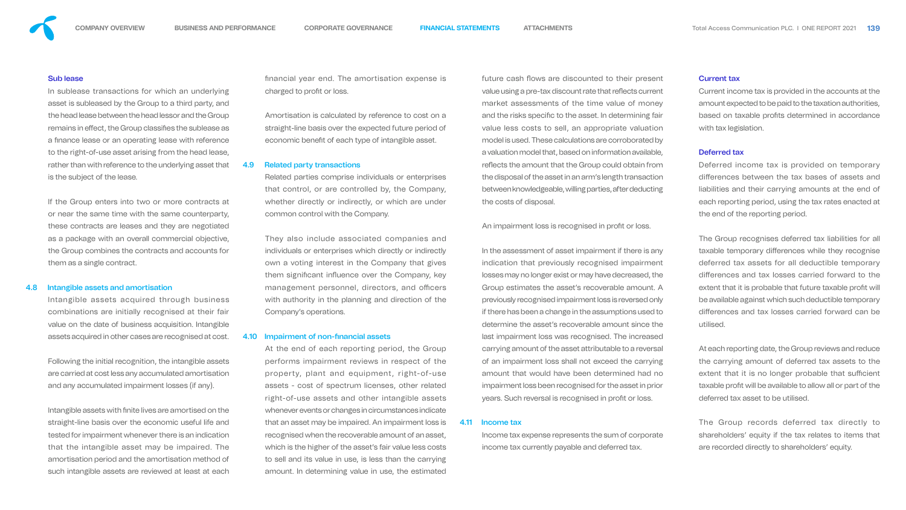

#### Sub lease

In sublease transactions for which an underlying asset is subleased by the Group to a third party, and the head lease between the head lessor and the Group remains in effect, the Group classifies the sublease as a finance lease or an operating lease with reference to the right-of-use asset arising from the head lease, rather than with reference to the underlying asset that is the subject of the lease.

If the Group enters into two or more contracts at or near the same time with the same counterparty, these contracts are leases and they are negotiated as a package with an overall commercial objective, the Group combines the contracts and accounts for them as a single contract.

Intangible assets with finite lives are amortised on the straight-line basis over the economic useful life and tested for impairment whenever there is an indication that the intangible asset may be impaired. The amortisation period and the amortisation method of such intangible assets are reviewed at least at each nancial year end. The amortisation expense is charged to profit or loss.

Amortisation is calculated by reference to cost on a straight-line basis over the expected future period of economic benefit of each type of intangible asset.

#### 4.8 Intangible assets and amortisation

Intangible assets acquired through business combinations are initially recognised at their fair value on the date of business acquisition. Intangible assets acquired in other cases are recognised at cost.

Following the initial recognition, the intangible assets are carried at cost less any accumulated amortisation and any accumulated impairment losses (if any).

future cash flows are discounted to their present value using a pre-tax discount rate that reflects current market assessments of the time value of money and the risks specific to the asset. In determining fair value less costs to sell, an appropriate valuation model is used. These calculations are corroborated by a valuation model that, based on information available, reflects the amount that the Group could obtain from the disposal of the asset in an arm's length transaction between knowledgeable, willing parties, after deducting the costs of disposal.

An impairment loss is recognised in profit or loss.

In the assessment of asset impairment if there is any indication that previously recognised impairment losses may no longer exist or may have decreased, the Group estimates the asset's recoverable amount. A previously recognised impairment loss is reversed only if there has been a change in the assumptions used to determine the asset's recoverable amount since the last impairment loss was recognised. The increased carrying amount of the asset attributable to a reversal of an impairment loss shall not exceed the carrying amount that would have been determined had no impairment loss been recognised for the asset in prior years. Such reversal is recognised in profit or loss.

#### 4.9 Related party transactions

Related parties comprise individuals or enterprises that control, or are controlled by, the Company, whether directly or indirectly, or which are under common control with the Company.

They also include associated companies and individuals or enterprises which directly or indirectly own a voting interest in the Company that gives them significant influence over the Company, key management personnel, directors, and officers with authority in the planning and direction of the Company's operations.

#### 4.10 Impairment of non-financial assets

At the end of each reporting period, the Group performs impairment reviews in respect of the property, plant and equipment, right-of-use assets - cost of spectrum licenses, other related right-of-use assets and other intangible assets whenever events or changes in circumstances indicate that an asset may be impaired. An impairment loss is recognised when the recoverable amount of an asset, which is the higher of the asset's fair value less costs to sell and its value in use, is less than the carrying amount. In determining value in use, the estimated

#### 4.11 Income tax

Income tax expense represents the sum of corporate income tax currently payable and deferred tax.

#### Current tax

Current income tax is provided in the accounts at the amount expected to be paid to the taxation authorities, based on taxable profits determined in accordance with tax legislation.

#### Deferred tax

Deferred income tax is provided on temporary differences between the tax bases of assets and liabilities and their carrying amounts at the end of each reporting period, using the tax rates enacted at the end of the reporting period.

The Group recognises deferred tax liabilities for all taxable temporary differences while they recognise deferred tax assets for all deductible temporary differences and tax losses carried forward to the extent that it is probable that future taxable profit will be available against which such deductible temporary differences and tax losses carried forward can be utilised.

At each reporting date, the Group reviews and reduce the carrying amount of deferred tax assets to the extent that it is no longer probable that sufficient taxable profit will be available to allow all or part of the deferred tax asset to be utilised.

The Group records deferred tax directly to shareholders' equity if the tax relates to items that are recorded directly to shareholders' equity.

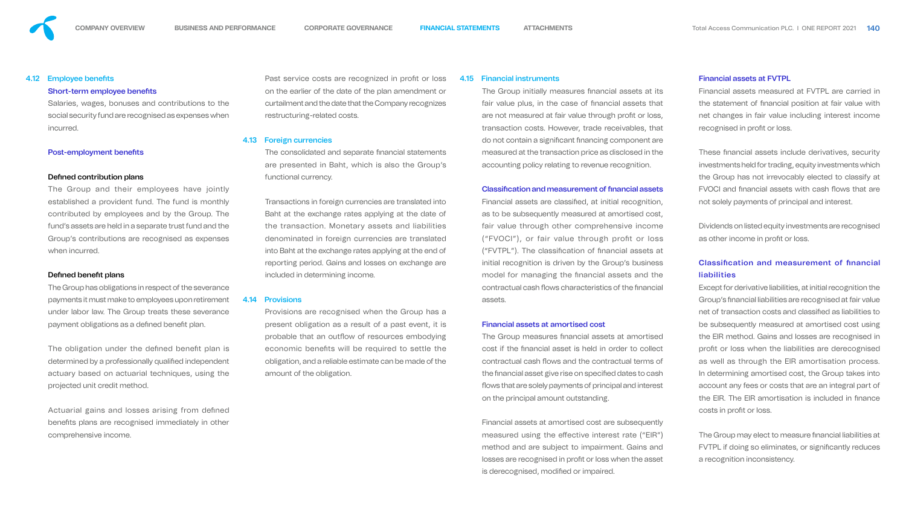#### 4.12 Employee benefits

#### Short-term employee benefits

Salaries, wages, bonuses and contributions to the social security fund are recognised as expenses when incurred.

#### Post-employment benefits

#### Defined contribution plans

The Group has obligations in respect of the severance payments it must make to employees upon retirement under labor law. The Group treats these severance payment obligations as a defined benefit plan.

The Group and their employees have jointly established a provident fund. The fund is monthly contributed by employees and by the Group. The fund's assets are held in a separate trust fund and the Group's contributions are recognised as expenses when incurred.

#### Defined benefit plans

The obligation under the defined benefit plan is determined by a professionally qualified independent actuary based on actuarial techniques, using the projected unit credit method.

Actuarial gains and losses arising from defined benefits plans are recognised immediately in other comprehensive income.

Past service costs are recognized in profit or loss on the earlier of the date of the plan amendment or curtailment and the date that the Company recognizes restructuring-related costs.

The consolidated and separate financial statements are presented in Baht, which is also the Group's functional currency.

The Group initially measures financial assets at its fair value plus, in the case of financial assets that are not measured at fair value through profit or loss, transaction costs. However, trade receivables, that do not contain a significant financing component are measured at the transaction price as disclosed in the accounting policy relating to revenue recognition.

#### Classification and measurement of financial assets

#### 4.13 Foreign currencies

Financial assets are classified, at initial recognition, as to be subsequently measured at amortised cost, fair value through other comprehensive income ("FVOCI"), or fair value through profit or loss ("FVTPL"). The classification of financial assets at initial recognition is driven by the Group's business model for managing the financial assets and the contractual cash flows characteristics of the financial assets.

Transactions in foreign currencies are translated into Baht at the exchange rates applying at the date of the transaction. Monetary assets and liabilities denominated in foreign currencies are translated into Baht at the exchange rates applying at the end of reporting period. Gains and losses on exchange are included in determining income.

> The Group measures financial assets at amortised cost if the financial asset is held in order to collect contractual cash flows and the contractual terms of the financial asset give rise on specified dates to cash flows that are solely payments of principal and interest on the principal amount outstanding.

> Financial assets at amortised cost are subsequently measured using the effective interest rate ("EIR") method and are subject to impairment. Gains and losses are recognised in profit or loss when the asset is derecognised, modified or impaired.

Financial assets measured at FVTPL are carried in the statement of financial position at fair value with net changes in fair value including interest income recognised in profit or loss.

#### 4.14 Provisions

Provisions are recognised when the Group has a present obligation as a result of a past event, it is probable that an outflow of resources embodying economic benefits will be required to settle the obligation, and a reliable estimate can be made of the amount of the obligation.

These financial assets include derivatives, security investments held for trading, equity investments which the Group has not irrevocably elected to classify at FVOCI and financial assets with cash flows that are not solely payments of principal and interest.

Dividends on listed equity investments are recognised as other income in profit or loss.

# Classification and measurement of financial liabilities

Except for derivative liabilities, at initial recognition the Group's financial liabilities are recognised at fair value net of transaction costs and classified as liabilities to be subsequently measured at amortised cost using the EIR method. Gains and losses are recognised in profit or loss when the liabilities are derecognised as well as through the EIR amortisation process. In determining amortised cost, the Group takes into account any fees or costs that are an integral part of the EIR. The EIR amortisation is included in finance costs in profit or loss.

#### 4.15 Financial instruments

The Group may elect to measure financial liabilities at FVTPL if doing so eliminates, or significantly reduces a recognition inconsistency.



### Financial assets at amortised cost

### Financial assets at FVTPL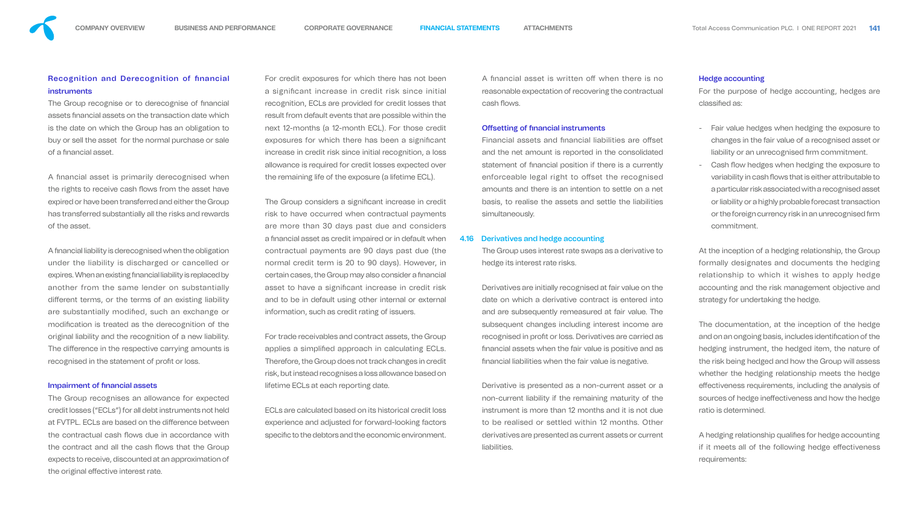A financial asset is written off when there is no reasonable expectation of recovering the contractual cash flows.

#### **Offsetting of financial instruments**

## **Recognition and Derecognition of financial** instruments

The Group recognise or to derecognise of financial assets financial assets on the transaction date which is the date on which the Group has an obligation to buy or sell the asset for the normal purchase or sale of a financial asset.

A financial asset is primarily derecognised when the rights to receive cash flows from the asset have expired or have been transferred and either the Group has transferred substantially all the risks and rewards of the asset.

A financial liability is derecognised when the obligation under the liability is discharged or cancelled or expires. When an existing financial liability is replaced by another from the same lender on substantially different terms, or the terms of an existing liability are substantially modified, such an exchange or modification is treated as the derecognition of the original liability and the recognition of a new liability. The difference in the respective carrying amounts is recognised in the statement of profit or loss.

#### **Impairment of financial assets**

The Group recognises an allowance for expected credit losses ("ECLs") for all debt instruments not held at FVTPL. ECLs are based on the difference between the contractual cash flows due in accordance with the contract and all the cash flows that the Group expects to receive, discounted at an approximation of the original effective interest rate.

The Group considers a significant increase in credit risk to have occurred when contractual payments are more than 30 days past due and considers a financial asset as credit impaired or in default when contractual payments are 90 days past due (the normal credit term is 20 to 90 days). However, in certain cases, the Group may also consider a financial asset to have a significant increase in credit risk and to be in default using other internal or external information, such as credit rating of issuers.

ECLs are calculated based on its historical credit loss experience and adjusted for forward-looking factors specific to the debtors and the economic environment.

Financial assets and financial liabilities are offset and the net amount is reported in the consolidated statement of financial position if there is a currently enforceable legal right to offset the recognised amounts and there is an intention to settle on a net basis, to realise the assets and settle the liabilities simultaneously.

For credit exposures for which there has not been a significant increase in credit risk since initial recognition, ECLs are provided for credit losses that result from default events that are possible within the next 12-months (a 12-month ECL). For those credit exposures for which there has been a significant increase in credit risk since initial recognition, a loss allowance is required for credit losses expected over the remaining life of the exposure (a lifetime ECL).

For the purpose of hedge accounting, hedges are classified as:

For trade receivables and contract assets, the Group applies a simplified approach in calculating ECLs. Therefore, the Group does not track changes in credit risk, but instead recognises a loss allowance based on lifetime ECLs at each reporting date.

> A hedging relationship qualifies for hedge accounting if it meets all of the following hedge effectiveness requirements:



#### 4.16 Derivatives and hedge accounting

The Group uses interest rate swaps as a derivative to hedge its interest rate risks.

Derivatives are initially recognised at fair value on the date on which a derivative contract is entered into and are subsequently remeasured at fair value. The subsequent changes including interest income are recognised in profit or loss. Derivatives are carried as nancial assets when the fair value is positive and as nancial liabilities when the fair value is negative.

Derivative is presented as a non-current asset or a non-current liability if the remaining maturity of the instrument is more than 12 months and it is not due to be realised or settled within 12 months. Other derivatives are presented as current assets or current liabilities.

#### Hedge accounting

- Fair value hedges when hedging the exposure to changes in the fair value of a recognised asset or liability or an unrecognised firm commitment.
- Cash flow hedges when hedging the exposure to variability in cash flows that is either attributable to a particular risk associated with a recognised asset or liability or a highly probable forecast transaction or the foreign currency risk in an unrecognised firm commitment.

At the inception of a hedging relationship, the Group formally designates and documents the hedging relationship to which it wishes to apply hedge accounting and the risk management objective and strategy for undertaking the hedge.

The documentation, at the inception of the hedge and on an ongoing basis, includes identification of the hedging instrument, the hedged item, the nature of the risk being hedged and how the Group will assess whether the hedging relationship meets the hedge effectiveness requirements, including the analysis of sources of hedge ineffectiveness and how the hedge ratio is determined.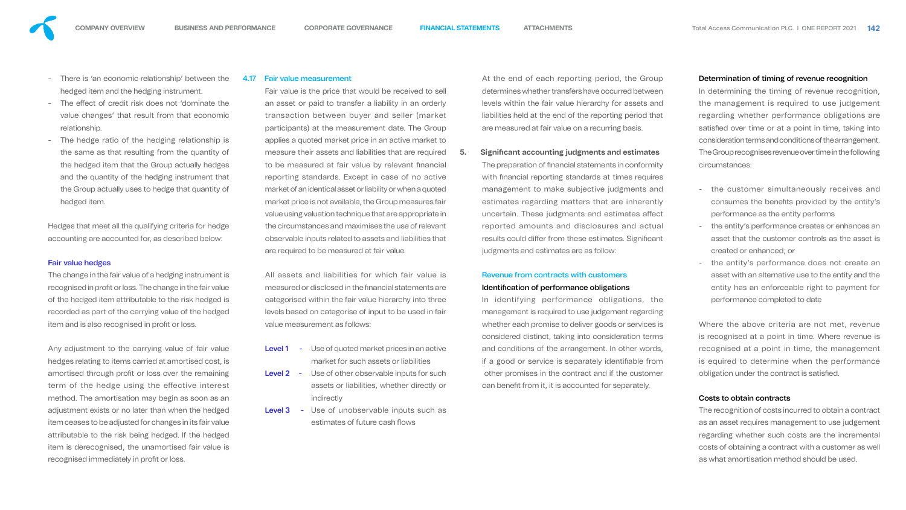The change in the fair value of a hedging instrument is recognised in profit or loss. The change in the fair value of the hedged item attributable to the risk hedged is recorded as part of the carrying value of the hedged item and is also recognised in profit or loss.



- There is 'an economic relationship' between the hedged item and the hedging instrument.
- The effect of credit risk does not 'dominate the value changes' that result from that economic relationship.
- The hedge ratio of the hedging relationship is the same as that resulting from the quantity of the hedged item that the Group actually hedges and the quantity of the hedging instrument that the Group actually uses to hedge that quantity of hedged item.

Any adjustment to the carrying value of fair value hedges relating to items carried at amortised cost, is amortised through profit or loss over the remaining term of the hedge using the effective interest method. The amortisation may begin as soon as an adjustment exists or no later than when the hedged item ceases to be adjusted for changes in its fair value attributable to the risk being hedged. If the hedged item is derecognised, the unamortised fair value is recognised immediately in profit or loss.

Hedges that meet all the qualifying criteria for hedge accounting are accounted for, as described below:

#### Fair value hedges

#### 4.17 Fair value measurement

The preparation of financial statements in conformity with financial reporting standards at times requires management to make subjective judgments and estimates regarding matters that are inherently uncertain. These judgments and estimates affect reported amounts and disclosures and actual results could differ from these estimates. Significant judgments and estimates are as follow:

In identifying performance obligations, the management is required to use judgement regarding whether each promise to deliver goods or services is considered distinct, taking into consideration terms and conditions of the arrangement. In other words, if a good or service is separately identiable from other promises in the contract and if the customer can benefit from it, it is accounted for separately.

Fair value is the price that would be received to sell an asset or paid to transfer a liability in an orderly transaction between buyer and seller (market participants) at the measurement date. The Group applies a quoted market price in an active market to measure their assets and liabilities that are required to be measured at fair value by relevant financial reporting standards. Except in case of no active market of an identical asset or liability or when a quoted market price is not available, the Group measures fair value using valuation technique that are appropriate in the circumstances and maximises the use of relevant observable inputs related to assets and liabilities that are required to be measured at fair value.

In determining the timing of revenue recognition, the management is required to use judgement regarding whether performance obligations are satisfied over time or at a point in time, taking into consideration terms and conditions of the arrangement. The Group recognises revenue over time in the following circumstances:

Where the above criteria are not met, revenue is recognised at a point in time. Where revenue is recognised at a point in time, the management is equired to determine when the performance obligation under the contract is satisfied.

All assets and liabilities for which fair value is measured or disclosed in the financial statements are categorised within the fair value hierarchy into three levels based on categorise of input to be used in fair value measurement as follows:

- **Level 1** Use of quoted market prices in an active market for such assets or liabilities
- Level 2 Use of other observable inputs for such assets or liabilities, whether directly or indirectly
- Level 3 Use of unobservable inputs such as estimates of future cash flows

At the end of each reporting period, the Group determines whether transfers have occurred between levels within the fair value hierarchy for assets and liabilities held at the end of the reporting period that are measured at fair value on a recurring basis.

## **5. Significant accounting judgments and estimates**

# Revenue from contracts with customers

#### Identification of performance obligations

### Determination of timing of revenue recognition

- the customer simultaneously receives and consumes the benefits provided by the entity's performance as the entity performs
- the entity's performance creates or enhances an asset that the customer controls as the asset is created or enhanced; or
- the entity's performance does not create an asset with an alternative use to the entity and the entity has an enforceable right to payment for performance completed to date

### Costs to obtain contracts

The recognition of costs incurred to obtain a contract as an asset requires management to use judgement regarding whether such costs are the incremental costs of obtaining a contract with a customer as well as what amortisation method should be used.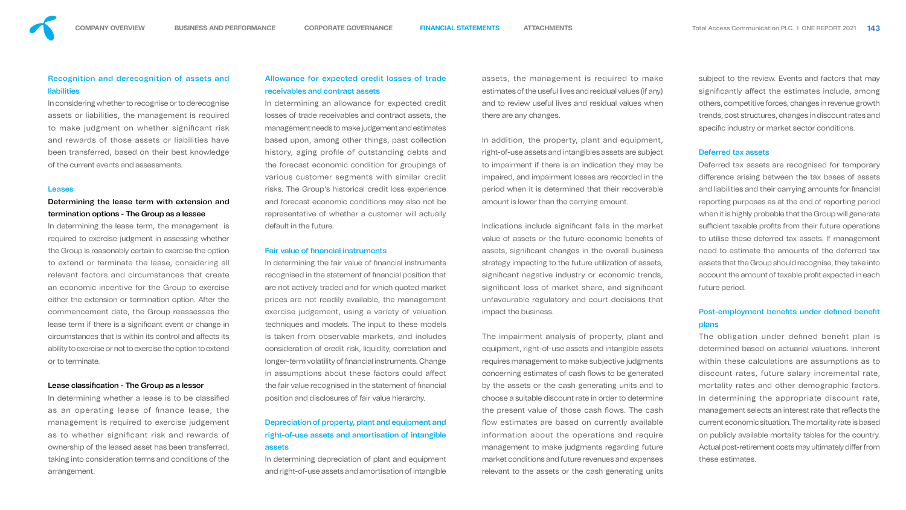## Recognition and derecognition of assets and **liabilities**

In considering whether to recognise or to derecognise assets or liabilities, the management is required to make judgment on whether significant risk and rewards of those assets or liabilities have been transferred, based on their best knowledge of the current events and assessments.

#### **Leases**

## Determining the lease term with extension and termination options - The Group as a lessee

In determining whether a lease is to be classified as an operating lease of finance lease, the management is required to exercise judgement as to whether significant risk and rewards of ownership of the leased asset has been transferred, taking into consideration terms and conditions of the arrangement.

In determining the lease term, the management is required to exercise judgment in assessing whether the Group is reasonably certain to exercise the option to extend or terminate the lease, considering all relevant factors and circumstances that create an economic incentive for the Group to exercise either the extension or termination option. After the commencement date, the Group reassesses the lease term if there is a significant event or change in circumstances that is within its control and affects its ability to exercise or not to exercise the option to extend or to terminate.

#### Lease classification - The Group as a lessor

In determining the fair value of financial instruments recognised in the statement of financial position that are not actively traded and for which quoted market prices are not readily available, the management exercise judgement, using a variety of valuation techniques and models. The input to these models is taken from observable markets, and includes consideration of credit risk, liquidity, correlation and longer-term volatility of financial instruments. Change in assumptions about these factors could affect the fair value recognised in the statement of financial position and disclosures of fair value hierarchy.

In determining depreciation of plant and equipment and right-of-use assets and amortisation of intangible

## Allowance for expected credit losses of trade receivables and contract assets

In determining an allowance for expected credit losses of trade receivables and contract assets, the management needs to make judgement and estimates based upon, among other things, past collection history, aging profile of outstanding debts and the forecast economic condition for groupings of various customer segments with similar credit risks. The Group's historical credit loss experience and forecast economic conditions may also not be representative of whether a customer will actually default in the future.

#### **Fair value of financial instruments**

Indications include significant falls in the market value of assets or the future economic benefits of assets, significant changes in the overall business strategy impacting to the future utilization of assets, significant negative industry or economic trends, significant loss of market share, and significant unfavourable regulatory and court decisions that impact the business.

subject to the review. Events and factors that may significantly affect the estimates include, among others, competitive forces, changes in revenue growth trends, cost structures, changes in discount rates and specific industry or market sector conditions.

## Post-employment benefits under defined benefit plans

# Depreciation of property, plant and equipment and right-of-use assets and amortisation of intangible assets

The obligation under defined benefit plan is determined based on actuarial valuations. Inherent within these calculations are assumptions as to discount rates, future salary incremental rate, mortality rates and other demographic factors. In determining the appropriate discount rate, management selects an interest rate that reflects the current economic situation. The mortality rate is based on publicly available mortality tables for the country. Actual post-retirement costs may ultimately differ from these estimates.

assets, the management is required to make estimates of the useful lives and residual values (if any) and to review useful lives and residual values when there are any changes.

In addition, the property, plant and equipment, right-of-use assets and intangibles assets are subject to impairment if there is an indication they may be impaired, and impairment losses are recorded in the period when it is determined that their recoverable amount is lower than the carrying amount.

The impairment analysis of property, plant and equipment, right-of-use assets and intangible assets requires management to make subjective judgments concerning estimates of cash flows to be generated by the assets or the cash generating units and to choose a suitable discount rate in order to determine the present value of those cash flows. The cash flow estimates are based on currently available information about the operations and require management to make judgments regarding future market conditions and future revenues and expenses relevant to the assets or the cash generating units

#### Deferred tax assets

Deferred tax assets are recognised for temporary difference arising between the tax bases of assets and liabilities and their carrying amounts for financial reporting purposes as at the end of reporting period when it is highly probable that the Group will generate sufficient taxable profits from their future operations to utilise these deferred tax assets. If management need to estimate the amounts of the deferred tax assets that the Group should recognise, they take into account the amount of taxable profit expected in each future period.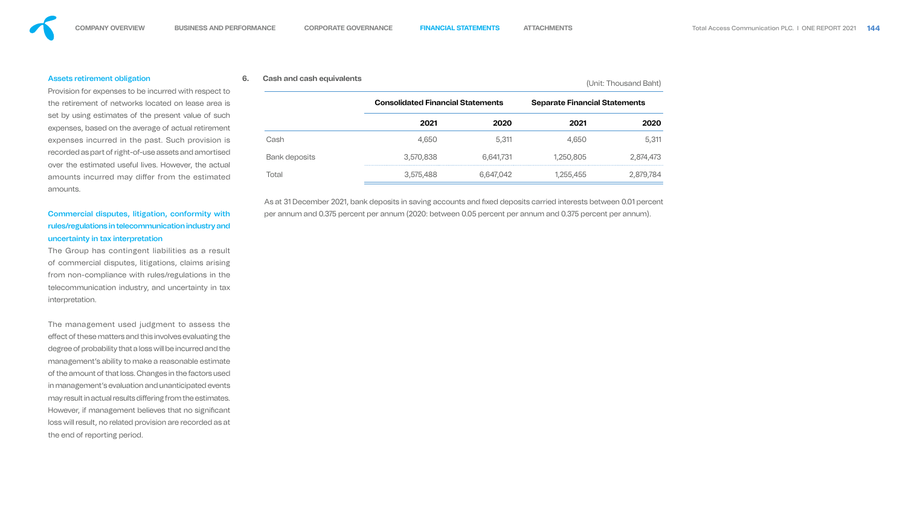#### Assets retirement obligation

Provision for expenses to be incurred with respect to the retirement of networks located on lease area is set by using estimates of the present value of such expenses, based on the average of actual retirement expenses incurred in the past. Such provision is recorded as part of right-of-use assets and amortised over the estimated useful lives. However, the actual amounts incurred may differ from the estimated amounts.

# Commercial disputes, litigation, conformity with rules/regulations in telecommunication industry and uncertainty in tax interpretation

The Group has contingent liabilities as a result of commercial disputes, litigations, claims arising from non-compliance with rules/regulations in the telecommunication industry, and uncertainty in tax interpretation.

As at 31 December 2021, bank deposits in saving accounts and fixed deposits carried interests between 0.01 percent per annum and 0.375 percent per annum (2020: between 0.05 percent per annum and 0.375 percent per annum).

The management used judgment to assess the effect of these matters and this involves evaluating the degree of probability that a loss will be incurred and the management's ability to make a reasonable estimate of the amount of that loss. Changes in the factors used in management's evaluation and unanticipated events may result in actual results differing from the estimates. However, if management believes that no significant loss will result, no related provision are recorded as at the end of reporting period.

# **6. Cash and cash equivalents** (Unit: Thousand Baht)

|                      | <b>Consolidated Financial Statements</b> |           |           | <b>Separate Financial Statements</b> |  |  |  |
|----------------------|------------------------------------------|-----------|-----------|--------------------------------------|--|--|--|
|                      | 2021                                     | 2020      | 2021      | 2020                                 |  |  |  |
| Cash                 | 4,650                                    | 5,311     | 4,650     | 5,311                                |  |  |  |
| <b>Bank deposits</b> | 3,570,838                                | 6,641,731 | 1,250,805 | 2,874,473                            |  |  |  |
| Total                | 3,575,488                                | 6,647,042 | ,255,455  | ,879,784                             |  |  |  |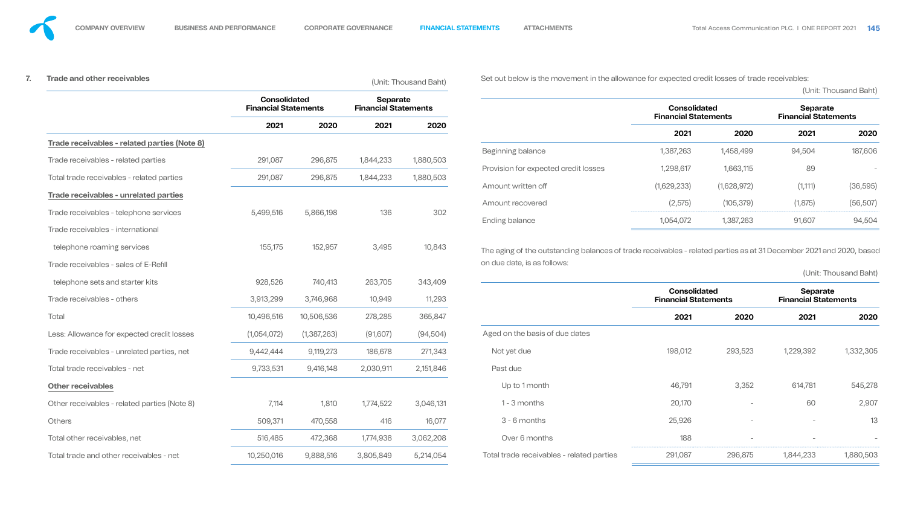| <b>Trade and other receivables</b>                                  |                                                    |                      |                                                | (Unit: Thousand Baht) | Set out below is the movement in the allowance for expected credit losses of trade receivables:                                                    |                                                    |                          |                                         |                       |  |  |  |
|---------------------------------------------------------------------|----------------------------------------------------|----------------------|------------------------------------------------|-----------------------|----------------------------------------------------------------------------------------------------------------------------------------------------|----------------------------------------------------|--------------------------|-----------------------------------------|-----------------------|--|--|--|
|                                                                     | <b>Consolidated</b><br><b>Financial Statements</b> |                      | <b>Separate</b><br><b>Financial Statements</b> |                       |                                                                                                                                                    | <b>Consolidated</b><br><b>Financial Statements</b> |                          | Separate<br><b>Financial Statements</b> | (Unit: Thousand Baht) |  |  |  |
|                                                                     | 2021                                               | 2020                 | 2021                                           | 2020                  |                                                                                                                                                    | 2021                                               | 2020                     | 2021                                    | 2020                  |  |  |  |
| Trade receivables - related parties (Note 8)                        |                                                    |                      |                                                |                       | Beginning balance                                                                                                                                  | 1,387,263                                          | 1,458,499                | 94,504                                  | 187,606               |  |  |  |
| Trade receivables - related parties                                 | 291,087                                            | 296,875              | 1,844,233                                      | 1,880,503             |                                                                                                                                                    |                                                    |                          |                                         |                       |  |  |  |
| Total trade receivables - related parties                           | 291,087                                            | 296,875              | 1,844,233                                      | 1,880,503             | Provision for expected credit losses                                                                                                               | 1,298,617                                          | 1,663,115                | 89                                      |                       |  |  |  |
| <b>Trade receivables - unrelated parties</b>                        |                                                    |                      |                                                |                       | Amount written off                                                                                                                                 | (1,629,233)                                        | (1,628,972)              | (1, 111)                                | (36, 595)             |  |  |  |
| Trade receivables - telephone services                              | 5,499,516                                          | 5,866,198            | 136                                            | 302                   | Amount recovered                                                                                                                                   | (2, 575)                                           | (105, 379)               | (1,875)                                 | (56, 507)             |  |  |  |
| Trade receivables - international                                   |                                                    |                      |                                                |                       | Ending balance                                                                                                                                     | 1,054,072                                          | 1,387,263                | 91,607                                  | 94,504                |  |  |  |
| telephone roaming services<br>Trade receivables - sales of E-Refill | 155,175                                            | 152,957              | 3,495                                          | 10,843                | The aging of the outstanding balances of trade receivables - related parties as at 31 December 2021 and 2020, based<br>on due date, is as follows: |                                                    |                          |                                         | (Unit: Thousand Baht) |  |  |  |
| telephone sets and starter kits<br>Trade receivables - others       | 928,526<br>3,913,299                               | 740,413<br>3,746,968 | 263,705<br>10,949                              | 343,409<br>11,293     |                                                                                                                                                    | <b>Consolidated</b><br><b>Financial Statements</b> |                          | Separate<br><b>Financial Statements</b> |                       |  |  |  |
| Total                                                               | 10,496,516                                         | 10,506,536           | 278,285                                        | 365,847               |                                                                                                                                                    | 2021                                               | 2020                     | 2021                                    | 2020                  |  |  |  |
| Less: Allowance for expected credit losses                          | (1,054,072)                                        | (1,387,263)          | (91,607)                                       | (94, 504)             | Aged on the basis of due dates                                                                                                                     |                                                    |                          |                                         |                       |  |  |  |
| Trade receivables - unrelated parties, net                          | 9,442,444                                          | 9,119,273            | 186,678                                        | 271,343               | Not yet due                                                                                                                                        | 198,012                                            | 293,523                  | 1,229,392                               | 1,332,305             |  |  |  |
| Total trade receivables - net                                       | 9,733,531                                          | 9,416,148            | 2,030,911                                      | 2,151,846             | Past due                                                                                                                                           |                                                    |                          |                                         |                       |  |  |  |
| <b>Other receivables</b>                                            |                                                    |                      |                                                |                       | Up to 1 month                                                                                                                                      | 46,791                                             | 3,352                    | 614,781                                 | 545,278               |  |  |  |
| Other receivables - related parties (Note 8)                        | 7,114                                              | 1,810                | 1,774,522                                      | 3,046,131             | 1 - 3 months                                                                                                                                       | 20,170                                             | $\overline{\phantom{a}}$ | 60                                      | 2,907                 |  |  |  |
| <b>Others</b>                                                       | 509,371                                            | 470,558              | 416                                            | 16,077                | 3 - 6 months                                                                                                                                       | 25,926                                             | $\equiv$                 | $-$                                     | 13                    |  |  |  |
| Total other receivables, net                                        | 516,485                                            | 472,368              | 1,774,938                                      | 3,062,208             | Over 6 months                                                                                                                                      | 188                                                |                          |                                         |                       |  |  |  |
| Total trade and other receivables - net                             | 10,250,016                                         | 9,888,516            | 3,805,849                                      | 5,214,054             | Total trade receivables - related parties                                                                                                          | 291,087                                            | 296,875                  | 1,844,233                               | 1,880,503             |  |  |  |

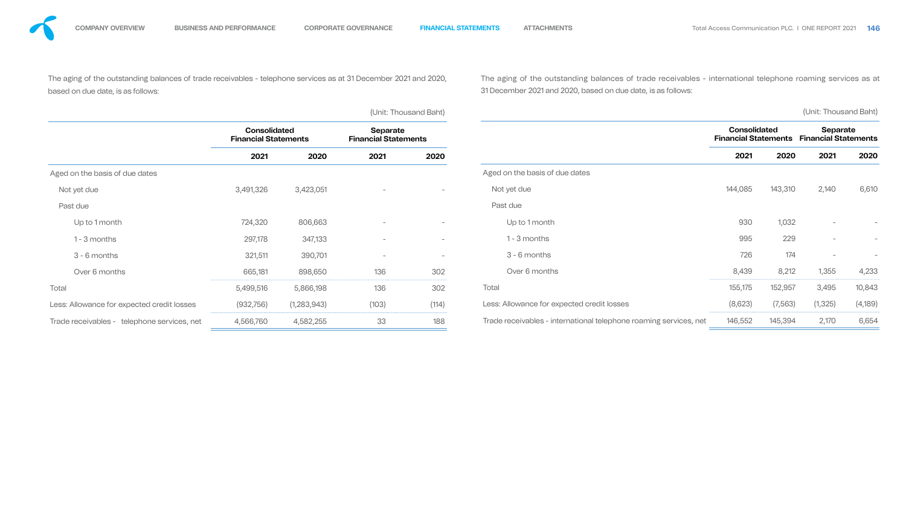| The aging of the outstanding balances of trade receivables - telephone services as at 31 December 2021 and 2020,<br>based on due date, is as follows: |                                                    |               |                                                |                          | The aging of the outstanding balances of trade receivables - international telephone roaming services as at<br>31 December 2021 and 2020, based on due date, is as follows: |                                                    |          |                                                |         |
|-------------------------------------------------------------------------------------------------------------------------------------------------------|----------------------------------------------------|---------------|------------------------------------------------|--------------------------|-----------------------------------------------------------------------------------------------------------------------------------------------------------------------------|----------------------------------------------------|----------|------------------------------------------------|---------|
|                                                                                                                                                       |                                                    |               |                                                | (Unit: Thousand Baht)    |                                                                                                                                                                             |                                                    |          | (Unit: Thousand Baht)                          |         |
|                                                                                                                                                       | <b>Consolidated</b><br><b>Financial Statements</b> |               | <b>Separate</b><br><b>Financial Statements</b> |                          |                                                                                                                                                                             | <b>Consolidated</b><br><b>Financial Statements</b> |          | <b>Separate</b><br><b>Financial Statements</b> |         |
|                                                                                                                                                       | 2021                                               | 2020          | 2021                                           | 2020                     |                                                                                                                                                                             | 2021                                               | 2020     | 2021                                           | 2020    |
| Aged on the basis of due dates                                                                                                                        |                                                    |               |                                                |                          | Aged on the basis of due dates                                                                                                                                              |                                                    |          |                                                |         |
| Not yet due                                                                                                                                           | 3,491,326                                          | 3,423,051     |                                                | $\overline{\phantom{0}}$ | Not yet due                                                                                                                                                                 | 144,085                                            | 143,310  | 2,140                                          | 6,610   |
| Past due                                                                                                                                              |                                                    |               |                                                |                          | Past due                                                                                                                                                                    |                                                    |          |                                                |         |
| Up to 1 month                                                                                                                                         | 724,320                                            | 806,663       |                                                |                          | Up to 1 month                                                                                                                                                               | 930                                                | 1,032    | $\overline{\phantom{a}}$                       |         |
| 1 - 3 months                                                                                                                                          | 297,178                                            | 347,133       |                                                |                          | 1 - 3 months                                                                                                                                                                | 995                                                | 229      | $\overline{\phantom{m}}$                       |         |
| $3 - 6$ months                                                                                                                                        | 321,511                                            | 390,701       |                                                |                          | 3 - 6 months                                                                                                                                                                | 726                                                | 174      | $\overline{\phantom{a}}$                       |         |
| Over 6 months                                                                                                                                         | 665,181                                            | 898,650       | 136                                            | 302                      | Over 6 months                                                                                                                                                               | 8,439                                              | 8,212    | 1,355                                          | 4,233   |
| Total                                                                                                                                                 | 5,499,516                                          | 5,866,198     | 136                                            | 302                      | Total                                                                                                                                                                       | 155,175                                            | 152,957  | 3,495                                          | 10,843  |
| Less: Allowance for expected credit losses                                                                                                            | (932, 756)                                         | (1, 283, 943) | (103)                                          | (114)                    | Less: Allowance for expected credit losses                                                                                                                                  | (8,623)                                            | (7, 563) | (1, 325)                                       | (4,189) |
| Trade receivables - telephone services, net                                                                                                           | 4,566,760                                          | 4,582,255     | 33                                             | 188                      | Trade receivables - international telephone roaming services, net                                                                                                           | 146,552                                            | 145,394  | 2,170                                          | 6,654   |

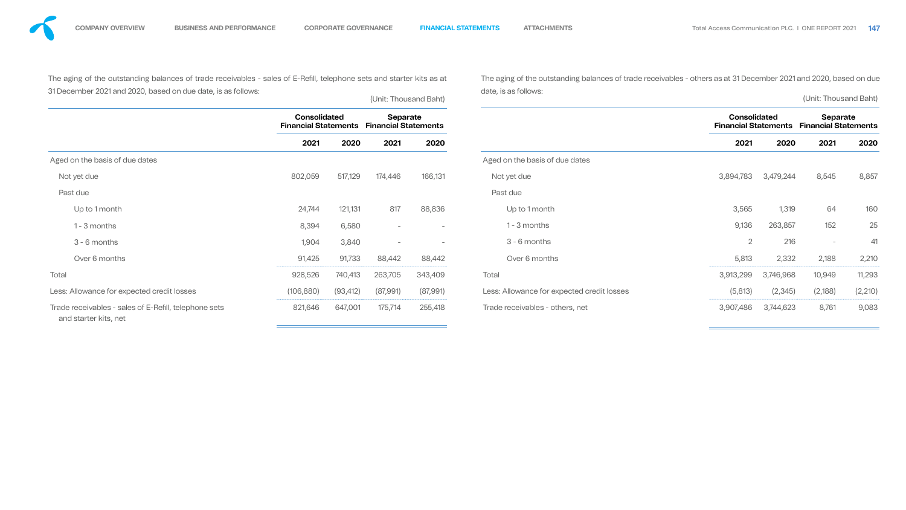| The aging of the outstanding balances of trade receivables - sales of E-Refill, telephone sets and starter kits as at |                                                    | The aging of the outstanding balances of trade receivables - others as at 31 December 2021 and 2020, based on due |                                                |                          |                                            |                                                    |                                         |                          |          |
|-----------------------------------------------------------------------------------------------------------------------|----------------------------------------------------|-------------------------------------------------------------------------------------------------------------------|------------------------------------------------|--------------------------|--------------------------------------------|----------------------------------------------------|-----------------------------------------|--------------------------|----------|
| 31 December 2021 and 2020, based on due date, is as follows:                                                          |                                                    | date, is as follows:<br>(Unit: Thousand Baht)                                                                     |                                                |                          |                                            |                                                    |                                         |                          |          |
|                                                                                                                       | <b>Consolidated</b><br><b>Financial Statements</b> |                                                                                                                   | <b>Separate</b><br><b>Financial Statements</b> |                          |                                            | <b>Consolidated</b><br><b>Financial Statements</b> | Separate<br><b>Financial Statements</b> |                          |          |
|                                                                                                                       | 2021                                               | 2020                                                                                                              | 2021                                           | 2020                     |                                            | 2021                                               | 2020                                    | 2021                     | 2020     |
| Aged on the basis of due dates                                                                                        |                                                    |                                                                                                                   |                                                |                          | Aged on the basis of due dates             |                                                    |                                         |                          |          |
| Not yet due                                                                                                           | 802,059                                            | 517,129                                                                                                           | 174,446                                        | 166,131                  | Not yet due                                | 3,894,783                                          | 3,479,244                               | 8,545                    | 8,857    |
| Past due                                                                                                              |                                                    |                                                                                                                   |                                                |                          | Past due                                   |                                                    |                                         |                          |          |
| Up to 1 month                                                                                                         | 24,744                                             | 121,131                                                                                                           | 817                                            | 88,836                   | Up to 1 month                              | 3,565                                              | 1,319                                   | 64                       | 160      |
| 1 - 3 months                                                                                                          | 8,394                                              | 6,580                                                                                                             | $\overline{\phantom{a}}$                       |                          | 1 - 3 months                               | 9,136                                              | 263,857                                 | 152                      | 25       |
| $3 - 6$ months                                                                                                        | 1,904                                              | 3,840                                                                                                             | $\overline{\phantom{0}}$                       | $\overline{\phantom{a}}$ | 3 - 6 months                               | ⌒                                                  | 216                                     | $\overline{\phantom{0}}$ | 41       |
| Over 6 months                                                                                                         | 91,425                                             | 91,733                                                                                                            | 88,442                                         | 88,442                   | Over 6 months                              | 5,813                                              | 2,332                                   | 2,188                    | 2,210    |
| Total                                                                                                                 | 928,526                                            | 740,413                                                                                                           | 263,705                                        | 343,409                  | Total                                      | 3,913,299                                          | 3,746,968                               | 10,949                   | 11,293   |
| Less: Allowance for expected credit losses                                                                            | (106,880)                                          | (93,412)                                                                                                          | (87,991)                                       | (87,991)                 | Less: Allowance for expected credit losses | (5,813)                                            | (2, 345)                                | (2,188)                  | (2, 210) |
| Trade receivables - sales of E-Refill, telephone sets<br>and starter kits, net                                        | 821,646                                            | 647,001                                                                                                           | 175,714                                        | 255,418                  | Trade receivables - others, net            | 3,907,486                                          | 3,744,623                               | 8,761                    | 9,083    |



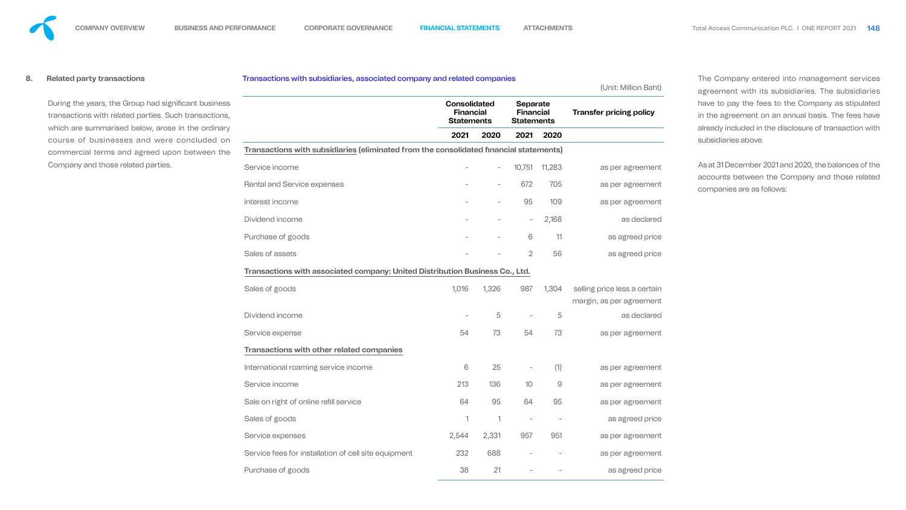**8. Related party transactions**

During the years, the Group had significant business transactions with related parties. Such transactions, which are summarised below, arose in the ordinary course of businesses and were concluded on commercial terms and agreed upon between the Company and those related parties.

#### Transactions with subsidiaries, associated compai

### **Transactions with subsidiaries (eliminated from t**

Service income

Rental and Service expenses

Interest income

Dividend income

Purchase of goods

Sales of assets

**Transactions with associated company: United D** 

Sales of goods

Dividend income

Service expense

| ny and related companies                                     |              |                                                          |        | (Unit: Million Baht)                                     |
|--------------------------------------------------------------|--------------|----------------------------------------------------------|--------|----------------------------------------------------------|
| <b>Consolidated</b><br><b>Financial</b><br><b>Statements</b> |              | <b>Separate</b><br><b>Financial</b><br><b>Statements</b> |        | <b>Transfer pricing policy</b>                           |
| 2021                                                         | 2020         | 2021                                                     | 2020   |                                                          |
| the consolidated financial statements)                       |              |                                                          |        |                                                          |
|                                                              |              | 10,751                                                   | 11,283 | as per agreement                                         |
|                                                              |              | 672                                                      | 705    | as per agreement                                         |
|                                                              |              | 95                                                       | 109    | as per agreement                                         |
|                                                              |              | $\overline{\phantom{a}}$                                 | 2,168  | as declared                                              |
|                                                              |              | 6                                                        | 11     | as agreed price                                          |
|                                                              |              | $\overline{2}$                                           | 56     | as agreed price                                          |
| istribution Business Co., Ltd.                               |              |                                                          |        |                                                          |
| 1,016                                                        | 1,326        | 987                                                      | 1,304  | selling price less a certain<br>margin, as per agreement |
|                                                              | 5            |                                                          | 5      | as declared                                              |
| 54                                                           | 73           | 54                                                       | 73     | as per agreement                                         |
|                                                              |              |                                                          |        |                                                          |
| 6                                                            | 25           |                                                          | (1)    | as per agreement                                         |
| 213                                                          | 136          | 10                                                       | 9      | as per agreement                                         |
| 64                                                           | 95           | 64                                                       | 95     | as per agreement                                         |
| $\mathbf 1$                                                  | $\mathbf{1}$ |                                                          |        | as agreed price                                          |
| 2,544                                                        | 2,331        | 957                                                      | 951    | as per agreement                                         |
| 232                                                          | 688          |                                                          |        | as per agreement                                         |
| 38                                                           | 21           |                                                          |        | as agreed price                                          |
|                                                              |              |                                                          |        |                                                          |

#### **Transactions with other related companies**

International roaming service income

Service income

Sale on right of online refill service

Sales of goods

Service expenses

Service fees for installation of cell site equipment

Purchase of goods

The Company entered into management services agreement with its subsidiaries. The subsidiaries have to pay the fees to the Company as stipulated in the agreement on an annual basis. The fees have already included in the disclosure of transaction with subsidiaries above.

As at 31 December 2021 and 2020, the balances of the accounts between the Company and those related companies are as follows:



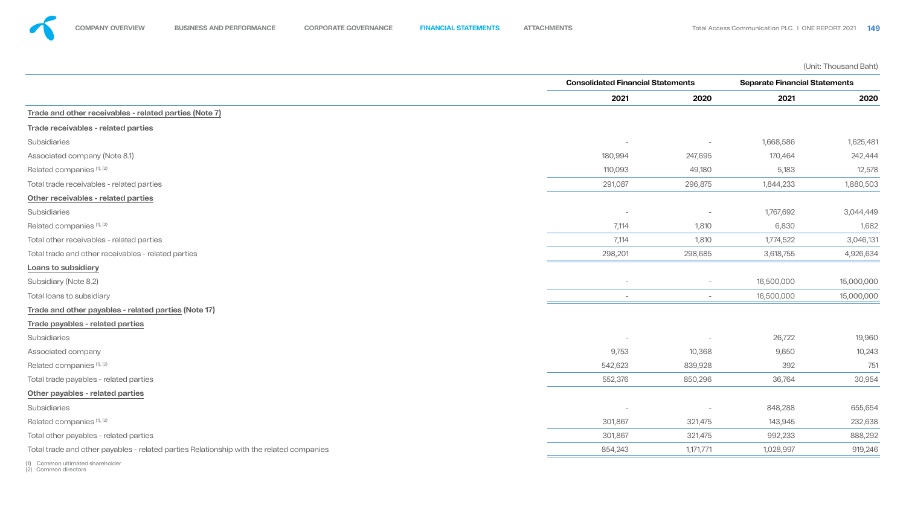(Unit: Thousand Baht)

## **Trade and other receivables - related parties (Note 7)**

### **Trade receivables - related parties**

### **Other receivables - related parties**

### **Loans to subsidiary**

|                                                                                          | <b>Consolidated Financial Statements</b> |                          | <b>Separate Financial Statements</b> |            |
|------------------------------------------------------------------------------------------|------------------------------------------|--------------------------|--------------------------------------|------------|
|                                                                                          | 2021                                     | 2020                     | 2021                                 | 2020       |
| Trade and other receivables - related parties (Note 7)                                   |                                          |                          |                                      |            |
| Trade receivables - related parties                                                      |                                          |                          |                                      |            |
| Subsidiaries                                                                             |                                          |                          | 1,668,586                            | 1,625,481  |
| Associated company (Note 8.1)                                                            | 180,994                                  | 247,695                  | 170,464                              | 242,444    |
| Related companies (1), (2)                                                               | 110,093                                  | 49,180                   | 5,183                                | 12,578     |
| Total trade receivables - related parties                                                | 291,087                                  | 296,875                  | 1,844,233                            | 1,880,503  |
| Other receivables - related parties                                                      |                                          |                          |                                      |            |
| Subsidiaries                                                                             |                                          | $\overline{\phantom{0}}$ | 1,767,692                            | 3,044,449  |
| Related companies (1), (2)                                                               | 7,114                                    | 1,810                    | 6,830                                | 1,682      |
| Total other receivables - related parties                                                | 7,114                                    | 1,810                    | 1,774,522                            | 3,046,131  |
| Total trade and other receivables - related parties                                      | 298,201                                  | 298,685                  | 3,618,755                            | 4,926,634  |
| <b>Loans to subsidiary</b>                                                               |                                          |                          |                                      |            |
| Subsidiary (Note 8.2)                                                                    |                                          | $\sim$                   | 16,500,000                           | 15,000,000 |
| <b>Total loans to subsidiary</b>                                                         |                                          | $\sim$                   | 16,500,000                           | 15,000,000 |
| Trade and other payables - related parties (Note 17)                                     |                                          |                          |                                      |            |
| Trade payables - related parties                                                         |                                          |                          |                                      |            |
| Subsidiaries                                                                             | $\overline{\phantom{0}}$                 |                          | 26,722                               | 19,960     |
| Associated company                                                                       | 9,753                                    | 10,368                   | 9,650                                | 10,243     |
| Related companies (1), (2)                                                               | 542,623                                  | 839,928                  | 392                                  | 751        |
| Total trade payables - related parties                                                   | 552,376                                  | 850,296                  | 36,764                               | 30,954     |
| Other payables - related parties                                                         |                                          |                          |                                      |            |
| Subsidiaries                                                                             | $\overline{\phantom{0}}$                 |                          | 848,288                              | 655,654    |
| Related companies (1), (2)                                                               | 301,867                                  | 321,475                  | 143,945                              | 232,638    |
| Total other payables - related parties                                                   | 301,867                                  | 321,475                  | 992,233                              | 888,292    |
| Total trade and other payables - related parties Relationship with the related companies | 854,243                                  | 1,171,771                | 1,028,997                            | 919,246    |













### **Trade and other payables - related parties (Note 17)**

### **Trade payables - related parties**

### **Other payables - related parties**

(1) Common ultimated shareholder

(2) Common directors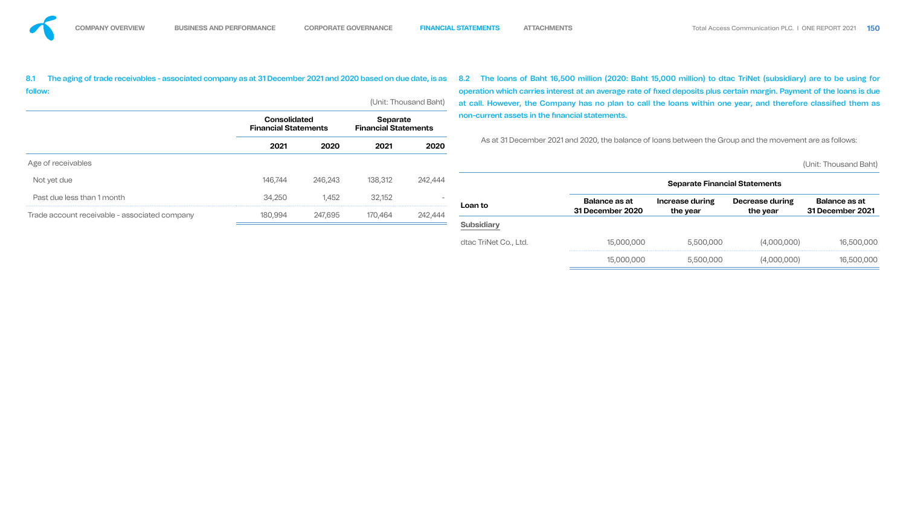|         |         |                                                               |         | 8.2                                                                                                                                                                                         |                      |                                                                     |                        |                                                                                                                                                                                                                                                                                                                                                                                                                                                                                                                         |
|---------|---------|---------------------------------------------------------------|---------|---------------------------------------------------------------------------------------------------------------------------------------------------------------------------------------------|----------------------|---------------------------------------------------------------------|------------------------|-------------------------------------------------------------------------------------------------------------------------------------------------------------------------------------------------------------------------------------------------------------------------------------------------------------------------------------------------------------------------------------------------------------------------------------------------------------------------------------------------------------------------|
|         |         |                                                               |         |                                                                                                                                                                                             |                      |                                                                     |                        |                                                                                                                                                                                                                                                                                                                                                                                                                                                                                                                         |
|         |         |                                                               |         |                                                                                                                                                                                             |                      |                                                                     |                        |                                                                                                                                                                                                                                                                                                                                                                                                                                                                                                                         |
| 2021    | 2020    | 2021                                                          | 2020    |                                                                                                                                                                                             |                      |                                                                     |                        |                                                                                                                                                                                                                                                                                                                                                                                                                                                                                                                         |
|         |         |                                                               |         |                                                                                                                                                                                             |                      |                                                                     |                        | (Unit: Thousand Baht)                                                                                                                                                                                                                                                                                                                                                                                                                                                                                                   |
| 146,744 | 246,243 | 138,312                                                       | 242,444 |                                                                                                                                                                                             |                      |                                                                     |                        |                                                                                                                                                                                                                                                                                                                                                                                                                                                                                                                         |
| 34,250  | 1,452   | 32,152                                                        |         | Loan to                                                                                                                                                                                     | <b>Balance as at</b> | <b>Increase during</b>                                              | <b>Decrease during</b> | <b>Balance as at</b><br><b>31 December 2021</b>                                                                                                                                                                                                                                                                                                                                                                                                                                                                         |
|         |         |                                                               |         | <b>Subsidiary</b>                                                                                                                                                                           |                      |                                                                     |                        |                                                                                                                                                                                                                                                                                                                                                                                                                                                                                                                         |
|         |         |                                                               |         | dtac TriNet Co., Ltd.                                                                                                                                                                       | 15,000,000           | 5,500,000                                                           | (4,000,000)            | 16,500,000                                                                                                                                                                                                                                                                                                                                                                                                                                                                                                              |
|         |         |                                                               |         |                                                                                                                                                                                             | 15,000,000           | 5,500,000                                                           | (4,000,000)            | 16,500,000                                                                                                                                                                                                                                                                                                                                                                                                                                                                                                              |
|         | 180,994 | <b>Consolidated</b><br><b>Financial Statements</b><br>247,695 | 170,464 | The aging of trade receivables - associated company as at 31 December 2021 and 2020 based on due date, is as<br>(Unit: Thousand Baht)<br>Separate<br><b>Financial Statements</b><br>242,444 |                      | non-current assets in the financial statements.<br>31 December 2020 | the year               | The loans of Baht 16,500 million (2020: Baht 15,000 million) to dtac TriNet (subsidiary) are to be using for<br>operation which carries interest at an average rate of fixed deposits plus certain margin. Payment of the loans is due<br>at call. However, the Company has no plan to call the loans within one year, and therefore classified them as<br>As at 31 December 2021 and 2020, the balance of loans between the Group and the movement are as follows:<br><b>Separate Financial Statements</b><br>the year |







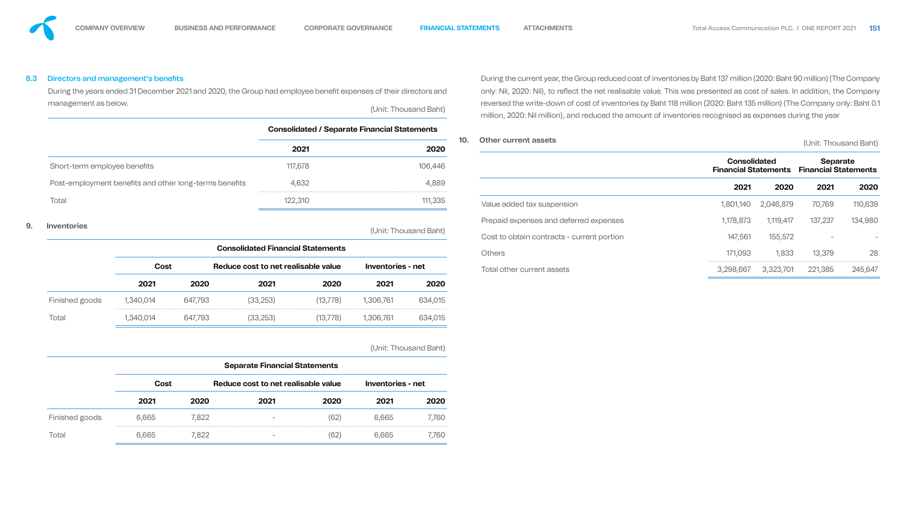8.3 Directors and management's benefits

During the years ended 31 December 2021 and 2020, the Group had employee benefit expenses of their directors management as below. The set of the set of the set of the set of the set of the set of the set of the set of th

**Consolidated / Separate Financial Statement 2021 2020** Short-term employee benefits 117,678 117,678 Post-employment benefits and other long-terms benefits 4,632 Total 122,310 111,335

# **9. Inventories** (Unit: Thousand

|                |           |         | <b>Consolidated Financial Statements</b> |           |                   |         |  |  |
|----------------|-----------|---------|------------------------------------------|-----------|-------------------|---------|--|--|
|                | Cost      |         | Reduce cost to net realisable value      |           | Inventories - net |         |  |  |
|                | 2021      | 2020    | 2021                                     | 2020      | 2021              | 2020    |  |  |
| Finished goods | 1,340,014 | 647,793 | (33, 253)                                | (13, 778) | ,306,761          | 634,015 |  |  |
| Total          | 1,340,014 | 647,793 | (33.253)                                 | 13,778)   | .306,761          | 634,015 |  |  |

(Unit: Thousand Baht)

|                |             |       | <b>Separate Financial Statements</b> |      |                          |       |
|----------------|-------------|-------|--------------------------------------|------|--------------------------|-------|
|                | <b>Cost</b> |       | Reduce cost to net realisable value  |      | <b>Inventories - net</b> |       |
|                | 2021        | 2020  | 2021                                 | 2020 | 2021                     | 2020  |
| Finished goods | 6,665       | 7,822 |                                      | (62) | 6,665                    | 7,760 |
| Total          | 6.665       | 7,822 | ۰                                    | (62) | 6 665                    | 7,760 |

| าts   | Otlasu suusut seesta                                                                                                      |
|-------|---------------------------------------------------------------------------------------------------------------------------|
| Baht) | million, 2020: Nil million), and reduced the amount of inventories recognised as expenses during the year                 |
|       | reversed the write-down of cost of inventories by Baht 118 million (2020: Baht 135 million) (The Company only: Baht 0.1   |
| s and | only: Nil, 2020: Nil), to reflect the net realisable value. This was presented as cost of sales. In addition, the Company |
|       | During the current year, the Group reduced cost of inventories by Baht 137 million (2020: Baht 90 million) (The Company   |





| <b>2020</b> | 10. | <b>Other current assets</b>                |                                                    |           | (Unit: Thousand Baht)                          |         |
|-------------|-----|--------------------------------------------|----------------------------------------------------|-----------|------------------------------------------------|---------|
| 6,446       |     |                                            | <b>Consolidated</b><br><b>Financial Statements</b> |           | <b>Separate</b><br><b>Financial Statements</b> |         |
| 4,889       |     |                                            | 2021                                               | 2020      | 2021                                           | 2020    |
| 1,335       |     | Value added tax suspension                 | 1,801,140                                          | 2,046,879 | 70,769                                         | 110,639 |
|             |     | Prepaid expenses and deferred expenses     | 1,178,873                                          | 1,119,417 | 137,237                                        | 134,980 |
| Baht)       |     | Cost to obtain contracts - current portion | 147,561                                            | 155,572   |                                                |         |
|             |     | <b>Others</b>                              | 171,093                                            | 1,833     | 13,379                                         | 28      |
|             |     | Total other current assets                 | 3,298,667                                          | 3,323,701 | 221,385                                        | 245,647 |

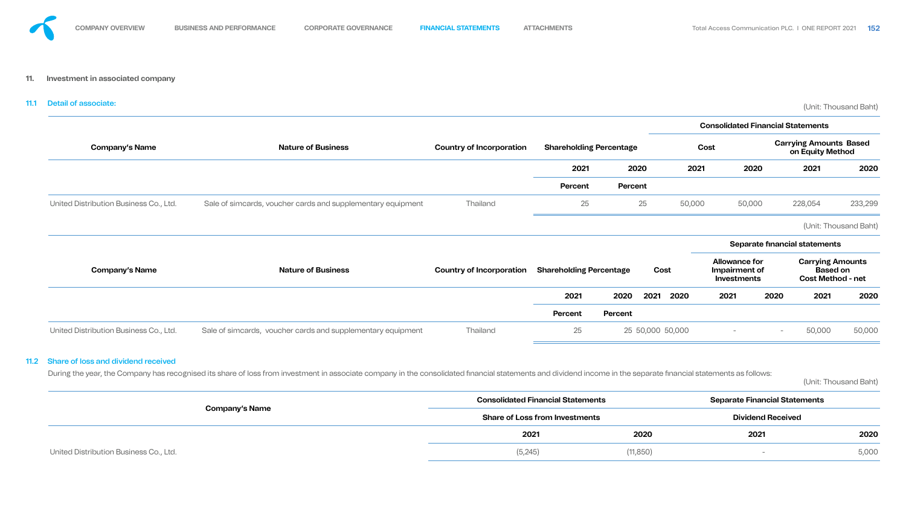

# 11.1 Detail of associate: (Unit: Thousand Baht)



![](_page_39_Figure_16.jpeg)

|                                        |                                                             |                                 |                                |                |      |                  |             |                                                      | <b>Consolidated Financial Statements</b> |                                                                        |         |
|----------------------------------------|-------------------------------------------------------------|---------------------------------|--------------------------------|----------------|------|------------------|-------------|------------------------------------------------------|------------------------------------------|------------------------------------------------------------------------|---------|
| <b>Company's Name</b>                  | <b>Nature of Business</b>                                   | <b>Country of Incorporation</b> | <b>Shareholding Percentage</b> |                |      |                  | <b>Cost</b> |                                                      |                                          | <b>Carrying Amounts Based</b><br>on Equity Method                      |         |
|                                        |                                                             |                                 | 2021                           |                | 2020 | 2021             |             | 2020                                                 |                                          | 2021                                                                   | 2020    |
|                                        |                                                             |                                 | <b>Percent</b>                 | <b>Percent</b> |      |                  |             |                                                      |                                          |                                                                        |         |
| United Distribution Business Co., Ltd. | Sale of simcards, voucher cards and supplementary equipment | <b>Thailand</b>                 | 25                             |                | 25   | 50,000           |             | 50,000                                               |                                          | 228,054                                                                | 233,299 |
|                                        |                                                             |                                 |                                |                |      |                  |             |                                                      |                                          | (Unit: Thousand Baht)                                                  |         |
|                                        |                                                             |                                 |                                |                |      |                  |             |                                                      |                                          | Separate financial statements                                          |         |
| <b>Company's Name</b>                  | <b>Nature of Business</b>                                   | <b>Country of Incorporation</b> | <b>Shareholding Percentage</b> |                |      | Cost             |             | <b>Allowance for</b><br>Impairment of<br>Investments |                                          | <b>Carrying Amounts</b><br><b>Based on</b><br><b>Cost Method - net</b> |         |
|                                        |                                                             |                                 | 2021                           | 2020           | 2021 | 2020             | 2021        |                                                      | 2020                                     | 2021                                                                   | 2020    |
|                                        |                                                             |                                 | Percent                        | Percent        |      |                  |             |                                                      |                                          |                                                                        |         |
| United Distribution Business Co., Ltd. | Sale of simcards, voucher cards and supplementary equipment | <b>Thailand</b>                 | 25                             |                |      | 25 50,000 50,000 |             | $\overline{\phantom{0}}$                             | $\overline{\phantom{a}}$                 | 50,000                                                                 | 50,000  |
|                                        |                                                             |                                 |                                |                |      |                  |             |                                                      |                                          |                                                                        |         |

## 11.2 Share of loss and dividend received

During the year, the Company has recognised its share of loss from investment in associate company in the consolidated financial statements and dividend income in the separate financial statements as follows:

(Unit: Thousand Baht)

|                                        | <b>Consolidated Financial Statements</b> |           | <b>Separate Financial Statements</b> |       |
|----------------------------------------|------------------------------------------|-----------|--------------------------------------|-------|
| <b>Company's Name</b>                  | <b>Share of Loss from Investments</b>    |           | <b>Dividend Received</b>             |       |
|                                        | 2021                                     | 2020      | 2021                                 | 2020  |
| United Distribution Business Co., Ltd. | (5,245)                                  | (11, 850) |                                      | 5,000 |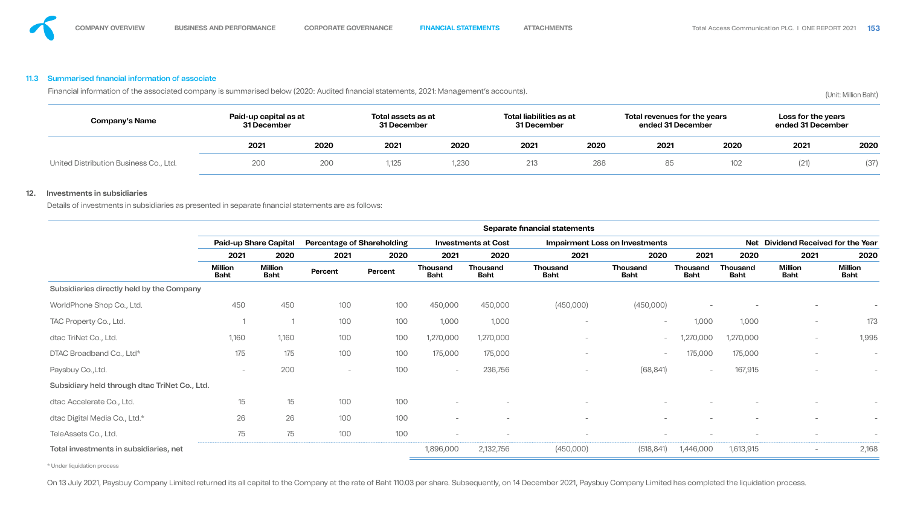## 11.3 Summarised financial information of associate

Financial information of the associated company is summarised below (2020: Audited financial statements, 2021: Management's accounts). (Unit: Million Baht)

| <b>Company's Name</b>                  | Paid-up capital as at<br>31 December |      | Total assets as at<br>31 December |      | Total liabilities as at<br>31 December |      | Total revenues for the years<br>ended 31 December |      | Loss for the years<br>ended 31 December |      |
|----------------------------------------|--------------------------------------|------|-----------------------------------|------|----------------------------------------|------|---------------------------------------------------|------|-----------------------------------------|------|
|                                        | 2021                                 | 2020 | 2021                              | 2020 | 2021                                   | 2020 | 2021                                              | 2020 | 2021                                    | 2020 |
| United Distribution Business Co., Ltd. | 200                                  | 200  | 1,125                             | ,230 | 213                                    | 288  | 85                                                | 102  | (21)                                    | (37) |

### **12. Investments in subsidiaries**

Details of investments in subsidiaries as presented in separate financial statements are as follows:

![](_page_40_Figure_16.jpeg)

|                                               |                               |                               |                                   |         |                                |                                | Separate financial statements  |                                       |                                |                                |                                    |                               |
|-----------------------------------------------|-------------------------------|-------------------------------|-----------------------------------|---------|--------------------------------|--------------------------------|--------------------------------|---------------------------------------|--------------------------------|--------------------------------|------------------------------------|-------------------------------|
|                                               |                               | <b>Paid-up Share Capital</b>  | <b>Percentage of Shareholding</b> |         |                                | <b>Investments at Cost</b>     |                                | <b>Impairment Loss on Investments</b> |                                |                                | Net Dividend Received for the Year |                               |
|                                               | 2021                          | 2020                          | 2021                              | 2020    | 2021                           | 2020                           | 2021                           | 2020                                  | 2021                           | 2020                           | 2021                               | 2020                          |
|                                               | <b>Million</b><br><b>Baht</b> | <b>Million</b><br><b>Baht</b> | Percent                           | Percent | <b>Thousand</b><br><b>Baht</b> | <b>Thousand</b><br><b>Baht</b> | <b>Thousand</b><br><b>Baht</b> | <b>Thousand</b><br><b>Baht</b>        | <b>Thousand</b><br><b>Baht</b> | <b>Thousand</b><br><b>Baht</b> | <b>Million</b><br><b>Baht</b>      | <b>Million</b><br><b>Baht</b> |
| Subsidiaries directly held by the Company     |                               |                               |                                   |         |                                |                                |                                |                                       |                                |                                |                                    |                               |
| WorldPhone Shop Co., Ltd.                     | 450                           | 450                           | 100                               | 100     | 450,000                        | 450,000                        | (450,000)                      | (450,000)                             |                                |                                | $\overline{\phantom{0}}$           |                               |
| TAC Property Co., Ltd.                        |                               |                               | 100                               | 100     | 1,000                          | 1,000                          | $\overline{\phantom{a}}$       | $\overline{\phantom{a}}$              | 1,000                          | 1,000                          | $\overline{\phantom{0}}$           | 173                           |
| dtac TriNet Co., Ltd.                         | 1,160                         | 1,160                         | 100                               | 100     | 1,270,000                      | 1,270,000                      |                                | $\overline{\phantom{a}}$              | 1,270,000                      | 1,270,000                      | $\overline{\phantom{0}}$           | 1,995                         |
| DTAC Broadband Co., Ltd*                      | 175                           | 175                           | 100                               | 100     | 175,000                        | 175,000                        | $\overline{\phantom{a}}$       | $\overline{\phantom{m}}$              | 175,000                        | 175,000                        |                                    | $\overline{\phantom{a}}$      |
| Paysbuy Co., Ltd.                             | $\overline{\phantom{0}}$      | 200                           | $\overline{\phantom{0}}$          | 100     | $\overline{\phantom{a}}$       | 236,756                        | $\overline{\phantom{a}}$       | (68, 841)                             |                                | 167,915                        |                                    |                               |
| Subsidiary held through dtac TriNet Co., Ltd. |                               |                               |                                   |         |                                |                                |                                |                                       |                                |                                |                                    |                               |
| dtac Accelerate Co., Ltd.                     | 15                            | 15                            | 100                               | 100     |                                |                                |                                |                                       |                                |                                |                                    |                               |
| dtac Digital Media Co., Ltd.*                 | 26                            | 26                            | 100                               | 100     | $\overline{\phantom{0}}$       |                                |                                |                                       |                                |                                |                                    |                               |
| TeleAssets Co., Ltd.                          | 75                            | 75                            | 100                               | 100     | $\overline{\phantom{a}}$       |                                |                                |                                       |                                |                                |                                    |                               |
| Total investments in subsidiaries, net        |                               |                               |                                   |         | 1,896,000                      | 2,132,756                      | (450,000)                      | (518, 841)                            | 1,446,000                      | 1,613,915                      | $\overline{\phantom{0}}$           | 2,168                         |
|                                               |                               |                               |                                   |         |                                |                                |                                |                                       |                                |                                |                                    |                               |

\* Under liquidation process

On 13 July 2021, Paysbuy Company Limited returned its all capital to the Company at the rate of Baht 110.03 per share. Subsequently, on 14 December 2021, Paysbuy Company Limited has completed the liquidation process.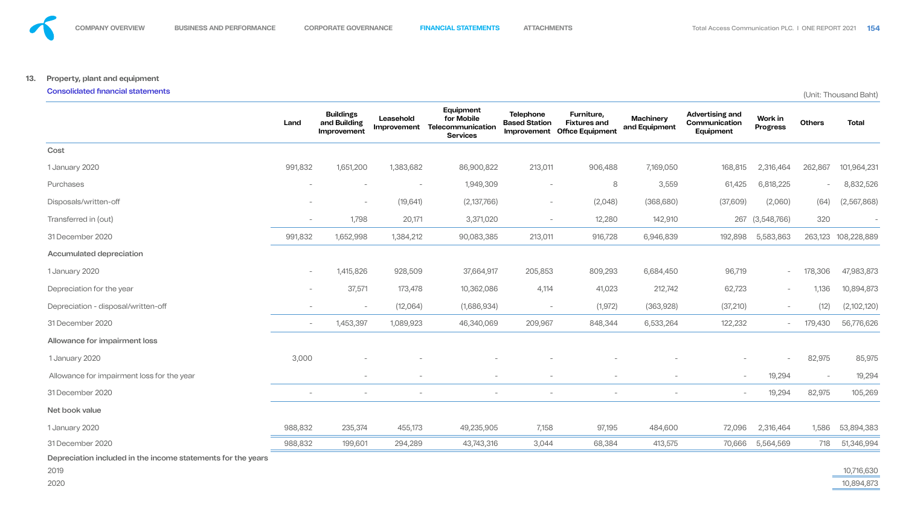# **13. Property, plant and equipment** Consolidated financial statements (Unit: Thousand Baht)

![](_page_41_Figure_11.jpeg)

|                                                                      | Land                     | <b>Buildings</b><br>and Building<br>Improvement | Leasehold<br>Improvement | Equipment<br>for Mobile<br>Telecommunication<br><b>Services</b> | <b>Telephone</b><br><b>Based Station</b> | Furniture,<br><b>Fixtures and</b><br>Improvement Office Equipment | <b>Machinery</b><br>and Equipment | <b>Advertising and</b><br>Communication<br>Equipment | Work in<br><b>Progress</b> | <b>Others</b>            | <b>Total</b> |
|----------------------------------------------------------------------|--------------------------|-------------------------------------------------|--------------------------|-----------------------------------------------------------------|------------------------------------------|-------------------------------------------------------------------|-----------------------------------|------------------------------------------------------|----------------------------|--------------------------|--------------|
| Cost                                                                 |                          |                                                 |                          |                                                                 |                                          |                                                                   |                                   |                                                      |                            |                          |              |
| 1 January 2020                                                       | 991,832                  | 1,651,200                                       | 1,383,682                | 86,900,822                                                      | 213,011                                  | 906,488                                                           | 7,169,050                         | 168,815                                              | 2,316,464                  | 262,867                  | 101,964,231  |
| Purchases                                                            | $\overline{\phantom{a}}$ | $\overline{\phantom{0}}$                        | $\overline{\phantom{0}}$ | 1,949,309                                                       | $-$                                      | 8                                                                 | 3,559                             | 61,425                                               | 6,818,225                  | $\overline{\phantom{a}}$ | 8,832,526    |
| Disposals/written-off                                                | $\overline{\phantom{0}}$ | $\overline{\phantom{0}}$                        | (19, 641)                | (2,137,766)                                                     | $\overline{\phantom{0}}$                 | (2,048)                                                           | (368, 680)                        | (37,609)                                             | (2,060)                    | (64)                     | (2,567,868)  |
| Transferred in (out)                                                 | $\overline{\phantom{0}}$ | 1,798                                           | 20,171                   | 3,371,020                                                       | $\overline{\phantom{a}}$                 | 12,280                                                            | 142,910                           |                                                      | 267 (3,548,766)            | 320                      |              |
| 31 December 2020                                                     | 991,832                  | 1,652,998                                       | 1,384,212                | 90,083,385                                                      | 213,011                                  | 916,728                                                           | 6,946,839                         | 192,898                                              | 5,583,863                  | 263,123                  | 108,228,889  |
| <b>Accumulated depreciation</b>                                      |                          |                                                 |                          |                                                                 |                                          |                                                                   |                                   |                                                      |                            |                          |              |
| 1 January 2020                                                       | $ \,$                    | 1,415,826                                       | 928,509                  | 37,664,917                                                      | 205,853                                  | 809,293                                                           | 6,684,450                         | 96,719                                               | $\sim$                     | 178,306                  | 47,983,873   |
| Depreciation for the year                                            | $ \,$                    | 37,571                                          | 173,478                  | 10,362,086                                                      | 4,114                                    | 41,023                                                            | 212,742                           | 62,723                                               | $\overline{\phantom{0}}$   | 1,136                    | 10,894,873   |
| Depreciation - disposal/written-off                                  |                          | $-$                                             | (12,064)                 | (1,686,934)                                                     | $\overline{\phantom{0}}$                 | (1, 972)                                                          | (363,928)                         | (37, 210)                                            | $-$                        | (12)                     | (2,102,120)  |
| 31 December 2020                                                     | $-$                      | 1,453,397                                       | 1,089,923                | 46,340,069                                                      | 209,967                                  | 848,344                                                           | 6,533,264                         | 122,232                                              | $\sim$                     | 179,430                  | 56,776,626   |
| Allowance for impairment loss                                        |                          |                                                 |                          |                                                                 |                                          |                                                                   |                                   |                                                      |                            |                          |              |
| 1 January 2020                                                       | 3,000                    |                                                 |                          |                                                                 | $\hspace{0.1mm}-\hspace{0.1mm}$          |                                                                   | $\overline{\phantom{a}}$          | $\overline{\phantom{a}}$                             | $\sim$                     | 82,975                   | 85,975       |
| Allowance for impairment loss for the year                           |                          | $\overline{\phantom{0}}$                        | $\overline{\phantom{0}}$ | $\overline{\phantom{0}}$                                        | $-$                                      | $\overline{\phantom{0}}$                                          | $\overline{\phantom{a}}$          | $\sim$                                               | 19,294                     | $-$                      | 19,294       |
| 31 December 2020                                                     | $\overline{\phantom{a}}$ | $\overline{\phantom{0}}$                        |                          | $\overline{\phantom{0}}$                                        | $\overline{\phantom{0}}$                 | $\overline{\phantom{0}}$                                          | $\overline{\phantom{a}}$          | $\overline{\phantom{0}}$                             | 19,294                     | 82,975                   | 105,269      |
| Net book value                                                       |                          |                                                 |                          |                                                                 |                                          |                                                                   |                                   |                                                      |                            |                          |              |
| 1 January 2020                                                       | 988,832                  | 235,374                                         | 455,173                  | 49,235,905                                                      | 7,158                                    | 97,195                                                            | 484,600                           | 72,096                                               | 2,316,464                  | 1,586                    | 53,894,383   |
| 31 December 2020                                                     | 988,832                  | 199,601                                         | 294,289                  | 43,743,316                                                      | 3,044                                    | 68,384                                                            | 413,575                           |                                                      | 70,666 5,564,569           | 718                      | 51,346,994   |
| Depreciation included in the income statements for the years<br>2019 |                          |                                                 |                          |                                                                 |                                          |                                                                   |                                   |                                                      |                            |                          | 10,716,630   |

- 
- 

2020 10,894,873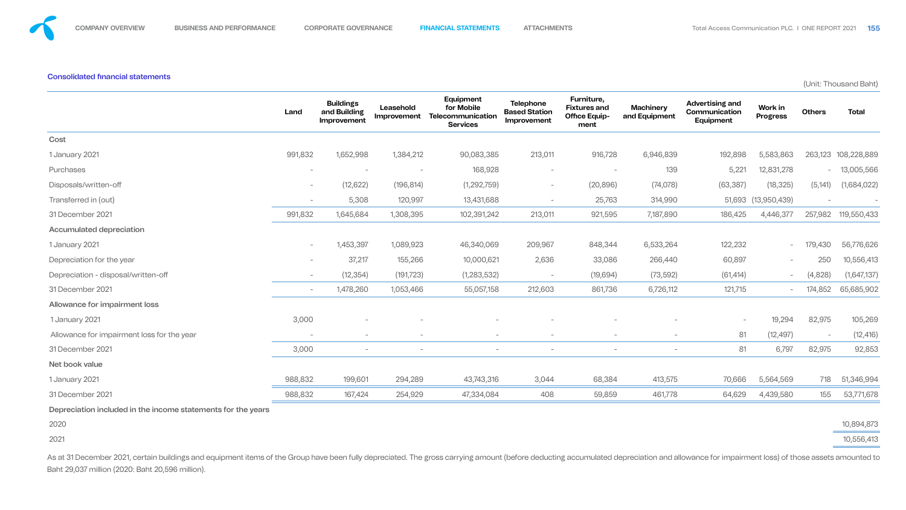### **Consolidated financial statements**

(Unit: Thousand Baht)

![](_page_42_Figure_13.jpeg)

![](_page_42_Figure_15.jpeg)

|                                                              | Land                     | <b>Buildings</b><br>and Building<br>Improvement | Leasehold<br>Improvement | Equipment<br>for Mobile<br>Telecommunication<br><b>Services</b> | <b>Telephone</b><br><b>Based Station</b><br>Improvement | <b>Furniture,</b><br><b>Fixtures and</b><br><b>Office Equip-</b><br>ment | <b>Machinery</b><br>and Equipment | <b>Advertising and</b><br>Communication<br>Equipment | Work in<br><b>Progress</b> | <b>Others</b>            | <b>Total</b> |
|--------------------------------------------------------------|--------------------------|-------------------------------------------------|--------------------------|-----------------------------------------------------------------|---------------------------------------------------------|--------------------------------------------------------------------------|-----------------------------------|------------------------------------------------------|----------------------------|--------------------------|--------------|
| Cost                                                         |                          |                                                 |                          |                                                                 |                                                         |                                                                          |                                   |                                                      |                            |                          |              |
| 1 January 2021                                               | 991,832                  | 1,652,998                                       | 1,384,212                | 90,083,385                                                      | 213,011                                                 | 916,728                                                                  | 6,946,839                         | 192,898                                              | 5,583,863                  | 263,123                  | 108,228,889  |
| Purchases                                                    | $\overline{\phantom{0}}$ |                                                 | $\qquad \qquad -$        | 168,928                                                         | $\overline{\phantom{a}}$                                | $\sim$                                                                   | 139                               | 5,221                                                | 12,831,278                 | $-$                      | 13,005,566   |
| Disposals/written-off                                        | $-$                      | (12, 622)                                       | (196, 814)               | (1,292,759)                                                     | $\overline{\phantom{m}}$                                | (20, 896)                                                                | (74, 078)                         | (63, 387)                                            | (18, 325)                  | (5, 141)                 | (1,684,022)  |
| Transferred in (out)                                         | $\overline{\phantom{0}}$ | 5,308                                           | 120,997                  | 13,431,688                                                      | $\overline{\phantom{a}}$                                | 25,763                                                                   | 314,990                           |                                                      | 51,693 (13,950,439)        | $\overline{\phantom{m}}$ |              |
| 31 December 2021                                             | 991,832                  | 1,645,684                                       | 1,308,395                | 102,391,242                                                     | 213,011                                                 | 921,595                                                                  | 7,187,890                         | 186,425                                              | 4,446,377                  | 257,982                  | 119,550,433  |
| <b>Accumulated depreciation</b>                              |                          |                                                 |                          |                                                                 |                                                         |                                                                          |                                   |                                                      |                            |                          |              |
| 1 January 2021                                               | $\overline{\phantom{0}}$ | 1,453,397                                       | 1,089,923                | 46,340,069                                                      | 209,967                                                 | 848,344                                                                  | 6,533,264                         | 122,232                                              | $\sim$                     | 179,430                  | 56,776,626   |
| Depreciation for the year                                    | $\overline{\phantom{0}}$ | 37,217                                          | 155,266                  | 10,000,621                                                      | 2,636                                                   | 33,086                                                                   | 266,440                           | 60,897                                               | $\overline{\phantom{0}}$   | 250                      | 10,556,413   |
| Depreciation - disposal/written-off                          | $\overline{\phantom{0}}$ | (12, 354)                                       | (191, 723)               | (1, 283, 532)                                                   | $\overline{\phantom{a}}$                                | (19,694)                                                                 | (73, 592)                         | (61, 414)                                            | $\overline{\phantom{0}}$   | (4,828)                  | (1,647,137)  |
| 31 December 2021                                             | $\overline{\phantom{0}}$ | 1,478,260                                       | 1,053,466                | 55,057,158                                                      | 212,603                                                 | 861,736                                                                  | 6,726,112                         | 121,715                                              |                            | 174,852                  | 65,685,902   |
| Allowance for impairment loss                                |                          |                                                 |                          |                                                                 |                                                         |                                                                          |                                   |                                                      |                            |                          |              |
| 1 January 2021                                               | 3,000                    | $\overline{\phantom{a}}$                        |                          |                                                                 |                                                         |                                                                          |                                   | $\overline{\phantom{0}}$                             | 19,294                     | 82,975                   | 105,269      |
| Allowance for impairment loss for the year                   | $\overline{\phantom{0}}$ | $\overline{\phantom{a}}$                        | $\qquad \qquad -$        | $\overline{\phantom{0}}$                                        | $\overline{\phantom{0}}$                                | $\overline{\phantom{a}}$                                                 | $\overline{\phantom{0}}$          | 81                                                   | (12, 497)                  | $\overline{\phantom{a}}$ | (12, 416)    |
| 31 December 2021                                             | 3,000                    | $\overline{\phantom{a}}$                        |                          |                                                                 |                                                         | $\hspace{0.1mm}-\hspace{0.1mm}$                                          |                                   | 81                                                   | 6,797                      | 82,975                   | 92,853       |
| Net book value                                               |                          |                                                 |                          |                                                                 |                                                         |                                                                          |                                   |                                                      |                            |                          |              |
| 1 January 2021                                               | 988,832                  | 199,601                                         | 294,289                  | 43,743,316                                                      | 3,044                                                   | 68,384                                                                   | 413,575                           | 70,666                                               | 5,564,569                  | 718                      | 51,346,994   |
| 31 December 2021                                             | 988,832                  | 167,424                                         | 254,929                  | 47,334,084                                                      | 408                                                     | 59,859                                                                   | 461,778                           | 64,629                                               | 4,439,580                  | 155                      | 53,771,678   |
| Depreciation included in the income statements for the years |                          |                                                 |                          |                                                                 |                                                         |                                                                          |                                   |                                                      |                            |                          |              |
| 2020                                                         |                          |                                                 |                          |                                                                 |                                                         |                                                                          |                                   |                                                      |                            |                          | 10,894,873   |

As at 31 December 2021, certain buildings and equipment items of the Group have been fully depreciated. The gross carrying amount (before deducting accumulated depreciation and allowance for impairment loss) of those asset Baht 29,037 million (2020: Baht 20,596 million).

2021 10,556,413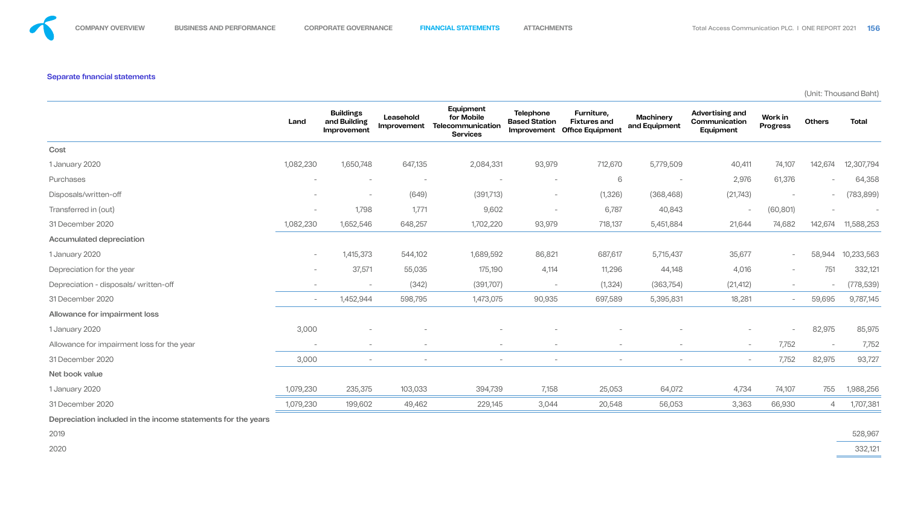## Separate financial statements

(Unit: Thousand Baht)

|                                                              | Land                            | <b>Buildings</b><br>and Building<br>Improvement | Leasehold<br>Improvement        | Equipment<br>for Mobile<br>Telecommunication<br><b>Services</b> | <b>Telephone</b><br><b>Based Station</b><br>Improvement | Furniture,<br><b>Fixtures and</b><br><b>Office Equipment</b> | <b>Machinery</b><br>and Equipment | <b>Advertising and</b><br>Communication<br>Equipment | Work in<br><b>Progress</b> | <b>Others</b>                   | <b>Total</b> |
|--------------------------------------------------------------|---------------------------------|-------------------------------------------------|---------------------------------|-----------------------------------------------------------------|---------------------------------------------------------|--------------------------------------------------------------|-----------------------------------|------------------------------------------------------|----------------------------|---------------------------------|--------------|
| Cost                                                         |                                 |                                                 |                                 |                                                                 |                                                         |                                                              |                                   |                                                      |                            |                                 |              |
| 1 January 2020                                               | 1,082,230                       | 1,650,748                                       | 647,135                         | 2,084,331                                                       | 93,979                                                  | 712,670                                                      | 5,779,509                         | 40,411                                               | 74,107                     | 142,674                         | 12,307,794   |
| Purchases                                                    | $\hspace{0.1mm}-\hspace{0.1mm}$ | $\overline{\phantom{0}}$                        | $\hspace{0.1mm}-\hspace{0.1mm}$ |                                                                 | $\overline{\phantom{0}}$                                | 6                                                            | $\overline{\phantom{a}}$          | 2,976                                                | 61,376                     | $\overline{\phantom{0}}$        | 64,358       |
| Disposals/written-off                                        | $\overline{\phantom{0}}$        | $\overline{\phantom{0}}$                        | (649)                           | (391, 713)                                                      | $\overline{\phantom{0}}$                                | (1, 326)                                                     | (368, 468)                        | (21, 743)                                            | $\overline{\phantom{0}}$   | $\overline{\phantom{m}}$        | (783, 899)   |
| Transferred in (out)                                         | $\hspace{0.1mm}-\hspace{0.1mm}$ | 1,798                                           | 1,771                           | 9,602                                                           | $\overline{\phantom{0}}$                                | 6,787                                                        | 40,843                            | $\overline{\phantom{a}}$                             | (60, 801)                  | $\hspace{0.1mm}-\hspace{0.1mm}$ |              |
| 31 December 2020                                             | 1,082,230                       | 1,652,546                                       | 648,257                         | 1,702,220                                                       | 93,979                                                  | 718,137                                                      | 5,451,884                         | 21,644                                               | 74,682                     | 142,674                         | 11,588,253   |
| <b>Accumulated depreciation</b>                              |                                 |                                                 |                                 |                                                                 |                                                         |                                                              |                                   |                                                      |                            |                                 |              |
| 1 January 2020                                               | $\overline{\phantom{0}}$        | 1,415,373                                       | 544,102                         | 1,689,592                                                       | 86,821                                                  | 687,617                                                      | 5,715,437                         | 35,677                                               | $\sim$                     | 58,944                          | 10,233,563   |
| Depreciation for the year                                    | $\overline{\phantom{0}}$        | 37,571                                          | 55,035                          | 175,190                                                         | 4,114                                                   | 11,296                                                       | 44,148                            | 4,016                                                | $\overline{\phantom{0}}$   | 751                             | 332,121      |
| Depreciation - disposals/ written-off                        |                                 |                                                 | (342)                           | (391, 707)                                                      | $\overline{\phantom{0}}$                                | (1, 324)                                                     | (363, 754)                        | (21, 412)                                            | $\overline{\phantom{0}}$   | $\overline{\phantom{a}}$        | (778, 539)   |
| 31 December 2020                                             | $\overline{\phantom{0}}$        | 1,452,944                                       | 598,795                         | 1,473,075                                                       | 90,935                                                  | 697,589                                                      | 5,395,831                         | 18,281                                               | $\overline{\phantom{0}}$   | 59,695                          | 9,787,145    |
| Allowance for impairment loss                                |                                 |                                                 |                                 |                                                                 |                                                         |                                                              |                                   |                                                      |                            |                                 |              |
| 1 January 2020                                               | 3,000                           | $\overline{\phantom{0}}$                        | $\overline{\phantom{0}}$        |                                                                 |                                                         |                                                              |                                   | $-$                                                  | $\overline{\phantom{a}}$   | 82,975                          | 85,975       |
| Allowance for impairment loss for the year                   | $\overline{\phantom{0}}$        | $\overline{\phantom{0}}$                        | $\overline{\phantom{0}}$        | $\sim$                                                          | $\overline{\phantom{0}}$                                | $\overline{\phantom{0}}$                                     | $\overline{\phantom{0}}$          | $\overline{\phantom{0}}$                             | 7,752                      | $\overline{\phantom{a}}$        | 7,752        |
| 31 December 2020                                             | 3,000                           | $\overline{\phantom{0}}$                        | $\overline{\phantom{0}}$        | $-$                                                             | $\overline{\phantom{0}}$                                | $\overline{\phantom{0}}$                                     | $\overline{\phantom{a}}$          | $\overline{\phantom{a}}$                             | 7,752                      | 82,975                          | 93,727       |
| Net book value                                               |                                 |                                                 |                                 |                                                                 |                                                         |                                                              |                                   |                                                      |                            |                                 |              |
| 1 January 2020                                               | 1,079,230                       | 235,375                                         | 103,033                         | 394,739                                                         | 7,158                                                   | 25,053                                                       | 64,072                            | 4,734                                                | 74,107                     | 755                             | 1,988,256    |
| 31 December 2020                                             | 1,079,230                       | 199,602                                         | 49,462                          | 229,145                                                         | 3,044                                                   | 20,548                                                       | 56,053                            | 3,363                                                | 66,930                     | $\overline{4}$                  | 1,707,381    |
| Depreciation included in the income statements for the years |                                 |                                                 |                                 |                                                                 |                                                         |                                                              |                                   |                                                      |                            |                                 |              |

![](_page_43_Figure_10.jpeg)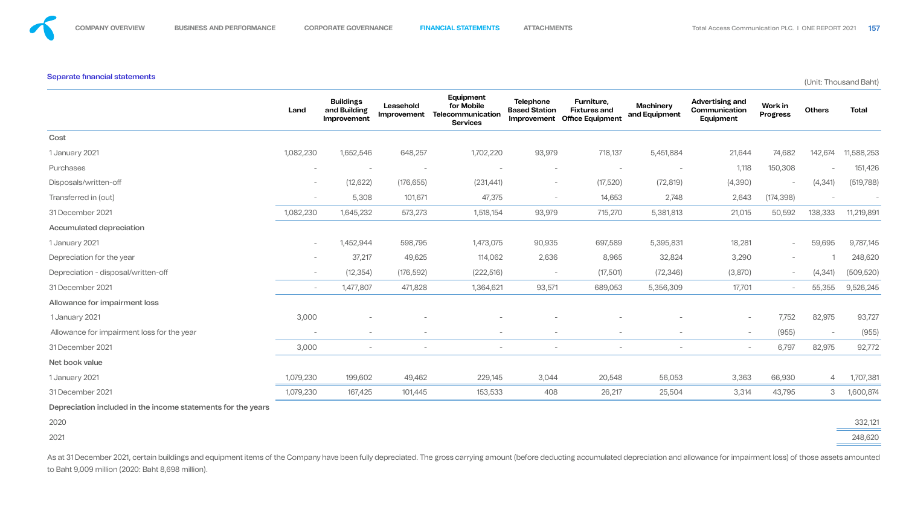# (Unit: Thousand Baht)

|                                            | Land                     | <b>Buildings</b><br>and Building<br>Improvement | Leasehold<br>Improvement | Equipment<br>for Mobile<br>Telecommunication<br><b>Services</b> | <b>Telephone</b><br><b>Based Station</b><br>Improvement | Furniture,<br><b>Fixtures and</b><br><b>Office Equipment</b> | <b>Machinery</b><br>and Equipment | <b>Advertising and</b><br>Communication<br>Equipment | Work in<br><b>Progress</b> | <b>Others</b>                   | <b>Total</b> |
|--------------------------------------------|--------------------------|-------------------------------------------------|--------------------------|-----------------------------------------------------------------|---------------------------------------------------------|--------------------------------------------------------------|-----------------------------------|------------------------------------------------------|----------------------------|---------------------------------|--------------|
| Cost                                       |                          |                                                 |                          |                                                                 |                                                         |                                                              |                                   |                                                      |                            |                                 |              |
| 1 January 2021                             | 1,082,230                | 1,652,546                                       | 648,257                  | 1,702,220                                                       | 93,979                                                  | 718,137                                                      | 5,451,884                         | 21,644                                               | 74,682                     | 142,674                         | 11,588,253   |
| Purchases                                  | $\overline{\phantom{0}}$ |                                                 | $\overline{\phantom{0}}$ |                                                                 | $\overline{\phantom{0}}$                                |                                                              | $\overline{\phantom{0}}$          | 1,118                                                | 150,308                    | $\sim$                          | 151,426      |
| Disposals/written-off                      | $\overline{\phantom{0}}$ | (12, 622)                                       | (176, 655)               | (231, 441)                                                      | $\overline{\phantom{0}}$                                | (17,520)                                                     | (72, 819)                         | (4,390)                                              | $\overline{\phantom{a}}$   | (4, 341)                        | (519, 788)   |
| Transferred in (out)                       | $\overline{\phantom{0}}$ | 5,308                                           | 101,671                  | 47,375                                                          | $\overline{\phantom{0}}$                                | 14,653                                                       | 2,748                             | 2,643                                                | (174, 398)                 | $\hspace{0.1mm}-\hspace{0.1mm}$ |              |
| 31 December 2021                           | 1,082,230                | 1,645,232                                       | 573,273                  | 1,518,154                                                       | 93,979                                                  | 715,270                                                      | 5,381,813                         | 21,015                                               | 50,592                     | 138,333                         | 11,219,891   |
| <b>Accumulated depreciation</b>            |                          |                                                 |                          |                                                                 |                                                         |                                                              |                                   |                                                      |                            |                                 |              |
| 1 January 2021                             | $\overline{\phantom{0}}$ | 1,452,944                                       | 598,795                  | 1,473,075                                                       | 90,935                                                  | 697,589                                                      | 5,395,831                         | 18,281                                               | $\sim$                     | 59,695                          | 9,787,145    |
| Depreciation for the year                  | $\overline{\phantom{0}}$ | 37,217                                          | 49,625                   | 114,062                                                         | 2,636                                                   | 8,965                                                        | 32,824                            | 3,290                                                | $\overline{\phantom{a}}$   |                                 | 248,620      |
| Depreciation - disposal/written-off        | $\overline{\phantom{0}}$ | (12, 354)                                       | (176, 592)               | (222, 516)                                                      | $\overline{\phantom{0}}$                                | (17,501)                                                     | (72, 346)                         | (3,870)                                              | $\overline{\phantom{a}}$   | (4, 341)                        | (509, 520)   |
| 31 December 2021                           | $\overline{\phantom{0}}$ | 1,477,807                                       | 471,828                  | 1,364,621                                                       | 93,571                                                  | 689,053                                                      | 5,356,309                         | 17,701                                               | $\overline{\phantom{0}}$   | 55,355                          | 9,526,245    |
| Allowance for impairment loss              |                          |                                                 |                          |                                                                 |                                                         |                                                              |                                   |                                                      |                            |                                 |              |
| 1 January 2021                             | 3,000                    | $\overline{\phantom{0}}$                        |                          |                                                                 |                                                         |                                                              | $\overline{\phantom{0}}$          | $\overline{\phantom{a}}$                             | 7,752                      | 82,975                          | 93,727       |
| Allowance for impairment loss for the year | $\overline{\phantom{0}}$ | $\overline{\phantom{0}}$                        | $\overline{\phantom{0}}$ | $-$                                                             | $\overline{\phantom{0}}$                                | $\overline{\phantom{0}}$                                     | $\overline{\phantom{0}}$          | $\overline{\phantom{0}}$                             | (955)                      | $\sim$                          | (955)        |
| 31 December 2021                           | 3,000                    | $\sim$                                          | $\overline{\phantom{0}}$ | $\overline{\phantom{0}}$                                        | $\sim$                                                  | $\overline{\phantom{0}}$                                     | $\overline{\phantom{0}}$          | $\sim$                                               | 6,797                      | 82,975                          | 92,772       |
| Net book value                             |                          |                                                 |                          |                                                                 |                                                         |                                                              |                                   |                                                      |                            |                                 |              |
| 1 January 2021                             | 1,079,230                | 199,602                                         | 49,462                   | 229,145                                                         | 3,044                                                   | 20,548                                                       | 56,053                            | 3,363                                                | 66,930                     | $\overline{4}$                  | 1,707,381    |
| 31 December 2021                           | 1,079,230                | 167,425                                         | 101,445                  | 153,533                                                         | 408                                                     | 26,217                                                       | 25,504                            | 3,314                                                | 43,795                     | $\mathcal{S}$                   | 1,600,874    |
|                                            |                          |                                                 |                          |                                                                 |                                                         |                                                              |                                   |                                                      |                            |                                 |              |

As at 31 December 2021, certain buildings and equipment items of the Company have been fully depreciated. The gross carrying amount (before deducting accumulated depreciation and allowance for impairment loss) of those ass to Baht 9,009 million (2020: Baht 8,698 million).

![](_page_44_Figure_12.jpeg)

Depreciation included in the income statements for the years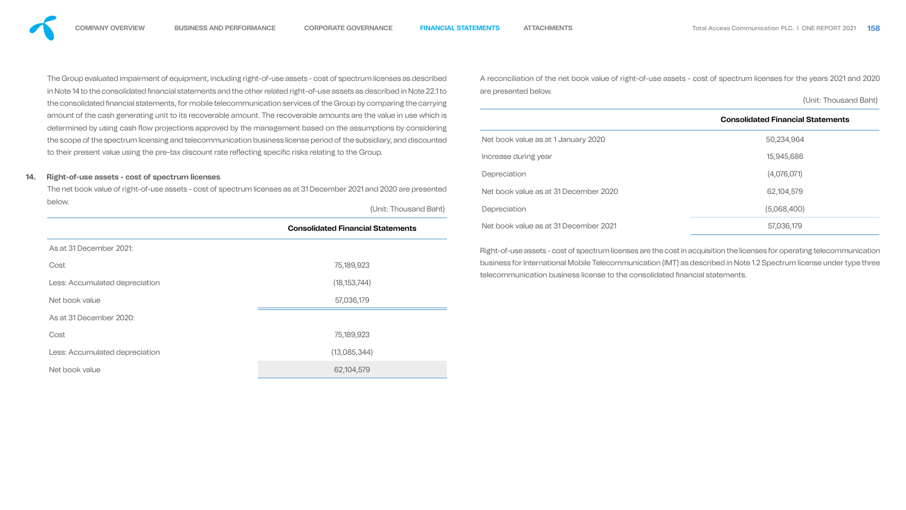The Group evaluated impairment of equipment, including right-of-use assets - cost of spectrum licenses as desc in Note 14 to the consolidated financial statements and the other related right-of-use assets as described in Note the consolidated financial statements, for mobile telecommunication services of the Group by comparing the ca amount of the cash generating unit to its recoverable amount. The recoverable amounts are the value in use wh determined by using cash flow projections approved by the management based on the assumptions by consi the scope of the spectrum licensing and telecommunication business license period of the subsidiary, and disco to their present value using the pre-tax discount rate reflecting specific risks relating to the Group.

Right-of-use assets - cost of spectrum licenses are the cost in acquisition the licenses for operating telecommunication business for International Mobile Telecommunication (IMT) as described in Note 1.2 Spectrum license under type three telecommunication business license to the consolidated financial statements.

### **14. Right-of-use assets - cost of spectrum licenses**

The net book value of right-of-use assets - cost of spectrum licenses as at 31 December 2021 and 2020 are pres below. (Unit: Thousand

|                                | <b>Consolidated Financial Statements</b> |
|--------------------------------|------------------------------------------|
| As at 31 December 2021:        |                                          |
| Cost                           | 75,189,923                               |
| Less: Accumulated depreciation | (18, 153, 744)                           |
| Net book value                 | 57,036,179                               |
| As at 31 December 2020:        |                                          |
| Cost                           | 75,189,923                               |
| Less: Accumulated depreciation | (13,085,344)                             |
| Net book value                 | 62,104,579                               |

![](_page_45_Figure_12.jpeg)

| cribed             | A reconciliation of the net book value of right-of-use assets - cost of spectrum licenses for the years 2021 and 2020 |                                          |  |  |  |  |  |  |
|--------------------|-----------------------------------------------------------------------------------------------------------------------|------------------------------------------|--|--|--|--|--|--|
| 22.1 to<br>arrying | are presented below.                                                                                                  | (Unit: Thousand Baht)                    |  |  |  |  |  |  |
| hich is<br>idering |                                                                                                                       | <b>Consolidated Financial Statements</b> |  |  |  |  |  |  |
| punted             | Net book value as at 1 January 2020                                                                                   | 50,234,964                               |  |  |  |  |  |  |
|                    | Increase during year                                                                                                  | 15,945,686                               |  |  |  |  |  |  |
|                    | Depreciation                                                                                                          | (4,076,071)                              |  |  |  |  |  |  |
| sented             | Net book value as at 31 December 2020                                                                                 | 62,104,579                               |  |  |  |  |  |  |
| Baht)              | Depreciation                                                                                                          | (5,068,400)                              |  |  |  |  |  |  |
|                    | Net book value as at 31 December 2021                                                                                 | 57,036,179                               |  |  |  |  |  |  |
|                    |                                                                                                                       |                                          |  |  |  |  |  |  |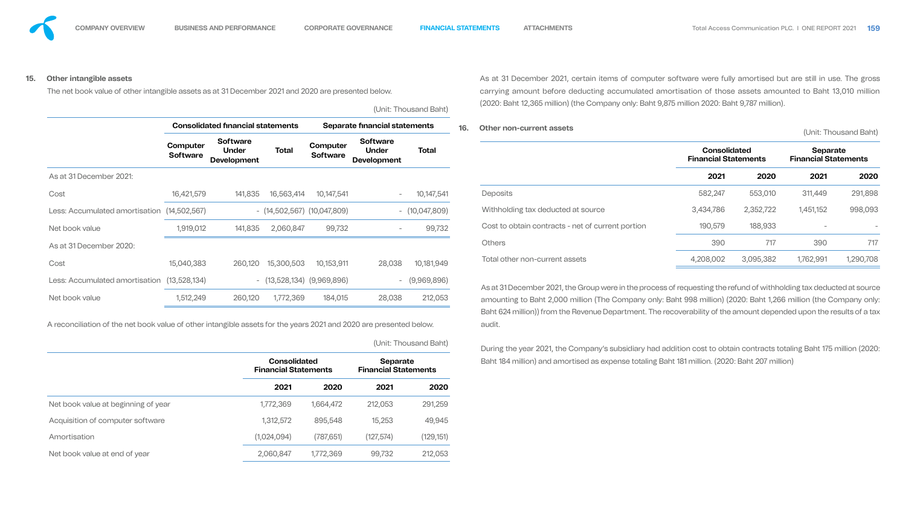**15. Other intangible assets** 

The net book value of other intangible assets as at 31 December 2021 and 2020 are presented below.

(Unit: Thousand Baht)

|                                |                                    | <b>Consolidated financial statements</b>              |                               | Separate financial statements      |                                                       |                  |  |  |
|--------------------------------|------------------------------------|-------------------------------------------------------|-------------------------------|------------------------------------|-------------------------------------------------------|------------------|--|--|
|                                | <b>Computer</b><br><b>Software</b> | <b>Software</b><br><b>Under</b><br><b>Development</b> | <b>Total</b>                  | <b>Computer</b><br><b>Software</b> | <b>Software</b><br><b>Under</b><br><b>Development</b> | <b>Total</b>     |  |  |
| As at 31 December 2021:        |                                    |                                                       |                               |                                    |                                                       |                  |  |  |
| Cost                           | 16,421,579                         | 141,835                                               | 16,563,414                    | 10,147,541                         |                                                       | 10,147,541       |  |  |
| Less: Accumulated amortisation | (14,502,567)                       |                                                       | $-$ (14,502,567) (10,047,809) |                                    |                                                       | $-$ (10,047,809) |  |  |
| Net book value                 | 1,919,012                          | 141,835                                               | 2,060,847                     | 99,732                             |                                                       | 99,732           |  |  |
| As at 31 December 2020:        |                                    |                                                       |                               |                                    |                                                       |                  |  |  |
| Cost                           | 15,040,383                         | 260,120                                               | 15,300,503                    | 10,153,911                         | 28,038                                                | 10,181,949       |  |  |
| Less: Accumulated amortisation | (13,528,134)                       | $\overline{\phantom{a}}$                              | $(13,528,134)$ $(9,969,896)$  |                                    |                                                       | (9,969,896)      |  |  |
| Net book value                 | 1,512,249                          | 260,120                                               | 1,772,369                     | 184,015                            | 28,038                                                | 212,053          |  |  |

A reconciliation of the net book value of other intangible assets for the years 2021 and 2020 are presented below.

(Unit: Thousand Baht)

|                                     | <b>Consolidated</b><br><b>Financial Statements</b> |           | <b>Separate</b><br><b>Financial Statements</b> |            |  |
|-------------------------------------|----------------------------------------------------|-----------|------------------------------------------------|------------|--|
|                                     | 2021                                               | 2020      | 2021                                           | 2020       |  |
| Net book value at beginning of year | 1,772,369                                          | 1,664,472 | 212,053                                        | 291,259    |  |
| Acquisition of computer software    | 1,312,572                                          | 895,548   | 15,253                                         | 49,945     |  |
| Amortisation                        | (1,024,094)                                        | (787,651) | (127,574)                                      | (129, 151) |  |
| Net book value at end of year       | 2,060,847                                          | 1,772,369 | 99,732                                         | 212,053    |  |

# **16. Other non-current assets** (Unit: Thousand Baht) **Consolidated Total Separate Financial Statements Financial Statements 2021 2020 2021 2020** Deposits 582,247 553,010 311,449 291,898 Withholding tax deducted at source 3,434,786 2,352,722 1,451,152 998,093 Cost to obtain contracts - net of current portion 190,579 188,933 - - - - - - - -Others 390 717 390 717 Total other non-current assets 4,208,002 3,095,382 1,762,991 1,290,708 As at 31 December 2021, the Group were in the process of requesting the refund of withholding tax deducted at source amounting to Baht 2,000 million (The Company only: Baht 998 million) (2020: Baht 1,266 million (the Company only: Baht 624 million)) from the Revenue Department. The recoverability of the amount depended upon the results of a tax audit. During the year 2021, the Company's subsidiary had addition cost to obtain contracts totaling Baht 175 million (2020: Baht 184 million) and amortised as expense totaling Baht 181 million. (2020: Baht 207 million)nts **2021 2020 2021 2020**

![](_page_46_Figure_15.jpeg)

![](_page_46_Figure_16.jpeg)

As at 31 December 2021, certain items of computer software were fully amortised but are still in use. The gross carrying amount before deducting accumulated amortisation of those assets amounted to Baht 13,010 million (2020: Baht 12,365 million) (the Company only: Baht 9,875 million 2020: Baht 9,787 million).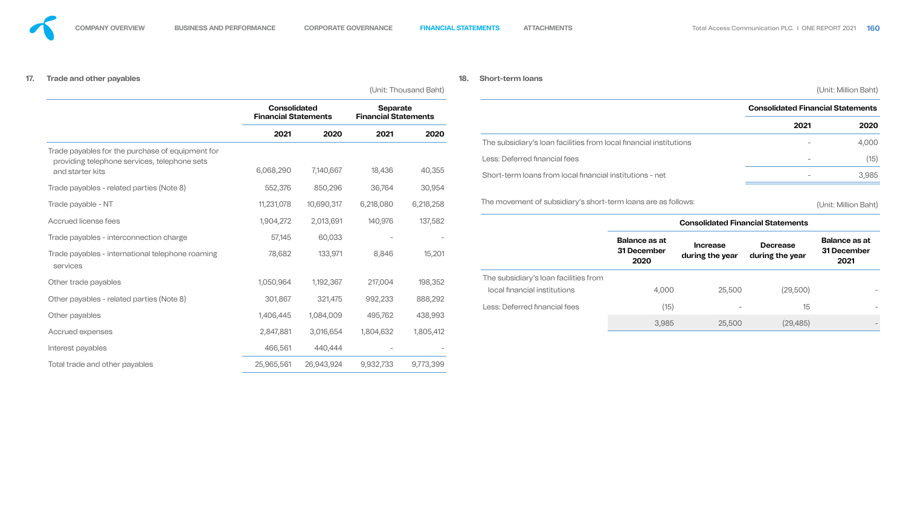# **17.**

| <b>Trade and other payables</b>                                                                  |                                                    |            |                                                |                                 | 18. | <b>Short-term loans</b>                                            |                      |                                    |                                          |                      |
|--------------------------------------------------------------------------------------------------|----------------------------------------------------|------------|------------------------------------------------|---------------------------------|-----|--------------------------------------------------------------------|----------------------|------------------------------------|------------------------------------------|----------------------|
|                                                                                                  |                                                    |            |                                                | (Unit: Thousand Baht)           |     |                                                                    |                      |                                    |                                          | (Unit: Million Baht) |
|                                                                                                  | <b>Consolidated</b><br><b>Financial Statements</b> |            | <b>Separate</b><br><b>Financial Statements</b> |                                 |     |                                                                    |                      |                                    | <b>Consolidated Financial Statements</b> |                      |
|                                                                                                  |                                                    |            |                                                |                                 |     |                                                                    |                      |                                    | 2021                                     | 2020                 |
|                                                                                                  | 2021                                               | 2020       | 2021                                           | 2020                            |     | The subsidiary's loan facilities from local financial institutions |                      |                                    |                                          | 4,000                |
| Trade payables for the purchase of equipment for<br>providing telephone services, telephone sets |                                                    |            |                                                |                                 |     | Less: Deferred financial fees                                      |                      |                                    | $-$                                      | (15)                 |
| and starter kits                                                                                 | 6,068,290                                          | 7,140,667  | 18,436                                         | 40,355                          |     | Short-term loans from local financial institutions - net           |                      |                                    |                                          | 3,985                |
| Trade payables - related parties (Note 8)                                                        | 552,376                                            | 850,296    | 36,764                                         | 30,954                          |     |                                                                    |                      |                                    |                                          |                      |
| Trade payable - NT                                                                               | 11,231,078                                         | 10,690,317 | 6,218,080                                      | 6,218,258                       |     | The movement of subsidiary's short-term loans are as follows:      |                      |                                    |                                          | (Unit: Million Baht) |
| Accrued license fees                                                                             | 1,904,272                                          | 2,013,691  | 140,976                                        | 137,582                         |     |                                                                    |                      |                                    | <b>Consolidated Financial Statements</b> |                      |
| Trade payables - interconnection charge                                                          | 57,145                                             | 60,033     | $\hspace{0.1mm}-\hspace{0.1mm}$                |                                 |     |                                                                    | <b>Balance as at</b> |                                    |                                          | <b>Balance as at</b> |
| Trade payables - international telephone roaming<br>services                                     | 78,682                                             | 133,971    | 8,846                                          | 15,201                          |     |                                                                    | 31 December<br>2020  | <b>Increase</b><br>during the year | <b>Decrease</b><br>during the year       | 31 December<br>2021  |
| Other trade payables                                                                             | 1,050,964                                          | 1,192,367  | 217,004                                        | 198,352                         |     | The subsidiary's loan facilities from                              |                      |                                    |                                          |                      |
|                                                                                                  |                                                    |            |                                                |                                 |     | local financial institutions                                       | 4,000                | 25,500                             | (29, 500)                                |                      |
| Other payables - related parties (Note 8)                                                        | 301,867                                            | 321,475    | 992,233                                        | 888,292                         |     | Less: Deferred financial fees                                      | (15)                 |                                    | 15                                       |                      |
| Other payables                                                                                   | 1,406,445                                          | 1,084,009  | 495,762                                        | 438,993                         |     |                                                                    | 3,985                | 25,500                             | (29, 485)                                |                      |
| Accrued expenses                                                                                 | 2,847,881                                          | 3,016,654  | 1,804,632                                      | 1,805,412                       |     |                                                                    |                      |                                    |                                          |                      |
| Interest payables                                                                                | 466,561                                            | 440,444    | $\hspace{0.1mm}-\hspace{0.1mm}$                | $\hspace{0.1mm}-\hspace{0.1mm}$ |     |                                                                    |                      |                                    |                                          |                      |
| Total trade and other payables                                                                   | 25,965,561                                         | 26,943,924 | 9,932,733                                      | 9,773,399                       |     |                                                                    |                      |                                    |                                          |                      |

![](_page_47_Figure_10.jpeg)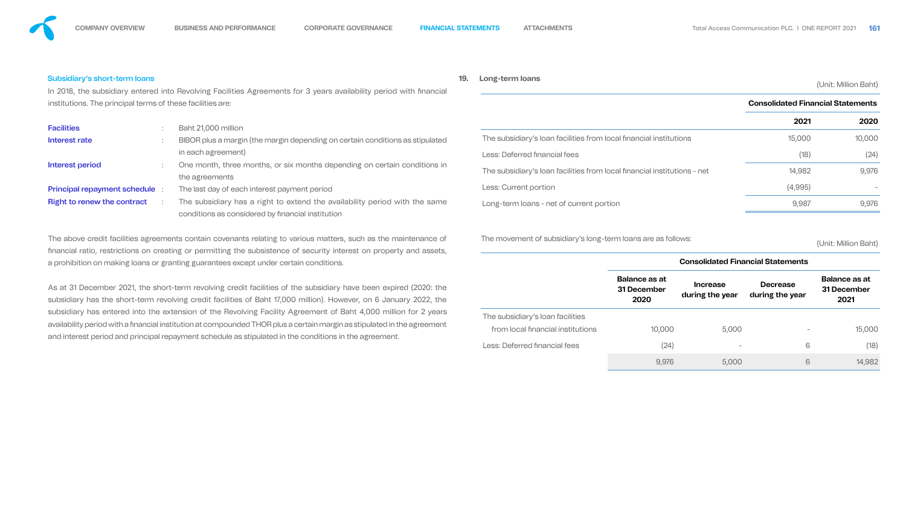![](_page_48_Figure_13.jpeg)

# Subsidiary's short-term loans

subsidiary has entered into the extension of the Revolving Facility Agreement of Baht 4,000 million for 2 years availability period with a financial institution at compounded THOR plus a certain margin as stipulated in the agreement and interest period and principal repayment schedule as stipulated in the conditions in the agreement.

| Subsidiary's short-term loans<br>In 2018, the subsidiary entered into Revolving Facilities Agreements for 3 years availability period with financial                                                                                                                                                                              |                                                                                                                                                                                 |                                                                                                                                                                                                                                                                                                                                                            | 19.                                                                                                       | Long-term loans                                                    |                                             |                                          |                                          | (Unit: Million Baht)                        |
|-----------------------------------------------------------------------------------------------------------------------------------------------------------------------------------------------------------------------------------------------------------------------------------------------------------------------------------|---------------------------------------------------------------------------------------------------------------------------------------------------------------------------------|------------------------------------------------------------------------------------------------------------------------------------------------------------------------------------------------------------------------------------------------------------------------------------------------------------------------------------------------------------|-----------------------------------------------------------------------------------------------------------|--------------------------------------------------------------------|---------------------------------------------|------------------------------------------|------------------------------------------|---------------------------------------------|
| institutions. The principal terms of these facilities are:                                                                                                                                                                                                                                                                        |                                                                                                                                                                                 |                                                                                                                                                                                                                                                                                                                                                            |                                                                                                           |                                                                    |                                             |                                          | <b>Consolidated Financial Statements</b> |                                             |
| <b>Facilities</b><br>Interest rate                                                                                                                                                                                                                                                                                                | Baht 21,000 million<br>BIBOR plus a margin (the margin depending on certain conditions as stipulated                                                                            |                                                                                                                                                                                                                                                                                                                                                            |                                                                                                           | The subsidiary's loan facilities from local financial institutions |                                             |                                          | 2021<br>15,000                           | 2020<br>10,000                              |
| Interest period                                                                                                                                                                                                                                                                                                                   | in each agreement)<br>One month, three months, or six months depending on certain conditions in<br>the agreements                                                               |                                                                                                                                                                                                                                                                                                                                                            | Less: Deferred financial fees<br>The subsidiary's loan facilities from local financial institutions - net |                                                                    | (18)<br>14,982                              | (24)<br>9,976                            |                                          |                                             |
| <b>Principal repayment schedule :</b><br><b>Right to renew the contract</b>                                                                                                                                                                                                                                                       | The last day of each interest payment period<br>The subsidiary has a right to extend the availability period with the same<br>conditions as considered by financial institution |                                                                                                                                                                                                                                                                                                                                                            |                                                                                                           | Less: Current portion<br>Long-term loans - net of current portion  |                                             | (4,995)<br>9,987                         | 9,976                                    |                                             |
| The above credit facilities agreements contain covenants relating to various matters, such as the maintenance of<br>financial ratio, restrictions on creating or permitting the subsistence of security interest on property and assets,<br>a prohibition on making loans or granting guarantees except under certain conditions. |                                                                                                                                                                                 |                                                                                                                                                                                                                                                                                                                                                            | The movement of subsidiary's long-term loans are as follows:                                              |                                                                    |                                             | <b>Consolidated Financial Statements</b> | (Unit: Million Baht)                     |                                             |
|                                                                                                                                                                                                                                                                                                                                   |                                                                                                                                                                                 | As at 31 December 2021, the short-term revolving credit facilities of the subsidiary have been expired (2020: the<br>subsidiary has the short-term revolving credit facilities of Baht 17,000 million). However, on 6 January 2022, the<br>subsidiary has entered into the extension of the Revolving Facility Agreement of Baht 4,000 million for 2 years |                                                                                                           |                                                                    | <b>Balance as at</b><br>31 December<br>2020 | <b>Increase</b><br>during the year       | <b>Decrease</b><br>during the year       | <b>Balance as at</b><br>31 December<br>2021 |
|                                                                                                                                                                                                                                                                                                                                   |                                                                                                                                                                                 |                                                                                                                                                                                                                                                                                                                                                            |                                                                                                           | The subsidiary's loan facilities                                   |                                             |                                          |                                          |                                             |

![](_page_48_Figure_14.jpeg)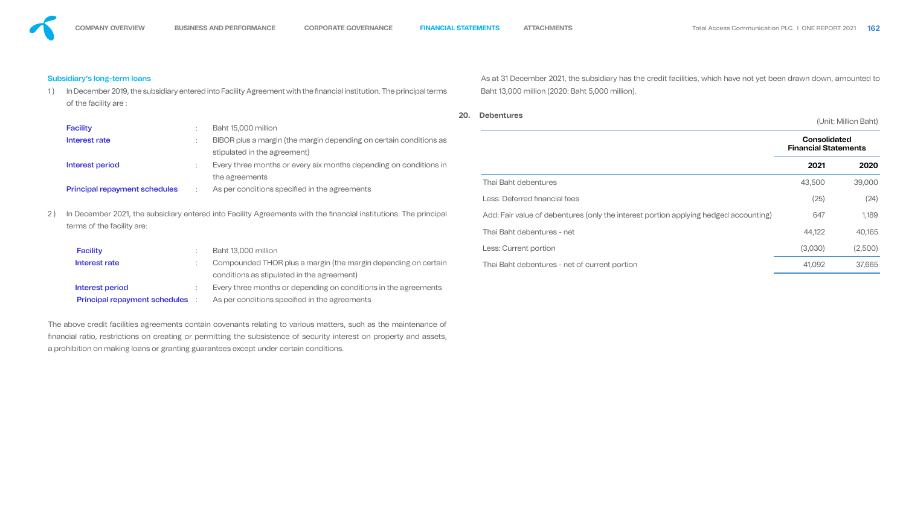### Subsidiary's long-term loans

of the facility are :

| <b>Facility</b>                        | Baht 13,000 million                                             |
|----------------------------------------|-----------------------------------------------------------------|
| Interest rate                          | Compounded THOR plus a margin (the margin depending on certain  |
|                                        | conditions as stipulated in the agreement)                      |
| Interest period                        | Every three months or depending on conditions in the agreements |
| <b>Principal repayment schedules</b> : | As per conditions specified in the agreements                   |

|                                      |                                                                                                    | In December 2019, the subsidiary entered into Facility Agreement with the financial institution. The principal terms |                                                    | Baht 13,000 million (2020: Baht 5,000 million).                                      |         |                      |  |  |  |
|--------------------------------------|----------------------------------------------------------------------------------------------------|----------------------------------------------------------------------------------------------------------------------|----------------------------------------------------|--------------------------------------------------------------------------------------|---------|----------------------|--|--|--|
| of the facility are:                 |                                                                                                    |                                                                                                                      |                                                    |                                                                                      |         |                      |  |  |  |
|                                      |                                                                                                    |                                                                                                                      | 20.                                                | <b>Debentures</b>                                                                    |         | (Unit: Million Baht) |  |  |  |
| <b>Facility</b>                      |                                                                                                    | Baht 15,000 million                                                                                                  |                                                    |                                                                                      |         |                      |  |  |  |
| Interest rate                        | BIBOR plus a margin (the margin depending on certain conditions as<br>stipulated in the agreement) |                                                                                                                      | <b>Consolidated</b><br><b>Financial Statements</b> |                                                                                      |         |                      |  |  |  |
| <b>Interest period</b>               |                                                                                                    | Every three months or every six months depending on conditions in                                                    |                                                    |                                                                                      | 2021    | 2020                 |  |  |  |
|                                      | the agreements                                                                                     |                                                                                                                      |                                                    | Thai Baht debentures                                                                 | 43,500  | 39,000               |  |  |  |
| <b>Principal repayment schedules</b> |                                                                                                    | As per conditions specified in the agreements                                                                        |                                                    | Less: Deferred financial fees                                                        | (25)    | (24)                 |  |  |  |
|                                      |                                                                                                    | In December 2021, the subsidiary entered into Facility Agreements with the financial institutions. The principal     |                                                    | Add: Fair value of debentures (only the interest portion applying hedged accounting) | 647     | 1,189                |  |  |  |
| terms of the facility are:           |                                                                                                    |                                                                                                                      |                                                    | Thai Baht debentures - net                                                           | 44,122  | 40,165               |  |  |  |
| <b>Facility</b>                      |                                                                                                    | Baht 13,000 million                                                                                                  |                                                    | Less: Current portion                                                                | (3,030) | (2,500)              |  |  |  |
| Interest rate                        |                                                                                                    | Compounded THOR plus a margin (the margin depending on certain                                                       |                                                    | Thai Baht debentures - net of current portion                                        | 41,092  | 37,665               |  |  |  |

The above credit facilities agreements contain covenants relating to various matters, such as the maintenance of nancial ratio, restrictions on creating or permitting the subsistence of security interest on property and assets, a prohibition on making loans or granting guarantees except under certain conditions.

![](_page_49_Figure_13.jpeg)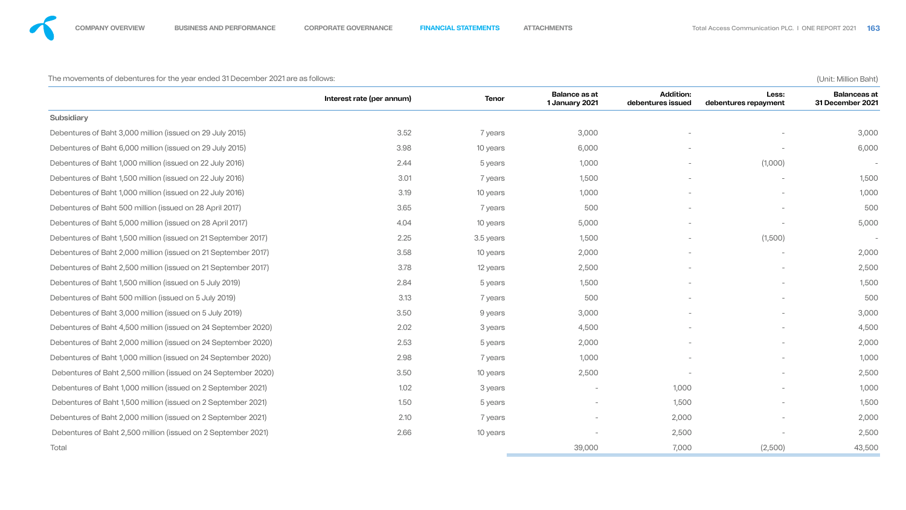The movements of debentures for the year ended 31 December 2021 are as follows: (Unit: Million Baht)

![](_page_50_Figure_9.jpeg)

![](_page_50_Figure_10.jpeg)

|                                                                | Interest rate (per annum) | <b>Tenor</b> | <b>Balance as at</b><br>1 January 2021 | <b>Addition:</b><br>debentures issued | Less:<br>debentures repayment | <b>Balanceas at</b><br>31 December 2021 |
|----------------------------------------------------------------|---------------------------|--------------|----------------------------------------|---------------------------------------|-------------------------------|-----------------------------------------|
| <b>Subsidiary</b>                                              |                           |              |                                        |                                       |                               |                                         |
| Debentures of Baht 3,000 million (issued on 29 July 2015)      | 3.52                      | 7 years      | 3,000                                  |                                       |                               | 3,000                                   |
| Debentures of Baht 6,000 million (issued on 29 July 2015)      | 3.98                      | 10 years     | 6,000                                  |                                       |                               | 6,000                                   |
| Debentures of Baht 1,000 million (issued on 22 July 2016)      | 2.44                      | 5 years      | 1,000                                  |                                       | (1,000)                       | $\overline{\phantom{a}}$                |
| Debentures of Baht 1,500 million (issued on 22 July 2016)      | 3.01                      | 7 years      | 1,500                                  |                                       |                               | 1,500                                   |
| Debentures of Baht 1,000 million (issued on 22 July 2016)      | 3.19                      | 10 years     | 1,000                                  | $\overline{\phantom{0}}$              | $\overline{\phantom{a}}$      | 1,000                                   |
| Debentures of Baht 500 million (issued on 28 April 2017)       | 3.65                      | 7 years      | 500                                    |                                       |                               | 500                                     |
| Debentures of Baht 5,000 million (issued on 28 April 2017)     | 4.04                      | 10 years     | 5,000                                  |                                       |                               | 5,000                                   |
| Debentures of Baht 1,500 million (issued on 21 September 2017) | 2.25                      | 3.5 years    | 1,500                                  |                                       | (1,500)                       | $\overline{\phantom{a}}$                |
| Debentures of Baht 2,000 million (issued on 21 September 2017) | 3.58                      | 10 years     | 2,000                                  |                                       |                               | 2,000                                   |
| Debentures of Baht 2,500 million (issued on 21 September 2017) | 3.78                      | 12 years     | 2,500                                  |                                       | $\overline{\phantom{a}}$      | 2,500                                   |
| Debentures of Baht 1,500 million (issued on 5 July 2019)       | 2.84                      | 5 years      | 1,500                                  |                                       | $\overline{\phantom{0}}$      | 1,500                                   |
| Debentures of Baht 500 million (issued on 5 July 2019)         | 3.13                      | years        | 500                                    |                                       | $\overline{\phantom{0}}$      | 500                                     |
| Debentures of Baht 3,000 million (issued on 5 July 2019)       | 3.50                      | 9 years      | 3,000                                  |                                       |                               | 3,000                                   |
| Debentures of Baht 4,500 million (issued on 24 September 2020) | 2.02                      | 3 years      | 4,500                                  |                                       |                               | 4,500                                   |
| Debentures of Baht 2,000 million (issued on 24 September 2020) | 2.53                      | 5 years      | 2,000                                  |                                       | $\overline{\phantom{a}}$      | 2,000                                   |
| Debentures of Baht 1,000 million (issued on 24 September 2020) | 2.98                      | 7 years      | 1,000                                  |                                       |                               | 1,000                                   |
| Debentures of Baht 2,500 million (issued on 24 September 2020) | 3.50                      | 10 years     | 2,500                                  |                                       | $\overline{\phantom{0}}$      | 2,500                                   |
| Debentures of Baht 1,000 million (issued on 2 September 2021)  | 1.02                      | 3 years      | $\qquad \qquad -$                      | 1,000                                 | $\overline{\phantom{0}}$      | 1,000                                   |
| Debentures of Baht 1,500 million (issued on 2 September 2021)  | 1.50                      | 5 years      | $\qquad \qquad -$                      | 1,500                                 |                               | 1,500                                   |
| Debentures of Baht 2,000 million (issued on 2 September 2021)  | 2.10                      | 7 years      |                                        | 2,000                                 | $\overline{\phantom{a}}$      | 2,000                                   |
| Debentures of Baht 2,500 million (issued on 2 September 2021)  | 2.66                      | 10 years     | $\overline{\phantom{a}}$               | 2,500                                 |                               | 2,500                                   |
| Total                                                          |                           |              | 39,000                                 | 7,000                                 | (2,500)                       | 43,500                                  |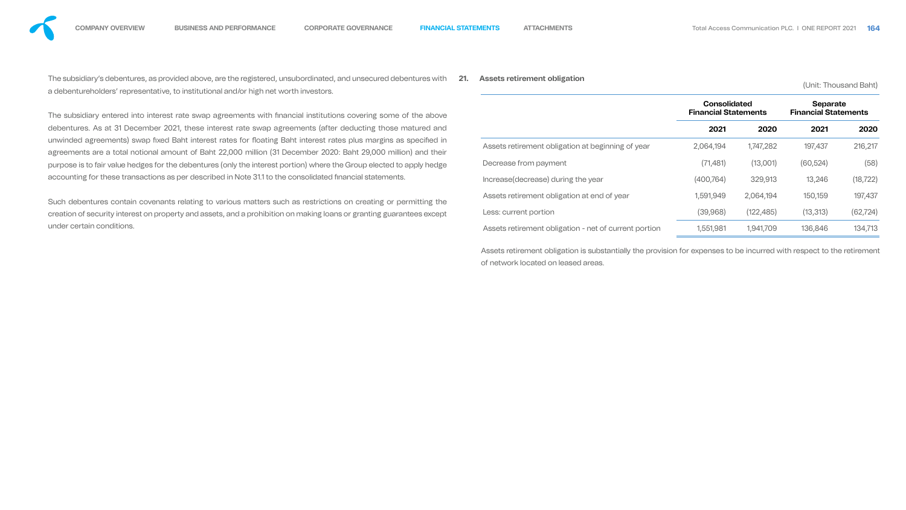The subsidiary's debentures, as provided above, are the registered, unsubordinated, and unsecured debentures with **21. Assets retirement obligation** (Unit: Thousand Baht) a debentureholders' representative, to institutional and/or high net worth investors.

The subsidiary entered into interest rate swap agreements with financial institutions covering some of the debentures. As at 31 December 2021, these interest rate swap agreements (after deducting those mature unwinded agreements) swap fixed Baht interest rates for floating Baht interest rates plus margins as specit agreements are a total notional amount of Baht 22,000 million (31 December 2020: Baht 29,000 million) and purpose is to fair value hedges for the debentures (only the interest portion) where the Group elected to apply l accounting for these transactions as per described in Note 31.1 to the consolidated financial statements.

Such debentures contain covenants relating to various matters such as restrictions on creating or permittir creation of security interest on property and assets, and a prohibition on making loans or granting guarantees e under certain conditions.

![](_page_51_Figure_12.jpeg)

| above              |                                                                | <b>Consolidated</b><br><b>Financial Statements</b> |            | <b>Separate</b><br><b>Financial Statements</b> |           |  |
|--------------------|----------------------------------------------------------------|----------------------------------------------------|------------|------------------------------------------------|-----------|--|
| d and              |                                                                | 2021                                               | 2020       | 2021                                           | 2020      |  |
| fied in<br>d their | 2,064,194<br>Assets retirement obligation at beginning of year |                                                    | 1,747,282  | 197,437                                        | 216,217   |  |
| hedge              | Decrease from payment                                          | (71, 481)                                          | (13,001)   | (60, 524)                                      | (58)      |  |
|                    | Increase (decrease) during the year                            | (400, 764)                                         | 329,913    | 13,246                                         | (18, 722) |  |
| ng the             | Assets retirement obligation at end of year                    | 1,591,949                                          | 2,064,194  | 150,159                                        | 197,437   |  |
| except             | Less: current portion                                          | (39,968)                                           | (122, 485) | (13, 313)                                      | (62, 724) |  |
|                    | Assets retirement obligation - net of current portion          | 1,551,981                                          | 1,941,709  | 136,846                                        | 134,713   |  |
|                    |                                                                |                                                    |            |                                                |           |  |

Assets retirement obligation is substantially the provision for expenses to be incurred with respect to the retirement of network located on leased areas.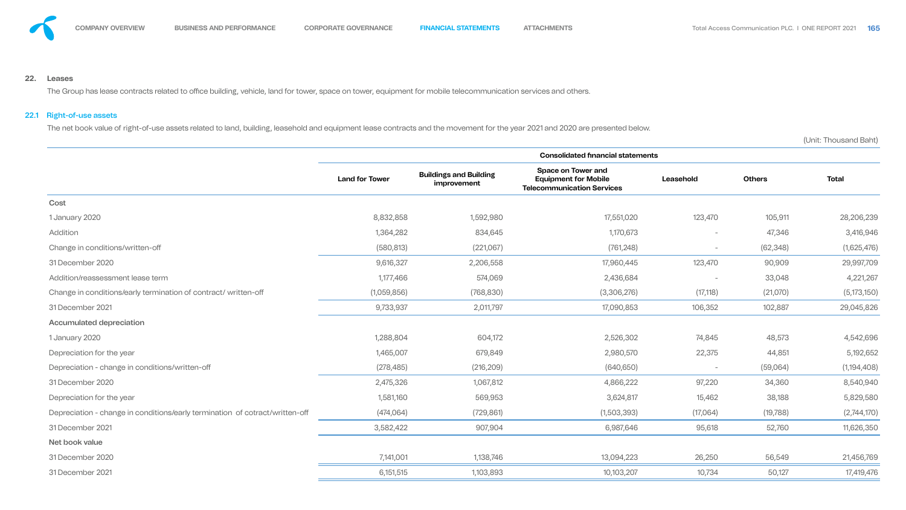![](_page_52_Picture_0.jpeg)

### **22. Leases**

The Group has lease contracts related to office building, vehicle, land for tower, space on tower, equipment for mobile telecommunication services and others.

# 22.1 Right-of-use assets

The net book value of right-of-use assets related to land, building, leasehold and equipment lease contracts and the movement for the year 2021 and 2020 are presented below.

(Unit: Thousand Baht)

![](_page_52_Figure_15.jpeg)

|                                                                              |                       |                                              | <b>Consolidated financial statements</b>                                                      |                          |               |               |
|------------------------------------------------------------------------------|-----------------------|----------------------------------------------|-----------------------------------------------------------------------------------------------|--------------------------|---------------|---------------|
|                                                                              | <b>Land for Tower</b> | <b>Buildings and Building</b><br>improvement | <b>Space on Tower and</b><br><b>Equipment for Mobile</b><br><b>Telecommunication Services</b> | Leasehold                | <b>Others</b> | <b>Total</b>  |
| Cost                                                                         |                       |                                              |                                                                                               |                          |               |               |
| 1 January 2020                                                               | 8,832,858             | 1,592,980                                    | 17,551,020                                                                                    | 123,470                  | 105,911       | 28,206,239    |
| Addition                                                                     | 1,364,282             | 834,645                                      | 1,170,673                                                                                     | $\overline{\phantom{0}}$ | 47,346        | 3,416,946     |
| Change in conditions/written-off                                             | (580, 813)            | (221,067)                                    | (761, 248)                                                                                    | $\overline{\phantom{0}}$ | (62, 348)     | (1,625,476)   |
| 31 December 2020                                                             | 9,616,327             | 2,206,558                                    | 17,960,445                                                                                    | 123,470                  | 90,909        | 29,997,709    |
| Addition/reassessment lease term                                             | 1,177,466             | 574,069                                      | 2,436,684                                                                                     |                          | 33,048        | 4,221,267     |
| Change in conditions/early termination of contract/ written-off              | (1,059,856)           | (768, 830)                                   | (3,306,276)                                                                                   | (17, 118)                | (21,070)      | (5, 173, 150) |
| 31 December 2021                                                             | 9,733,937             | 2,011,797                                    | 17,090,853                                                                                    | 106,352                  | 102,887       | 29,045,826    |
| <b>Accumulated depreciation</b>                                              |                       |                                              |                                                                                               |                          |               |               |
| 1 January 2020                                                               | 1,288,804             | 604,172                                      | 2,526,302                                                                                     | 74,845                   | 48,573        | 4,542,696     |
| Depreciation for the year                                                    | 1,465,007             | 679,849                                      | 2,980,570                                                                                     | 22,375                   | 44,851        | 5,192,652     |
| Depreciation - change in conditions/written-off                              | (278, 485)            | (216, 209)                                   | (640, 650)                                                                                    | $\overline{\phantom{0}}$ | (59,064)      | (1, 194, 408) |
| 31 December 2020                                                             | 2,475,326             | 1,067,812                                    | 4,866,222                                                                                     | 97,220                   | 34,360        | 8,540,940     |
| Depreciation for the year                                                    | 1,581,160             | 569,953                                      | 3,624,817                                                                                     | 15,462                   | 38,188        | 5,829,580     |
| Depreciation - change in conditions/early termination of cotract/written-off | (474,064)             | (729, 861)                                   | (1,503,393)                                                                                   | (17,064)                 | (19, 788)     | (2,744,170)   |
| 31 December 2021                                                             | 3,582,422             | 907,904                                      | 6,987,646                                                                                     | 95,618                   | 52,760        | 11,626,350    |
| Net book value                                                               |                       |                                              |                                                                                               |                          |               |               |
| 31 December 2020                                                             | 7,141,001             | 1,138,746                                    | 13,094,223                                                                                    | 26,250                   | 56,549        | 21,456,769    |
| 31 December 2021                                                             | 6,151,515             | 1,103,893                                    | 10,103,207                                                                                    | 10,734                   | 50,127        | 17,419,476    |
|                                                                              |                       |                                              |                                                                                               |                          |               |               |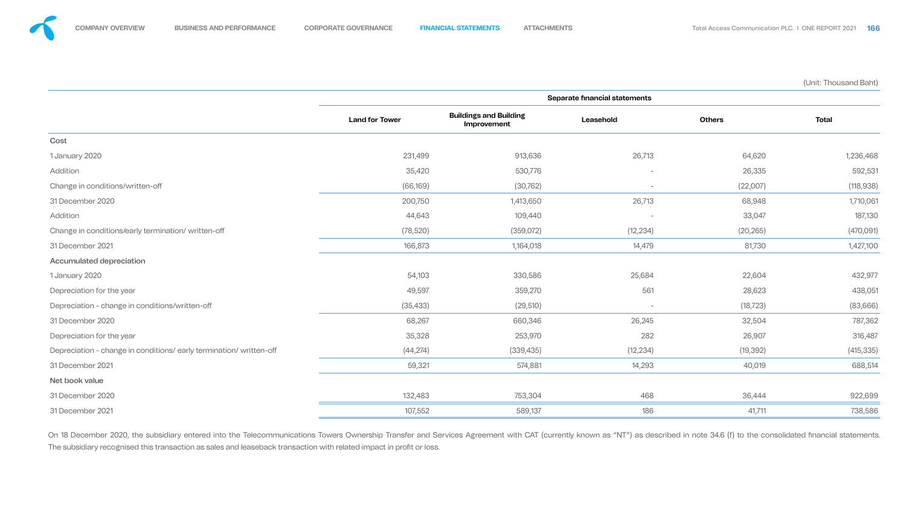(Unit: Thousand Baht)

![](_page_53_Figure_8.jpeg)

![](_page_53_Figure_9.jpeg)

![](_page_53_Figure_10.jpeg)

![](_page_53_Figure_11.jpeg)

![](_page_53_Figure_12.jpeg)

|                                                                     |                       |                                              | Separate financial statements   |               |              |
|---------------------------------------------------------------------|-----------------------|----------------------------------------------|---------------------------------|---------------|--------------|
|                                                                     | <b>Land for Tower</b> | <b>Buildings and Building</b><br>Improvement | Leasehold                       | <b>Others</b> | <b>Total</b> |
| Cost                                                                |                       |                                              |                                 |               |              |
| 1 January 2020                                                      | 231,499               | 913,636                                      | 26,713                          | 64,620        | 1,236,468    |
| Addition                                                            | 35,420                | 530,776                                      | $\hspace{0.1mm}-\hspace{0.1mm}$ | 26,335        | 592,531      |
| Change in conditions/written-off                                    | (66, 169)             | (30, 762)                                    | $\hspace{0.1mm}-\hspace{0.1mm}$ | (22,007)      | (118, 938)   |
| 31 December 2020                                                    | 200,750               | 1,413,650                                    | 26,713                          | 68,948        | 1,710,061    |
| Addition                                                            | 44,643                | 109,440                                      | $\overline{\phantom{a}}$        | 33,047        | 187,130      |
| Change in conditions/early termination/written-off                  | (78, 520)             | (359,072)                                    | (12, 234)                       | (20, 265)     | (470,091)    |
| 31 December 2021                                                    | 166,873               | 1,164,018                                    | 14,479                          | 81,730        | 1,427,100    |
| <b>Accumulated depreciation</b>                                     |                       |                                              |                                 |               |              |
| 1 January 2020                                                      | 54,103                | 330,586                                      | 25,684                          | 22,604        | 432,977      |
| Depreciation for the year                                           | 49,597                | 359,270                                      | 561                             | 28,623        | 438,051      |
| Depreciation - change in conditions/written-off                     | (35, 433)             | (29, 510)                                    | $\overline{\phantom{a}}$        | (18, 723)     | (83, 666)    |
| 31 December 2020                                                    | 68,267                | 660,346                                      | 26,245                          | 32,504        | 787,362      |
| Depreciation for the year                                           | 35,328                | 253,970                                      | 282                             | 26,907        | 316,487      |
| Depreciation - change in conditions/ early termination/ written-off | (44, 274)             | (339, 435)                                   | (12, 234)                       | (19, 392)     | (415, 335)   |
| 31 December 2021                                                    | 59,321                | 574,881                                      | 14,293                          | 40,019        | 688,514      |
| Net book value                                                      |                       |                                              |                                 |               |              |
| 31 December 2020                                                    | 132,483               | 753,304                                      | 468                             | 36,444        | 922,699      |
| 31 December 2021                                                    | 107,552               | 589,137                                      | 186                             | 41,711        | 738,586      |

On 18 December 2020, the subsidiary entered into the Telecommunications Towers Ownership Transfer and Services Agreement with CAT (currently known as "NT") as described in note 34.6 (f) to the consolidated financial statem The subsidiary recognised this transaction as sales and leaseback transaction with related impact in profit or loss.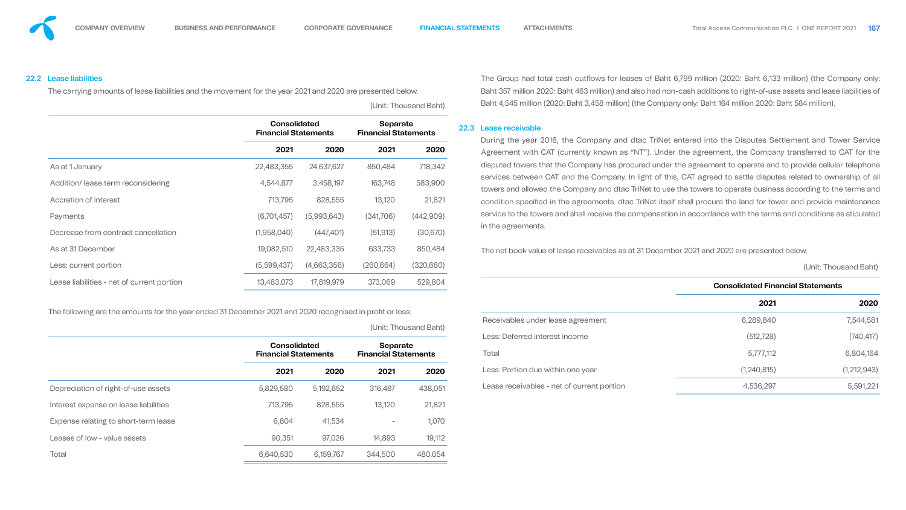22.2 Lease liabilities

|                                            | <b>Consolidated</b><br><b>Financial Statements</b> |             | <b>Separate</b><br><b>Financial Statements</b> |            |
|--------------------------------------------|----------------------------------------------------|-------------|------------------------------------------------|------------|
|                                            | 2021                                               | 2020        | 2021                                           | 2020       |
| As at 1 January                            | 22,483,355                                         | 24,637,627  | 850,484                                        | 718,342    |
| Addition/ lease term reconsidering         | 4,544,877                                          | 3,458,197   | 163,748                                        | 583,900    |
| Accretion of interest                      | 713,795                                            | 828,555     | 13,120                                         | 21,821     |
| Payments                                   | (6,701,457)                                        | (5,993,643) | (341,706)                                      | (442,909)  |
| Decrease from contract cancellation        | (1,958,040)                                        | (447, 401)  | (51, 913)                                      | (30,670)   |
| As at 31 December                          | 19,082,510                                         | 22,483,335  | 633,733                                        | 850,484    |
| Less: current portion                      | (5,599,437)                                        | (4,663,356) | (260, 664)                                     | (320, 680) |
| Lease liabilities - net of current portion | 13,483,073                                         | 17,819,979  | 373,069                                        | 529,804    |

The following are the amounts for the year ended 31 December 2021 and 2020 recognised in profit or loss:

(Unit: Thousand

The carrying amounts of lease liabilities and the movement for the year 2021 and 2020 are presented below. (Unit: Thousand Baht) The Group had total cash outflows for leases of Baht 6,799 million (2020: Baht 6,133 million) (the Company only: Baht 357 million 2020: Baht 463 million) and also had non-cash additions to right-of-use assets and lease liabilities of Baht 4,545 million (2020: Baht 3,458 million) (the Company only: Baht 164 million 2020: Baht 584 million).

|                                       | <b>Consolidated</b><br><b>Financial Statements</b> |           | <b>Separate</b><br><b>Financial Statements</b> |         |
|---------------------------------------|----------------------------------------------------|-----------|------------------------------------------------|---------|
|                                       | 2021                                               | 2020      | 2021                                           | 2020    |
| Depreciation of right-of-use assets   | 5,829,580                                          | 5,192,652 | 316,487                                        | 438,051 |
| Interest expense on lease liabilities | 713,795                                            | 828,555   | 13,120                                         | 21,821  |
| Expense relating to short-term lease  | 6,804                                              | 41,534    |                                                | 1,070   |
| Leases of low - value assets          | 90,351                                             | 97,026    | 14,893                                         | 19,112  |
| <b>Total</b>                          | 6,640,530                                          | 6,159,767 | 344,500                                        | 480,054 |

**2021 2020 2021 2020** During the year 2018, the Company and dtac TriNet entered into the Disputes Settlement and Tower Service Agreement with CAT (currently known as "NT"). Under the agreement, the Company transferred to CAT for the disputed towers that the Company has procured under the agreement to operate and to provide cellular telephone services between CAT and the Company. In light of this, CAT agreed to settle disputes related to ownership of all towers and allowed the Company and dtac TriNet to use the towers to operate business according to the terms and condition specified in the agreements. dtac TriNet itself shall procure the land for tower and provide maintenance service to the towers and shall receive the compensation in accordance with the terms and conditions as stipulated in the agreements.

#### 22.3 Lease receivable

### The net book value of lease receivables as at 31 December 2021 and 2020 are presented below.

![](_page_54_Figure_23.jpeg)

| ,,,,,, |                                            | JUHIL. THUUSAHU DAHU                     |             |  |  |  |  |
|--------|--------------------------------------------|------------------------------------------|-------------|--|--|--|--|
| 9,804  |                                            | <b>Consolidated Financial Statements</b> |             |  |  |  |  |
|        |                                            | 2021                                     | 2020        |  |  |  |  |
| Baht)  | Receivables under lease agreement          | 6,289,840                                | 7,544,581   |  |  |  |  |
|        | <b>Less: Deferred interest income</b>      | (512, 728)                               | (740, 417)  |  |  |  |  |
| าts    | <b>Total</b>                               | 5,777,112                                | 6,804,164   |  |  |  |  |
| 2020   | Less: Portion due within one year          | (1,240,815)                              | (1,212,943) |  |  |  |  |
| 88,051 | Lease receivables - net of current portion | 4,536,297                                | 5,591,221   |  |  |  |  |
|        |                                            |                                          |             |  |  |  |  |

![](_page_54_Figure_20.jpeg)

![](_page_54_Figure_21.jpeg)

![](_page_54_Figure_22.jpeg)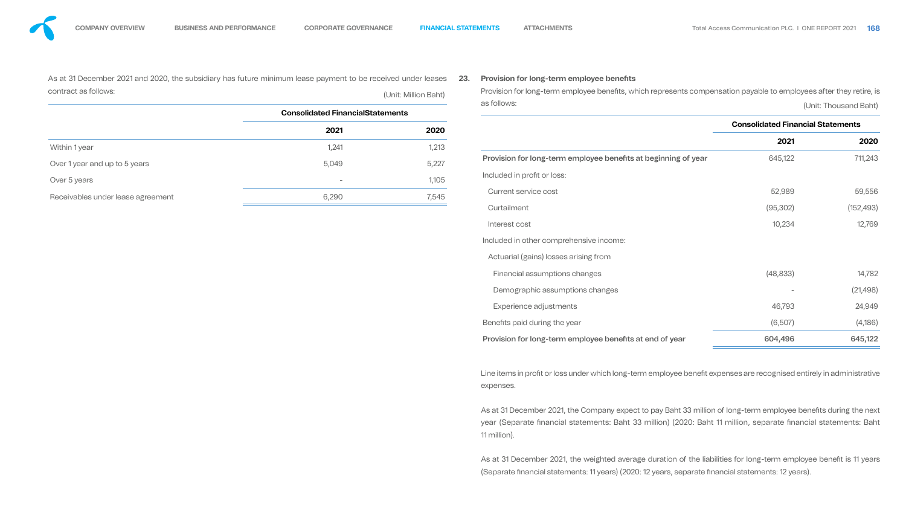Line items in profit or loss under which long-term employee benefit expenses are recognised entirely in administrative expenses.

![](_page_55_Figure_12.jpeg)

| As at 31 December 2021 and 2020, the subsidiary has future minimum lease payment to be received under leases<br>contract as follows:<br>(Unit: Million Baht) |                                         | 23.   | <b>Provision for long-term employee benefits</b><br>Provision for long-term employee benefits, which represents compensation payable to employees after they retire, is |                                          |                       |
|--------------------------------------------------------------------------------------------------------------------------------------------------------------|-----------------------------------------|-------|-------------------------------------------------------------------------------------------------------------------------------------------------------------------------|------------------------------------------|-----------------------|
|                                                                                                                                                              | <b>Consolidated FinancialStatements</b> |       | as follows:                                                                                                                                                             |                                          | (Unit: Thousand Baht) |
|                                                                                                                                                              | 2021                                    | 2020  |                                                                                                                                                                         | <b>Consolidated Financial Statements</b> |                       |
| Within 1 year                                                                                                                                                | 1,241                                   | 1,213 |                                                                                                                                                                         | 2021                                     | 2020                  |
| Over 1 year and up to 5 years                                                                                                                                | 5,049                                   | 5,227 | Provision for long-term employee benefits at beginning of year                                                                                                          | 645,122                                  | 711,243               |
| Over 5 years                                                                                                                                                 |                                         | 1,105 | Included in profit or loss:                                                                                                                                             |                                          |                       |
| Receivables under lease agreement                                                                                                                            | 6,290                                   | 7,545 | <b>Current service cost</b>                                                                                                                                             | 52,989                                   | 59,556                |
|                                                                                                                                                              |                                         |       | Curtailment                                                                                                                                                             | (95, 302)                                | (152, 493)            |
|                                                                                                                                                              |                                         |       | Interest cost                                                                                                                                                           | 10,234                                   | 12,769                |
|                                                                                                                                                              |                                         |       | Included in other comprehensive income:                                                                                                                                 |                                          |                       |
|                                                                                                                                                              |                                         |       | Actuarial (gains) losses arising from                                                                                                                                   |                                          |                       |
|                                                                                                                                                              |                                         |       | Financial assumptions changes                                                                                                                                           | (48, 833)                                | 14,782                |
|                                                                                                                                                              |                                         |       | Demographic assumptions changes                                                                                                                                         |                                          | (21, 498)             |
|                                                                                                                                                              |                                         |       | Experience adjustments                                                                                                                                                  | 46,793                                   | 24,949                |
|                                                                                                                                                              |                                         |       | Benefits paid during the year                                                                                                                                           | (6,507)                                  | (4,186)               |
|                                                                                                                                                              |                                         |       | Provision for long-term employee benefits at end of year                                                                                                                | 604,496                                  | 645,122               |

![](_page_55_Figure_13.jpeg)

![](_page_55_Figure_14.jpeg)

![](_page_55_Figure_15.jpeg)

![](_page_55_Figure_16.jpeg)

![](_page_55_Figure_17.jpeg)

As at 31 December 2021, the Company expect to pay Baht 33 million of long-term employee benefits during the next year (Separate financial statements: Baht 33 million) (2020: Baht 11 million, separate financial statements: Baht 11 million).

As at 31 December 2021, the weighted average duration of the liabilities for long-term employee benefit is 11 years (Separate financial statements: 11 years) (2020: 12 years, separate financial statements: 12 years).

![](_page_55_Figure_11.jpeg)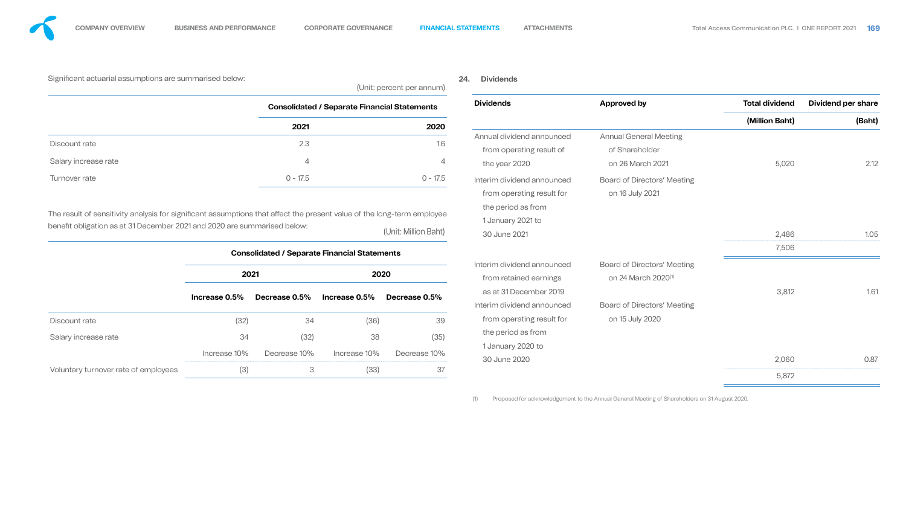Significant actuarial assumptions are summarised below:

(Unit: percent per annum)

### **24. Dividends**

|                                                                                                                                                                                                    |               |                                                     |                                                     | $\frac{1}{2}$        |                            |                                    |                       |                           |
|----------------------------------------------------------------------------------------------------------------------------------------------------------------------------------------------------|---------------|-----------------------------------------------------|-----------------------------------------------------|----------------------|----------------------------|------------------------------------|-----------------------|---------------------------|
|                                                                                                                                                                                                    |               |                                                     | <b>Consolidated / Separate Financial Statements</b> |                      | <b>Dividends</b>           | <b>Approved by</b>                 | <b>Total dividend</b> | <b>Dividend per share</b> |
|                                                                                                                                                                                                    |               | 2021                                                |                                                     | 2020                 |                            |                                    | (Million Baht)        | (Baht)                    |
|                                                                                                                                                                                                    |               |                                                     |                                                     |                      | Annual dividend announced  | <b>Annual General Meeting</b>      |                       |                           |
| Discount rate                                                                                                                                                                                      |               | 2.3                                                 |                                                     | 1.6                  | from operating result of   | of Shareholder                     |                       |                           |
| Salary increase rate                                                                                                                                                                               |               | $\overline{4}$                                      |                                                     | $\overline{4}$       | the year 2020              | on 26 March 2021                   | 5,020                 | 2.12                      |
| Turnover rate                                                                                                                                                                                      |               | $0 - 17.5$                                          |                                                     | $0 - 17.5$           | Interim dividend announced | <b>Board of Directors' Meeting</b> |                       |                           |
|                                                                                                                                                                                                    |               |                                                     |                                                     |                      | from operating result for  | on 16 July 2021                    |                       |                           |
|                                                                                                                                                                                                    |               |                                                     |                                                     |                      | the period as from         |                                    |                       |                           |
| The result of sensitivity analysis for significant assumptions that affect the present value of the long-term employee<br>benefit obligation as at 31 December 2021 and 2020 are summarised below: |               |                                                     |                                                     |                      | 1 January 2021 to          |                                    |                       |                           |
|                                                                                                                                                                                                    |               |                                                     |                                                     | (Unit: Million Baht) | 30 June 2021               |                                    | 2,486                 | 1.05                      |
|                                                                                                                                                                                                    |               | <b>Consolidated / Separate Financial Statements</b> |                                                     |                      |                            |                                    | 7,506                 |                           |
|                                                                                                                                                                                                    |               |                                                     |                                                     |                      | Interim dividend announced | <b>Board of Directors' Meeting</b> |                       |                           |
|                                                                                                                                                                                                    |               | 2021                                                |                                                     | 2020                 | from retained earnings     | on 24 March 2020 <sup>(1)</sup>    |                       |                           |
|                                                                                                                                                                                                    | Increase 0.5% | Decrease 0.5%                                       | Increase 0.5%                                       | Decrease 0.5%        | as at 31 December 2019     |                                    | 3,812                 | 1.61                      |
|                                                                                                                                                                                                    |               |                                                     |                                                     |                      | Interim dividend announced | <b>Board of Directors' Meeting</b> |                       |                           |
| Discount rate                                                                                                                                                                                      | (32)          | 34                                                  | (36)                                                | 39                   | from operating result for  | on 15 July 2020                    |                       |                           |
| Salary increase rate                                                                                                                                                                               | 34            | (32)                                                | 38                                                  | (35)                 | the period as from         |                                    |                       |                           |
|                                                                                                                                                                                                    | Increase 10%  | Decrease 10%                                        | Increase 10%                                        | Decrease 10%         | 1 January 2020 to          |                                    |                       |                           |
|                                                                                                                                                                                                    |               |                                                     |                                                     |                      | 30 June 2020               |                                    | 2,060                 | 0.87                      |
| Voluntary turnover rate of employees                                                                                                                                                               | (3)           | $\mathcal{S}$                                       | (33)                                                | 37                   |                            |                                    | 5,872                 |                           |
|                                                                                                                                                                                                    |               |                                                     |                                                     |                      |                            |                                    |                       |                           |

| <b>Dividends</b><br><b>Total dividend</b><br>Approved by<br><b>Consolidated / Separate Financial Statements</b><br>(Million Baht)<br>2021<br>2020<br><b>Annual General Meeting</b><br>Annual dividend announced<br>2.3<br>1.6<br>Discount rate<br>from operating result of<br>of Shareholder<br>Salary increase rate<br>$\overline{4}$<br>$\overline{4}$<br>5,020<br>the year 2020<br>on 26 March 2021<br>$0 - 17.5$<br>$0 - 17.5$<br>Turnover rate<br>Interim dividend announced<br><b>Board of Directors' Meeting</b><br>from operating result for<br>on 16 July 2021<br>the period as from<br>The result of sensitivity analysis for significant assumptions that affect the present value of the long-term employee<br>1 January 2021 to<br>benefit obligation as at 31 December 2021 and 2020 are summarised below:<br>(Unit: Million Baht)<br>30 June 2021<br>2,486<br>7,506<br><b>Consolidated / Separate Financial Statements</b><br><b>Board of Directors' Meeting</b><br>Interim dividend announced<br>2021<br>2020<br>on 24 March 2020 <sup>(1)</sup><br>from retained earnings<br>3,812<br>as at 31 December 2019<br>Increase 0.5%<br>Decrease 0.5%<br>Increase 0.5%<br>Decrease 0.5%<br>Interim dividend announced<br><b>Board of Directors' Meeting</b><br>on 15 July 2020<br>from operating result for<br>(32)<br>34<br>(36)<br>39<br>Discount rate<br>the period as from<br>(35)<br>34<br>(32)<br>38<br>Salary increase rate<br>1 January 2020 to<br>Increase 10%<br>Decrease 10%<br>Increase 10%<br>Decrease 10%<br>30 June 2020<br>2,060<br>(3)<br>(33)<br>3<br>37<br>Voluntary turnover rate of employees<br>5,872 |  |  |  | $\sim$ , $\sim$ , $\sim$ , $\sim$ , , , |  |  |                    |
|---------------------------------------------------------------------------------------------------------------------------------------------------------------------------------------------------------------------------------------------------------------------------------------------------------------------------------------------------------------------------------------------------------------------------------------------------------------------------------------------------------------------------------------------------------------------------------------------------------------------------------------------------------------------------------------------------------------------------------------------------------------------------------------------------------------------------------------------------------------------------------------------------------------------------------------------------------------------------------------------------------------------------------------------------------------------------------------------------------------------------------------------------------------------------------------------------------------------------------------------------------------------------------------------------------------------------------------------------------------------------------------------------------------------------------------------------------------------------------------------------------------------------------------------------------------------------------------------------------------------------------------|--|--|--|-----------------------------------------|--|--|--------------------|
|                                                                                                                                                                                                                                                                                                                                                                                                                                                                                                                                                                                                                                                                                                                                                                                                                                                                                                                                                                                                                                                                                                                                                                                                                                                                                                                                                                                                                                                                                                                                                                                                                                       |  |  |  |                                         |  |  | <b>Dividend pe</b> |
|                                                                                                                                                                                                                                                                                                                                                                                                                                                                                                                                                                                                                                                                                                                                                                                                                                                                                                                                                                                                                                                                                                                                                                                                                                                                                                                                                                                                                                                                                                                                                                                                                                       |  |  |  |                                         |  |  |                    |
|                                                                                                                                                                                                                                                                                                                                                                                                                                                                                                                                                                                                                                                                                                                                                                                                                                                                                                                                                                                                                                                                                                                                                                                                                                                                                                                                                                                                                                                                                                                                                                                                                                       |  |  |  |                                         |  |  |                    |
|                                                                                                                                                                                                                                                                                                                                                                                                                                                                                                                                                                                                                                                                                                                                                                                                                                                                                                                                                                                                                                                                                                                                                                                                                                                                                                                                                                                                                                                                                                                                                                                                                                       |  |  |  |                                         |  |  |                    |
|                                                                                                                                                                                                                                                                                                                                                                                                                                                                                                                                                                                                                                                                                                                                                                                                                                                                                                                                                                                                                                                                                                                                                                                                                                                                                                                                                                                                                                                                                                                                                                                                                                       |  |  |  |                                         |  |  |                    |
|                                                                                                                                                                                                                                                                                                                                                                                                                                                                                                                                                                                                                                                                                                                                                                                                                                                                                                                                                                                                                                                                                                                                                                                                                                                                                                                                                                                                                                                                                                                                                                                                                                       |  |  |  |                                         |  |  |                    |
|                                                                                                                                                                                                                                                                                                                                                                                                                                                                                                                                                                                                                                                                                                                                                                                                                                                                                                                                                                                                                                                                                                                                                                                                                                                                                                                                                                                                                                                                                                                                                                                                                                       |  |  |  |                                         |  |  |                    |
|                                                                                                                                                                                                                                                                                                                                                                                                                                                                                                                                                                                                                                                                                                                                                                                                                                                                                                                                                                                                                                                                                                                                                                                                                                                                                                                                                                                                                                                                                                                                                                                                                                       |  |  |  |                                         |  |  |                    |
|                                                                                                                                                                                                                                                                                                                                                                                                                                                                                                                                                                                                                                                                                                                                                                                                                                                                                                                                                                                                                                                                                                                                                                                                                                                                                                                                                                                                                                                                                                                                                                                                                                       |  |  |  |                                         |  |  |                    |
|                                                                                                                                                                                                                                                                                                                                                                                                                                                                                                                                                                                                                                                                                                                                                                                                                                                                                                                                                                                                                                                                                                                                                                                                                                                                                                                                                                                                                                                                                                                                                                                                                                       |  |  |  |                                         |  |  |                    |
|                                                                                                                                                                                                                                                                                                                                                                                                                                                                                                                                                                                                                                                                                                                                                                                                                                                                                                                                                                                                                                                                                                                                                                                                                                                                                                                                                                                                                                                                                                                                                                                                                                       |  |  |  |                                         |  |  |                    |
|                                                                                                                                                                                                                                                                                                                                                                                                                                                                                                                                                                                                                                                                                                                                                                                                                                                                                                                                                                                                                                                                                                                                                                                                                                                                                                                                                                                                                                                                                                                                                                                                                                       |  |  |  |                                         |  |  |                    |
|                                                                                                                                                                                                                                                                                                                                                                                                                                                                                                                                                                                                                                                                                                                                                                                                                                                                                                                                                                                                                                                                                                                                                                                                                                                                                                                                                                                                                                                                                                                                                                                                                                       |  |  |  |                                         |  |  |                    |

![](_page_56_Figure_18.jpeg)

(1) Proposed for acknowledgement to the Annual General Meeting of Shareholders on 31 August 2020.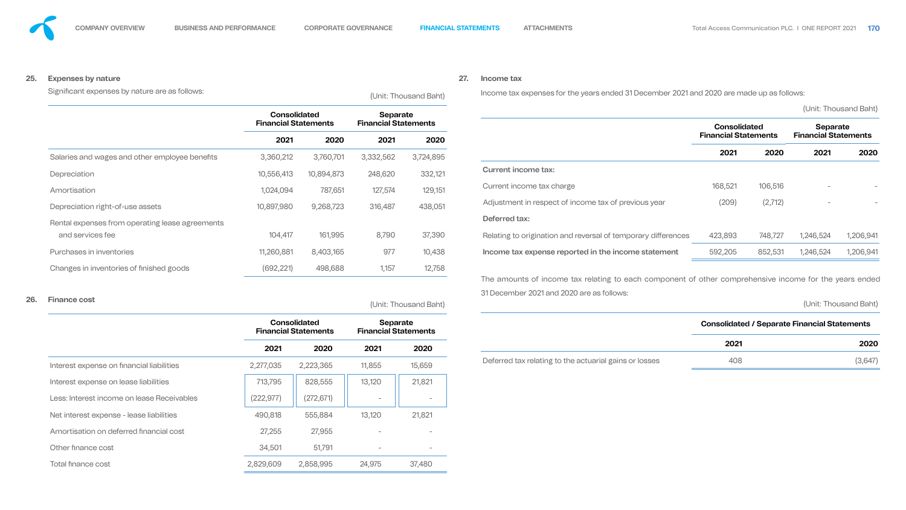### **25. Expenses by nature**

Significant expenses by nature are as follows: (Unit: Thousand Baht)

**Consolidated Financial Statements Separate**  Rental expenses from operating lease agreements

|                                                 | <u>UUTIUUINULUU</u><br><b>Financial Statements</b> |            | ooparato<br><b>Financial Statements</b>        |                       |                                                                                                        | <b>Consolidated</b>         |         | <b>Separate</b><br><b>Financial Statements</b>      |                       |
|-------------------------------------------------|----------------------------------------------------|------------|------------------------------------------------|-----------------------|--------------------------------------------------------------------------------------------------------|-----------------------------|---------|-----------------------------------------------------|-----------------------|
|                                                 | 2021                                               | 2020       | 2021                                           | 2020                  |                                                                                                        | <b>Financial Statements</b> |         |                                                     |                       |
| Salaries and wages and other employee benefits  | 3,360,212                                          | 3,760,701  | 3,332,562                                      | 3,724,895             |                                                                                                        | 2021                        | 2020    | 2021                                                | 2020                  |
| Depreciation                                    | 10,556,413                                         | 10,894,873 | 248,620                                        | 332,121               | <b>Current income tax:</b>                                                                             |                             |         |                                                     |                       |
| Amortisation                                    | 1,024,094                                          | 787,651    | 127,574                                        | 129,151               | Current income tax charge                                                                              | 168,521                     | 106,516 | $\overline{\phantom{a}}$                            |                       |
| Depreciation right-of-use assets                | 10,897,980                                         | 9,268,723  | 316,487                                        | 438,051               | Adjustment in respect of income tax of previous year                                                   | (209)                       | (2,712) | $\overline{\phantom{a}}$                            |                       |
| Rental expenses from operating lease agreements |                                                    |            |                                                |                       | Deferred tax:                                                                                          |                             |         |                                                     |                       |
| and services fee                                | 104,417                                            | 161,995    | 8,790                                          | 37,390                | Relating to origination and reversal of temporary differences                                          | 423,893                     | 748,727 | 1,246,524                                           | 1,206,941             |
| Purchases in inventories                        | 11,260,881                                         | 8,403,165  | 977                                            | 10,438                | Income tax expense reported in the income statement                                                    | 592,205                     | 852,531 | 1,246,524                                           | 1,206,941             |
| Changes in inventories of finished goods        | (692,221)                                          | 498,688    | 1,157                                          | 12,758                |                                                                                                        |                             |         |                                                     |                       |
|                                                 |                                                    |            |                                                |                       | The amounts of income tax relating to each component of other comprehensive income for the years ended |                             |         |                                                     |                       |
| 26.<br><b>Finance cost</b>                      |                                                    |            |                                                | (Unit: Thousand Baht) | 31 December 2021 and 2020 are as follows:                                                              |                             |         |                                                     | (Unit: Thousand Baht) |
|                                                 | <b>Consolidated</b><br><b>Financial Statements</b> |            | <b>Separate</b><br><b>Financial Statements</b> |                       |                                                                                                        |                             |         | <b>Consolidated / Separate Financial Statements</b> |                       |
|                                                 | 2021                                               | 2020       | 2021                                           | 2020                  |                                                                                                        | 2021                        |         |                                                     | 2020                  |
| Interest expense on financial liabilities       | 2,277,035                                          | 2,223,365  | 11,855                                         | 15,659                | Deferred tax relating to the actuarial gains or losses                                                 | 408                         |         |                                                     | (3,647)               |
| Interest expense on lease liabilities           | 713,795                                            | 828,555    | 13,120                                         | 21,821                |                                                                                                        |                             |         |                                                     |                       |
| Less: Interest income on lease Receivables      | (222, 977)                                         | (272, 671) |                                                |                       |                                                                                                        |                             |         |                                                     |                       |
| Net interest expense - lease liabilities        | 490,818                                            | 555,884    | 13,120                                         | 21,821                |                                                                                                        |                             |         |                                                     |                       |
| Amortisation on deferred financial cost         | 27,255                                             | 27,955     | $\overline{\phantom{0}}$                       |                       |                                                                                                        |                             |         |                                                     |                       |
| Other finance cost                              | 34,501                                             | 51,791     | $\overline{\phantom{0}}$                       |                       |                                                                                                        |                             |         |                                                     |                       |
| Total finance cost                              | 2,829,609                                          | 2,858,995  | 24,975                                         | 37,480                |                                                                                                        |                             |         |                                                     |                       |

![](_page_57_Picture_9.jpeg)

### **27. Income tax**

Income tax expenses for the years ended 31 December 2021 and 2020 are made up as follows:

(Unit: Thousand Baht)

![](_page_57_Figure_17.jpeg)

![](_page_57_Figure_18.jpeg)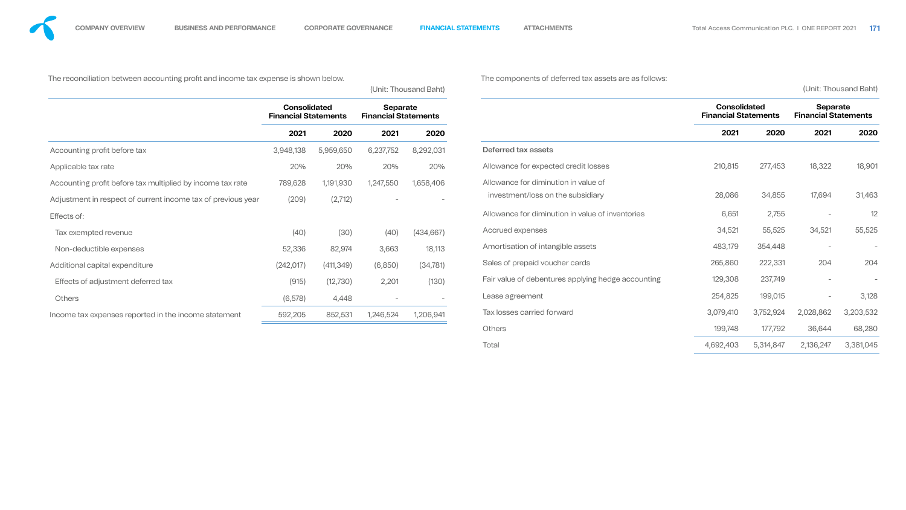The reconciliation between accounting profit and income tax expense is shown below.

(Unit: Thousand Baht)

|                                                              | <b>Consolidated</b><br><b>Financial Statements</b> |            | <b>Separate</b><br><b>Financial Statements</b> |            |
|--------------------------------------------------------------|----------------------------------------------------|------------|------------------------------------------------|------------|
|                                                              | 2021                                               | 2020       | 2021                                           | 2020       |
| Accounting profit before tax                                 | 3,948,138                                          | 5,959,650  | 6,237,752                                      | 8,292,031  |
| Applicable tax rate                                          | 20%                                                | 20%        | 20%                                            | 20%        |
| Accounting profit before tax multiplied by income tax rate   | 789,628                                            | 1,191,930  | 1,247,550                                      | 1,658,406  |
| Adjustment in respect of current income tax of previous year | (209)                                              | (2,712)    |                                                | -          |
| Effects of:                                                  |                                                    |            |                                                |            |
| Tax exempted revenue                                         | (40)                                               | (30)       | (40)                                           | (434, 667) |
| Non-deductible expenses                                      | 52,336                                             | 82,974     | 3,663                                          | 18,113     |
| Additional capital expenditure                               | (242, 017)                                         | (411, 349) | (6,850)                                        | (34, 781)  |
| Effects of adjustment deferred tax                           | (915)                                              | (12, 730)  | 2,201                                          | (130)      |
| <b>Others</b>                                                | (6, 578)                                           | 4,448      |                                                |            |
| Income tax expenses reported in the income statement         | 592,205                                            | 852,531    | 1,246,524                                      | 1,206,941  |

**ients 2021 2020 2021 2020 Consolidated Financial Statements Separate Financial Statements 2021 2020 2021 2020** Deferred tax assets Allowance for expected credit losses 210,815 277,453 18,322 18,901 Allowance for diminution in value of investment/loss on the subsidiary and the subsidiary and the subsidiary control of the subsidiary and the subsidiary control of  $28,086$  and  $34,855$  and  $17,694$  and  $31,463$ Allowance for diminution in value of inventories 6,651 2,755 - 12 Accrued expenses 34,521 55,525 34,521 55,525 Amortisation of intangible assets and the set of the control of the set of the set of the set of the control of the set of the set of the set of the set of the set of the set of the set of the set of the set of the set of Sales of prepaid voucher cards 2004 205,860 222,331 204 204 Fair value of debentures applying hedge accounting 129,308 237,749 - Fair value of debentures applying hedge accounting Lease agreement 254,825 199,015 - 3,128 Tax losses carried forward 3,079,410 3,752,924 2,028,862 3,203,532 Others 199,748 177,792 36,644 68,280

The components of deferred tax assets are as follows:

(Unit: Thousand Baht)

![](_page_58_Figure_13.jpeg)

Total 4,692,403 5,314,847 2,136,247 3,381,045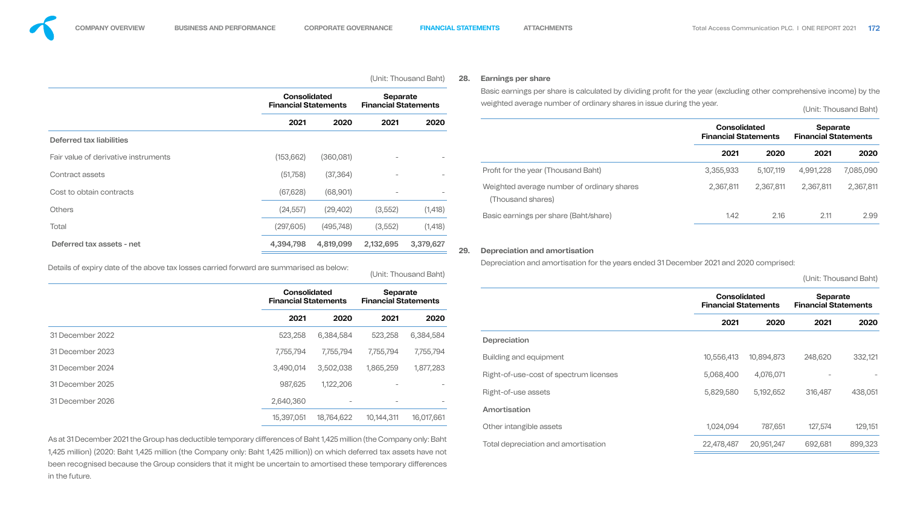been recognised because the Group considers that it might be uncertain to amortised these temporary differences in the future.

![](_page_59_Picture_9.jpeg)

![](_page_59_Figure_12.jpeg)

| Deferred tax liabilities<br>Fair value of derivative instruments                                                                                                                                                                              | <b>Consolidated</b><br><b>Financial Statements</b><br>2021 | 2020                            | <b>Separate</b><br><b>Financial Statements</b><br>2021 |                       |                             | Basic earnings per share is calculated by dividing profit for the year (excluding other comprehensive income) by the<br>weighted average number of ordinary shares in issue during the year. |                                                    |            |                                         |                       |  |  |  |  |  |  |  |  |  |  |  |  |  |  |  |  |  |  |                                                    |  |                                                |  |
|-----------------------------------------------------------------------------------------------------------------------------------------------------------------------------------------------------------------------------------------------|------------------------------------------------------------|---------------------------------|--------------------------------------------------------|-----------------------|-----------------------------|----------------------------------------------------------------------------------------------------------------------------------------------------------------------------------------------|----------------------------------------------------|------------|-----------------------------------------|-----------------------|--|--|--|--|--|--|--|--|--|--|--|--|--|--|--|--|--|--|----------------------------------------------------|--|------------------------------------------------|--|
|                                                                                                                                                                                                                                               |                                                            |                                 |                                                        |                       |                             |                                                                                                                                                                                              |                                                    |            | (Unit: Thousand Baht)                   |                       |  |  |  |  |  |  |  |  |  |  |  |  |  |  |  |  |  |  |                                                    |  |                                                |  |
|                                                                                                                                                                                                                                               |                                                            |                                 |                                                        | 2020                  |                             |                                                                                                                                                                                              | <b>Consolidated</b><br><b>Financial Statements</b> |            | Separate<br><b>Financial Statements</b> |                       |  |  |  |  |  |  |  |  |  |  |  |  |  |  |  |  |  |  |                                                    |  |                                                |  |
|                                                                                                                                                                                                                                               |                                                            |                                 |                                                        |                       |                             |                                                                                                                                                                                              |                                                    |            |                                         |                       |  |  |  |  |  |  |  |  |  |  |  |  |  |  |  |  |  |  |                                                    |  |                                                |  |
|                                                                                                                                                                                                                                               | (153, 662)                                                 | (360,081)                       |                                                        |                       |                             |                                                                                                                                                                                              | 2021                                               | 2020       | 2021                                    | 2020                  |  |  |  |  |  |  |  |  |  |  |  |  |  |  |  |  |  |  |                                                    |  |                                                |  |
| <b>Contract assets</b>                                                                                                                                                                                                                        | (51,758)                                                   | (37, 364)                       |                                                        | $\sim$                |                             | Profit for the year (Thousand Baht)                                                                                                                                                          | 3,355,933                                          | 5,107,119  | 4,991,228                               | 7,085,090             |  |  |  |  |  |  |  |  |  |  |  |  |  |  |  |  |  |  |                                                    |  |                                                |  |
| Cost to obtain contracts                                                                                                                                                                                                                      | (67, 628)                                                  | (68,901)                        |                                                        |                       |                             | Weighted average number of ordinary shares<br>(Thousand shares)                                                                                                                              | 2,367,811                                          | 2,367,811  | 2,367,811                               | 2,367,811             |  |  |  |  |  |  |  |  |  |  |  |  |  |  |  |  |  |  |                                                    |  |                                                |  |
| <b>Others</b>                                                                                                                                                                                                                                 | (24, 557)                                                  | (29, 402)                       | (3, 552)                                               | (1, 418)              |                             | Basic earnings per share (Baht/share)                                                                                                                                                        | 1.42                                               | 2.16       | 2.11                                    | 2.99                  |  |  |  |  |  |  |  |  |  |  |  |  |  |  |  |  |  |  |                                                    |  |                                                |  |
| <b>Total</b>                                                                                                                                                                                                                                  | (297,605)                                                  | (495, 748)                      | (3, 552)                                               | (1, 418)              |                             |                                                                                                                                                                                              |                                                    |            |                                         |                       |  |  |  |  |  |  |  |  |  |  |  |  |  |  |  |  |  |  |                                                    |  |                                                |  |
| Deferred tax assets - net                                                                                                                                                                                                                     | 4,394,798                                                  | 4,819,099                       | 2,132,695                                              | 3,379,627             | 29.                         | Depreciation and amortisation                                                                                                                                                                |                                                    |            |                                         |                       |  |  |  |  |  |  |  |  |  |  |  |  |  |  |  |  |  |  |                                                    |  |                                                |  |
| Details of expiry date of the above tax losses carried forward are summarised as below:                                                                                                                                                       |                                                            |                                 |                                                        | (Unit: Thousand Baht) |                             | Depreciation and amortisation for the years ended 31 December 2021 and 2020 comprised:                                                                                                       |                                                    |            |                                         | (Unit: Thousand Baht) |  |  |  |  |  |  |  |  |  |  |  |  |  |  |  |  |  |  |                                                    |  |                                                |  |
|                                                                                                                                                                                                                                               | <b>Consolidated</b><br><b>Financial Statements</b>         |                                 | <b>Separate</b>                                        |                       | <b>Financial Statements</b> |                                                                                                                                                                                              |                                                    |            |                                         |                       |  |  |  |  |  |  |  |  |  |  |  |  |  |  |  |  |  |  | <b>Consolidated</b><br><b>Financial Statements</b> |  | <b>Separate</b><br><b>Financial Statements</b> |  |
|                                                                                                                                                                                                                                               | 2021                                                       | 2020                            | 2021                                                   | 2020                  |                             |                                                                                                                                                                                              | 2021                                               | 2020       | 2021                                    | 2020                  |  |  |  |  |  |  |  |  |  |  |  |  |  |  |  |  |  |  |                                                    |  |                                                |  |
| 31 December 2022                                                                                                                                                                                                                              | 523,258                                                    | 6,384,584                       | 523,258                                                | 6,384,584             |                             | Depreciation                                                                                                                                                                                 |                                                    |            |                                         |                       |  |  |  |  |  |  |  |  |  |  |  |  |  |  |  |  |  |  |                                                    |  |                                                |  |
| 31 December 2023                                                                                                                                                                                                                              | 7,755,794                                                  | 7,755,794                       | 7,755,794                                              | 7,755,794             |                             | Building and equipment                                                                                                                                                                       | 10,556,413                                         | 10,894,873 | 248,620                                 | 332,121               |  |  |  |  |  |  |  |  |  |  |  |  |  |  |  |  |  |  |                                                    |  |                                                |  |
| 31 December 2024                                                                                                                                                                                                                              | 3,490,014                                                  | 3,502,038                       | 1,865,259                                              | 1,877,283             |                             | Right-of-use-cost of spectrum licenses                                                                                                                                                       | 5,068,400                                          | 4,076,071  | $\hspace{0.1mm}-\hspace{0.1mm}$         |                       |  |  |  |  |  |  |  |  |  |  |  |  |  |  |  |  |  |  |                                                    |  |                                                |  |
| 31 December 2025                                                                                                                                                                                                                              | 987,625                                                    | 1,122,206                       | $\overline{\phantom{0}}$                               |                       |                             |                                                                                                                                                                                              |                                                    |            |                                         |                       |  |  |  |  |  |  |  |  |  |  |  |  |  |  |  |  |  |  |                                                    |  |                                                |  |
| 31 December 2026                                                                                                                                                                                                                              | 2,640,360                                                  | $\hspace{0.1mm}-\hspace{0.1mm}$ |                                                        |                       |                             | Right-of-use assets                                                                                                                                                                          | 5,829,580                                          | 5,192,652  | 316,487                                 | 438,051               |  |  |  |  |  |  |  |  |  |  |  |  |  |  |  |  |  |  |                                                    |  |                                                |  |
|                                                                                                                                                                                                                                               | 15,397,051                                                 | 18,764,622                      | 10,144,311                                             | 16,017,661            |                             | Amortisation                                                                                                                                                                                 |                                                    |            |                                         |                       |  |  |  |  |  |  |  |  |  |  |  |  |  |  |  |  |  |  |                                                    |  |                                                |  |
|                                                                                                                                                                                                                                               |                                                            |                                 |                                                        |                       |                             | Other intangible assets                                                                                                                                                                      | 1,024,094                                          | 787,651    | 127,574                                 | 129,151               |  |  |  |  |  |  |  |  |  |  |  |  |  |  |  |  |  |  |                                                    |  |                                                |  |
| As at 31 December 2021 the Group has deductible temporary differences of Baht 1,425 million (the Company only: Baht<br>1,425 million) (2020: Baht 1,425 million (the Company only: Baht 1,425 million)) on which deferred tax assets have not |                                                            |                                 |                                                        |                       |                             | Total depreciation and amortisation                                                                                                                                                          | 22,478,487                                         | 20,951,247 | 692,681                                 | 899,323               |  |  |  |  |  |  |  |  |  |  |  |  |  |  |  |  |  |  |                                                    |  |                                                |  |

|                                                                                                                     |            |                                                    | (Unit: Thousand Baht)    |                                                | 28. | <b>Earnings per share</b>                                                                                                                                                            |                                                    |            |                                            |  |
|---------------------------------------------------------------------------------------------------------------------|------------|----------------------------------------------------|--------------------------|------------------------------------------------|-----|--------------------------------------------------------------------------------------------------------------------------------------------------------------------------------------|----------------------------------------------------|------------|--------------------------------------------|--|
|                                                                                                                     |            | <b>Consolidated</b><br><b>Financial Statements</b> |                          | <b>Separate</b><br><b>Financial Statements</b> |     | Basic earnings per share is calculated by dividing profit for the year (excluding other comprehensive income<br>weighted average number of ordinary shares in issue during the year. |                                                    |            | (Unit: Thousar                             |  |
|                                                                                                                     | 2021       | 2020                                               | 2021<br>2020             |                                                |     |                                                                                                                                                                                      | <b>Consolidated</b><br><b>Financial Statements</b> |            | <b>Separate</b><br><b>Financial Stater</b> |  |
| Deferred tax liabilities                                                                                            |            |                                                    |                          |                                                |     |                                                                                                                                                                                      |                                                    |            |                                            |  |
| Fair value of derivative instruments                                                                                | (153, 662) | (360,081)                                          | $\overline{\phantom{a}}$ |                                                |     |                                                                                                                                                                                      | 2021                                               | 2020       | 2021                                       |  |
| Contract assets                                                                                                     | (51,758)   | (37, 364)                                          | $\overline{\phantom{0}}$ |                                                |     | Profit for the year (Thousand Baht)                                                                                                                                                  | 3,355,933                                          | 5,107,119  | 4,991,228                                  |  |
| Cost to obtain contracts                                                                                            | (67, 628)  | (68,901)                                           | $\overline{\phantom{0}}$ |                                                |     | Weighted average number of ordinary shares<br>(Thousand shares)                                                                                                                      | 2,367,811                                          | 2,367,811  | 2,367,811                                  |  |
| <b>Others</b>                                                                                                       | (24, 557)  | (29, 402)                                          | (3, 552)                 | (1, 418)                                       |     | Basic earnings per share (Baht/share)                                                                                                                                                | 1.42                                               | 2.16       | 2.11                                       |  |
| <b>Total</b>                                                                                                        | (297,605)  | (495, 748)                                         | (3, 552)                 | (1, 418)                                       |     |                                                                                                                                                                                      |                                                    |            |                                            |  |
| Deferred tax assets - net                                                                                           | 4,394,798  | 4,819,099                                          | 2,132,695                | 3,379,627                                      | 29. | Depreciation and amortisation                                                                                                                                                        |                                                    |            |                                            |  |
| Details of expiry date of the above tax losses carried forward are summarised as below:                             |            |                                                    |                          | (Unit: Thousand Baht)                          |     | Depreciation and amortisation for the years ended 31 December 2021 and 2020 comprised:                                                                                               |                                                    |            | (Unit: Thousar                             |  |
|                                                                                                                     |            | <b>Consolidated</b><br><b>Financial Statements</b> |                          | <b>Separate</b><br><b>Financial Statements</b> |     |                                                                                                                                                                                      | <b>Consolidated</b><br><b>Financial Statements</b> |            | <b>Separate</b><br><b>Financial Stater</b> |  |
|                                                                                                                     | 2021       | 2020                                               | 2021                     | 2020                                           |     |                                                                                                                                                                                      | 2021                                               | 2020       | 2021                                       |  |
| 31 December 2022                                                                                                    | 523,258    | 6,384,584                                          | 523,258                  | 6,384,584                                      |     | Depreciation                                                                                                                                                                         |                                                    |            |                                            |  |
| 31 December 2023                                                                                                    | 7,755,794  | 7,755,794                                          | 7,755,794                | 7,755,794                                      |     | <b>Building and equipment</b>                                                                                                                                                        | 10,556,413                                         | 10,894,873 | 248,620                                    |  |
| 31 December 2024                                                                                                    | 3,490,014  | 3,502,038                                          | 1,865,259                | 1,877,283                                      |     | Right-of-use-cost of spectrum licenses                                                                                                                                               | 5,068,400                                          | 4,076,071  |                                            |  |
| 31 December 2025                                                                                                    | 987,625    | 1,122,206                                          | $\overline{\phantom{m}}$ |                                                |     |                                                                                                                                                                                      |                                                    |            |                                            |  |
| 31 December 2026                                                                                                    | 2,640,360  |                                                    |                          |                                                |     | Right-of-use assets                                                                                                                                                                  | 5,829,580                                          | 5,192,652  | 316,487                                    |  |
|                                                                                                                     | 15,397,051 | 18,764,622                                         | 10,144,311               | 16,017,661                                     |     | Amortisation                                                                                                                                                                         |                                                    |            |                                            |  |
|                                                                                                                     |            |                                                    |                          |                                                |     |                                                                                                                                                                                      | 1,024,094                                          | 787,651    | 127,574                                    |  |
| As at 31 December 2021 the Group has deductible temporary differences of Baht 1,425 million (the Company only: Baht |            |                                                    |                          |                                                |     | Other intangible assets                                                                                                                                                              |                                                    |            |                                            |  |

![](_page_59_Figure_13.jpeg)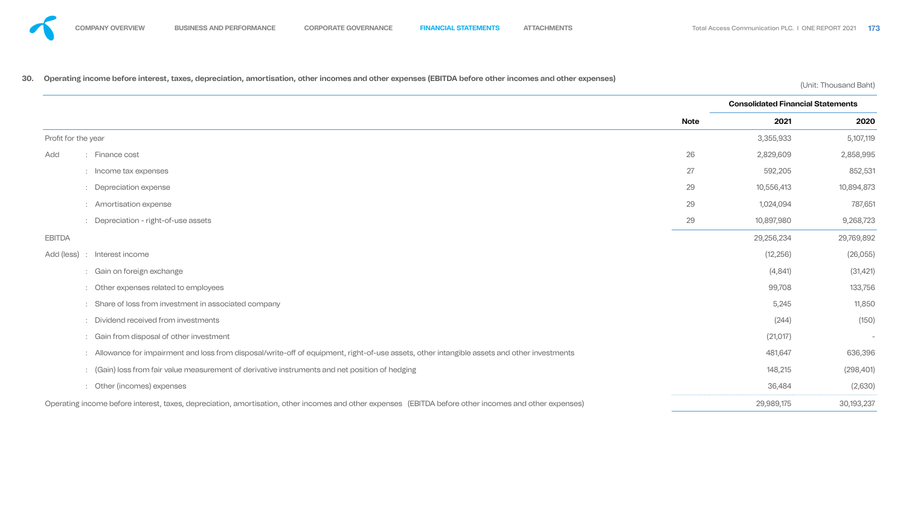# **30. Operating income before interest, taxes, depreciation, amortisation, other incomes and other expenses (EBITDA before other incomes and other expenses)** (Unit: Thousand Baht)

- -
	-
	-
	-

- -
	-
	-
	-
	-
	-
	-
	-

![](_page_60_Figure_26.jpeg)

|                     |                                                                                                                                                        |             | <b>Consolidated Financial Statements</b> |                          |  |
|---------------------|--------------------------------------------------------------------------------------------------------------------------------------------------------|-------------|------------------------------------------|--------------------------|--|
|                     |                                                                                                                                                        | <b>Note</b> | 2021                                     | 2020                     |  |
| Profit for the year |                                                                                                                                                        |             | 3,355,933                                | 5,107,119                |  |
| Add                 | : Finance cost                                                                                                                                         | 26          | 2,829,609                                | 2,858,995                |  |
|                     | : Income tax expenses                                                                                                                                  | 27          | 592,205                                  | 852,531                  |  |
|                     | : Depreciation expense                                                                                                                                 | 29          | 10,556,413                               | 10,894,873               |  |
|                     | : Amortisation expense                                                                                                                                 | 29          | 1,024,094                                | 787,651                  |  |
|                     | : Depreciation - right-of-use assets                                                                                                                   | 29          | 10,897,980                               | 9,268,723                |  |
| <b>EBITDA</b>       |                                                                                                                                                        |             | 29,256,234                               | 29,769,892               |  |
|                     | Add (less) : Interest income                                                                                                                           |             | (12, 256)                                | (26,055)                 |  |
|                     | : Gain on foreign exchange                                                                                                                             |             | (4, 841)                                 | (31, 421)                |  |
|                     | : Other expenses related to employees                                                                                                                  |             | 99,708                                   | 133,756                  |  |
|                     | : Share of loss from investment in associated company                                                                                                  |             | 5,245                                    | 11,850                   |  |
|                     | : Dividend received from investments                                                                                                                   |             | (244)                                    | (150)                    |  |
|                     | : Gain from disposal of other investment                                                                                                               |             | (21, 017)                                | $\overline{\phantom{a}}$ |  |
|                     | : Allowance for impairment and loss from disposal/write-off of equipment, right-of-use assets, other intangible assets and other investments           |             | 481,647                                  | 636,396                  |  |
|                     | : (Gain) loss from fair value measurement of derivative instruments and net position of hedging                                                        |             | 148,215                                  | (298, 401)               |  |
|                     | : Other (incomes) expenses                                                                                                                             |             | 36,484                                   | (2,630)                  |  |
|                     | Operating income before interest, taxes, depreciation, amortisation, other incomes and other expenses (EBITDA before other incomes and other expenses) |             | 29,989,175                               | 30,193,237               |  |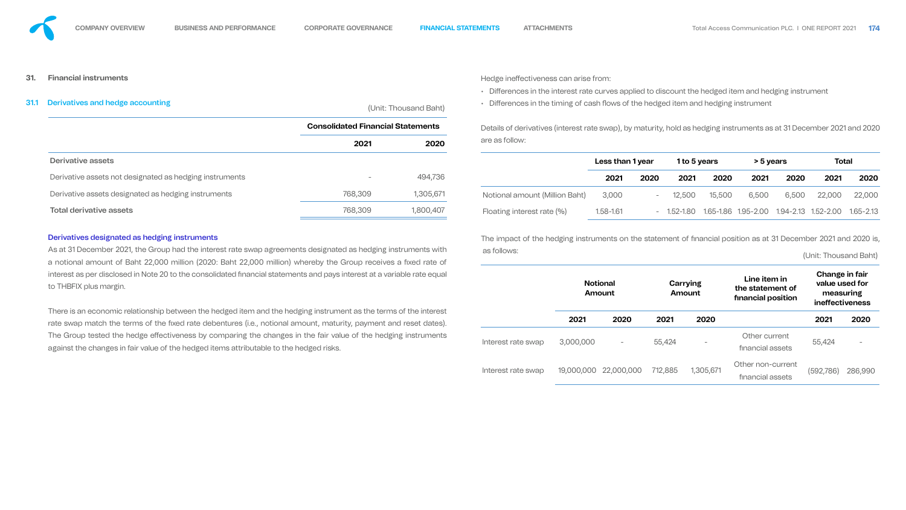#### **31. Financial instruments**

# 31.1 Derivatives and hedge accounting (Unit: Thousand Baht)

#### Derivatives designated as hedging instruments

interest as per disclosed in Note 20 to the consolidated financial statements and pays interest at a variable rate equal to THBFIX plus margin. There is an economic relationship between the hedged item and the hedging instrument as the terms of the interest rate swap match the terms of the fixed rate debentures (i.e., notional amount, maturity, payment and reset dates). The Group tested the hedge effectiveness by comparing the changes in the fair value of the hedging instruments against the changes in fair value of the hedged items attributable to the hedged risks.

Hedge ineffectiveness can arise from:

- Differences in the interest rate curves applied to discount the hedged item and hedging instrument
- Differences in the timing of cash flows of the hedged item and hedging instrument

The impact of the hedging instruments on the statement of financial position as at 31 December 2021 and 2020 is,

![](_page_61_Figure_17.jpeg)

![](_page_61_Figure_18.jpeg)

|                                                         | <b>Consolidated Financial Statements</b> |           | Details of derivatives (interest rate swap), by maturity, hold as hedging instruments as at 31 December 2021 and 2020 |                  |      |        |                                                                 |           |       |              |        |
|---------------------------------------------------------|------------------------------------------|-----------|-----------------------------------------------------------------------------------------------------------------------|------------------|------|--------|-----------------------------------------------------------------|-----------|-------|--------------|--------|
|                                                         | 2021                                     | 2020      | are as follow:                                                                                                        |                  |      |        |                                                                 |           |       |              |        |
| <b>Derivative assets</b>                                |                                          |           |                                                                                                                       | Less than 1 year |      |        | 1 to 5 years                                                    | > 5 years |       | <b>Total</b> |        |
| Derivative assets not designated as hedging instruments |                                          | 494,736   |                                                                                                                       | 2021             | 2020 | 2021   | 2020                                                            | 2021      | 2020  | 2021         | 2020   |
| Derivative assets designated as hedging instruments     | 768,309                                  | 1,305,671 | Notional amount (Million Baht)                                                                                        | 3,000            |      | 12,500 | 15,500                                                          | 6,500     | 6,500 | 22,000       | 22,000 |
| <b>Total derivative assets</b>                          | 768,309                                  | 1,800,407 | Floating interest rate (%)                                                                                            | 1.58-1.61        |      |        | $-$ 1.52-1.80 1.65-1.86 1.95-2.00 1.94-2.13 1.52-2.00 1.65-2.13 |           |       |              |        |

As at 31 December 2021, the Group had the interest rate swap agreements designated as hedging instruments with a notional amount of Baht 22,000 million (2020: Baht 22,000 million) whereby the Group receives a fixed rate of as follows: (Unit: Thousand Baht) **Notional Amount Carrying Amount Line item in the statement of financial position Change in fair value used for measuring ineffectiveness 2021 2020 2021 2020 2021 2020** Interest rate swap 3,000,000 - 55,424 - Other current Other current 55,424<br>financial assets Interest rate swap 19,000,000 22,000,000 712,885 1,305,671 Other non-current nancial assets (592,786) 286,990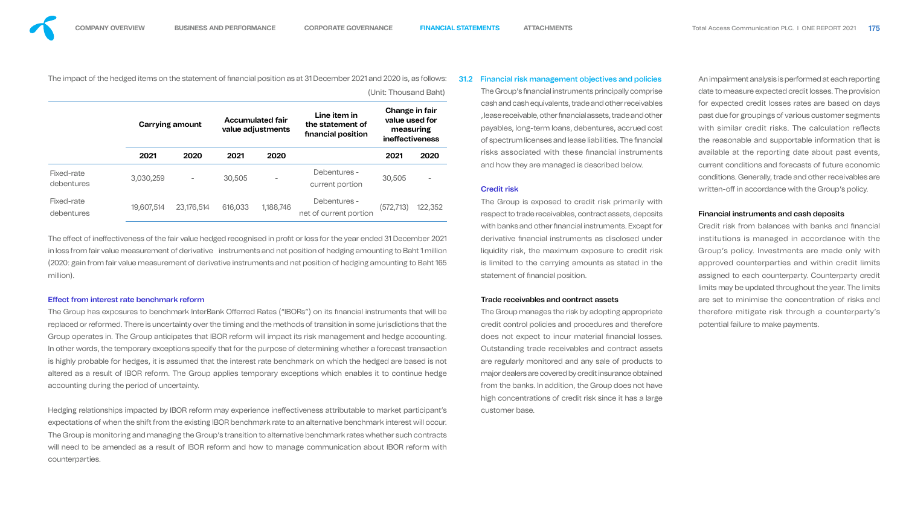![](_page_62_Picture_3.jpeg)

The impact of the hedged items on the statement of financial position as at 31 December 2021 and 2020 is, as follows: (Unit: Thousand Baht)

|                          |            | <b>Carrying amount</b> |         | <b>Accumulated fair</b><br>value adjustments | Line item in<br>the statement of<br>financial position | Change in fair<br>value used for<br>measuring<br><b>ineffectiveness</b> |         |  |
|--------------------------|------------|------------------------|---------|----------------------------------------------|--------------------------------------------------------|-------------------------------------------------------------------------|---------|--|
|                          | 2021       | 2020                   | 2021    | 2020                                         |                                                        | 2021                                                                    | 2020    |  |
| Fixed-rate<br>debentures | 3,030,259  | $\qquad \qquad -$      | 30,505  |                                              | Debentures -<br>current portion                        | 30,505                                                                  |         |  |
| Fixed-rate<br>debentures | 19,607,514 | 23,176,514             | 616,033 | 1,188,746                                    | Debentures -<br>net of current portion                 | (572, 713)                                                              | 122,352 |  |

The effect of ineffectiveness of the fair value hedged recognised in profit or loss for the year ended 31 December 2021 in loss from fair value measurement of derivative instruments and net position of hedging amounting to Baht 1 million (2020: gain from fair value measurement of derivative instruments and net position of hedging amounting to Baht 165 million).

## Effect from interest rate benchmark reform

The Group has exposures to benchmark InterBank Offerred Rates ("IBORs") on its financial instruments that will be replaced or reformed. There is uncertainty over the timing and the methods of transition in some jurisdictions that the Group operates in. The Group anticipates that IBOR reform will impact its risk management and hedge accounting. In other words, the temporary exceptions specify that for the purpose of determining whether a forecast transaction is highly probable for hedges, it is assumed that the interest rate benchmark on which the hedged are based is not altered as a result of IBOR reform. The Group applies temporary exceptions which enables it to continue hedge accounting during the period of uncertainty.

Hedging relationships impacted by IBOR reform may experience ineffectiveness attributable to market participant's expectations of when the shift from the existing IBOR benchmark rate to an alternative benchmark interest will occur. The Group is monitoring and managing the Group's transition to alternative benchmark rates whether such contracts will need to be amended as a result of IBOR reform and how to manage communication about IBOR reform with counterparties.

The Group's financial instruments principally comprise cash and cash equivalents, trade and other receivables , lease receivable, other financial assets, trade and other payables, long-term loans, debentures, accrued cost of spectrum licenses and lease liabilities. The financial risks associated with these financial instruments and how they are managed is described below.

The Group is exposed to credit risk primarily with respect to trade receivables, contract assets, deposits with banks and other financial instruments. Except for derivative financial instruments as disclosed under liquidity risk, the maximum exposure to credit risk is limited to the carrying amounts as stated in the statement of financial position.

An impairment analysis is performed at each reporting date to measure expected credit losses. The provision for expected credit losses rates are based on days past due for groupings of various customer segments with similar credit risks. The calculation reflects the reasonable and supportable information that is available at the reporting date about past events, current conditions and forecasts of future economic conditions. Generally, trade and other receivables are written-off in accordance with the Group's policy.

Credit risk from balances with banks and financial institutions is managed in accordance with the Group's policy. Investments are made only with approved counterparties and within credit limits assigned to each counterparty. Counterparty credit limits may be updated throughout the year. The limits are set to minimise the concentration of risks and therefore mitigate risk through a counterparty's potential failure to make payments.

### 31.2 Financial risk management objectives and policies

#### Credit risk

#### Trade receivables and contract assets

The Group manages the risk by adopting appropriate credit control policies and procedures and therefore does not expect to incur material financial losses. Outstanding trade receivables and contract assets are regularly monitored and any sale of products to major dealers are covered by credit insurance obtained from the banks. In addition, the Group does not have high concentrations of credit risk since it has a large customer base.

#### Financial instruments and cash deposits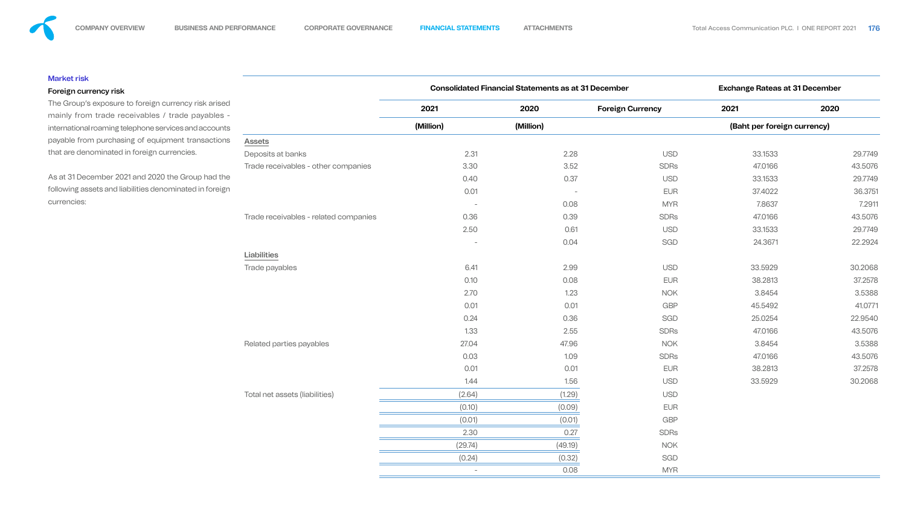### Market risk

## Foreign currency risk

The Group's exposure to foreign currency risk arised mainly from trade receivables / trade payables international roaming telephone services and accounts payable from purchasing of equipment transactions that are denominated in foreign currencies.

As at 31 December 2021 and 2020 the Group had the following assets and liabilities denominated in foreign currencies:

# Assets

|                                       |                          | <b>Consolidated Financial Statements as at 31 December</b> |                         | <b>Exchange Rateas at 31 December</b> |         |  |  |
|---------------------------------------|--------------------------|------------------------------------------------------------|-------------------------|---------------------------------------|---------|--|--|
|                                       | 2021                     | 2020                                                       | <b>Foreign Currency</b> | 2021                                  | 2020    |  |  |
|                                       | (Million)                | (Million)                                                  |                         | (Baht per foreign currency)           |         |  |  |
| <b>Assets</b>                         |                          |                                                            |                         |                                       |         |  |  |
| Deposits at banks                     | 2.31                     | 2.28                                                       | <b>USD</b>              | 33.1533                               | 29.7749 |  |  |
| Trade receivables - other companies   | 3.30                     | 3.52                                                       | <b>SDRS</b>             | 47.0166                               | 43.5076 |  |  |
|                                       | 0.40                     | 0.37                                                       | <b>USD</b>              | 33.1533                               | 29.7749 |  |  |
|                                       | 0.01                     |                                                            | <b>EUR</b>              | 37.4022                               | 36.3751 |  |  |
|                                       |                          | 0.08                                                       | <b>MYR</b>              | 7.8637                                | 7.2911  |  |  |
| Trade receivables - related companies | 0.36                     | 0.39                                                       | <b>SDRS</b>             | 47.0166                               | 43.5076 |  |  |
|                                       | 2.50                     | 0.61                                                       | <b>USD</b>              | 33.1533                               | 29.7749 |  |  |
|                                       | $\overline{\phantom{a}}$ | 0.04                                                       | <b>SGD</b>              | 24.3671                               | 22.2924 |  |  |
| <b>Liabilities</b>                    |                          |                                                            |                         |                                       |         |  |  |
| Trade payables                        | 6.41                     | 2.99                                                       | <b>USD</b>              | 33.5929                               | 30.2068 |  |  |
|                                       | 0.10                     | 0.08                                                       | <b>EUR</b>              | 38.2813                               | 37.2578 |  |  |
|                                       | 2.70                     | 1.23                                                       | <b>NOK</b>              | 3.8454                                | 3.5388  |  |  |
|                                       | 0.01                     | 0.01                                                       | <b>GBP</b>              | 45.5492                               | 41.0771 |  |  |
|                                       | 0.24                     | 0.36                                                       | SGD                     | 25.0254                               | 22.9540 |  |  |
|                                       | 1.33                     | 2.55                                                       | <b>SDRS</b>             | 47.0166                               | 43.5076 |  |  |
| Related parties payables              | 27.04                    | 47.96                                                      | <b>NOK</b>              | 3.8454                                | 3.5388  |  |  |
|                                       | 0.03                     | 1.09                                                       | <b>SDRS</b>             | 47.0166                               | 43.5076 |  |  |
|                                       | 0.01                     | 0.01                                                       | <b>EUR</b>              | 38.2813                               | 37.2578 |  |  |
|                                       | 1.44                     | 1.56                                                       | <b>USD</b>              | 33.5929                               | 30.2068 |  |  |
| Total net assets (liabilities)        | (2.64)                   | (1.29)                                                     | <b>USD</b>              |                                       |         |  |  |
|                                       | (0.10)                   | (0.09)                                                     | <b>EUR</b>              |                                       |         |  |  |
|                                       | (0.01)                   | (0.01)                                                     | <b>GBP</b>              |                                       |         |  |  |
|                                       | 2.30                     | 0.27                                                       | <b>SDRS</b>             |                                       |         |  |  |
|                                       | (29.74)                  | (49.19)                                                    | <b>NOK</b>              |                                       |         |  |  |
|                                       | (0.24)                   | (0.32)                                                     | SGD                     |                                       |         |  |  |
|                                       | $\overline{\phantom{a}}$ | 0.08                                                       | <b>MYR</b>              |                                       |         |  |  |

![](_page_63_Figure_16.jpeg)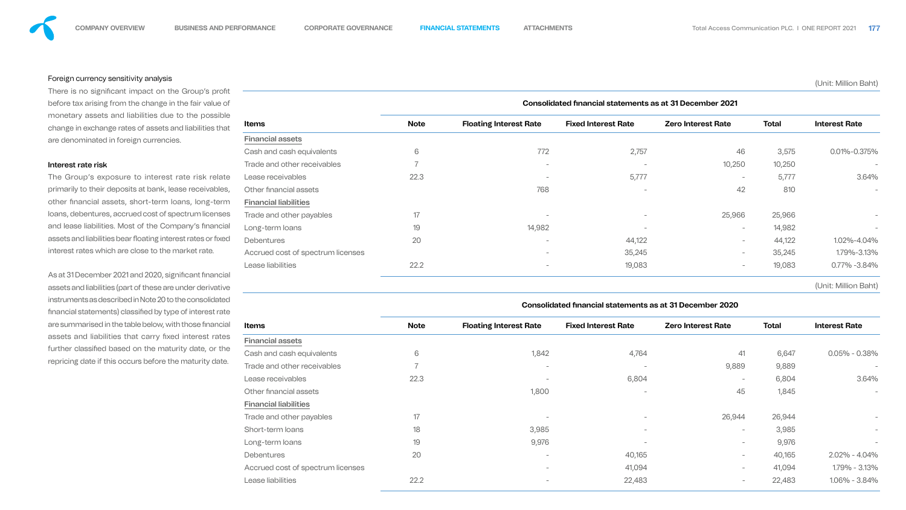![](_page_64_Picture_2.jpeg)

### Foreign currency sensitivity analysis

There is no significant impact on the Group's profit before tax arising from the change in the fair value of monetary assets and liabilities due to the possible change in exchange rates of assets and liabilities that are denominated in foreign currencies.

#### Interest rate risk

As at 31 December 2021 and 2020, significant financial assets and liabilities (part of these are under derivative instruments as described in Note 20 to the consolidated financial statements) classified by type of interest rate are summarised in the table below, with those financial assets and liabilities that carry fixed interest rates further classified based on the maturity date, or the repricing date if this occurs before the maturity date.

The Group's exposure to interest rate risk relate primarily to their deposits at bank, lease receivables, other financial assets, short-term loans, long-term loans, debentures, accrued cost of spectrum licenses and lease liabilities. Most of the Company's financial assets and liabilities bear floating interest rates or fixed interest rates which are close to the market rate.

#### (Unit: Million Baht)

|                                   | Consolidated financial statements as at 31 December 2021 |                               |                            |                           |              |                          |  |  |  |  |  |  |
|-----------------------------------|----------------------------------------------------------|-------------------------------|----------------------------|---------------------------|--------------|--------------------------|--|--|--|--|--|--|
| <b>Items</b>                      | <b>Note</b>                                              | <b>Floating Interest Rate</b> | <b>Fixed Interest Rate</b> | <b>Zero Interest Rate</b> | <b>Total</b> | <b>Interest Rate</b>     |  |  |  |  |  |  |
| <b>Financial assets</b>           |                                                          |                               |                            |                           |              |                          |  |  |  |  |  |  |
| Cash and cash equivalents         | 6                                                        | 772                           | 2,757                      | 46                        | 3,575        | 0.01%-0.375%             |  |  |  |  |  |  |
| Trade and other receivables       |                                                          | $\sim$                        |                            | 10,250                    | 10,250       | $\overline{\phantom{a}}$ |  |  |  |  |  |  |
| Lease receivables                 | 22.3                                                     | $\equiv$                      | 5,777                      | $\overline{\phantom{a}}$  | 5,777        | 3.64%                    |  |  |  |  |  |  |
| Other financial assets            |                                                          | 768                           |                            | 42                        | 810          | $\overline{\phantom{a}}$ |  |  |  |  |  |  |
| <b>Financial liabilities</b>      |                                                          |                               |                            |                           |              |                          |  |  |  |  |  |  |
| Trade and other payables          | 17                                                       |                               |                            | 25,966                    | 25,966       | $\qquad \qquad$          |  |  |  |  |  |  |
| Long-term loans                   | 19                                                       | 14,982                        |                            | $\overline{\phantom{0}}$  | 14,982       | $\overline{\phantom{a}}$ |  |  |  |  |  |  |
| <b>Debentures</b>                 | 20                                                       | $\qquad \qquad$               | 44,122                     | $\overline{\phantom{0}}$  | 44,122       | 1.02%-4.04%              |  |  |  |  |  |  |
| Accrued cost of spectrum licenses |                                                          | $\overline{\phantom{a}}$      | 35,245                     | $\overline{\phantom{a}}$  | 35,245       | 1.79%-3.13%              |  |  |  |  |  |  |
| Lease liabilities                 | 22.2                                                     | $\overline{\phantom{a}}$      | 19,083                     | $\overline{\phantom{0}}$  | 19,083       | 0.77% -3.84%             |  |  |  |  |  |  |
|                                   |                                                          |                               |                            |                           |              |                          |  |  |  |  |  |  |

![](_page_64_Figure_16.jpeg)

| Consolidated financial statements as at 31 December 2020 |  |
|----------------------------------------------------------|--|
|----------------------------------------------------------|--|

| <b>Items</b>                      | <b>Note</b>    | <b>Floating Interest Rate</b>   | <b>Fixed Interest Rate</b>      | <b>Zero Interest Rate</b> | <b>Total</b> | <b>Interest Rate</b>     |  |
|-----------------------------------|----------------|---------------------------------|---------------------------------|---------------------------|--------------|--------------------------|--|
| <b>Financial assets</b>           |                |                                 |                                 |                           |              |                          |  |
| Cash and cash equivalents         | 6              | 1,842                           | 4,764                           | 41                        | 6,647        | $0.05\% - 0.38\%$        |  |
| Trade and other receivables       | $\overline{7}$ |                                 |                                 | 9,889                     | 9,889        | $\overline{\phantom{a}}$ |  |
| Lease receivables                 | 22.3           |                                 | 6,804                           |                           | 6,804        | 3.64%                    |  |
| Other financial assets            |                | 1,800                           |                                 | 45                        | 1,845        | $\overline{\phantom{a}}$ |  |
| <b>Financial liabilities</b>      |                |                                 |                                 |                           |              |                          |  |
| Trade and other payables          | 17             |                                 |                                 | 26,944                    | 26,944       |                          |  |
| Short-term loans                  | 18             | 3,985                           | $\overline{\phantom{0}}$        | $-$                       | 3,985        |                          |  |
| Long-term loans                   | 19             | 9,976                           | $\hspace{0.1mm}-\hspace{0.1mm}$ |                           | 9,976        |                          |  |
| <b>Debentures</b>                 | 20             | $\overline{\phantom{a}}$        | 40,165                          | $-$                       | 40,165       | $2.02\% - 4.04\%$        |  |
| Accrued cost of spectrum licenses |                | $\sim$                          | 41,094                          | -                         | 41,094       | 1.79% - 3.13%            |  |
| Lease liabilities                 | 22.2           | $\hspace{0.1mm}-\hspace{0.1mm}$ | 22,483                          |                           | 22,483       | 1.06% - 3.84%            |  |
|                                   |                |                                 |                                 |                           |              |                          |  |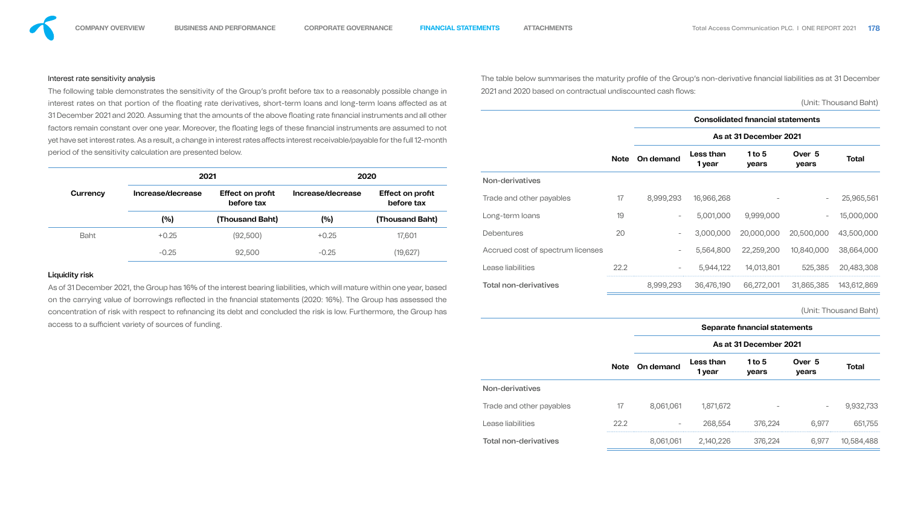## Interest rate sensitivity analysis

As of 31 December 2021, the Group has 16% of the interest bearing liabilities, which will mature within one year, based on the carrying value of borrowings reflected in the financial statements (2020: 16%). The Group has assessed the concentration of risk with respect to refinancing its debt and concluded the risk is low. Furthermore, the Group has access to a sufficient variety of sources of funding.

|                       | The following table demonstrates the sensitivity of the Group's profit before tax to a reasonably possible change in           |                 |                              |                                       | 2021 and 2020 based on contractual undiscounted cash flows: |             |                                          |                     |                        |                 |                       |  |  |  |
|-----------------------|--------------------------------------------------------------------------------------------------------------------------------|-----------------|------------------------------|---------------------------------------|-------------------------------------------------------------|-------------|------------------------------------------|---------------------|------------------------|-----------------|-----------------------|--|--|--|
|                       | interest rates on that portion of the floating rate derivatives, short-term loans and long-term loans affected as at           |                 |                              |                                       |                                                             |             |                                          |                     |                        |                 | (Unit: Thousand Baht) |  |  |  |
|                       | 31 December 2021 and 2020. Assuming that the amounts of the above floating rate financial instruments and all other            |                 |                              |                                       |                                                             |             | <b>Consolidated financial statements</b> |                     |                        |                 |                       |  |  |  |
|                       | factors remain constant over one year. Moreover, the floating legs of these financial instruments are assumed to not           |                 |                              |                                       |                                                             |             |                                          |                     |                        |                 |                       |  |  |  |
|                       | yet have set interest rates. As a result, a change in interest rates affects interest receivable/payable for the full 12-month |                 |                              |                                       |                                                             |             |                                          |                     | As at 31 December 2021 |                 |                       |  |  |  |
|                       | period of the sensitivity calculation are presented below.                                                                     |                 |                              |                                       |                                                             | <b>Note</b> | <b>On demand</b>                         | Less than<br>1 year | 1 to $5$<br>years      | Over 5<br>years | <b>Total</b>          |  |  |  |
|                       | 2021                                                                                                                           |                 | 2020                         |                                       | <b>Non-derivatives</b>                                      |             |                                          |                     |                        |                 |                       |  |  |  |
| <b>Currency</b>       | Increase/decrease<br><b>Effect on profit</b><br>before tax                                                                     |                 | Increase/decrease            | <b>Effect on profit</b><br>before tax | Trade and other payables                                    | 17          | 8,999,293                                | 16,966,268          |                        |                 | 25,965,561            |  |  |  |
|                       | (%)                                                                                                                            | (Thousand Baht) | (%)                          | (Thousand Baht)                       | Long-term loans                                             | 19          | $\sim$                                   | 5,001,000           | 9,999,000              |                 | 15,000,000            |  |  |  |
| <b>Baht</b>           | $+0.25$                                                                                                                        | (92,500)        | $+0.25$                      | 17,601                                | <b>Debentures</b>                                           | 20          |                                          | 3,000,000           | 20,000,000             | 20,500,000      | 43,500,000            |  |  |  |
|                       | $-0.25$                                                                                                                        | 92,500          | $-0.25$                      | (19, 627)                             | Accrued cost of spectrum licenses                           |             |                                          | 5,564,800           | 22,259,200             | 10,840,000      | 38,664,000            |  |  |  |
| <b>Liquidity risk</b> |                                                                                                                                |                 |                              |                                       | Lease liabilities                                           | 22.2        |                                          | 5,944,122           | 14,013,801             | 525,385         | 20,483,308            |  |  |  |
|                       | As of 31 December 2021, the Group has 16% of the interest bearing liabilities, which will mature within one year, based        |                 | <b>Total non-derivatives</b> |                                       | 8,999,293                                                   | 36,476,190  | 66,272,001                               | 31,865,385          | 143,612,869            |                 |                       |  |  |  |

![](_page_65_Figure_13.jpeg)

# **Total**

![](_page_65_Figure_15.jpeg)

![](_page_65_Figure_16.jpeg)

![](_page_65_Figure_17.jpeg)

(Unit: Thousand Baht)

|                              |             |                          |                        | Separate financial statements |                 |              |  |  |  |  |
|------------------------------|-------------|--------------------------|------------------------|-------------------------------|-----------------|--------------|--|--|--|--|
|                              |             |                          | As at 31 December 2021 |                               |                 |              |  |  |  |  |
|                              | <b>Note</b> | On demand                | Less than<br>1 year    | 1 to $5$<br>years             | Over 5<br>years | <b>Total</b> |  |  |  |  |
| <b>Non-derivatives</b>       |             |                          |                        |                               |                 |              |  |  |  |  |
| Trade and other payables     | 17          | 8,061,061                | 1,871,672              |                               | -               | 9,932,733    |  |  |  |  |
| Lease liabilities            | 22.2        | $\overline{\phantom{a}}$ | 268,554                | 376,224                       | 6,977           | 651,755      |  |  |  |  |
| <b>Total non-derivatives</b> |             | 8,061,061                | 2,140,226              | 376,224                       | 6,977           | 10,584,488   |  |  |  |  |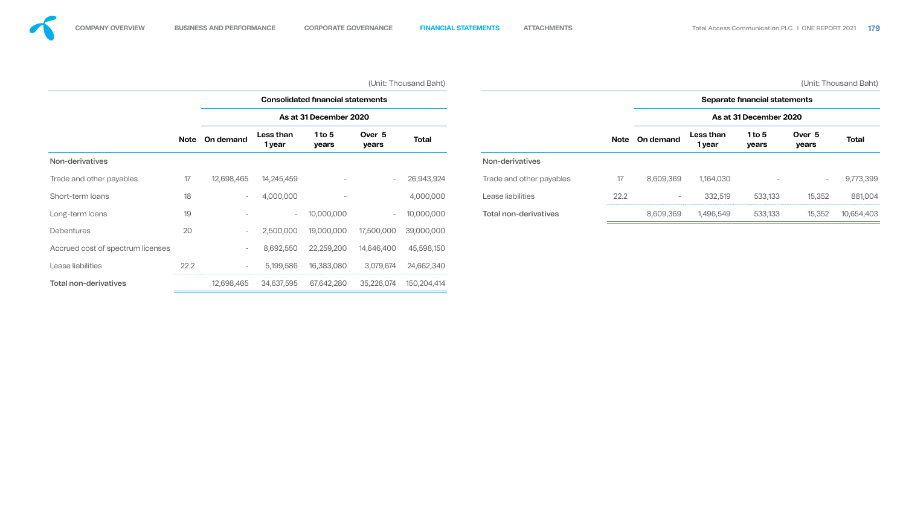|                                   |             |                          |                     |                                          |                 | (Unit: Thousand Baht) |                              |             |                               |                     |                        |                          | (Unit: Thousand Baht) |  |
|-----------------------------------|-------------|--------------------------|---------------------|------------------------------------------|-----------------|-----------------------|------------------------------|-------------|-------------------------------|---------------------|------------------------|--------------------------|-----------------------|--|
|                                   |             |                          |                     | <b>Consolidated financial statements</b> |                 |                       |                              |             | Separate financial statements |                     |                        |                          |                       |  |
|                                   |             |                          |                     | As at 31 December 2020                   |                 |                       |                              |             |                               |                     | As at 31 December 2020 |                          |                       |  |
|                                   | <b>Note</b> | On demand                | Less than<br>1 year | 1 to $5$<br>years                        | Over 5<br>years | <b>Total</b>          |                              | <b>Note</b> | <b>On demand</b>              | Less than<br>1 year | 1 to $5$<br>years      | Over 5<br>years          | <b>Total</b>          |  |
| Non-derivatives                   |             |                          |                     |                                          |                 |                       | Non-derivatives              |             |                               |                     |                        |                          |                       |  |
| Trade and other payables          | 17          | 12,698,465               | 14,245,459          | $\overline{\phantom{0}}$                 | $\sim$          | 26,943,924            | Trade and other payables     | 17          | 8,609,369                     | 1,164,030           |                        | $\overline{\phantom{a}}$ | 9,773,399             |  |
| Short-term loans                  | 18          | $-$                      | 4,000,000           |                                          |                 | 4,000,000             | Lease liabilities            | 22.2        | $\overline{\phantom{0}}$      | 332,519             | 533,133                | 15,352                   | 881,004               |  |
| Long-term loans                   | 19          | $\overline{\phantom{a}}$ | $-$                 | 10,000,000                               | $\sim$          | 10,000,000            | <b>Total non-derivatives</b> |             | 8,609,369                     | 1,496,549           | 533,133                | 15,352                   | 10,654,403            |  |
| Debentures                        | 20          | $ \,$                    | 2,500,000           | 19,000,000                               | 17,500,000      | 39,000,000            |                              |             |                               |                     |                        |                          |                       |  |
| Accrued cost of spectrum licenses |             | $\overline{\phantom{0}}$ | 8,692,550           | 22,259,200                               | 14,646,400      | 45,598,150            |                              |             |                               |                     |                        |                          |                       |  |
| Lease liabilities                 | 22.2        | $ \,$                    | 5,199,586           | 16,383,080                               | 3,079,674       | 24,662,340            |                              |             |                               |                     |                        |                          |                       |  |
| <b>Total non-derivatives</b>      |             | 12,698,465               | 34,637,595          | 67,642,280                               | 35,226,074      | 150,204,414           |                              |             |                               |                     |                        |                          |                       |  |

![](_page_66_Figure_10.jpeg)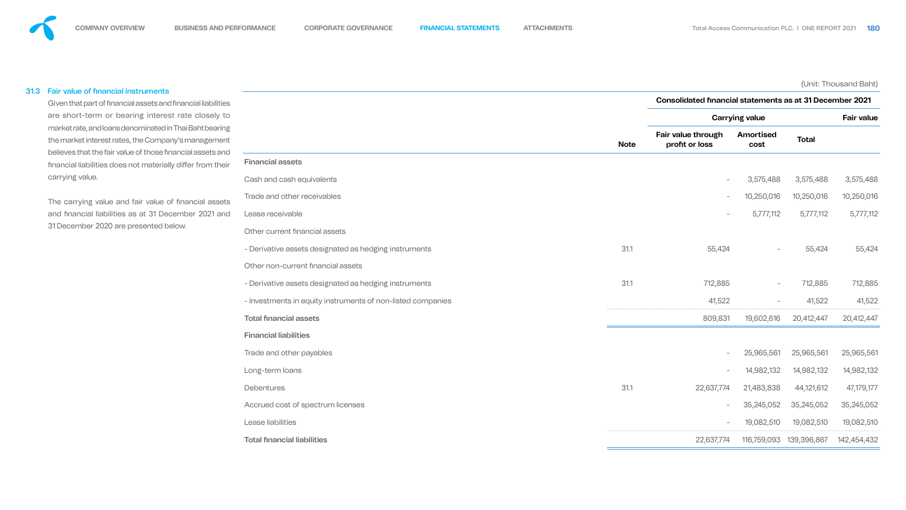#### 31.3 Fair value of financial instruments

Given that part of financial assets and financial liabilities are short-term or bearing interest rate closely to market rate, and loans denominated in Thai Baht bearing the market interest rates, the Company's management believes that the fair value of those financial assets and financial liabilities does not materially differ from their carrying value.

The carrying value and fair value of financial assets and financial liabilities as at 31 December 2021 and 31 December 2020 are presented below.

(Unit: Thousand Baht)

![](_page_67_Figure_29.jpeg)

#### Financial assets

|                                                             |             | <b>Consolidated financial statements as at 31 December 2021</b> |                          |              |                   |  |  |  |  |
|-------------------------------------------------------------|-------------|-----------------------------------------------------------------|--------------------------|--------------|-------------------|--|--|--|--|
|                                                             |             |                                                                 | <b>Carrying value</b>    |              | <b>Fair value</b> |  |  |  |  |
|                                                             | <b>Note</b> | Fair value through<br>profit or loss                            | Amortised<br><b>cost</b> | <b>Total</b> |                   |  |  |  |  |
| <b>Financial assets</b>                                     |             |                                                                 |                          |              |                   |  |  |  |  |
| Cash and cash equivalents                                   |             | $\overline{\phantom{0}}$                                        | 3,575,488                | 3,575,488    | 3,575,488         |  |  |  |  |
| Trade and other receivables                                 |             | $\overline{\phantom{0}}$                                        | 10,250,016               | 10,250,016   | 10,250,016        |  |  |  |  |
| Lease receivable                                            |             | $\overline{\phantom{0}}$                                        | 5,777,112                | 5,777,112    | 5,777,112         |  |  |  |  |
| Other current financial assets                              |             |                                                                 |                          |              |                   |  |  |  |  |
| - Derivative assets designated as hedging instruments       | 31.1        | 55,424                                                          | $\overline{\phantom{m}}$ | 55,424       | 55,424            |  |  |  |  |
| Other non-current financial assets                          |             |                                                                 |                          |              |                   |  |  |  |  |
| - Derivative assets designated as hedging instruments       | 31.1        | 712,885                                                         | $ \,$                    | 712,885      | 712,885           |  |  |  |  |
| - Investments in equity instruments of non-listed companies |             | 41,522                                                          | $\overline{\phantom{m}}$ | 41,522       | 41,522            |  |  |  |  |
| <b>Total financial assets</b>                               |             | 809,831                                                         | 19,602,616               | 20,412,447   | 20,412,447        |  |  |  |  |
| <b>Financial liabilities</b>                                |             |                                                                 |                          |              |                   |  |  |  |  |
| Trade and other payables                                    |             | $\sim$                                                          | 25,965,561               | 25,965,561   | 25,965,561        |  |  |  |  |
| Long-term loans                                             |             | $\overline{\phantom{a}}$                                        | 14,982,132               | 14,982,132   | 14,982,132        |  |  |  |  |
| <b>Debentures</b>                                           | 31.1        | 22,637,774                                                      | 21,483,838               | 44,121,612   | 47,179,177        |  |  |  |  |
| Accrued cost of spectrum licenses                           |             | $\overline{\phantom{0}}$                                        | 35,245,052               | 35,245,052   | 35,245,052        |  |  |  |  |
| Lease liabilities                                           |             | $\overline{\phantom{0}}$                                        | 19,082,510               | 19,082,510   | 19,082,510        |  |  |  |  |
| <b>Total financial liabilities</b>                          |             | 22,637,774                                                      | 116,759,093              | 139,396,867  | 142,454,432       |  |  |  |  |

![](_page_67_Figure_28.jpeg)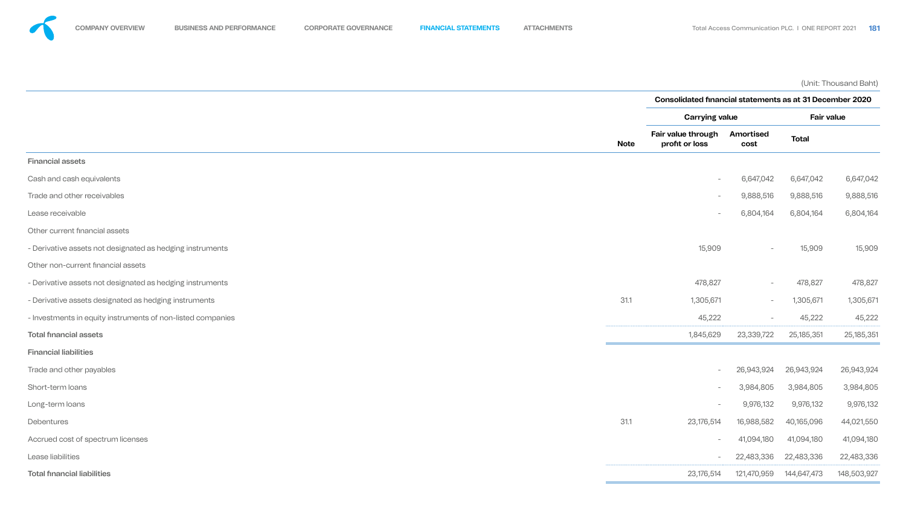(Unit: Thousand Baht)

![](_page_68_Figure_27.jpeg)

#### Financial assets

- 
- 
- 
- Other current financial assets
- 
- Other non-current financial assets
- 
- 
- 

|                                                             |             | <b>Consolidated financial statements as at 31 December 2020</b> |                          |                   |              |  |  |
|-------------------------------------------------------------|-------------|-----------------------------------------------------------------|--------------------------|-------------------|--------------|--|--|
|                                                             |             | <b>Carrying value</b>                                           |                          | <b>Fair value</b> |              |  |  |
|                                                             | <b>Note</b> | <b>Fair value through</b><br>profit or loss                     | <b>Amortised</b><br>cost | <b>Total</b>      |              |  |  |
| <b>Financial assets</b>                                     |             |                                                                 |                          |                   |              |  |  |
| Cash and cash equivalents                                   |             | $\overline{\phantom{a}}$                                        | 6,647,042                | 6,647,042         | 6,647,042    |  |  |
| Trade and other receivables                                 |             | $\overline{\phantom{0}}$                                        | 9,888,516                | 9,888,516         | 9,888,516    |  |  |
| Lease receivable                                            |             | $\overline{\phantom{0}}$                                        | 6,804,164                | 6,804,164         | 6,804,164    |  |  |
| Other current financial assets                              |             |                                                                 |                          |                   |              |  |  |
| - Derivative assets not designated as hedging instruments   |             | 15,909                                                          | $\overline{\phantom{0}}$ | 15,909            | 15,909       |  |  |
| Other non-current financial assets                          |             |                                                                 |                          |                   |              |  |  |
| - Derivative assets not designated as hedging instruments   |             | 478,827                                                         | $\overline{\phantom{0}}$ | 478,827           | 478,827      |  |  |
| - Derivative assets designated as hedging instruments       | 31.1        | 1,305,671                                                       | $\overline{\phantom{0}}$ | 1,305,671         | 1,305,671    |  |  |
| - Investments in equity instruments of non-listed companies |             | 45,222                                                          | $\overline{\phantom{a}}$ | 45,222            | 45,222       |  |  |
| <b>Total financial assets</b>                               |             | 1,845,629                                                       | 23,339,722               | 25,185,351        | 25, 185, 351 |  |  |
| <b>Financial liabilities</b>                                |             |                                                                 |                          |                   |              |  |  |
| Trade and other payables                                    |             | $\overline{\phantom{0}}$                                        | 26,943,924               | 26,943,924        | 26,943,924   |  |  |
| Short-term loans                                            |             | $\overline{\phantom{a}}$                                        | 3,984,805                | 3,984,805         | 3,984,805    |  |  |
| Long-term loans                                             |             | $\overline{\phantom{a}}$                                        | 9,976,132                | 9,976,132         | 9,976,132    |  |  |
| Debentures                                                  | 31.1        | 23,176,514                                                      | 16,988,582               | 40,165,096        | 44,021,550   |  |  |
| Accrued cost of spectrum licenses                           |             | $ \,$                                                           | 41,094,180               | 41,094,180        | 41,094,180   |  |  |
| Lease liabilities                                           |             | $-$                                                             | 22,483,336               | 22,483,336        | 22,483,336   |  |  |
| <b>Total financial liabilities</b>                          |             | 23,176,514                                                      | 121,470,959              | 144,647,473       | 148,503,927  |  |  |

![](_page_68_Figure_26.jpeg)

- Financial liabilities
- 
- 
- 
- 
- 
- 
-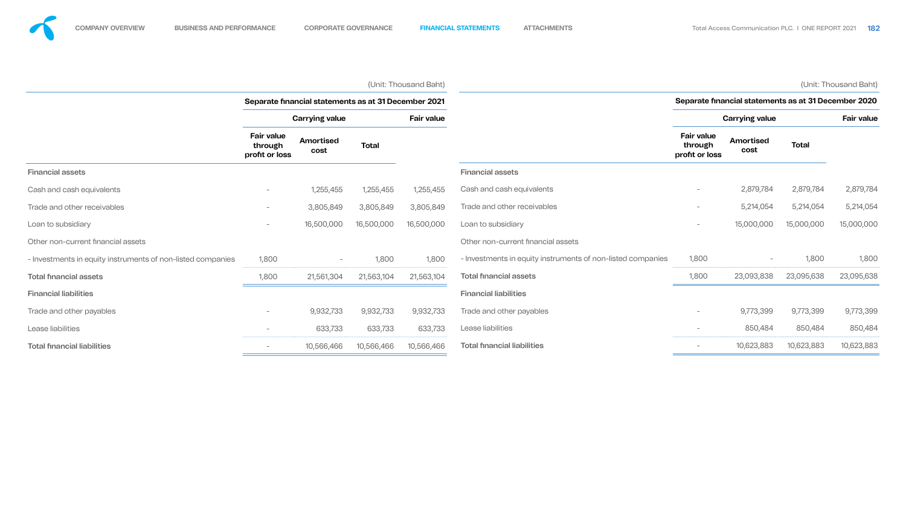|                                                             | (Unit: Thousand Baht)<br>Separate financial statements as at 31 December 2021 |                          |              |                   |                                                             |                                                      |                                 |              | (Unit: Thousand Baht) |
|-------------------------------------------------------------|-------------------------------------------------------------------------------|--------------------------|--------------|-------------------|-------------------------------------------------------------|------------------------------------------------------|---------------------------------|--------------|-----------------------|
|                                                             |                                                                               |                          |              |                   |                                                             | Separate financial statements as at 31 December 2020 |                                 |              |                       |
|                                                             | <b>Carrying value</b>                                                         |                          |              | <b>Fair value</b> |                                                             | <b>Carrying value</b>                                |                                 |              | <b>Fair value</b>     |
|                                                             | <b>Fair value</b><br>through<br>profit or loss                                | <b>Amortised</b><br>cost | <b>Total</b> |                   |                                                             | <b>Fair value</b><br>through<br>profit or loss       | <b>Amortised</b><br><b>cost</b> | <b>Total</b> |                       |
| <b>Financial assets</b>                                     |                                                                               |                          |              |                   | <b>Financial assets</b>                                     |                                                      |                                 |              |                       |
| Cash and cash equivalents                                   | $\qquad \qquad -$                                                             | 1,255,455                | 1,255,455    | 1,255,455         | Cash and cash equivalents                                   |                                                      | 2,879,784                       | 2,879,784    | 2,879,784             |
| Trade and other receivables                                 | $\overline{\phantom{a}}$                                                      | 3,805,849                | 3,805,849    | 3,805,849         | Trade and other receivables                                 | $\overline{\phantom{0}}$                             | 5,214,054                       | 5,214,054    | 5,214,054             |
| Loan to subsidiary                                          | $\qquad \qquad -$                                                             | 16,500,000               | 16,500,000   | 16,500,000        | Loan to subsidiary                                          |                                                      | 15,000,000                      | 15,000,000   | 15,000,000            |
| Other non-current financial assets                          |                                                                               |                          |              |                   | Other non-current financial assets                          |                                                      |                                 |              |                       |
| - Investments in equity instruments of non-listed companies | 1,800                                                                         |                          | 1,800        | 1,800             | - Investments in equity instruments of non-listed companies | 1,800                                                |                                 | 1,800        | 1,800                 |
| <b>Total financial assets</b>                               | 1,800                                                                         | 21,561,304               | 21,563,104   | 21,563,104        | <b>Total financial assets</b>                               | 1,800                                                | 23,093,838                      | 23,095,638   | 23,095,638            |
| <b>Financial liabilities</b>                                |                                                                               |                          |              |                   | <b>Financial liabilities</b>                                |                                                      |                                 |              |                       |
| Trade and other payables                                    | $\overline{\phantom{a}}$                                                      | 9,932,733                | 9,932,733    | 9,932,733         | Trade and other payables                                    | $\overline{\phantom{0}}$                             | 9,773,399                       | 9,773,399    | 9,773,399             |
| Lease liabilities                                           | $\overline{\phantom{a}}$                                                      | 633,733                  | 633,733      | 633,733           | Lease liabilities                                           | $\overline{\phantom{a}}$                             | 850,484                         | 850,484      | 850,484               |
| <b>Total financial liabilities</b>                          | $\qquad \qquad -$                                                             | 10,566,466               | 10,566,466   | 10,566,466        | <b>Total financial liabilities</b>                          |                                                      | 10,623,883                      | 10,623,883   | 10,623,883            |

![](_page_69_Figure_8.jpeg)

![](_page_69_Figure_9.jpeg)

![](_page_69_Figure_10.jpeg)

![](_page_69_Figure_11.jpeg)

![](_page_69_Figure_12.jpeg)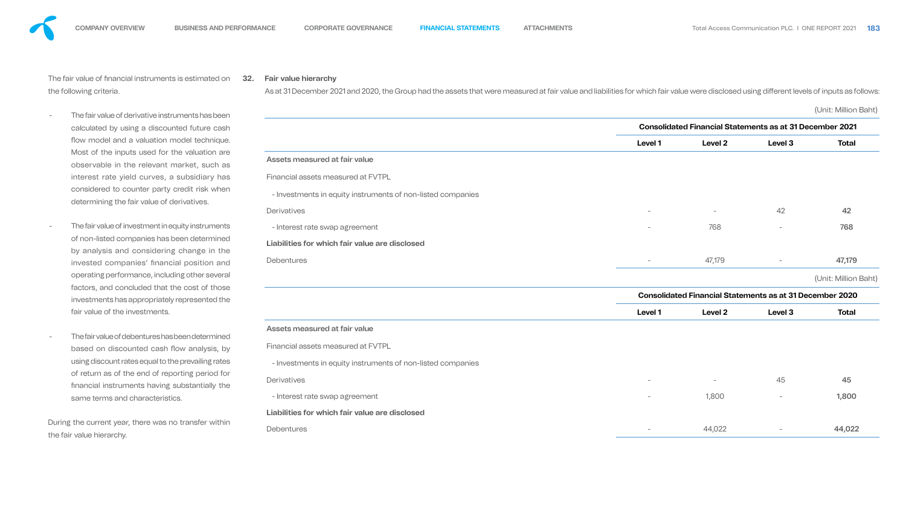As at 31 December 2021 and 2020, the Group had the assets that were measured at fair value and liabilities for which fair value were disclosed using different levels of inputs as follows:

The fair value of financial instruments is estimated on the following criteria.

- The fair value of derivative instruments has been calculated by using a discounted future cash flow model and a valuation model technique. Most of the inputs used for the valuation are observable in the relevant market, such as interest rate yield curves, a subsidiary has considered to counter party credit risk when determining the fair value of derivatives.
- The fair value of investment in equity instruments of non-listed companies has been determined by analysis and considering change in the invested companies' financial position and operating performance, including other several factors, and concluded that the cost of those investments has appropriately represented the fair value of the investments.
- The fair value of debentures has been determined based on discounted cash flow analysis, by using discount rates equal to the prevailing rates of return as of the end of reporting period for nancial instruments having substantially the same terms and characteristics.

During the current year, there was no transfer within the fair value hierarchy.

# **32. Fair value hierarchy**

(Unit: Million Baht)

### Assets measured at fair value

#### **Liabilities for which fair value are disclosed**

![](_page_70_Figure_31.jpeg)

|                                                             | <b>Consolidated Financial Statements as at 31 December 2021</b> |                          |                                                                 |                |
|-------------------------------------------------------------|-----------------------------------------------------------------|--------------------------|-----------------------------------------------------------------|----------------|
|                                                             | <b>Level 1</b>                                                  | Level 2                  | Level 3                                                         | <b>Total</b>   |
| <b>Assets measured at fair value</b>                        |                                                                 |                          |                                                                 |                |
| <b>Financial assets measured at FVTPL</b>                   |                                                                 |                          |                                                                 |                |
| - Investments in equity instruments of non-listed companies |                                                                 |                          |                                                                 |                |
| <b>Derivatives</b>                                          | $\qquad \qquad -$                                               | $\overline{\phantom{a}}$ | 42                                                              | 42             |
| - Interest rate swap agreement                              | $\qquad \qquad -$                                               | 768                      | -                                                               | 768            |
| Liabilities for which fair value are disclosed              |                                                                 |                          |                                                                 |                |
| <b>Debentures</b>                                           | $\overline{\phantom{m}}$                                        | 47,179                   | $\qquad \qquad \blacksquare$                                    | 47,179         |
|                                                             |                                                                 |                          |                                                                 | (Unit: Million |
|                                                             |                                                                 |                          | <b>Consolidated Financial Statements as at 31 December 2020</b> |                |
|                                                             | <b>Level 1</b>                                                  | Level 2                  | Level 3                                                         | <b>Total</b>   |
| Assets measured at fair value                               |                                                                 |                          |                                                                 |                |
| <b>Financial assets measured at FVTPL</b>                   |                                                                 |                          |                                                                 |                |
| - Investments in equity instruments of non-listed companies |                                                                 |                          |                                                                 |                |
| <b>Derivatives</b>                                          |                                                                 |                          | 45                                                              | 45             |
| - Interest rate swap agreement                              | $\overline{\phantom{m}}$                                        | 1,800                    |                                                                 | 1,800          |
| Liabilities for which fair value are disclosed              |                                                                 |                          |                                                                 |                |
| <b>Debentures</b>                                           | $\overline{\phantom{m}}$                                        | 44,022                   |                                                                 | 44,022         |

![](_page_70_Figure_32.jpeg)

![](_page_70_Figure_29.jpeg)

![](_page_70_Figure_30.jpeg)

#### Assets measured at fair value

#### **Liabilities for which fair value are disclosed**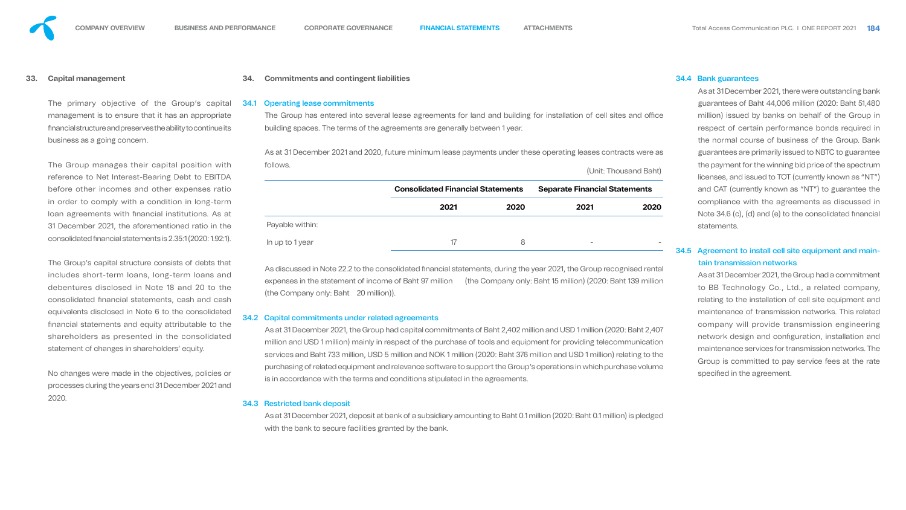#### **33. Capital management**

The primary objective of the Group's capital management is to ensure that it has an appropriate nancial structure and preserves the ability to continue its business as a going concern.

The Group manages their capital position with reference to Net Interest-Bearing Debt to EBITDA before other incomes and other expenses ratio in order to comply with a condition in long-term loan agreements with financial institutions. As at 31 December 2021, the aforementioned ratio in the consolidated nancial statements is 2.35:1 (2020: 1.92:1).

The Group has entered into several lease agreements for land and building for installation of cell sites and office building spaces. The terms of the agreements are generally between 1 year.

The Group's capital structure consists of debts that includes short-term loans, long-term loans and debentures disclosed in Note 18 and 20 to the consolidated financial statements, cash and cash equivalents disclosed in Note 6 to the consolidated nancial statements and equity attributable to the shareholders as presented in the consolidated statement of changes in shareholders' equity.

As discussed in Note 22.2 to the consolidated financial statements, during the year 2021, the Group recognised rental expenses in the statement of income of Baht 97 million (the Company only: Baht 15 million) (2020: Baht 139 million (the Company only: Baht 20 million)).

No changes were made in the objectives, policies or processes during the years end 31 December 2021 and 2020.

#### **34. Commitments and contingent liabilities**

#### 34.1 Operating lease commitments

As at 31 December 2021, deposit at bank of a subsidiary amounting to Baht 0.1 million (2020: Baht 0.1 million) is pledged with the bank to secure facilities granted by the bank.

As at 31 December 2021 and 2020, future minimum lease payments under these operating leases contracts were as follows.

(Unit: Thousand Baht)

|                 | <b>Consolidated Financial Statements</b> |      | <b>Separate Financial Statements</b> |      |  |
|-----------------|------------------------------------------|------|--------------------------------------|------|--|
|                 | 2021                                     | 2020 | 2021                                 | 2020 |  |
| Payable within: |                                          |      |                                      |      |  |
| In up to 1 year | 17                                       | 8    | $\qquad \qquad \blacksquare$         |      |  |

As at 31 December 2021, the Group had a commitment to BB Technology Co., Ltd., a related company, relating to the installation of cell site equipment and maintenance of transmission networks. This related company will provide transmission engineering network design and configuration, installation and maintenance services for transmission networks. The Group is committed to pay service fees at the rate specified in the agreement.

#### 34.2 Capital commitments under related agreements

As at 31 December 2021, the Group had capital commitments of Baht 2,402 million and USD 1 million (2020: Baht 2,407 million and USD 1 million) mainly in respect of the purchase of tools and equipment for providing telecommunication services and Baht 733 million, USD 5 million and NOK 1 million (2020: Baht 376 million and USD 1 million) relating to the purchasing of related equipment and relevance software to support the Group's operations in which purchase volume is in accordance with the terms and conditions stipulated in the agreements.

#### 34.3 Restricted bank deposit

#### 34.4 Bank guarantees

As at 31 December 2021, there were outstanding bank guarantees of Baht 44,006 million (2020: Baht 51,480 million) issued by banks on behalf of the Group in respect of certain performance bonds required in the normal course of business of the Group. Bank guarantees are primarily issued to NBTC to guarantee the payment for the winning bid price of the spectrum licenses, and issued to TOT (currently known as "NT") and CAT (currently known as "NT") to guarantee the compliance with the agreements as discussed in Note 34.6 (c), (d) and (e) to the consolidated financial statements.

# 34.5 Agreement to install cell site equipment and maintain transmission networks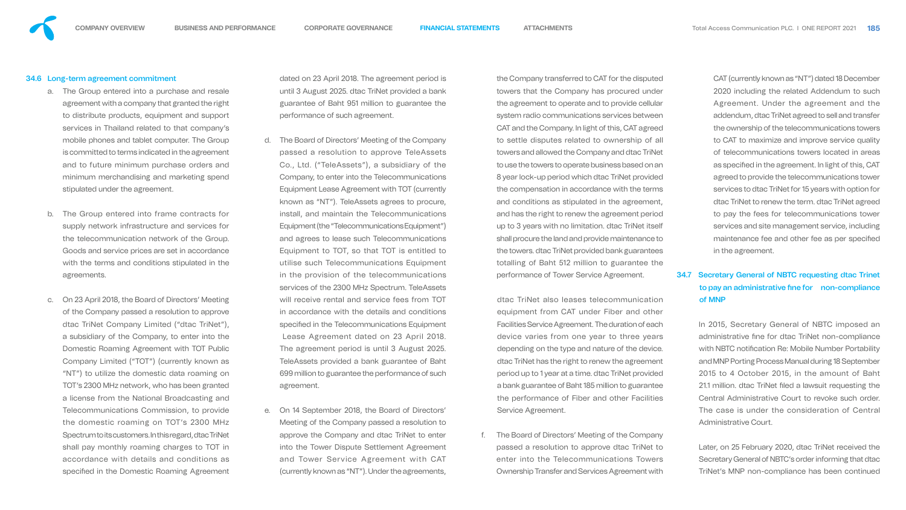- a. The Group entered into a purchase and resale agreement with a company that granted the right to distribute products, equipment and support services in Thailand related to that company's mobile phones and tablet computer. The Group is committed to terms indicated in the agreement and to future minimum purchase orders and minimum merchandising and marketing spend stipulated under the agreement.
- b. The Group entered into frame contracts for supply network infrastructure and services for the telecommunication network of the Group. Goods and service prices are set in accordance with the terms and conditions stipulated in the agreements.
- c. On 23 April 2018, the Board of Directors' Meeting of the Company passed a resolution to approve dtac TriNet Company Limited ("dtac TriNet"), a subsidiary of the Company, to enter into the Domestic Roaming Agreement with TOT Public Company Limited ("TOT") (currently known as "NT") to utilize the domestic data roaming on TOT's 2300 MHz network, who has been granted a license from the National Broadcasting and Telecommunications Commission, to provide the domestic roaming on TOT's 2300 MHz Spectrum to its customers. In this regard, dtac TriNet shall pay monthly roaming charges to TOT in accordance with details and conditions as specified in the Domestic Roaming Agreement

#### 34.6 Long-term agreement commitment

d. The Board of Directors' Meeting of the Company passed a resolution to approve TeleAssets Co., Ltd. ("TeleAssets"), a subsidiary of the Company, to enter into the Telecommunications Equipment Lease Agreement with TOT (currently known as "NT"). TeleAssets agrees to procure, install, and maintain the Telecommunications Equipment (the "Telecommunications Equipment") and agrees to lease such Telecommunications Equipment to TOT, so that TOT is entitled to utilise such Telecommunications Equipment in the provision of the telecommunications services of the 2300 MHz Spectrum. TeleAssets will receive rental and service fees from TOT in accordance with the details and conditions specified in the Telecommunications Equipment

dated on 23 April 2018. The agreement period is until 3 August 2025. dtac TriNet provided a bank guarantee of Baht 951 million to guarantee the performance of such agreement.

> The Board of Directors' Meeting of the Company passed a resolution to approve dtac TriNet to enter into the Telecommunications Towers Ownership Transfer and Services Agreement with

 Lease Agreement dated on 23 April 2018. The agreement period is until 3 August 2025. TeleAssets provided a bank guarantee of Baht 699 million to guarantee the performance of such agreement.

e. On 14 September 2018, the Board of Directors' Meeting of the Company passed a resolution to approve the Company and dtac TriNet to enter into the Tower Dispute Settlement Agreement and Tower Service Agreement with CAT (currently known as "NT"). Under the agreements,

the Company transferred to CAT for the disputed towers that the Company has procured under the agreement to operate and to provide cellular system radio communications services between CAT and the Company. In light of this, CAT agreed to settle disputes related to ownership of all towers and allowed the Company and dtac TriNet to use the towers to operate business based on an 8 year lock-up period which dtac TriNet provided the compensation in accordance with the terms and conditions as stipulated in the agreement, and has the right to renew the agreement period up to 3 years with no limitation. dtac TriNet itself shall procure the land and provide maintenance to the towers. dtac TriNet provided bank guarantees totalling of Baht 512 million to guarantee the performance of Tower Service Agreement.

dtac TriNet also leases telecommunication equipment from CAT under Fiber and other Facilities Service Agreement. The duration of each device varies from one year to three years depending on the type and nature of the device. dtac TriNet has the right to renew the agreement period up to 1 year at a time. dtac TriNet provided a bank guarantee of Baht 185 million to guarantee the performance of Fiber and other Facilities Service Agreement.

CAT (currently known as "NT") dated 18 December 2020 including the related Addendum to such Agreement. Under the agreement and the addendum, dtac TriNet agreed to sell and transfer the ownership of the telecommunications towers to CAT to maximize and improve service quality of telecommunications towers located in areas as specified in the agreement. In light of this, CAT agreed to provide the telecommunications tower services to dtac TriNet for 15 years with option for dtac TriNet to renew the term. dtac TriNet agreed to pay the fees for telecommunications tower services and site management service, including maintenance fee and other fee as per specified in the agreement.

# 34.7 Secretary General of NBTC requesting dtac Trinet to pay an administrative fine for non-compliance of MNP

In 2015, Secretary General of NBTC imposed an administrative fine for dtac TriNet non-compliance with NBTC notification Re: Mobile Number Portability and MNP Porting Process Manual during 18 September 2015 to 4 October 2015, in the amount of Baht 21.1 million. dtac TriNet filed a lawsuit requesting the Central Administrative Court to revoke such order. The case is under the consideration of Central Administrative Court.

Later, on 25 February 2020, dtac TriNet received the Secretary General of NBTC's order informing that dtac TriNet's MNP non-compliance has been continued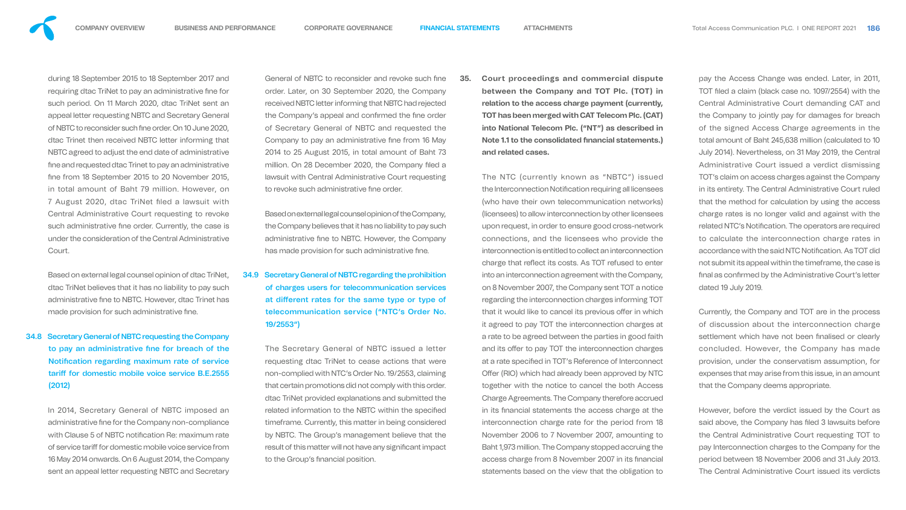Based on external legal counsel opinion of dtac TriNet, dtac TriNet believes that it has no liability to pay such administrative fine to NBTC. However, dtac Trinet has made provision for such administrative fine.

during 18 September 2015 to 18 September 2017 and requiring dtac TriNet to pay an administrative fine for such period. On 11 March 2020, dtac TriNet sent an appeal letter requesting NBTC and Secretary General of NBTC to reconsider such fine order. On 10 June 2020, dtac Trinet then received NBTC letter informing that NBTC agreed to adjust the end date of administrative fine and requested dtac Trinet to pay an administrative fine from 18 September 2015 to 20 November 2015, in total amount of Baht 79 million. However, on 7 August 2020, dtac TriNet filed a lawsuit with Central Administrative Court requesting to revoke such administrative fine order. Currently, the case is under the consideration of the Central Administrative



Court.

Based on external legal counsel opinion of the Company, the Company believes that it has no liability to pay such administrative fine to NBTC. However, the Company has made provision for such administrative fine.

34.8 Secretary General of NBTC requesting the Company to pay an administrative fine for breach of the Notification regarding maximum rate of service tariff for domestic mobile voice service B.E.2555 (2012)

The Secretary General of NBTC issued a letter requesting dtac TriNet to cease actions that were non-complied with NTC's Order No. 19/2553, claiming that certain promotions did not comply with this order. dtac TriNet provided explanations and submitted the related information to the NBTC within the specified timeframe. Currently, this matter in being considered by NBTC. The Group's management believe that the result of this matter will not have any significant impact to the Group's financial position.

In 2014, Secretary General of NBTC imposed an administrative fine for the Company non-compliance with Clause 5 of NBTC notification Re: maximum rate of service tariff for domestic mobile voice service from 16 May 2014 onwards. On 6 August 2014, the Company sent an appeal letter requesting NBTC and Secretary

General of NBTC to reconsider and revoke such fine order. Later, on 30 September 2020, the Company received NBTC letter informing that NBTC had rejected the Company's appeal and confirmed the fine order of Secretary General of NBTC and requested the Company to pay an administrative fine from 16 May 2014 to 25 August 2015, in total amount of Baht 73 million. On 28 December 2020, the Company filed a lawsuit with Central Administrative Court requesting to revoke such administrative fine order.

34.9 Secretary General of NBTC regarding the prohibition of charges users for telecommunication services at different rates for the same type or type of telecommunication service ("NTC's Order No. 19/2553")

**35. Court proceedings and commercial dispute between the Company and TOT Plc. (TOT) in relation to the access charge payment (currently, TOT has been merged with CAT Telecom Plc. (CAT) into National Telecom Plc. ("NT") as described in Note 1.1 to the consolidated financial statements.) and related cases.**

The NTC (currently known as "NBTC") issued the Interconnection Notification requiring all licensees (who have their own telecommunication networks) (licensees) to allow interconnection by other licensees upon request, in order to ensure good cross-network connections, and the licensees who provide the interconnection is entitled to collect an interconnection charge that reflect its costs. As TOT refused to enter into an interconnection agreement with the Company, on 8 November 2007, the Company sent TOT a notice regarding the interconnection charges informing TOT that it would like to cancel its previous offer in which it agreed to pay TOT the interconnection charges at a rate to be agreed between the parties in good faith and its offer to pay TOT the interconnection charges at a rate specified in TOT's Reference of Interconnect Offer (RIO) which had already been approved by NTC together with the notice to cancel the both Access Charge Agreements. The Company therefore accrued in its financial statements the access charge at the interconnection charge rate for the period from 18 November 2006 to 7 November 2007, amounting to Baht 1,973 million. The Company stopped accruing the access charge from 8 November 2007 in its financial statements based on the view that the obligation to

pay the Access Change was ended. Later, in 2011, TOT filed a claim (black case no. 1097/2554) with the Central Administrative Court demanding CAT and the Company to jointly pay for damages for breach of the signed Access Charge agreements in the total amount of Baht 245,638 million (calculated to 10 July 2014). Nevertheless, on 31 May 2019, the Central Administrative Court issued a verdict dismissing TOT's claim on access charges against the Company in its entirety. The Central Administrative Court ruled that the method for calculation by using the access charge rates is no longer valid and against with the related NTC's Notification. The operators are required to calculate the interconnection charge rates in accordance with the said NTC Notification. As TOT did not submit its appeal within the timeframe, the case is final as confirmed by the Administrative Court's letter dated 19 July 2019.

Currently, the Company and TOT are in the process of discussion about the interconnection charge settlement which have not been finalised or clearly concluded. However, the Company has made provision, under the conservatism assumption, for expenses that may arise from this issue, in an amount that the Company deems appropriate.

However, before the verdict issued by the Court as said above, the Company has filed 3 lawsuits before the Central Administrative Court requesting TOT to pay Interconnection charges to the Company for the period between 18 November 2006 and 31 July 2013. The Central Administrative Court issued its verdicts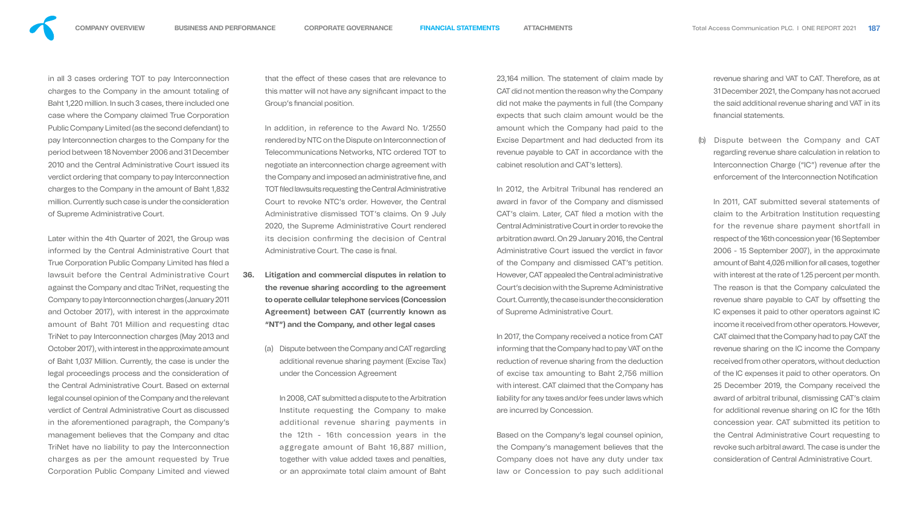

in all 3 cases ordering TOT to pay Interconnection charges to the Company in the amount totaling of Baht 1,220 million. In such 3 cases, there included one case where the Company claimed True Corporation Public Company Limited (as the second defendant) to pay Interconnection charges to the Company for the period between 18 November 2006 and 31 December 2010 and the Central Administrative Court issued its verdict ordering that company to pay Interconnection charges to the Company in the amount of Baht 1,832 million. Currently such case is under the consideration of Supreme Administrative Court.

Later within the 4th Quarter of 2021, the Group was informed by the Central Administrative Court that True Corporation Public Company Limited has filed a lawsuit before the Central Administrative Court against the Company and dtac TriNet, requesting the Company to pay Interconnection charges (January 2011 and October 2017), with interest in the approximate amount of Baht 701 Million and requesting dtac TriNet to pay Interconnection charges (May 2013 and October 2017), with interest in the approximate amount of Baht 1,037 Million. Currently, the case is under the legal proceedings process and the consideration of the Central Administrative Court. Based on external legal counsel opinion of the Company and the relevant verdict of Central Administrative Court as discussed in the aforementioned paragraph, the Company's management believes that the Company and dtac TriNet have no liability to pay the Interconnection charges as per the amount requested by True Corporation Public Company Limited and viewed

that the effect of these cases that are relevance to this matter will not have any significant impact to the Group's financial position.

In addition, in reference to the Award No. 1/2550 rendered by NTC on the Dispute on Interconnection of Telecommunications Networks, NTC ordered TOT to negotiate an interconnection charge agreement with the Company and imposed an administrative fine, and TOT filed lawsuits requesting the Central Administrative Court to revoke NTC's order. However, the Central Administrative dismissed TOT's claims. On 9 July 2020, the Supreme Administrative Court rendered its decision confirming the decision of Central Administrative Court. The case is final.

- **36. Litigation and commercial disputes in relation to the revenue sharing according to the agreement to operate cellular telephone services (Concession Agreement) between CAT (currently known as "NT") and the Company, and other legal cases**
	- (a) Dispute between the Company and CAT regarding additional revenue sharing payment (Excise Tax) under the Concession Agreement

In 2008, CAT submitted a dispute to the Arbitration Institute requesting the Company to make additional revenue sharing payments in the 12th - 16th concession years in the aggregate amount of Baht 16,887 million, together with value added taxes and penalties, or an approximate total claim amount of Baht

23,164 million. The statement of claim made by CAT did not mention the reason why the Company did not make the payments in full (the Company expects that such claim amount would be the amount which the Company had paid to the Excise Department and had deducted from its revenue payable to CAT in accordance with the cabinet resolution and CAT's letters).

In 2012, the Arbitral Tribunal has rendered an award in favor of the Company and dismissed CAT's claim. Later, CAT filed a motion with the Central Administrative Court in order to revoke the arbitration award. On 29 January 2016, the Central Administrative Court issued the verdict in favor of the Company and dismissed CAT's petition. However, CAT appealed the Central administrative Court's decision with the Supreme Administrative Court. Currently, the case is under the consideration of Supreme Administrative Court.

In 2017, the Company received a notice from CAT informing that the Company had to pay VAT on the reduction of revenue sharing from the deduction of excise tax amounting to Baht 2,756 million with interest. CAT claimed that the Company has liability for any taxes and/or fees under laws which are incurred by Concession.

Based on the Company's legal counsel opinion, the Company's management believes that the Company does not have any duty under tax law or Concession to pay such additional

revenue sharing and VAT to CAT. Therefore, as at 31 December 2021, the Company has not accrued the said additional revenue sharing and VAT in its nancial statements.

Dispute between the Company and CAT regarding revenue share calculation in relation to Interconnection Charge ("IC") revenue after the enforcement of the Interconnection Notification

In 2011, CAT submitted several statements of claim to the Arbitration Institution requesting for the revenue share payment shortfall in respect of the 16th concession year (16 September 2006 - 15 September 2007), in the approximate amount of Baht 4,026 million for all cases, together with interest at the rate of 1.25 percent per month. The reason is that the Company calculated the revenue share payable to CAT by offsetting the IC expenses it paid to other operators against IC income it received from other operators. However, CAT claimed that the Company had to pay CAT the revenue sharing on the IC income the Company received from other operators, without deduction of the IC expenses it paid to other operators. On 25 December 2019, the Company received the award of arbitral tribunal, dismissing CAT's claim for additional revenue sharing on IC for the 16th concession year. CAT submitted its petition to the Central Administrative Court requesting to revoke such arbitral award. The case is under the consideration of Central Administrative Court.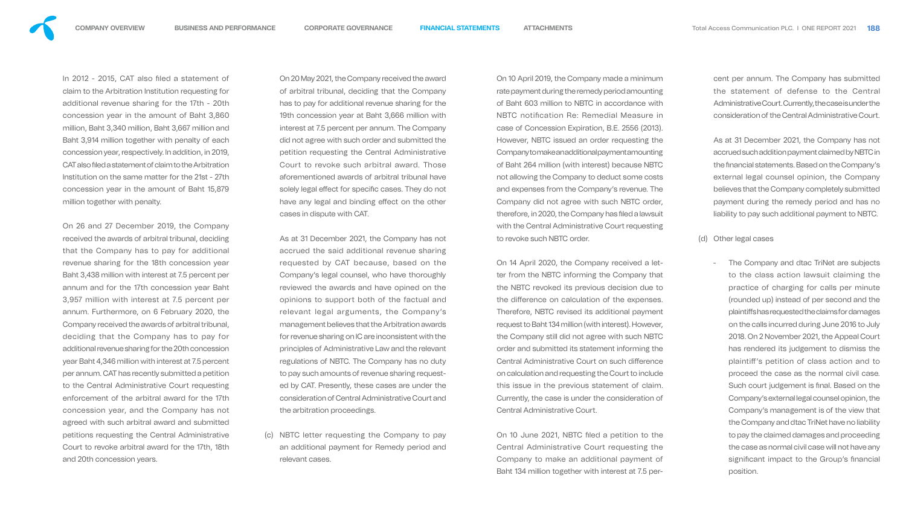

In 2012 - 2015, CAT also filed a statement of claim to the Arbitration Institution requesting for additional revenue sharing for the 17th - 20th concession year in the amount of Baht 3,860 million, Baht 3,340 million, Baht 3,667 million and Baht 3,914 million together with penalty of each concession year, respectively. In addition, in 2019, CAT also filed a statement of claim to the Arbitration Institution on the same matter for the 21st - 27th concession year in the amount of Baht 15,879 million together with penalty.

On 26 and 27 December 2019, the Company received the awards of arbitral tribunal, deciding that the Company has to pay for additional revenue sharing for the 18th concession year Baht 3,438 million with interest at 7.5 percent per annum and for the 17th concession year Baht 3,957 million with interest at 7.5 percent per annum. Furthermore, on 6 February 2020, the Company received the awards of arbitral tribunal, deciding that the Company has to pay for additional revenue sharing for the 20th concession year Baht 4,346 million with interest at 7.5 percent per annum. CAT has recently submitted a petition to the Central Administrative Court requesting enforcement of the arbitral award for the 17th concession year, and the Company has not agreed with such arbitral award and submitted petitions requesting the Central Administrative Court to revoke arbitral award for the 17th, 18th and 20th concession years.

On 20 May 2021, the Company received the award of arbitral tribunal, deciding that the Company has to pay for additional revenue sharing for the 19th concession year at Baht 3,666 million with interest at 7.5 percent per annum. The Company did not agree with such order and submitted the petition requesting the Central Administrative Court to revoke such arbitral award. Those aforementioned awards of arbitral tribunal have solely legal effect for specific cases. They do not have any legal and binding effect on the other cases in dispute with CAT.

> On 10 June 2021, NBTC filed a petition to the Central Administrative Court requesting the Company to make an additional payment of Baht 134 million together with interest at 7.5 per-

As at 31 December 2021, the Company has not accrued the said additional revenue sharing requested by CAT because, based on the Company's legal counsel, who have thoroughly reviewed the awards and have opined on the opinions to support both of the factual and relevant legal arguments, the Company's management believes that the Arbitration awards for revenue sharing on IC are inconsistent with the principles of Administrative Law and the relevant regulations of NBTC. The Company has no duty to pay such amounts of revenue sharing requested by CAT. Presently, these cases are under the consideration of Central Administrative Court and the arbitration proceedings.

(c) NBTC letter requesting the Company to pay an additional payment for Remedy period and relevant cases.

On 10 April 2019, the Company made a minimum rate payment during the remedy period amounting of Baht 603 million to NBTC in accordance with NBTC notification Re: Remedial Measure in case of Concession Expiration, B.E. 2556 (2013). However, NBTC issued an order requesting the Company to make an additional payment amounting of Baht 264 million (with interest) because NBTC not allowing the Company to deduct some costs and expenses from the Company's revenue. The Company did not agree with such NBTC order, therefore, in 2020, the Company has filed a lawsuit with the Central Administrative Court requesting to revoke such NBTC order.

On 14 April 2020, the Company received a letter from the NBTC informing the Company that the NBTC revoked its previous decision due to the difference on calculation of the expenses. Therefore, NBTC revised its additional payment request to Baht 134 million (with interest). However, the Company still did not agree with such NBTC order and submitted its statement informing the Central Administrative Court on such difference on calculation and requesting the Court to include this issue in the previous statement of claim. Currently, the case is under the consideration of Central Administrative Court.

cent per annum. The Company has submitted the statement of defense to the Central Administrative Court. Currently, the case is under the consideration of the Central Administrative Court.

As at 31 December 2021, the Company has not accrued such addition payment claimed by NBTC in the financial statements. Based on the Company's external legal counsel opinion, the Company believes that the Company completely submitted payment during the remedy period and has no liability to pay such additional payment to NBTC.

- (d) Other legal cases
	- The Company and dtac TriNet are subjects to the class action lawsuit claiming the practice of charging for calls per minute (rounded up) instead of per second and the plaintiffs has requested the claims for damages on the calls incurred during June 2016 to July 2018. On 2 November 2021, the Appeal Court has rendered its judgement to dismiss the plaintiff's petition of class action and to proceed the case as the normal civil case. Such court judgement is final. Based on the Company's external legal counsel opinion, the Company's management is of the view that the Company and dtac TriNet have no liability to pay the claimed damages and proceeding the case as normal civil case will not have any significant impact to the Group's financial position.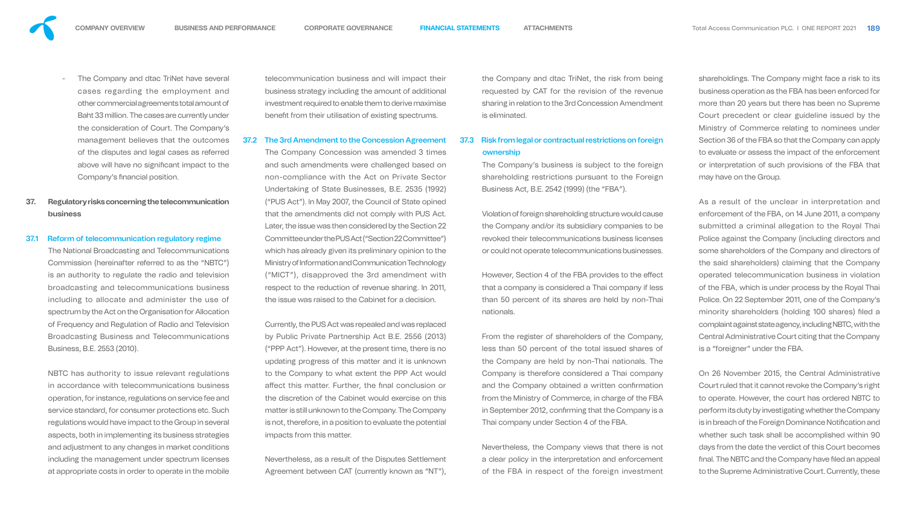

The Company and dtac TriNet have several cases regarding the employment and other commercial agreements total amount of Baht 33 million. The cases are currently under the consideration of Court. The Company's management believes that the outcomes of the disputes and legal cases as referred above will have no significant impact to the Company's financial position.

# **37. Regulatory risks concerning the telecommunication business**

#### 37.1 Reform of telecommunication regulatory regime

The National Broadcasting and Telecommunications Commission (hereinafter referred to as the "NBTC") is an authority to regulate the radio and television broadcasting and telecommunications business including to allocate and administer the use of spectrum by the Act on the Organisation for Allocation of Frequency and Regulation of Radio and Television Broadcasting Business and Telecommunications Business, B.E. 2553 (2010).

NBTC has authority to issue relevant regulations in accordance with telecommunications business operation, for instance, regulations on service fee and service standard, for consumer protections etc. Such regulations would have impact to the Group in several aspects, both in implementing its business strategies and adjustment to any changes in market conditions including the management under spectrum licenses at appropriate costs in order to operate in the mobile

However, Section 4 of the FBA provides to the effect that a company is considered a Thai company if less than 50 percent of its shares are held by non-Thai nationals.

and such amendments were challenged based on non-compliance with the Act on Private Sector Undertaking of State Businesses, B.E. 2535 (1992) ("PUS Act"). In May 2007, the Council of State opined that the amendments did not comply with PUS Act. Later, the issue was then considered by the Section 22 Committee under the PUS Act ("Section 22 Committee") which has already given its preliminary opinion to the Ministry of Information and Communication Technology ("MICT"), disapproved the 3rd amendment with respect to the reduction of revenue sharing. In 2011, the issue was raised to the Cabinet for a decision.

telecommunication business and will impact their business strategy including the amount of additional investment required to enable them to derive maximise benefit from their utilisation of existing spectrums. the Company and dtac TriNet, the risk from being requested by CAT for the revision of the revenue sharing in relation to the 3rd Concession Amendment is eliminated.

#### 37.2 The 3rd Amendment to the Concession Agreement The Company Concession was amended 3 times 37.3 Risk from legal or contractual restrictions on foreign ownership

Currently, the PUS Act was repealed and was replaced by Public Private Partnership Act B.E. 2556 (2013) ("PPP Act"). However, at the present time, there is no updating progress of this matter and it is unknown to the Company to what extent the PPP Act would affect this matter. Further, the final conclusion or the discretion of the Cabinet would exercise on this matter is still unknown to the Company. The Company is not, therefore, in a position to evaluate the potential impacts from this matter.

Nevertheless, as a result of the Disputes Settlement Agreement between CAT (currently known as "NT"),

The Company's business is subject to the foreign shareholding restrictions pursuant to the Foreign Business Act, B.E. 2542 (1999) (the "FBA").

Violation of foreign shareholding structure would cause the Company and/or its subsidiary companies to be revoked their telecommunications business licenses or could not operate telecommunications businesses.

From the register of shareholders of the Company, less than 50 percent of the total issued shares of the Company are held by non-Thai nationals. The Company is therefore considered a Thai company and the Company obtained a written confirmation from the Ministry of Commerce, in charge of the FBA in September 2012, confirming that the Company is a Thai company under Section 4 of the FBA.

Nevertheless, the Company views that there is not a clear policy in the interpretation and enforcement of the FBA in respect of the foreign investment

shareholdings. The Company might face a risk to its business operation as the FBA has been enforced for more than 20 years but there has been no Supreme Court precedent or clear guideline issued by the Ministry of Commerce relating to nominees under Section 36 of the FBA so that the Company can apply to evaluate or assess the impact of the enforcement or interpretation of such provisions of the FBA that may have on the Group.

As a result of the unclear in interpretation and enforcement of the FBA, on 14 June 2011, a company submitted a criminal allegation to the Royal Thai Police against the Company (including directors and some shareholders of the Company and directors of the said shareholders) claiming that the Company operated telecommunication business in violation of the FBA, which is under process by the Royal Thai Police. On 22 September 2011, one of the Company's minority shareholders (holding 100 shares) filed a complaint against state agency, including NBTC, with the Central Administrative Court citing that the Company is a "foreigner" under the FBA.

On 26 November 2015, the Central Administrative Court ruled that it cannot revoke the Company's right to operate. However, the court has ordered NBTC to perform its duty by investigating whether the Company is in breach of the Foreign Dominance Notification and whether such task shall be accomplished within 90 days from the date the verdict of this Court becomes final. The NBTC and the Company have filed an appeal to the Supreme Administrative Court. Currently, these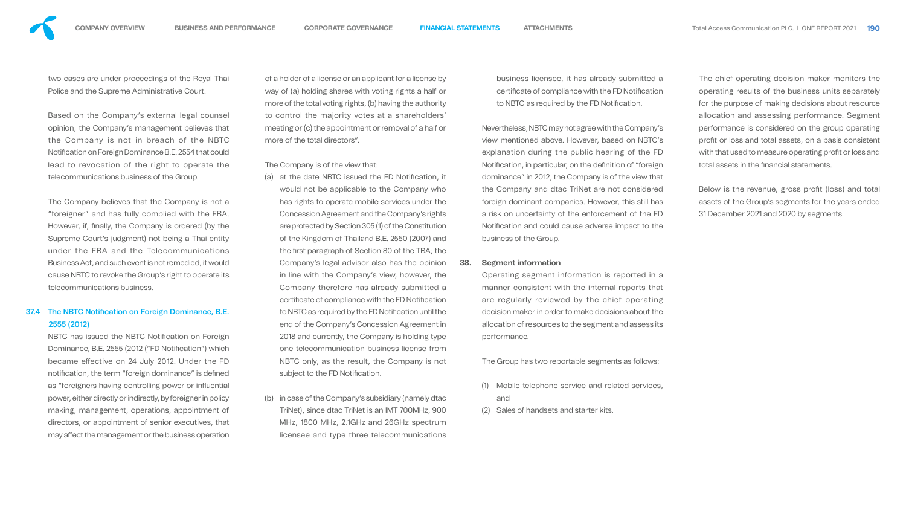two cases are under proceedings of the Royal Thai Police and the Supreme Administrative Court.

Based on the Company's external legal counsel opinion, the Company's management believes that the Company is not in breach of the NBTC Notification on Foreign Dominance B.E. 2554 that could lead to revocation of the right to operate the telecommunications business of the Group.

### 37.4 The NBTC Notification on Foreign Dominance, B.E. 2555 (2012)

NBTC has issued the NBTC Notification on Foreign Dominance, B.E. 2555 (2012 ("FD Notification") which became effective on 24 July 2012. Under the FD notification, the term "foreign dominance" is defined as "foreigners having controlling power or influential power, either directly or indirectly, by foreigner in policy making, management, operations, appointment of directors, or appointment of senior executives, that may affect the management or the business operation

The Company believes that the Company is not a "foreigner" and has fully complied with the FBA. However, if, finally, the Company is ordered (by the Supreme Court's judgment) not being a Thai entity under the FBA and the Telecommunications Business Act, and such event is not remedied, it would cause NBTC to revoke the Group's right to operate its telecommunications business.

- (a) at the date NBTC issued the FD Notification, it would not be applicable to the Company who has rights to operate mobile services under the Concession Agreement and the Company's rights are protected by Section 305 (1) of the Constitution of the Kingdom of Thailand B.E. 2550 (2007) and the first paragraph of Section 80 of the TBA; the Company's legal advisor also has the opinion in line with the Company's view, however, the Company therefore has already submitted a certificate of compliance with the FD Notification to NBTC as required by the FD Notification until the end of the Company's Concession Agreement in 2018 and currently, the Company is holding type one telecommunication business license from NBTC only, as the result, the Company is not subject to the FD Notification.
- (b) in case of the Company's subsidiary (namely dtac TriNet), since dtac TriNet is an IMT 700MHz, 900 MHz, 1800 MHz, 2.1GHz and 26GHz spectrum licensee and type three telecommunications

business licensee, it has already submitted a certificate of compliance with the FD Notification to NBTC as required by the FD Notification.

of a holder of a license or an applicant for a license by way of (a) holding shares with voting rights a half or more of the total voting rights, (b) having the authority to control the majority votes at a shareholders' meeting or (c) the appointment or removal of a half or more of the total directors".

The Company is of the view that:

The chief operating decision maker monitors the operating results of the business units separately for the purpose of making decisions about resource allocation and assessing performance. Segment performance is considered on the group operating profit or loss and total assets, on a basis consistent with that used to measure operating profit or loss and total assets in the financial statements.

Below is the revenue, gross profit (loss) and total assets of the Group's segments for the years ended 31 December 2021 and 2020 by segments.

Nevertheless, NBTC may not agree with the Company's view mentioned above. However, based on NBTC's explanation during the public hearing of the FD Notification, in particular, on the definition of "foreign" dominance" in 2012, the Company is of the view that the Company and dtac TriNet are not considered foreign dominant companies. However, this still has a risk on uncertainty of the enforcement of the FD Notification and could cause adverse impact to the business of the Group.

#### **38. Segment information**

Operating segment information is reported in a manner consistent with the internal reports that are regularly reviewed by the chief operating decision maker in order to make decisions about the allocation of resources to the segment and assess its performance.

The Group has two reportable segments as follows:

- (1) Mobile telephone service and related services, and
- (2) Sales of handsets and starter kits.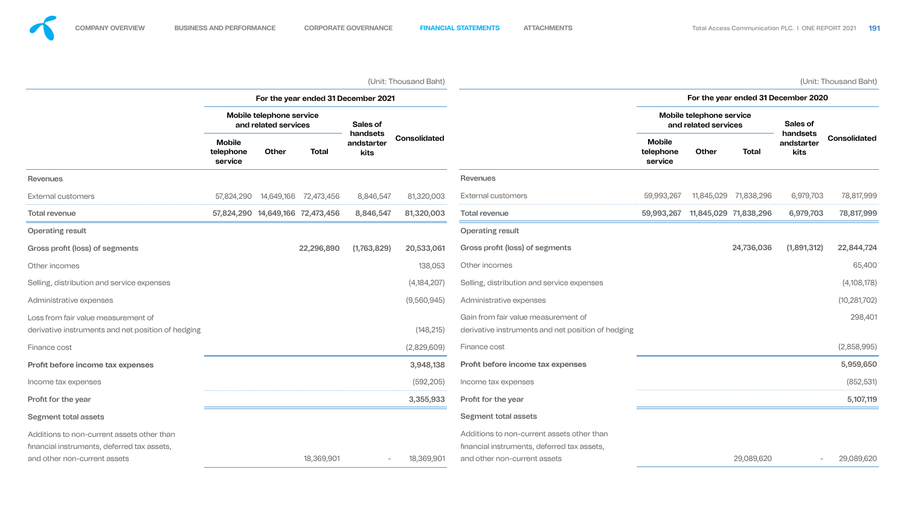|                                                                                           | (Unit: Thousand Baht)                            |              |                                  |                                |                     |                                                                                           |                                       |                 |                       |                                | (Unit: Thousand Baht) |
|-------------------------------------------------------------------------------------------|--------------------------------------------------|--------------|----------------------------------|--------------------------------|---------------------|-------------------------------------------------------------------------------------------|---------------------------------------|-----------------|-----------------------|--------------------------------|-----------------------|
|                                                                                           | For the year ended 31 December 2021              |              |                                  |                                |                     |                                                                                           | For the year ended 31 December 2020   |                 |                       |                                |                       |
|                                                                                           | Mobile telephone service<br>and related services |              | Sales of                         |                                |                     | Mobile telephone service<br>and related services                                          |                                       | <b>Sales of</b> |                       |                                |                       |
|                                                                                           | <b>Mobile</b><br>telephone<br>service            | <b>Other</b> | <b>Total</b>                     | handsets<br>andstarter<br>kits | <b>Consolidated</b> |                                                                                           | <b>Mobile</b><br>telephone<br>service | Other           | <b>Total</b>          | handsets<br>andstarter<br>kits | <b>Consolidated</b>   |
| <b>Revenues</b>                                                                           |                                                  |              |                                  |                                |                     | <b>Revenues</b>                                                                           |                                       |                 |                       |                                |                       |
| External customers                                                                        | 57,824,290                                       | 14,649,166   | 72,473,456                       | 8,846,547                      | 81,320,003          | <b>External customers</b>                                                                 | 59,993,267                            | 11,845,029      | 71,838,296            | 6,979,703                      | 78,817,999            |
| <b>Total revenue</b>                                                                      |                                                  |              | 57,824,290 14,649,166 72,473,456 | 8,846,547                      | 81,320,003          | <b>Total revenue</b>                                                                      | 59,993,267                            |                 | 11,845,029 71,838,296 | 6,979,703                      | 78,817,999            |
| <b>Operating result</b>                                                                   |                                                  |              |                                  |                                |                     | <b>Operating result</b>                                                                   |                                       |                 |                       |                                |                       |
| Gross profit (loss) of segments                                                           |                                                  |              | 22,296,890                       | (1,763,829)                    | 20,533,061          | Gross profit (loss) of segments                                                           |                                       |                 | 24,736,036            | (1,891,312)                    | 22,844,724            |
| Other incomes                                                                             |                                                  |              |                                  |                                | 138,053             | Other incomes                                                                             |                                       |                 |                       |                                | 65,400                |
| Selling, distribution and service expenses                                                |                                                  |              |                                  |                                | (4, 184, 207)       | Selling, distribution and service expenses                                                |                                       |                 |                       |                                | (4,108,178)           |
| Administrative expenses                                                                   |                                                  |              |                                  |                                | (9,560,945)         | Administrative expenses                                                                   |                                       |                 |                       |                                | (10, 281, 702)        |
| Loss from fair value measurement of<br>derivative instruments and net position of hedging |                                                  |              |                                  |                                | (148, 215)          | Gain from fair value measurement of<br>derivative instruments and net position of hedging |                                       |                 |                       |                                | 298,401               |
| Finance cost                                                                              |                                                  |              |                                  |                                | (2,829,609)         | Finance cost                                                                              |                                       |                 |                       |                                | (2,858,995)           |
| Profit before income tax expenses                                                         |                                                  |              |                                  |                                | 3,948,138           | <b>Profit before income tax expenses</b>                                                  |                                       |                 |                       |                                | 5,959,650             |
| Income tax expenses                                                                       |                                                  |              |                                  |                                | (592, 205)          | Income tax expenses                                                                       |                                       |                 |                       |                                | (852, 531)            |
| Profit for the year                                                                       |                                                  |              |                                  |                                | 3,355,933           | Profit for the year                                                                       |                                       |                 |                       |                                | 5,107,119             |
| <b>Segment total assets</b>                                                               |                                                  |              |                                  |                                |                     | Segment total assets                                                                      |                                       |                 |                       |                                |                       |
| Additions to non-current assets other than<br>financial instruments, deferred tax assets, |                                                  |              |                                  |                                |                     | Additions to non-current assets other than<br>financial instruments, deferred tax assets, |                                       |                 |                       |                                |                       |
| and other non-current assets                                                              |                                                  |              | 18,369,901                       |                                | 18,369,901          | and other non-current assets                                                              |                                       |                 | 29,089,620            |                                | 29,089,620            |